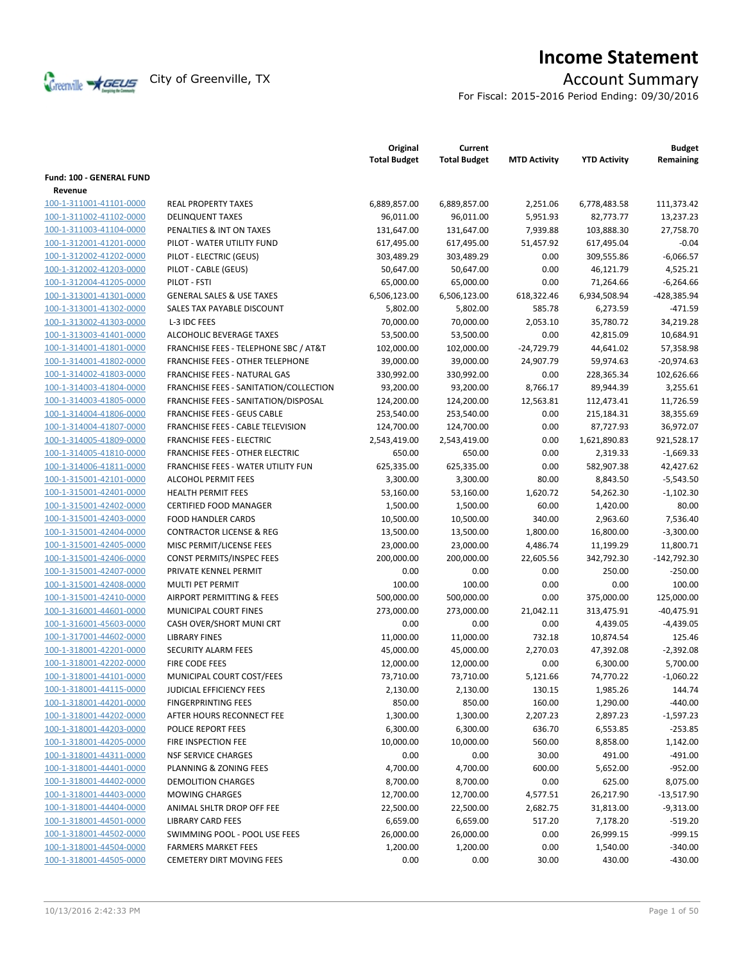

# **Income Statement**

For Fiscal: 2015-2016 Period Ending: 09/30/2016

|                          |                                                  | Original<br><b>Total Budget</b> | Current<br><b>Total Budget</b> | <b>MTD Activity</b> | <b>YTD Activity</b> | <b>Budget</b><br>Remaining |
|--------------------------|--------------------------------------------------|---------------------------------|--------------------------------|---------------------|---------------------|----------------------------|
| Fund: 100 - GENERAL FUND |                                                  |                                 |                                |                     |                     |                            |
| Revenue                  |                                                  |                                 |                                |                     |                     |                            |
| 100-1-311001-41101-0000  | <b>REAL PROPERTY TAXES</b>                       | 6,889,857.00                    | 6,889,857.00                   | 2,251.06            | 6,778,483.58        | 111,373.42                 |
| 100-1-311002-41102-0000  | <b>DELINQUENT TAXES</b>                          | 96,011.00                       | 96,011.00                      | 5,951.93            | 82,773.77           | 13,237.23                  |
| 100-1-311003-41104-0000  | PENALTIES & INT ON TAXES                         | 131,647.00                      | 131,647.00                     | 7,939.88            | 103,888.30          | 27,758.70                  |
| 100-1-312001-41201-0000  | PILOT - WATER UTILITY FUND                       | 617,495.00                      | 617,495.00                     | 51,457.92           | 617,495.04          | $-0.04$                    |
| 100-1-312002-41202-0000  | PILOT - ELECTRIC (GEUS)                          | 303,489.29                      | 303,489.29                     | 0.00                | 309,555.86          | $-6,066.57$                |
| 100-1-312002-41203-0000  | PILOT - CABLE (GEUS)                             | 50,647.00                       | 50,647.00                      | 0.00                | 46,121.79           | 4,525.21                   |
| 100-1-312004-41205-0000  | PILOT - FSTI                                     | 65,000.00                       | 65,000.00                      | 0.00                | 71,264.66           | $-6,264.66$                |
| 100-1-313001-41301-0000  | <b>GENERAL SALES &amp; USE TAXES</b>             | 6,506,123.00                    | 6,506,123.00                   | 618,322.46          | 6,934,508.94        | -428,385.94                |
| 100-1-313001-41302-0000  | SALES TAX PAYABLE DISCOUNT                       | 5,802.00                        | 5,802.00                       | 585.78              | 6,273.59            | $-471.59$                  |
| 100-1-313002-41303-0000  | L-3 IDC FEES                                     | 70,000.00                       | 70,000.00                      | 2,053.10            | 35,780.72           | 34,219.28                  |
| 100-1-313003-41401-0000  | ALCOHOLIC BEVERAGE TAXES                         | 53,500.00                       | 53,500.00                      | 0.00                | 42,815.09           | 10,684.91                  |
| 100-1-314001-41801-0000  | <b>FRANCHISE FEES - TELEPHONE SBC / AT&amp;T</b> | 102,000.00                      | 102,000.00                     | $-24,729.79$        | 44,641.02           | 57,358.98                  |
| 100-1-314001-41802-0000  | FRANCHISE FEES - OTHER TELEPHONE                 | 39,000.00                       | 39,000.00                      | 24,907.79           | 59,974.63           | $-20,974.63$               |
| 100-1-314002-41803-0000  | FRANCHISE FEES - NATURAL GAS                     | 330,992.00                      | 330,992.00                     | 0.00                | 228,365.34          | 102,626.66                 |
| 100-1-314003-41804-0000  | FRANCHISE FEES - SANITATION/COLLECTION           | 93,200.00                       | 93,200.00                      | 8,766.17            | 89,944.39           | 3,255.61                   |
| 100-1-314003-41805-0000  | FRANCHISE FEES - SANITATION/DISPOSAL             | 124,200.00                      | 124,200.00                     | 12,563.81           | 112,473.41          | 11,726.59                  |
| 100-1-314004-41806-0000  | <b>FRANCHISE FEES - GEUS CABLE</b>               | 253,540.00                      | 253,540.00                     | 0.00                | 215,184.31          | 38,355.69                  |
| 100-1-314004-41807-0000  | FRANCHISE FEES - CABLE TELEVISION                | 124,700.00                      | 124,700.00                     | 0.00                | 87,727.93           | 36,972.07                  |
| 100-1-314005-41809-0000  | <b>FRANCHISE FEES - ELECTRIC</b>                 | 2,543,419.00                    | 2,543,419.00                   | 0.00                | 1,621,890.83        | 921,528.17                 |
| 100-1-314005-41810-0000  | <b>FRANCHISE FEES - OTHER ELECTRIC</b>           | 650.00                          | 650.00                         | 0.00                | 2,319.33            | $-1,669.33$                |
| 100-1-314006-41811-0000  | FRANCHISE FEES - WATER UTILITY FUN               | 625,335.00                      | 625,335.00                     | 0.00                | 582,907.38          | 42,427.62                  |
| 100-1-315001-42101-0000  | <b>ALCOHOL PERMIT FEES</b>                       | 3,300.00                        | 3,300.00                       | 80.00               | 8,843.50            | $-5,543.50$                |
| 100-1-315001-42401-0000  | <b>HEALTH PERMIT FEES</b>                        | 53,160.00                       | 53,160.00                      | 1,620.72            | 54,262.30           | $-1,102.30$                |
| 100-1-315001-42402-0000  | <b>CERTIFIED FOOD MANAGER</b>                    | 1,500.00                        | 1,500.00                       | 60.00               | 1,420.00            | 80.00                      |
| 100-1-315001-42403-0000  | <b>FOOD HANDLER CARDS</b>                        | 10,500.00                       | 10,500.00                      | 340.00              | 2,963.60            | 7,536.40                   |
| 100-1-315001-42404-0000  | <b>CONTRACTOR LICENSE &amp; REG</b>              | 13,500.00                       | 13,500.00                      | 1,800.00            | 16,800.00           | $-3,300.00$                |
| 100-1-315001-42405-0000  | MISC PERMIT/LICENSE FEES                         | 23,000.00                       | 23,000.00                      | 4,486.74            | 11,199.29           | 11,800.71                  |
| 100-1-315001-42406-0000  | CONST PERMITS/INSPEC FEES                        | 200,000.00                      | 200,000.00                     | 22,605.56           | 342,792.30          | $-142,792.30$              |
| 100-1-315001-42407-0000  | PRIVATE KENNEL PERMIT                            | 0.00                            | 0.00                           | 0.00                | 250.00              | $-250.00$                  |
| 100-1-315001-42408-0000  | MULTI PET PERMIT                                 | 100.00                          | 100.00                         | 0.00                | 0.00                | 100.00                     |
| 100-1-315001-42410-0000  | AIRPORT PERMITTING & FEES                        | 500,000.00                      | 500,000.00                     | 0.00                | 375,000.00          | 125,000.00                 |
| 100-1-316001-44601-0000  | <b>MUNICIPAL COURT FINES</b>                     | 273,000.00                      | 273,000.00                     | 21,042.11           | 313,475.91          | $-40,475.91$               |
| 100-1-316001-45603-0000  | CASH OVER/SHORT MUNI CRT                         | 0.00                            | 0.00                           | 0.00                | 4,439.05            | $-4,439.05$                |
| 100-1-317001-44602-0000  | <b>LIBRARY FINES</b>                             | 11,000.00                       | 11,000.00                      | 732.18              | 10,874.54           | 125.46                     |
| 100-1-318001-42201-0000  | <b>SECURITY ALARM FEES</b>                       | 45,000.00                       | 45,000.00                      | 2,270.03            | 47,392.08           | $-2,392.08$                |
| 100-1-318001-42202-0000  | FIRE CODE FEES                                   | 12,000.00                       | 12,000.00                      | 0.00                | 6,300.00            | 5,700.00                   |
| 100-1-318001-44101-0000  | MUNICIPAL COURT COST/FEES                        | 73,710.00                       | 73,710.00                      | 5,121.66            | 74,770.22           | $-1,060.22$                |
| 100-1-318001-44115-0000  | JUDICIAL EFFICIENCY FEES                         | 2,130.00                        | 2,130.00                       | 130.15              | 1,985.26            | 144.74                     |
| 100-1-318001-44201-0000  | <b>FINGERPRINTING FEES</b>                       | 850.00                          | 850.00                         | 160.00              | 1,290.00            | $-440.00$                  |
| 100-1-318001-44202-0000  | AFTER HOURS RECONNECT FEE                        | 1,300.00                        | 1,300.00                       | 2,207.23            | 2,897.23            | $-1,597.23$                |
| 100-1-318001-44203-0000  | POLICE REPORT FEES                               | 6,300.00                        | 6,300.00                       | 636.70              | 6,553.85            | $-253.85$                  |
| 100-1-318001-44205-0000  | FIRE INSPECTION FEE                              | 10,000.00                       | 10,000.00                      | 560.00              | 8,858.00            | 1,142.00                   |
| 100-1-318001-44311-0000  | <b>NSF SERVICE CHARGES</b>                       | 0.00                            | 0.00                           | 30.00               | 491.00              | $-491.00$                  |
| 100-1-318001-44401-0000  | PLANNING & ZONING FEES                           | 4,700.00                        | 4,700.00                       | 600.00              | 5,652.00            | $-952.00$                  |
| 100-1-318001-44402-0000  | <b>DEMOLITION CHARGES</b>                        | 8,700.00                        | 8,700.00                       | 0.00                | 625.00              | 8,075.00                   |
| 100-1-318001-44403-0000  | <b>MOWING CHARGES</b>                            | 12,700.00                       | 12,700.00                      | 4,577.51            | 26,217.90           | $-13,517.90$               |
| 100-1-318001-44404-0000  | ANIMAL SHLTR DROP OFF FEE                        | 22,500.00                       | 22,500.00                      | 2,682.75            | 31,813.00           | $-9,313.00$                |
| 100-1-318001-44501-0000  | <b>LIBRARY CARD FEES</b>                         | 6,659.00                        | 6,659.00                       | 517.20              | 7,178.20            | $-519.20$                  |
| 100-1-318001-44502-0000  | SWIMMING POOL - POOL USE FEES                    | 26,000.00                       | 26,000.00                      | 0.00                | 26,999.15           | $-999.15$                  |
| 100-1-318001-44504-0000  | <b>FARMERS MARKET FEES</b>                       | 1,200.00                        | 1,200.00                       | 0.00                | 1,540.00            | $-340.00$                  |
| 100-1-318001-44505-0000  | <b>CEMETERY DIRT MOVING FEES</b>                 | 0.00                            | 0.00                           | 30.00               | 430.00              | $-430.00$                  |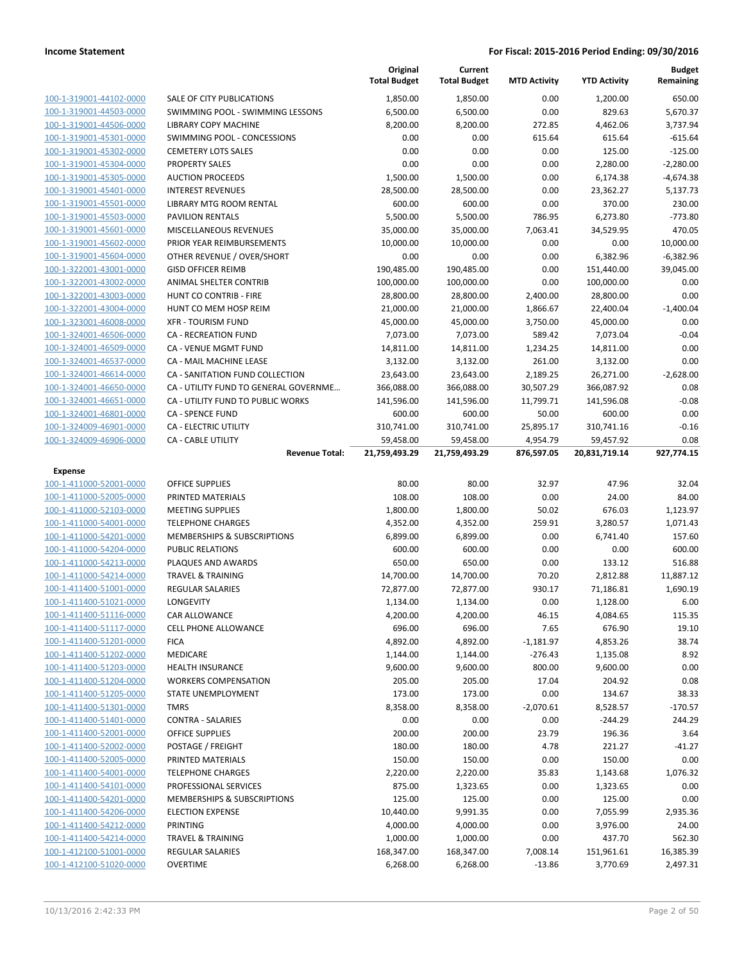|                                                    |                                                     | Original<br><b>Total Budget</b> | Current<br><b>Total Budget</b> | <b>MTD Activity</b> | <b>YTD Activity</b>   | <b>Budget</b><br>Remaining |
|----------------------------------------------------|-----------------------------------------------------|---------------------------------|--------------------------------|---------------------|-----------------------|----------------------------|
| 100-1-319001-44102-0000                            | SALE OF CITY PUBLICATIONS                           | 1,850.00                        | 1,850.00                       | 0.00                | 1,200.00              | 650.00                     |
| 100-1-319001-44503-0000                            | SWIMMING POOL - SWIMMING LESSONS                    | 6,500.00                        | 6,500.00                       | 0.00                | 829.63                | 5,670.37                   |
| 100-1-319001-44506-0000                            | LIBRARY COPY MACHINE                                | 8,200.00                        | 8,200.00                       | 272.85              | 4,462.06              | 3,737.94                   |
| 100-1-319001-45301-0000                            | SWIMMING POOL - CONCESSIONS                         | 0.00                            | 0.00                           | 615.64              | 615.64                | $-615.64$                  |
| 100-1-319001-45302-0000                            | <b>CEMETERY LOTS SALES</b>                          | 0.00                            | 0.00                           | 0.00                | 125.00                | $-125.00$                  |
| 100-1-319001-45304-0000                            | <b>PROPERTY SALES</b>                               | 0.00                            | 0.00                           | 0.00                | 2,280.00              | $-2,280.00$                |
| 100-1-319001-45305-0000                            | <b>AUCTION PROCEEDS</b>                             | 1,500.00                        | 1,500.00                       | 0.00                | 6,174.38              | $-4,674.38$                |
| 100-1-319001-45401-0000                            | <b>INTEREST REVENUES</b>                            | 28,500.00                       | 28,500.00                      | 0.00                | 23,362.27             | 5,137.73                   |
| 100-1-319001-45501-0000                            | LIBRARY MTG ROOM RENTAL                             | 600.00                          | 600.00                         | 0.00                | 370.00                | 230.00                     |
| 100-1-319001-45503-0000                            | <b>PAVILION RENTALS</b>                             | 5,500.00                        | 5,500.00                       | 786.95              | 6,273.80              | $-773.80$                  |
| 100-1-319001-45601-0000                            | MISCELLANEOUS REVENUES                              | 35,000.00                       | 35,000.00                      | 7,063.41            | 34,529.95             | 470.05                     |
| 100-1-319001-45602-0000                            | PRIOR YEAR REIMBURSEMENTS                           | 10,000.00                       | 10,000.00                      | 0.00                | 0.00                  | 10,000.00                  |
| 100-1-319001-45604-0000                            | OTHER REVENUE / OVER/SHORT                          | 0.00                            | 0.00                           | 0.00                | 6,382.96              | $-6,382.96$                |
| 100-1-322001-43001-0000                            | <b>GISD OFFICER REIMB</b>                           | 190,485.00                      | 190,485.00                     | 0.00                | 151,440.00            | 39,045.00                  |
| 100-1-322001-43002-0000                            | ANIMAL SHELTER CONTRIB                              | 100,000.00                      | 100,000.00                     | 0.00                | 100,000.00            | 0.00                       |
| 100-1-322001-43003-0000                            | HUNT CO CONTRIB - FIRE                              | 28,800.00                       | 28,800.00                      | 2,400.00            | 28,800.00             | 0.00                       |
| 100-1-322001-43004-0000                            | HUNT CO MEM HOSP REIM                               | 21,000.00                       | 21,000.00                      | 1,866.67            | 22,400.04             | $-1,400.04$                |
| 100-1-323001-46008-0000                            | <b>XFR - TOURISM FUND</b>                           | 45,000.00                       | 45,000.00                      | 3,750.00            | 45,000.00             | 0.00                       |
| 100-1-324001-46506-0000                            | <b>CA - RECREATION FUND</b>                         | 7,073.00                        | 7,073.00                       | 589.42              | 7,073.04              | $-0.04$                    |
| 100-1-324001-46509-0000                            | CA - VENUE MGMT FUND                                | 14,811.00                       | 14,811.00                      | 1,234.25            | 14,811.00             | 0.00                       |
| 100-1-324001-46537-0000                            | CA - MAIL MACHINE LEASE                             | 3,132.00                        | 3,132.00                       | 261.00              | 3,132.00              | 0.00                       |
| 100-1-324001-46614-0000                            | CA - SANITATION FUND COLLECTION                     | 23,643.00                       | 23,643.00                      | 2,189.25            | 26,271.00             | $-2,628.00$                |
| 100-1-324001-46650-0000                            | CA - UTILITY FUND TO GENERAL GOVERNME               | 366,088.00                      | 366,088.00                     | 30,507.29           | 366,087.92            | 0.08                       |
| 100-1-324001-46651-0000                            | CA - UTILITY FUND TO PUBLIC WORKS                   | 141,596.00                      | 141,596.00                     | 11,799.71           | 141,596.08            | $-0.08$                    |
| 100-1-324001-46801-0000                            | <b>CA - SPENCE FUND</b>                             | 600.00                          | 600.00                         | 50.00               | 600.00                | 0.00                       |
| 100-1-324009-46901-0000                            | CA - ELECTRIC UTILITY                               | 310,741.00                      | 310,741.00                     | 25,895.17           | 310,741.16            | $-0.16$                    |
| 100-1-324009-46906-0000                            | <b>CA - CABLE UTILITY</b>                           | 59,458.00                       | 59,458.00                      | 4,954.79            | 59,457.92             | 0.08                       |
|                                                    | <b>Revenue Total:</b>                               | 21,759,493.29                   | 21,759,493.29                  | 876,597.05          | 20,831,719.14         | 927,774.15                 |
| <b>Expense</b>                                     |                                                     |                                 |                                |                     |                       |                            |
| 100-1-411000-52001-0000                            | <b>OFFICE SUPPLIES</b>                              | 80.00                           | 80.00                          | 32.97               | 47.96                 | 32.04                      |
| 100-1-411000-52005-0000                            | PRINTED MATERIALS                                   | 108.00                          | 108.00                         | 0.00                | 24.00                 | 84.00                      |
| 100-1-411000-52103-0000<br>100-1-411000-54001-0000 | <b>MEETING SUPPLIES</b><br><b>TELEPHONE CHARGES</b> | 1,800.00                        | 1,800.00                       | 50.02<br>259.91     | 676.03<br>3,280.57    | 1,123.97<br>1,071.43       |
| 100-1-411000-54201-0000                            | MEMBERSHIPS & SUBSCRIPTIONS                         | 4,352.00                        | 4,352.00<br>6,899.00           | 0.00                | 6,741.40              | 157.60                     |
|                                                    |                                                     | 6,899.00                        |                                | 0.00                | 0.00                  |                            |
| 100-1-411000-54204-0000<br>100-1-411000-54213-0000 | PUBLIC RELATIONS<br>PLAQUES AND AWARDS              | 600.00                          | 600.00                         |                     |                       | 600.00<br>516.88           |
| 100-1-411000-54214-0000                            | <b>TRAVEL &amp; TRAINING</b>                        | 650.00                          | 650.00                         | 0.00<br>70.20       | 133.12                |                            |
| 100-1-411400-51001-0000                            | REGULAR SALARIES                                    | 14,700.00<br>72,877.00          | 14,700.00<br>72,877.00         | 930.17              | 2,812.88<br>71,186.81 | 11,887.12<br>1,690.19      |
| 100-1-411400-51021-0000                            | <b>LONGEVITY</b>                                    | 1,134.00                        | 1,134.00                       | 0.00                | 1,128.00              | 6.00                       |
| 100-1-411400-51116-0000                            | CAR ALLOWANCE                                       | 4,200.00                        | 4,200.00                       | 46.15               | 4,084.65              | 115.35                     |
| 100-1-411400-51117-0000                            | <b>CELL PHONE ALLOWANCE</b>                         | 696.00                          | 696.00                         | 7.65                | 676.90                | 19.10                      |
| 100-1-411400-51201-0000                            | <b>FICA</b>                                         | 4,892.00                        | 4,892.00                       | $-1,181.97$         | 4,853.26              | 38.74                      |
| 100-1-411400-51202-0000                            | MEDICARE                                            | 1,144.00                        | 1,144.00                       | $-276.43$           | 1,135.08              | 8.92                       |
| 100-1-411400-51203-0000                            | <b>HEALTH INSURANCE</b>                             | 9,600.00                        | 9,600.00                       | 800.00              | 9,600.00              | 0.00                       |
| 100-1-411400-51204-0000                            | <b>WORKERS COMPENSATION</b>                         | 205.00                          | 205.00                         | 17.04               | 204.92                | 0.08                       |
| 100-1-411400-51205-0000                            | STATE UNEMPLOYMENT                                  | 173.00                          | 173.00                         | 0.00                | 134.67                | 38.33                      |
| 100-1-411400-51301-0000                            | <b>TMRS</b>                                         | 8,358.00                        | 8,358.00                       | $-2,070.61$         | 8,528.57              | $-170.57$                  |
| 100-1-411400-51401-0000                            | <b>CONTRA - SALARIES</b>                            | 0.00                            | 0.00                           | 0.00                | $-244.29$             | 244.29                     |
| 100-1-411400-52001-0000                            | <b>OFFICE SUPPLIES</b>                              | 200.00                          | 200.00                         | 23.79               | 196.36                | 3.64                       |
| 100-1-411400-52002-0000                            | POSTAGE / FREIGHT                                   | 180.00                          | 180.00                         | 4.78                | 221.27                | $-41.27$                   |
| 100-1-411400-52005-0000                            | PRINTED MATERIALS                                   | 150.00                          | 150.00                         | 0.00                | 150.00                | 0.00                       |
| 100-1-411400-54001-0000                            | <b>TELEPHONE CHARGES</b>                            | 2,220.00                        | 2,220.00                       | 35.83               | 1,143.68              | 1,076.32                   |
| 100-1-411400-54101-0000                            | PROFESSIONAL SERVICES                               | 875.00                          | 1,323.65                       | 0.00                | 1,323.65              | 0.00                       |
| 100-1-411400-54201-0000                            | MEMBERSHIPS & SUBSCRIPTIONS                         | 125.00                          | 125.00                         | 0.00                | 125.00                | 0.00                       |
| 100-1-411400-54206-0000                            | <b>ELECTION EXPENSE</b>                             | 10,440.00                       | 9,991.35                       | 0.00                | 7,055.99              | 2,935.36                   |
| 100-1-411400-54212-0000                            | PRINTING                                            | 4,000.00                        | 4,000.00                       | 0.00                | 3,976.00              | 24.00                      |
| 100-1-411400-54214-0000                            | <b>TRAVEL &amp; TRAINING</b>                        | 1,000.00                        | 1,000.00                       | 0.00                | 437.70                | 562.30                     |
| 100-1-412100-51001-0000                            | <b>REGULAR SALARIES</b>                             | 168,347.00                      | 168,347.00                     | 7,008.14            | 151,961.61            | 16,385.39                  |
| 100-1-412100-51020-0000                            | <b>OVERTIME</b>                                     | 6,268.00                        | 6,268.00                       | $-13.86$            | 3,770.69              | 2,497.31                   |
|                                                    |                                                     |                                 |                                |                     |                       |                            |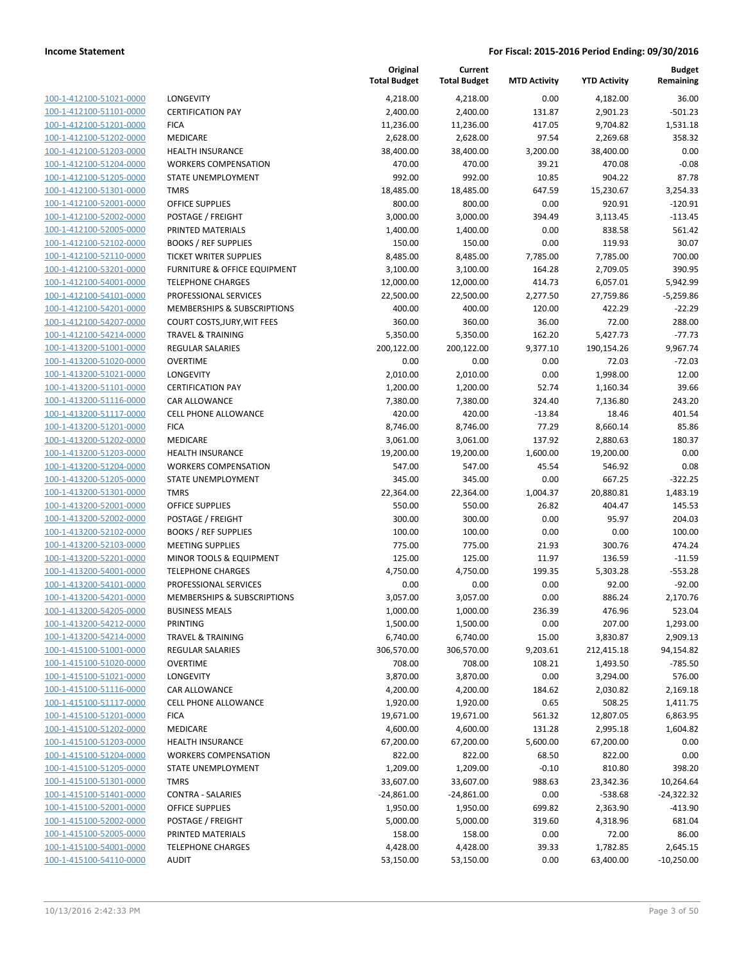| 100-1-412100-51021-0000                |
|----------------------------------------|
| 100-1-412100-51101-0000                |
| -412100-51201-0000<br>$100 - 1$        |
| 100-1-412100-51202-0000                |
| 100-1-412100-51203-0000                |
| 100-1-412100-51204-0000                |
| 100-1-412100-51205-0000                |
| -412100-51301-0000<br>$100 - 1$        |
| 100-1-412100-52001-0000                |
| 100-1-412100-52002-0000                |
| 100-1-412100-52005-0000                |
| 100-1-412100-52102-0000                |
| -412100-52110-0000<br>$100 - 1$        |
| 100-1-412100-53201-0000                |
| 100-1-412100-54001-0000                |
| 100-1-412100-54101-0000                |
| 100-1-412100-54201-0000                |
| -412100-54207-0000<br>$100 - 1$        |
| 100-1-412100-54214-0000                |
|                                        |
| 100-1-413200-51001-0000                |
| 100-1-413200-51020-0000                |
| 100-1-413200-51021-0000                |
| -413200-51101-0000<br>$100 - 1$        |
| 100-1-413200-51116-0000                |
| 100-1-413200-51117-0000                |
| 100-1-413200-51201-0000                |
| 100-1-413200-51202-0000                |
| -413200-51203-0000<br>$100 - 1$        |
| 100-1-413200-51204-0000                |
| 100-1-413200-51205-0000                |
| 100-1-413200-51301-0000                |
| 100-1-413200-52001-0000                |
| -413200-52002-0000<br>$100 - 1$        |
| 100-1-413200-52102-0000                |
| 100-1-413200-52103-0000                |
| <u>100-1-413200-52201-0000</u>         |
| 100-1-413200-54001-0000                |
| 100-1-413200-54101-0000                |
| 100-1-413200-54201-0000                |
| 100-1-413200-54205-0000                |
| 100-1-413200-54212-0000                |
| <u>100-1-413200-54214-0000</u>         |
| 100-1-415100-51001-0000                |
| 100-1-415100-51020-0000                |
|                                        |
| <u>100-1-415100-51021-0000</u>         |
| <u>100-1-415100-51116-0000</u>         |
| <u>100-1-415100-51117-0000</u>         |
| $100 - 1$<br><u>-415100-51201-0000</u> |
| 100-1-415100-51202-0000                |
| 100-1-415100-51203-0000                |
| 100-1-415100-51204-0000                |
| 100-1-415100-51205-0000                |
| 100-1-415100-51301-0000                |
| 100-1-415100-51401-0000                |
| <u>100-1-415100-52001-0000</u>         |
| <u>100-1-415100-52002-0000</u>         |
| <u>100-1-415100-52005-0000</u>         |
| 100-1-415100-54001-0000                |
| 100-1-415100-54110-0000                |
|                                        |

|                                                    |                                             | Original<br><b>Total Budget</b> | Current<br><b>Total Budget</b> | <b>MTD Activity</b> | <b>YTD Activity</b>   | Budget<br>Remaining       |
|----------------------------------------------------|---------------------------------------------|---------------------------------|--------------------------------|---------------------|-----------------------|---------------------------|
| 100-1-412100-51021-0000                            | LONGEVITY                                   | 4,218.00                        | 4,218.00                       | 0.00                | 4,182.00              | 36.00                     |
| 100-1-412100-51101-0000                            | <b>CERTIFICATION PAY</b>                    | 2,400.00                        | 2,400.00                       | 131.87              | 2,901.23              | $-501.23$                 |
| 100-1-412100-51201-0000                            | <b>FICA</b>                                 | 11,236.00                       | 11,236.00                      | 417.05              | 9,704.82              | 1,531.18                  |
| 100-1-412100-51202-0000                            | MEDICARE                                    | 2,628.00                        | 2,628.00                       | 97.54               | 2,269.68              | 358.32                    |
| 100-1-412100-51203-0000                            | <b>HEALTH INSURANCE</b>                     | 38,400.00                       | 38,400.00                      | 3,200.00            | 38,400.00             | 0.00                      |
| 100-1-412100-51204-0000                            | <b>WORKERS COMPENSATION</b>                 | 470.00                          | 470.00                         | 39.21               | 470.08                | $-0.08$                   |
| 100-1-412100-51205-0000                            | STATE UNEMPLOYMENT                          | 992.00                          | 992.00                         | 10.85               | 904.22                | 87.78                     |
| 100-1-412100-51301-0000                            | <b>TMRS</b>                                 | 18,485.00                       | 18,485.00                      | 647.59              | 15,230.67             | 3,254.33                  |
| 100-1-412100-52001-0000                            | <b>OFFICE SUPPLIES</b>                      | 800.00                          | 800.00                         | 0.00                | 920.91                | $-120.91$                 |
| 100-1-412100-52002-0000                            | <b>POSTAGE / FREIGHT</b>                    | 3,000.00                        | 3,000.00                       | 394.49              | 3,113.45              | $-113.45$                 |
| 100-1-412100-52005-0000                            | PRINTED MATERIALS                           | 1,400.00                        | 1,400.00                       | 0.00                | 838.58                | 561.42                    |
| 100-1-412100-52102-0000                            | <b>BOOKS / REF SUPPLIES</b>                 | 150.00                          | 150.00                         | 0.00                | 119.93                | 30.07                     |
| 100-1-412100-52110-0000                            | <b>TICKET WRITER SUPPLIES</b>               | 8,485.00                        | 8,485.00                       | 7,785.00            | 7,785.00              | 700.00                    |
| 100-1-412100-53201-0000                            | FURNITURE & OFFICE EQUIPMENT                | 3,100.00                        | 3,100.00                       | 164.28              | 2,709.05              | 390.95                    |
| 100-1-412100-54001-0000                            | <b>TELEPHONE CHARGES</b>                    | 12,000.00                       | 12,000.00                      | 414.73              | 6,057.01              | 5,942.99                  |
| 100-1-412100-54101-0000                            | PROFESSIONAL SERVICES                       | 22,500.00                       | 22,500.00                      | 2,277.50            | 27,759.86             | $-5,259.86$               |
| 100-1-412100-54201-0000                            | MEMBERSHIPS & SUBSCRIPTIONS                 | 400.00                          | 400.00                         | 120.00              | 422.29                | $-22.29$                  |
| 100-1-412100-54207-0000                            | COURT COSTS, JURY, WIT FEES                 | 360.00                          | 360.00                         | 36.00               | 72.00                 | 288.00                    |
| 100-1-412100-54214-0000                            | <b>TRAVEL &amp; TRAINING</b>                | 5,350.00                        | 5,350.00                       | 162.20              | 5,427.73              | $-77.73$                  |
| 100-1-413200-51001-0000                            | <b>REGULAR SALARIES</b>                     | 200,122.00                      | 200,122.00                     | 9,377.10            | 190,154.26            | 9,967.74                  |
| 100-1-413200-51020-0000                            | <b>OVERTIME</b>                             | 0.00                            | 0.00                           | 0.00                | 72.03                 | $-72.03$                  |
| 100-1-413200-51021-0000<br>100-1-413200-51101-0000 | LONGEVITY<br><b>CERTIFICATION PAY</b>       | 2,010.00                        | 2,010.00                       | 0.00<br>52.74       | 1,998.00              | 12.00<br>39.66            |
| 100-1-413200-51116-0000                            | <b>CAR ALLOWANCE</b>                        | 1,200.00<br>7,380.00            | 1,200.00<br>7,380.00           | 324.40              | 1,160.34<br>7,136.80  | 243.20                    |
| 100-1-413200-51117-0000                            | <b>CELL PHONE ALLOWANCE</b>                 | 420.00                          | 420.00                         | $-13.84$            | 18.46                 | 401.54                    |
| 100-1-413200-51201-0000                            | <b>FICA</b>                                 | 8,746.00                        | 8,746.00                       | 77.29               | 8,660.14              | 85.86                     |
| 100-1-413200-51202-0000                            | MEDICARE                                    | 3,061.00                        | 3,061.00                       | 137.92              | 2,880.63              | 180.37                    |
| 100-1-413200-51203-0000                            | <b>HEALTH INSURANCE</b>                     | 19,200.00                       | 19,200.00                      | 1,600.00            | 19,200.00             | 0.00                      |
| 100-1-413200-51204-0000                            | <b>WORKERS COMPENSATION</b>                 | 547.00                          | 547.00                         | 45.54               | 546.92                | 0.08                      |
| 100-1-413200-51205-0000                            | STATE UNEMPLOYMENT                          | 345.00                          | 345.00                         | 0.00                | 667.25                | $-322.25$                 |
| 100-1-413200-51301-0000                            | <b>TMRS</b>                                 | 22,364.00                       | 22,364.00                      | 1,004.37            | 20,880.81             | 1,483.19                  |
| 100-1-413200-52001-0000                            | <b>OFFICE SUPPLIES</b>                      | 550.00                          | 550.00                         | 26.82               | 404.47                | 145.53                    |
| 100-1-413200-52002-0000                            | POSTAGE / FREIGHT                           | 300.00                          | 300.00                         | 0.00                | 95.97                 | 204.03                    |
| 100-1-413200-52102-0000                            | <b>BOOKS / REF SUPPLIES</b>                 | 100.00                          | 100.00                         | 0.00                | 0.00                  | 100.00                    |
| 100-1-413200-52103-0000                            | <b>MEETING SUPPLIES</b>                     | 775.00                          | 775.00                         | 21.93               | 300.76                | 474.24                    |
| 100-1-413200-52201-0000                            | MINOR TOOLS & EQUIPMENT                     | 125.00                          | 125.00                         | 11.97               | 136.59                | $-11.59$                  |
| 100-1-413200-54001-0000                            | <b>TELEPHONE CHARGES</b>                    | 4,750.00                        | 4,750.00                       | 199.35              | 5,303.28              | $-553.28$                 |
| 100-1-413200-54101-0000                            | PROFESSIONAL SERVICES                       | 0.00                            | 0.00                           | 0.00                | 92.00                 | $-92.00$                  |
| 100-1-413200-54201-0000                            | <b>MEMBERSHIPS &amp; SUBSCRIPTIONS</b>      | 3,057.00                        | 3,057.00                       | 0.00                | 886.24                | 2,170.76                  |
| 100-1-413200-54205-0000                            | <b>BUSINESS MEALS</b>                       | 1,000.00                        | 1,000.00                       | 236.39              | 476.96                | 523.04                    |
| 100-1-413200-54212-0000                            | PRINTING                                    | 1,500.00                        | 1,500.00                       | 0.00                | 207.00                | 1,293.00                  |
| 100-1-413200-54214-0000                            | <b>TRAVEL &amp; TRAINING</b>                | 6,740.00                        | 6,740.00                       | 15.00               | 3,830.87              | 2,909.13                  |
| 100-1-415100-51001-0000                            | REGULAR SALARIES                            | 306,570.00                      | 306,570.00                     | 9,203.61            | 212,415.18            | 94,154.82                 |
| 100-1-415100-51020-0000                            | <b>OVERTIME</b>                             | 708.00                          | 708.00                         | 108.21              | 1,493.50              | $-785.50$                 |
| 100-1-415100-51021-0000                            | LONGEVITY                                   | 3,870.00                        | 3,870.00                       | 0.00                | 3,294.00              | 576.00                    |
| 100-1-415100-51116-0000                            | CAR ALLOWANCE                               | 4,200.00                        | 4,200.00                       | 184.62              | 2,030.82              | 2,169.18                  |
| 100-1-415100-51117-0000                            | CELL PHONE ALLOWANCE                        | 1,920.00                        | 1,920.00                       | 0.65                | 508.25                | 1,411.75                  |
| 100-1-415100-51201-0000                            | <b>FICA</b>                                 | 19,671.00                       | 19,671.00                      | 561.32              | 12,807.05             | 6,863.95                  |
| 100-1-415100-51202-0000                            | MEDICARE                                    | 4,600.00                        | 4,600.00                       | 131.28              | 2,995.18              | 1,604.82                  |
| 100-1-415100-51203-0000                            | <b>HEALTH INSURANCE</b>                     | 67,200.00                       | 67,200.00                      | 5,600.00            | 67,200.00             | 0.00                      |
| 100-1-415100-51204-0000                            | <b>WORKERS COMPENSATION</b>                 | 822.00                          | 822.00                         | 68.50               | 822.00                | 0.00                      |
| 100-1-415100-51205-0000                            | STATE UNEMPLOYMENT                          | 1,209.00                        | 1,209.00                       | $-0.10$             | 810.80                | 398.20                    |
| 100-1-415100-51301-0000<br>100-1-415100-51401-0000 | <b>TMRS</b>                                 | 33,607.00                       | 33,607.00                      | 988.63              | 23,342.36             | 10,264.64                 |
| 100-1-415100-52001-0000                            | <b>CONTRA - SALARIES</b><br>OFFICE SUPPLIES | $-24,861.00$<br>1,950.00        | $-24,861.00$<br>1,950.00       | 0.00<br>699.82      | $-538.68$<br>2,363.90 | $-24,322.32$<br>$-413.90$ |
| 100-1-415100-52002-0000                            | POSTAGE / FREIGHT                           | 5,000.00                        | 5,000.00                       | 319.60              | 4,318.96              | 681.04                    |
| 100-1-415100-52005-0000                            | PRINTED MATERIALS                           | 158.00                          | 158.00                         | 0.00                | 72.00                 | 86.00                     |
| 100-1-415100-54001-0000                            | <b>TELEPHONE CHARGES</b>                    | 4,428.00                        | 4,428.00                       | 39.33               | 1,782.85              | 2,645.15                  |
| 100-1-415100-54110-0000                            | <b>AUDIT</b>                                | 53,150.00                       | 53,150.00                      | 0.00                | 63,400.00             | $-10,250.00$              |
|                                                    |                                             |                                 |                                |                     |                       |                           |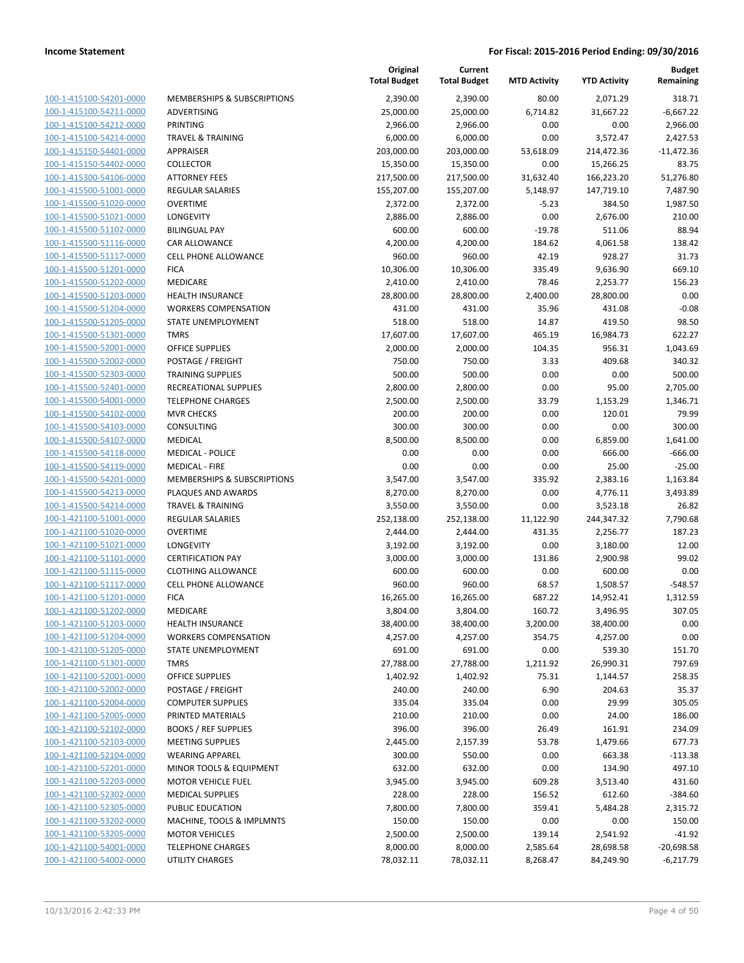| 100-1-415100-54201-0000                                          |
|------------------------------------------------------------------|
| 100-1-415100-54211-0000                                          |
| 100-1-415100-54212-0000                                          |
| 100-1-415100-54214-0000                                          |
|                                                                  |
| 100-1-415150-54401-0000                                          |
| 100-1-415150-54402-0000                                          |
| <u>100-1-415300-54106-0000</u>                                   |
| <u>100-1-415500-51001-0000</u>                                   |
| 100-1-415500-51020-0000                                          |
| 100-1-415500-51021-0000                                          |
| 100-1-415500-51102-0000                                          |
|                                                                  |
| 100-1-415500-51116-0000                                          |
| <u>100-1-415500-51117-0000</u>                                   |
| 100-1-415500-51201-0000                                          |
| 100-1-415500-51202-0000                                          |
| 100-1-415500-51203-0000                                          |
| 100-1-415500-51204-0000                                          |
| 100-1-415500-51205-0000                                          |
| 100-1-415500-51301-0000                                          |
| 100-1-415500-52001-0000                                          |
| 100-1-415500-52002-0000                                          |
|                                                                  |
| 100-1-415500-52303-0000                                          |
| <u>100-1-415500-52401-0000</u>                                   |
| 100-1-415500-54001-0000                                          |
| 100-1-415500-54102-0000                                          |
| 100-1-415500-54103-0000                                          |
| 100-1-415500-54107-0000                                          |
| 100-1-415500-54118-0000                                          |
| 100-1-415500-54119-0000                                          |
|                                                                  |
| 100-1-415500-54201-0000                                          |
| 100-1-415500-54213-0000                                          |
| 100-1-415500-54214-0000                                          |
| <u>100-1-421100-51001-0000</u>                                   |
| 100-1-421100-51020-0000                                          |
| 100-1-421100-51021-0000                                          |
| 100-1-421100-51101-0000                                          |
| 100-1-421100-51115-0000                                          |
| 100-1-421100-51117-0000                                          |
|                                                                  |
| 100-1-421100-51201-0000                                          |
| 100-1-421100-51202-0000                                          |
| 100-1-421100-51203-0000                                          |
| 100-1-421100-51204-0000                                          |
| <u>100-1-421100-51205-0000</u>                                   |
| 100-1-421100-51301-0000                                          |
| 100-1-421100-52001-0000                                          |
| 100-1-421100-52002-0000                                          |
|                                                                  |
| 100-1-421100-52004-0000                                          |
| <u>100-1-421100-52005-0000</u>                                   |
| <u>100-1-421100-52102-0000</u>                                   |
| 100-1-421100-52103-0000                                          |
| 100-1-421100-52104-0000                                          |
| 100-1-421100-52201-0000                                          |
| <u>100-1-421100-52203-0000</u>                                   |
| <u>100-1-421100-52302-0000</u>                                   |
| 100-1-421100-52305-0000                                          |
| 100-1-421100-53202-0000                                          |
|                                                                  |
| 100-1-421100-53205-0000                                          |
|                                                                  |
| <u>100-1-421100-54001-0000</u><br><u>100-1-421100-54002-0000</u> |

|                         |                              | Original<br><b>Total Budget</b> | Current<br><b>Total Budget</b> | <b>MTD Activity</b> | <b>YTD Activity</b> | <b>Budget</b><br>Remaining |
|-------------------------|------------------------------|---------------------------------|--------------------------------|---------------------|---------------------|----------------------------|
| 100-1-415100-54201-0000 | MEMBERSHIPS & SUBSCRIPTIONS  | 2,390.00                        | 2,390.00                       | 80.00               | 2,071.29            | 318.71                     |
| 100-1-415100-54211-0000 | ADVERTISING                  | 25,000.00                       | 25,000.00                      | 6,714.82            | 31,667.22           | $-6,667.22$                |
| 100-1-415100-54212-0000 | PRINTING                     | 2,966.00                        | 2,966.00                       | 0.00                | 0.00                | 2,966.00                   |
| 100-1-415100-54214-0000 | <b>TRAVEL &amp; TRAINING</b> | 6,000.00                        | 6,000.00                       | 0.00                | 3,572.47            | 2,427.53                   |
| 100-1-415150-54401-0000 | <b>APPRAISER</b>             | 203,000.00                      | 203,000.00                     | 53,618.09           | 214,472.36          | $-11,472.36$               |
| 100-1-415150-54402-0000 | <b>COLLECTOR</b>             | 15,350.00                       | 15,350.00                      | 0.00                | 15,266.25           | 83.75                      |
| 100-1-415300-54106-0000 | <b>ATTORNEY FEES</b>         | 217,500.00                      | 217,500.00                     | 31,632.40           | 166,223.20          | 51,276.80                  |
| 100-1-415500-51001-0000 | <b>REGULAR SALARIES</b>      | 155,207.00                      | 155,207.00                     | 5,148.97            | 147,719.10          | 7,487.90                   |
| 100-1-415500-51020-0000 | <b>OVERTIME</b>              | 2,372.00                        | 2,372.00                       | $-5.23$             | 384.50              | 1,987.50                   |
| 100-1-415500-51021-0000 | LONGEVITY                    | 2,886.00                        | 2,886.00                       | 0.00                | 2,676.00            | 210.00                     |
| 100-1-415500-51102-0000 | <b>BILINGUAL PAY</b>         | 600.00                          | 600.00                         | $-19.78$            | 511.06              | 88.94                      |
| 100-1-415500-51116-0000 | CAR ALLOWANCE                | 4,200.00                        | 4,200.00                       | 184.62              | 4,061.58            | 138.42                     |
| 100-1-415500-51117-0000 | <b>CELL PHONE ALLOWANCE</b>  | 960.00                          | 960.00                         | 42.19               | 928.27              | 31.73                      |
| 100-1-415500-51201-0000 | <b>FICA</b>                  | 10,306.00                       | 10,306.00                      | 335.49              | 9,636.90            | 669.10                     |
| 100-1-415500-51202-0000 | MEDICARE                     | 2,410.00                        | 2,410.00                       | 78.46               | 2,253.77            | 156.23                     |
| 100-1-415500-51203-0000 | <b>HEALTH INSURANCE</b>      | 28,800.00                       | 28,800.00                      | 2,400.00            | 28,800.00           | 0.00                       |
| 100-1-415500-51204-0000 | <b>WORKERS COMPENSATION</b>  | 431.00                          | 431.00                         | 35.96               | 431.08              | $-0.08$                    |
| 100-1-415500-51205-0000 | STATE UNEMPLOYMENT           | 518.00                          | 518.00                         | 14.87               | 419.50              | 98.50                      |
| 100-1-415500-51301-0000 | <b>TMRS</b>                  | 17,607.00                       | 17,607.00                      | 465.19              | 16,984.73           | 622.27                     |
| 100-1-415500-52001-0000 | <b>OFFICE SUPPLIES</b>       | 2,000.00                        | 2,000.00                       | 104.35              | 956.31              | 1,043.69                   |
| 100-1-415500-52002-0000 | POSTAGE / FREIGHT            | 750.00                          | 750.00                         | 3.33                | 409.68              | 340.32                     |
| 100-1-415500-52303-0000 | <b>TRAINING SUPPLIES</b>     | 500.00                          | 500.00                         | 0.00                | 0.00                | 500.00                     |
| 100-1-415500-52401-0000 | RECREATIONAL SUPPLIES        | 2,800.00                        | 2,800.00                       | 0.00                | 95.00               | 2,705.00                   |
| 100-1-415500-54001-0000 | <b>TELEPHONE CHARGES</b>     | 2,500.00                        | 2,500.00                       | 33.79               | 1,153.29            | 1,346.71                   |
| 100-1-415500-54102-0000 | <b>MVR CHECKS</b>            | 200.00                          | 200.00                         | 0.00                | 120.01              | 79.99                      |
| 100-1-415500-54103-0000 | CONSULTING                   | 300.00                          | 300.00                         | 0.00                | 0.00                | 300.00                     |
| 100-1-415500-54107-0000 | MEDICAL                      | 8,500.00                        | 8,500.00                       | 0.00                | 6,859.00            | 1,641.00                   |
| 100-1-415500-54118-0000 | <b>MEDICAL - POLICE</b>      | 0.00                            | 0.00                           | 0.00                | 666.00              | $-666.00$                  |
| 100-1-415500-54119-0000 | <b>MEDICAL - FIRE</b>        | 0.00                            | 0.00                           | 0.00                | 25.00               | $-25.00$                   |
| 100-1-415500-54201-0000 | MEMBERSHIPS & SUBSCRIPTIONS  | 3,547.00                        | 3,547.00                       | 335.92              | 2,383.16            | 1,163.84                   |
| 100-1-415500-54213-0000 | PLAQUES AND AWARDS           | 8,270.00                        | 8,270.00                       | 0.00                | 4,776.11            | 3,493.89                   |
| 100-1-415500-54214-0000 | <b>TRAVEL &amp; TRAINING</b> | 3,550.00                        | 3,550.00                       | 0.00                | 3,523.18            | 26.82                      |
| 100-1-421100-51001-0000 | <b>REGULAR SALARIES</b>      | 252,138.00                      | 252,138.00                     | 11,122.90           | 244,347.32          | 7,790.68                   |
| 100-1-421100-51020-0000 | <b>OVERTIME</b>              | 2,444.00                        | 2,444.00                       | 431.35              | 2,256.77            | 187.23                     |
| 100-1-421100-51021-0000 | <b>LONGEVITY</b>             | 3,192.00                        | 3,192.00                       | 0.00                | 3,180.00            | 12.00                      |
| 100-1-421100-51101-0000 | <b>CERTIFICATION PAY</b>     | 3,000.00                        | 3,000.00                       | 131.86              | 2,900.98            | 99.02                      |
| 100-1-421100-51115-0000 | <b>CLOTHING ALLOWANCE</b>    | 600.00                          | 600.00                         | 0.00                | 600.00              | 0.00                       |
| 100-1-421100-51117-0000 | <b>CELL PHONE ALLOWANCE</b>  | 960.00                          | 960.00                         | 68.57               | 1,508.57            | $-548.57$                  |
| 100-1-421100-51201-0000 | <b>FICA</b>                  | 16,265.00                       | 16,265.00                      | 687.22              | 14,952.41           | 1,312.59                   |
| 100-1-421100-51202-0000 | <b>MEDICARE</b>              | 3,804.00                        | 3,804.00                       | 160.72              | 3,496.95            | 307.05                     |
| 100-1-421100-51203-0000 | <b>HEALTH INSURANCE</b>      | 38,400.00                       | 38,400.00                      | 3,200.00            | 38,400.00           | 0.00                       |
| 100-1-421100-51204-0000 | <b>WORKERS COMPENSATION</b>  | 4,257.00                        | 4,257.00                       | 354.75              | 4,257.00            | 0.00                       |
| 100-1-421100-51205-0000 | STATE UNEMPLOYMENT           | 691.00                          | 691.00                         | 0.00                | 539.30              | 151.70                     |
| 100-1-421100-51301-0000 | <b>TMRS</b>                  | 27,788.00                       | 27,788.00                      | 1,211.92            | 26,990.31           | 797.69                     |
| 100-1-421100-52001-0000 | OFFICE SUPPLIES              | 1,402.92                        | 1,402.92                       | 75.31               | 1,144.57            | 258.35                     |
| 100-1-421100-52002-0000 | POSTAGE / FREIGHT            | 240.00                          | 240.00                         | 6.90                | 204.63              | 35.37                      |
| 100-1-421100-52004-0000 | <b>COMPUTER SUPPLIES</b>     | 335.04                          | 335.04                         | 0.00                | 29.99               | 305.05                     |
| 100-1-421100-52005-0000 | PRINTED MATERIALS            | 210.00                          | 210.00                         | 0.00                | 24.00               | 186.00                     |
| 100-1-421100-52102-0000 | <b>BOOKS / REF SUPPLIES</b>  | 396.00                          | 396.00                         | 26.49               | 161.91              | 234.09                     |
| 100-1-421100-52103-0000 | <b>MEETING SUPPLIES</b>      | 2,445.00                        | 2,157.39                       | 53.78               | 1,479.66            | 677.73                     |
| 100-1-421100-52104-0000 | <b>WEARING APPAREL</b>       | 300.00                          | 550.00                         | 0.00                | 663.38              | $-113.38$                  |
| 100-1-421100-52201-0000 | MINOR TOOLS & EQUIPMENT      | 632.00                          | 632.00                         | 0.00                | 134.90              | 497.10                     |
| 100-1-421100-52203-0000 | <b>MOTOR VEHICLE FUEL</b>    | 3,945.00                        | 3,945.00                       | 609.28              | 3,513.40            | 431.60                     |
| 100-1-421100-52302-0000 | <b>MEDICAL SUPPLIES</b>      | 228.00                          | 228.00                         | 156.52              | 612.60              | $-384.60$                  |
| 100-1-421100-52305-0000 | PUBLIC EDUCATION             | 7,800.00                        | 7,800.00                       | 359.41              | 5,484.28            | 2,315.72                   |
| 100-1-421100-53202-0000 | MACHINE, TOOLS & IMPLMNTS    | 150.00                          | 150.00                         | 0.00                | 0.00                | 150.00                     |
| 100-1-421100-53205-0000 | <b>MOTOR VEHICLES</b>        | 2,500.00                        | 2,500.00                       | 139.14              | 2,541.92            | $-41.92$                   |
| 100-1-421100-54001-0000 | <b>TELEPHONE CHARGES</b>     | 8,000.00                        | 8,000.00                       | 2,585.64            | 28,698.58           | $-20,698.58$               |
| 100-1-421100-54002-0000 | UTILITY CHARGES              | 78,032.11                       | 78,032.11                      | 8,268.47            | 84,249.90           | $-6,217.79$                |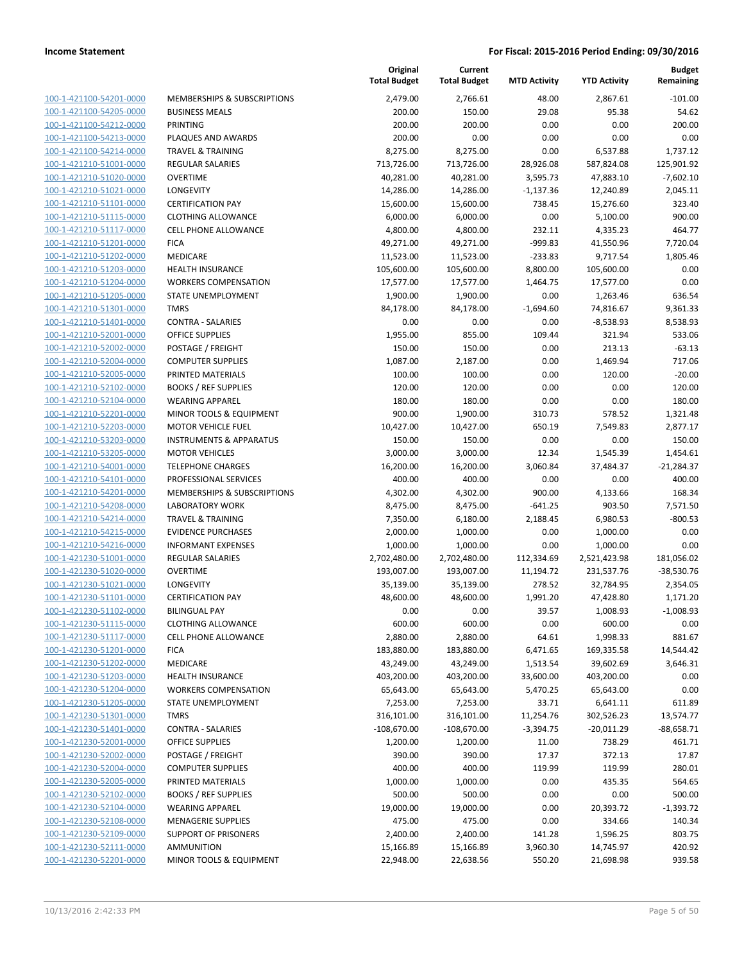| 100-1-421100-54201-0000        |
|--------------------------------|
| 100-1-421100-54205-0000        |
| 100-1-421100-54212-0000        |
| 100-1-421100-54213-0000        |
| 100-1-421100-54214-0000        |
| 100-1-421210-51001-0000        |
| 100-1-421210-51020-0000        |
|                                |
| 100-1-421210-51021-0000        |
| 100-1-421210-51101-0000        |
| 100-1-421210-51115-0000        |
| 100-1-421210-51117-0000        |
| 100-1-421210-51201-0000        |
| 100-1-421210-51202-0000        |
| 100-1-421210-51203-0000        |
| 100-1-421210-51204-0000        |
| 100-1-421210-51205-0000        |
| 100-1-421210-51301-0000        |
|                                |
| 100-1-421210-51401-0000        |
| 100-1-421210-52001-0000        |
| 100-1-421210-52002-0000        |
| 100-1-421210-52004-0000        |
| 100-1-421210-52005-0000        |
| 100-1-421210-52102-0000        |
| 100-1-421210-52104-0000        |
| 100-1-421210-52201-0000        |
| 100-1-421210-52203-0000        |
| 100-1-421210-53203-0000        |
| 100-1-421210-53205-0000        |
| 100-1-421210-54001-0000        |
| 100-1-421210-54101-0000        |
|                                |
| 100-1-421210-54201-0000        |
| 100-1-421210-54208-0000        |
| 100-1-421210-54214-0000        |
| 100-1-421210-54215-0000        |
| 100-1-421210-54216-0000        |
| 100-1-421230-51001-0000        |
| 100-1-421230-51020-0000        |
| 100-1-421230-51021-0000        |
| 100-1-421230-51101-0000        |
| 100-1-421230-51102-0000        |
| 100-1-421230-51115-0000        |
| 100-1-421230-51117-0000        |
|                                |
| <u>100-1-421230-51201-0000</u> |
| 100-1-421230-51202-0000        |
| 100-1-421230-51203-0000        |
| 100-1-421230-51204-0000        |
| 100-1-421230-51205-0000        |
| <u>100-1-421230-51301-0000</u> |
| <u>100-1-421230-51401-0000</u> |
| <u>100-1-421230-52001-0000</u> |
| 100-1-421230-52002-0000        |
| 100-1-421230-52004-0000        |
| 100-1-421230-52005-0000        |
| <u>100-1-421230-52102-0000</u> |
| <u>100-1-421230-52104-0000</u> |
|                                |
| <u>100-1-421230-52108-0000</u> |
| 100-1-421230-52109-0000        |
| <u>100-1-421230-52111-0000</u> |
| <u>100-1-421230-52201-0000</u> |

|                                                    |                                                   | Original<br><b>Total Budget</b> | Current<br><b>Total Budget</b> | <b>MTD Activity</b> | <b>YTD Activity</b> | <b>Budget</b><br>Remaining |
|----------------------------------------------------|---------------------------------------------------|---------------------------------|--------------------------------|---------------------|---------------------|----------------------------|
| 100-1-421100-54201-0000                            | <b>MEMBERSHIPS &amp; SUBSCRIPTIONS</b>            | 2,479.00                        | 2,766.61                       | 48.00               | 2,867.61            | $-101.00$                  |
| 100-1-421100-54205-0000                            | <b>BUSINESS MEALS</b>                             | 200.00                          | 150.00                         | 29.08               | 95.38               | 54.62                      |
| 100-1-421100-54212-0000                            | PRINTING                                          | 200.00                          | 200.00                         | 0.00                | 0.00                | 200.00                     |
| 100-1-421100-54213-0000                            | PLAQUES AND AWARDS                                | 200.00                          | 0.00                           | 0.00                | 0.00                | 0.00                       |
| 100-1-421100-54214-0000                            | <b>TRAVEL &amp; TRAINING</b>                      | 8,275.00                        | 8,275.00                       | 0.00                | 6,537.88            | 1,737.12                   |
| 100-1-421210-51001-0000                            | REGULAR SALARIES                                  | 713,726.00                      | 713,726.00                     | 28,926.08           | 587,824.08          | 125,901.92                 |
| 100-1-421210-51020-0000                            | <b>OVERTIME</b>                                   | 40,281.00                       | 40,281.00                      | 3,595.73            | 47,883.10           | $-7,602.10$                |
| 100-1-421210-51021-0000                            | <b>LONGEVITY</b>                                  | 14,286.00                       | 14,286.00                      | $-1,137.36$         | 12,240.89           | 2,045.11                   |
| 100-1-421210-51101-0000                            | <b>CERTIFICATION PAY</b>                          | 15,600.00                       | 15,600.00                      | 738.45              | 15,276.60           | 323.40                     |
| 100-1-421210-51115-0000                            | <b>CLOTHING ALLOWANCE</b>                         | 6,000.00                        | 6,000.00                       | 0.00                | 5,100.00            | 900.00                     |
| 100-1-421210-51117-0000                            | <b>CELL PHONE ALLOWANCE</b>                       | 4,800.00                        | 4,800.00                       | 232.11              | 4,335.23            | 464.77                     |
| 100-1-421210-51201-0000                            | <b>FICA</b>                                       | 49,271.00                       | 49,271.00                      | $-999.83$           | 41,550.96           | 7,720.04                   |
| 100-1-421210-51202-0000                            | MEDICARE                                          | 11,523.00                       | 11,523.00                      | $-233.83$           | 9,717.54            | 1,805.46                   |
| 100-1-421210-51203-0000                            | <b>HEALTH INSURANCE</b>                           | 105,600.00                      | 105,600.00                     | 8,800.00            | 105,600.00          | 0.00                       |
| 100-1-421210-51204-0000                            | <b>WORKERS COMPENSATION</b>                       | 17,577.00                       | 17,577.00                      | 1,464.75            | 17,577.00           | 0.00                       |
| 100-1-421210-51205-0000                            | STATE UNEMPLOYMENT                                | 1,900.00                        | 1,900.00                       | 0.00                | 1,263.46            | 636.54                     |
| 100-1-421210-51301-0000                            | <b>TMRS</b>                                       | 84,178.00                       | 84,178.00                      | $-1,694.60$         | 74,816.67           | 9,361.33                   |
| 100-1-421210-51401-0000                            | <b>CONTRA - SALARIES</b>                          | 0.00                            | 0.00                           | 0.00                | $-8,538.93$         | 8,538.93                   |
| 100-1-421210-52001-0000                            | <b>OFFICE SUPPLIES</b>                            | 1,955.00                        | 855.00                         | 109.44              | 321.94              | 533.06                     |
| 100-1-421210-52002-0000                            | POSTAGE / FREIGHT                                 | 150.00                          | 150.00                         | 0.00                | 213.13              | $-63.13$                   |
| 100-1-421210-52004-0000                            | <b>COMPUTER SUPPLIES</b>                          | 1,087.00                        | 2,187.00                       | 0.00                | 1,469.94            | 717.06                     |
| 100-1-421210-52005-0000                            | PRINTED MATERIALS                                 | 100.00                          | 100.00                         | 0.00                | 120.00              | $-20.00$                   |
| 100-1-421210-52102-0000                            | <b>BOOKS / REF SUPPLIES</b>                       | 120.00                          | 120.00                         | 0.00                | 0.00                | 120.00                     |
| 100-1-421210-52104-0000                            | <b>WEARING APPAREL</b>                            | 180.00                          | 180.00                         | 0.00                | 0.00                | 180.00                     |
| 100-1-421210-52201-0000                            | MINOR TOOLS & EQUIPMENT                           | 900.00                          | 1,900.00                       | 310.73              | 578.52              | 1,321.48                   |
| 100-1-421210-52203-0000                            | <b>MOTOR VEHICLE FUEL</b>                         | 10,427.00                       | 10,427.00                      | 650.19              | 7,549.83            | 2,877.17                   |
| 100-1-421210-53203-0000                            | <b>INSTRUMENTS &amp; APPARATUS</b>                | 150.00                          | 150.00                         | 0.00                | 0.00                | 150.00                     |
| 100-1-421210-53205-0000                            | <b>MOTOR VEHICLES</b>                             | 3,000.00                        | 3,000.00                       | 12.34               | 1,545.39            | 1,454.61                   |
| 100-1-421210-54001-0000                            | <b>TELEPHONE CHARGES</b>                          | 16,200.00                       | 16,200.00                      | 3,060.84            | 37,484.37           | $-21,284.37$               |
| 100-1-421210-54101-0000                            | PROFESSIONAL SERVICES                             | 400.00                          | 400.00                         | 0.00                | 0.00                | 400.00                     |
| 100-1-421210-54201-0000                            | MEMBERSHIPS & SUBSCRIPTIONS                       | 4,302.00                        | 4,302.00                       | 900.00              | 4,133.66            | 168.34                     |
| 100-1-421210-54208-0000                            | <b>LABORATORY WORK</b>                            | 8,475.00                        | 8,475.00                       | $-641.25$           | 903.50              | 7,571.50                   |
| 100-1-421210-54214-0000                            | <b>TRAVEL &amp; TRAINING</b>                      | 7,350.00                        | 6,180.00                       | 2,188.45            | 6,980.53            | $-800.53$                  |
| 100-1-421210-54215-0000                            | <b>EVIDENCE PURCHASES</b>                         | 2,000.00                        | 1,000.00                       | 0.00                | 1,000.00            | 0.00                       |
| 100-1-421210-54216-0000                            | <b>INFORMANT EXPENSES</b>                         | 1,000.00                        | 1,000.00                       | 0.00                | 1,000.00            | 0.00                       |
| 100-1-421230-51001-0000                            | <b>REGULAR SALARIES</b>                           | 2,702,480.00                    | 2,702,480.00                   | 112,334.69          | 2,521,423.98        | 181,056.02                 |
| 100-1-421230-51020-0000                            | <b>OVERTIME</b>                                   | 193,007.00                      | 193,007.00                     | 11,194.72           | 231,537.76          | $-38,530.76$               |
| 100-1-421230-51021-0000                            | LONGEVITY                                         | 35,139.00                       | 35,139.00                      | 278.52              | 32,784.95           | 2,354.05                   |
| 100-1-421230-51101-0000                            | <b>CERTIFICATION PAY</b>                          | 48,600.00<br>0.00               | 48,600.00                      | 1,991.20<br>39.57   | 47,428.80           | 1,171.20<br>$-1,008.93$    |
| 100-1-421230-51102-0000<br>100-1-421230-51115-0000 | <b>BILINGUAL PAY</b><br><b>CLOTHING ALLOWANCE</b> | 600.00                          | 0.00<br>600.00                 | 0.00                | 1,008.93            |                            |
| 100-1-421230-51117-0000                            | <b>CELL PHONE ALLOWANCE</b>                       | 2,880.00                        | 2,880.00                       | 64.61               | 600.00<br>1,998.33  | 0.00<br>881.67             |
| 100-1-421230-51201-0000                            | <b>FICA</b>                                       | 183,880.00                      | 183,880.00                     | 6,471.65            | 169,335.58          | 14,544.42                  |
| 100-1-421230-51202-0000                            | MEDICARE                                          | 43,249.00                       | 43,249.00                      | 1,513.54            | 39,602.69           | 3,646.31                   |
| 100-1-421230-51203-0000                            | <b>HEALTH INSURANCE</b>                           | 403,200.00                      | 403,200.00                     | 33,600.00           | 403,200.00          | 0.00                       |
| 100-1-421230-51204-0000                            | <b>WORKERS COMPENSATION</b>                       | 65,643.00                       | 65,643.00                      | 5,470.25            | 65,643.00           | 0.00                       |
| 100-1-421230-51205-0000                            | STATE UNEMPLOYMENT                                | 7,253.00                        | 7,253.00                       | 33.71               | 6,641.11            | 611.89                     |
| 100-1-421230-51301-0000                            | <b>TMRS</b>                                       | 316,101.00                      | 316,101.00                     | 11,254.76           | 302,526.23          | 13,574.77                  |
| 100-1-421230-51401-0000                            | <b>CONTRA - SALARIES</b>                          | $-108,670.00$                   | $-108,670.00$                  | $-3,394.75$         | $-20,011.29$        | $-88,658.71$               |
| 100-1-421230-52001-0000                            | OFFICE SUPPLIES                                   | 1,200.00                        | 1,200.00                       | 11.00               | 738.29              | 461.71                     |
| 100-1-421230-52002-0000                            | POSTAGE / FREIGHT                                 | 390.00                          | 390.00                         | 17.37               | 372.13              | 17.87                      |
| 100-1-421230-52004-0000                            | <b>COMPUTER SUPPLIES</b>                          | 400.00                          | 400.00                         | 119.99              | 119.99              | 280.01                     |
| 100-1-421230-52005-0000                            | PRINTED MATERIALS                                 | 1,000.00                        | 1,000.00                       | 0.00                | 435.35              | 564.65                     |
| 100-1-421230-52102-0000                            | <b>BOOKS / REF SUPPLIES</b>                       | 500.00                          | 500.00                         | 0.00                | 0.00                | 500.00                     |
| 100-1-421230-52104-0000                            | <b>WEARING APPAREL</b>                            | 19,000.00                       | 19,000.00                      | 0.00                | 20,393.72           | $-1,393.72$                |
| 100-1-421230-52108-0000                            | <b>MENAGERIE SUPPLIES</b>                         | 475.00                          | 475.00                         | 0.00                | 334.66              | 140.34                     |
| 100-1-421230-52109-0000                            | <b>SUPPORT OF PRISONERS</b>                       | 2,400.00                        | 2,400.00                       | 141.28              | 1,596.25            | 803.75                     |
| 100-1-421230-52111-0000                            | <b>AMMUNITION</b>                                 | 15,166.89                       | 15,166.89                      | 3,960.30            | 14,745.97           | 420.92                     |
| 100-1-421230-52201-0000                            | MINOR TOOLS & EQUIPMENT                           | 22,948.00                       | 22,638.56                      | 550.20              | 21,698.98           | 939.58                     |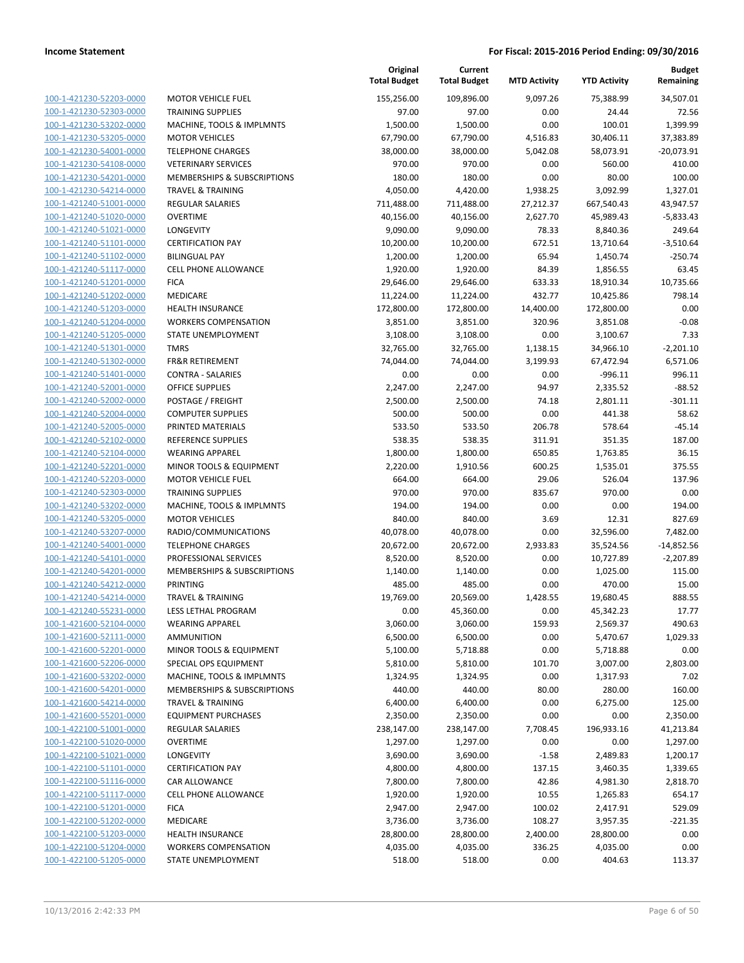|                         |                              | Original<br><b>Total Budget</b> | Current<br><b>Total Budget</b> | <b>MTD Activity</b> | <b>YTD Activity</b> | Budget<br>Remaining |
|-------------------------|------------------------------|---------------------------------|--------------------------------|---------------------|---------------------|---------------------|
| 100-1-421230-52203-0000 | <b>MOTOR VEHICLE FUEL</b>    | 155,256.00                      | 109,896.00                     | 9,097.26            | 75,388.99           | 34,507.01           |
| 100-1-421230-52303-0000 | <b>TRAINING SUPPLIES</b>     | 97.00                           | 97.00                          | 0.00                | 24.44               | 72.56               |
| 100-1-421230-53202-0000 | MACHINE, TOOLS & IMPLMNTS    | 1,500.00                        | 1,500.00                       | 0.00                | 100.01              | 1,399.99            |
| 100-1-421230-53205-0000 | <b>MOTOR VEHICLES</b>        | 67,790.00                       | 67,790.00                      | 4,516.83            | 30,406.11           | 37,383.89           |
| 100-1-421230-54001-0000 | <b>TELEPHONE CHARGES</b>     | 38,000.00                       | 38,000.00                      | 5,042.08            | 58,073.91           | $-20,073.91$        |
| 100-1-421230-54108-0000 | <b>VETERINARY SERVICES</b>   | 970.00                          | 970.00                         | 0.00                | 560.00              | 410.00              |
| 100-1-421230-54201-0000 | MEMBERSHIPS & SUBSCRIPTIONS  | 180.00                          | 180.00                         | 0.00                | 80.00               | 100.00              |
| 100-1-421230-54214-0000 | <b>TRAVEL &amp; TRAINING</b> | 4,050.00                        | 4,420.00                       | 1,938.25            | 3,092.99            | 1,327.01            |
| 100-1-421240-51001-0000 | <b>REGULAR SALARIES</b>      | 711,488.00                      | 711,488.00                     | 27,212.37           | 667,540.43          | 43,947.57           |
| 100-1-421240-51020-0000 | <b>OVERTIME</b>              | 40,156.00                       | 40,156.00                      | 2,627.70            | 45,989.43           | $-5,833.43$         |
| 100-1-421240-51021-0000 | <b>LONGEVITY</b>             | 9,090.00                        | 9,090.00                       | 78.33               | 8,840.36            | 249.64              |
| 100-1-421240-51101-0000 | <b>CERTIFICATION PAY</b>     | 10,200.00                       | 10,200.00                      | 672.51              | 13,710.64           | $-3,510.64$         |
| 100-1-421240-51102-0000 | <b>BILINGUAL PAY</b>         | 1,200.00                        | 1,200.00                       | 65.94               | 1,450.74            | $-250.74$           |
| 100-1-421240-51117-0000 | <b>CELL PHONE ALLOWANCE</b>  | 1,920.00                        | 1,920.00                       | 84.39               | 1,856.55            | 63.45               |
| 100-1-421240-51201-0000 | <b>FICA</b>                  | 29,646.00                       | 29,646.00                      | 633.33              | 18,910.34           | 10,735.66           |
| 100-1-421240-51202-0000 | MEDICARE                     | 11,224.00                       | 11,224.00                      | 432.77              | 10,425.86           | 798.14              |
| 100-1-421240-51203-0000 | <b>HEALTH INSURANCE</b>      | 172,800.00                      | 172,800.00                     | 14,400.00           | 172,800.00          | 0.00                |
| 100-1-421240-51204-0000 | <b>WORKERS COMPENSATION</b>  | 3,851.00                        | 3,851.00                       | 320.96              | 3,851.08            | $-0.08$             |
| 100-1-421240-51205-0000 | STATE UNEMPLOYMENT           | 3,108.00                        | 3,108.00                       | 0.00                | 3,100.67            | 7.33                |
| 100-1-421240-51301-0000 | <b>TMRS</b>                  | 32,765.00                       | 32,765.00                      | 1,138.15            | 34,966.10           | $-2,201.10$         |
| 100-1-421240-51302-0000 | <b>FR&amp;R RETIREMENT</b>   | 74,044.00                       | 74,044.00                      | 3,199.93            | 67,472.94           | 6,571.06            |
| 100-1-421240-51401-0000 | <b>CONTRA - SALARIES</b>     | 0.00                            | 0.00                           | 0.00                | $-996.11$           | 996.11              |
| 100-1-421240-52001-0000 | <b>OFFICE SUPPLIES</b>       | 2,247.00                        | 2,247.00                       | 94.97               | 2,335.52            | $-88.52$            |
| 100-1-421240-52002-0000 | POSTAGE / FREIGHT            | 2,500.00                        | 2,500.00                       | 74.18               | 2,801.11            | $-301.11$           |
| 100-1-421240-52004-0000 | <b>COMPUTER SUPPLIES</b>     | 500.00                          | 500.00                         | 0.00                | 441.38              | 58.62               |
| 100-1-421240-52005-0000 | PRINTED MATERIALS            | 533.50                          | 533.50                         | 206.78              | 578.64              | $-45.14$            |
| 100-1-421240-52102-0000 | <b>REFERENCE SUPPLIES</b>    | 538.35                          | 538.35                         | 311.91              | 351.35              | 187.00              |
| 100-1-421240-52104-0000 | <b>WEARING APPAREL</b>       | 1,800.00                        | 1,800.00                       | 650.85              | 1,763.85            | 36.15               |
| 100-1-421240-52201-0000 | MINOR TOOLS & EQUIPMENT      | 2,220.00                        | 1,910.56                       | 600.25              | 1,535.01            | 375.55              |
| 100-1-421240-52203-0000 | <b>MOTOR VEHICLE FUEL</b>    | 664.00                          | 664.00                         | 29.06               | 526.04              | 137.96              |
| 100-1-421240-52303-0000 | <b>TRAINING SUPPLIES</b>     | 970.00                          | 970.00                         | 835.67              | 970.00              | 0.00                |
| 100-1-421240-53202-0000 | MACHINE, TOOLS & IMPLMNTS    | 194.00                          | 194.00                         | 0.00                | 0.00                | 194.00              |
| 100-1-421240-53205-0000 | <b>MOTOR VEHICLES</b>        | 840.00                          | 840.00                         | 3.69                | 12.31               | 827.69              |
| 100-1-421240-53207-0000 | RADIO/COMMUNICATIONS         | 40,078.00                       | 40,078.00                      | 0.00                | 32,596.00           | 7,482.00            |
| 100-1-421240-54001-0000 | <b>TELEPHONE CHARGES</b>     | 20,672.00                       | 20,672.00                      | 2,933.83            | 35,524.56           | $-14,852.56$        |
| 100-1-421240-54101-0000 | PROFESSIONAL SERVICES        | 8,520.00                        | 8,520.00                       | 0.00                | 10,727.89           | $-2,207.89$         |
| 100-1-421240-54201-0000 | MEMBERSHIPS & SUBSCRIPTIONS  | 1,140.00                        | 1,140.00                       | 0.00                | 1,025.00            | 115.00              |
| 100-1-421240-54212-0000 | <b>PRINTING</b>              | 485.00                          | 485.00                         | 0.00                | 470.00              | 15.00               |
| 100-1-421240-54214-0000 | <b>TRAVEL &amp; TRAINING</b> | 19,769.00                       | 20,569.00                      | 1,428.55            | 19,680.45           | 888.55              |
| 100-1-421240-55231-0000 | LESS LETHAL PROGRAM          | 0.00                            | 45,360.00                      | 0.00                | 45,342.23           | 17.77               |
| 100-1-421600-52104-0000 | <b>WEARING APPAREL</b>       | 3,060.00                        | 3,060.00                       | 159.93              | 2,569.37            | 490.63              |
| 100-1-421600-52111-0000 | <b>AMMUNITION</b>            | 6,500.00                        | 6,500.00                       | 0.00                | 5,470.67            | 1,029.33            |
| 100-1-421600-52201-0000 | MINOR TOOLS & EQUIPMENT      | 5,100.00                        | 5,718.88                       | 0.00                | 5,718.88            | 0.00                |
| 100-1-421600-52206-0000 | SPECIAL OPS EQUIPMENT        | 5,810.00                        | 5,810.00                       | 101.70              | 3,007.00            | 2,803.00            |
| 100-1-421600-53202-0000 | MACHINE, TOOLS & IMPLMNTS    | 1,324.95                        | 1,324.95                       | 0.00                | 1,317.93            | 7.02                |
| 100-1-421600-54201-0000 | MEMBERSHIPS & SUBSCRIPTIONS  | 440.00                          | 440.00                         | 80.00               | 280.00              | 160.00              |
| 100-1-421600-54214-0000 | <b>TRAVEL &amp; TRAINING</b> | 6,400.00                        | 6,400.00                       | 0.00                | 6,275.00            | 125.00              |
| 100-1-421600-55201-0000 | <b>EQUIPMENT PURCHASES</b>   | 2,350.00                        | 2,350.00                       | 0.00                | 0.00                | 2,350.00            |
| 100-1-422100-51001-0000 | <b>REGULAR SALARIES</b>      | 238,147.00                      | 238,147.00                     | 7,708.45            | 196,933.16          | 41,213.84           |
| 100-1-422100-51020-0000 | <b>OVERTIME</b>              | 1,297.00                        | 1,297.00                       | 0.00                | 0.00                | 1,297.00            |
| 100-1-422100-51021-0000 | LONGEVITY                    | 3,690.00                        | 3,690.00                       | $-1.58$             | 2,489.83            | 1,200.17            |
| 100-1-422100-51101-0000 | <b>CERTIFICATION PAY</b>     | 4,800.00                        | 4,800.00                       | 137.15              | 3,460.35            | 1,339.65            |
| 100-1-422100-51116-0000 | CAR ALLOWANCE                | 7,800.00                        | 7,800.00                       | 42.86               | 4,981.30            | 2,818.70            |
| 100-1-422100-51117-0000 | <b>CELL PHONE ALLOWANCE</b>  | 1,920.00                        | 1,920.00                       | 10.55               | 1,265.83            | 654.17              |
| 100-1-422100-51201-0000 | <b>FICA</b>                  | 2,947.00                        | 2,947.00                       | 100.02              | 2,417.91            | 529.09              |
| 100-1-422100-51202-0000 | MEDICARE                     | 3,736.00                        | 3,736.00                       | 108.27              | 3,957.35            | $-221.35$           |
| 100-1-422100-51203-0000 | <b>HEALTH INSURANCE</b>      | 28,800.00                       | 28,800.00                      | 2,400.00            | 28,800.00           | 0.00                |
| 100-1-422100-51204-0000 | <b>WORKERS COMPENSATION</b>  | 4,035.00                        | 4,035.00                       | 336.25              | 4,035.00            | 0.00                |
| 100-1-422100-51205-0000 | STATE UNEMPLOYMENT           | 518.00                          | 518.00                         | 0.00                | 404.63              | 113.37              |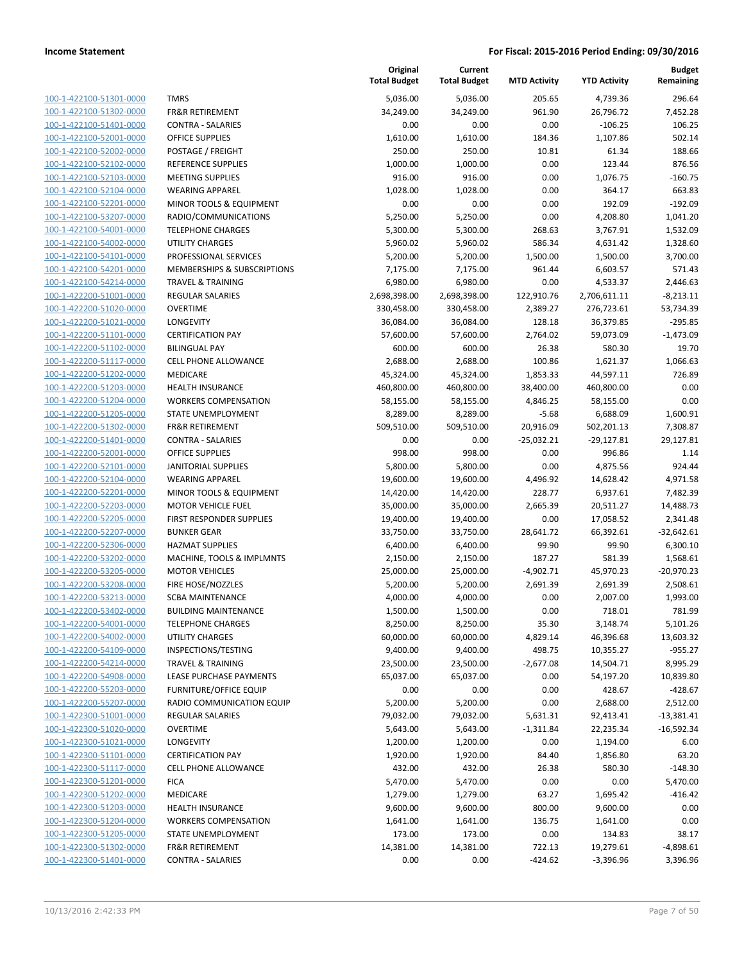| 100-1-422100-51301-0000        |
|--------------------------------|
| 100-1-422100-51302-0000        |
| 100-1-422100-51401-0000        |
| 100-1-422100-52001-0000        |
| 100-1-422100-52002-0000        |
| 100-1-422100-52102-0000        |
| 100-1-422100-52103-0000        |
| 100-1-422100-52104-0000        |
| <u>100-1-422100-52201-0000</u> |
| 100-1-422100-53207-0000        |
| 100-1-422100-54001-0000        |
| 100-1-422100-54002-0000        |
| 100-1-422100-54101-0000        |
| 100-1-422100-54201-0000        |
| 100-1-422100-54214-0000        |
| 100-1-422200-51001-0000        |
| 100-1-422200-51020-0000        |
| 100-1-422200-51021-0000        |
| 100-1-422200-51101-0000        |
| 100-1-422200-51102-0000        |
|                                |
| 100-1-422200-51117-0000        |
| 100-1-422200-51202-0000        |
| 100-1-422200-51203-0000        |
| <u>100-1-422200-51204-0000</u> |
| 100-1-422200-51205-0000        |
| 100-1-422200-51302-0000        |
| 100-1-422200-51401-0000        |
| 100-1-422200-52001-0000        |
| 100-1-422200-52101-0000        |
| 100-1-422200-52104-0000        |
| 100-1-422200-52201-0000        |
| 100-1-422200-52203-0000        |
| 100-1-422200-52205-0000        |
| <u>100-1-422200-52207-0000</u> |
| 100-1-422200-52306-0000        |
| 100-1-422200-53202-0000        |
| 100-1-422200-53205-0000        |
| 100-1-422200-53208-0000        |
| 100-1-422200-53213-0000        |
| 100-1-422200-53402-0000        |
| 100-1-422200-54001-0000        |
| <u>100-1-422200-54002-0000</u> |
| 100-1-422200-54109-0000        |
| 100-1-422200-54214-0000        |
| 100-1-422200-54908-0000        |
|                                |
| <u>100-1-422200-55203-0000</u> |
| 100-1-422200-55207-0000        |
| 100-1-422300-51001-0000        |
| <u>100-1-422300-51020-0000</u> |
| 100-1-422300-51021-0000        |
| <u>100-1-422300-51101-0000</u> |
| 100-1-422300-51117-0000        |
| 100-1-422300-51201-0000        |
| 100-1-422300-51202-0000        |
| <u>100-1-422300-51203-0000</u> |
| <u>100-1-422300-51204-0000</u> |
| <u>100-1-422300-51205-0000</u> |
| 100-1-422300-51302-0000        |
| <u>100-1-422300-51401-0000</u> |
|                                |

|                                                    |                                                      | Original<br><b>Total Budget</b> | Current<br><b>Total Budget</b> | <b>MTD Activity</b> | <b>YTD Activity</b>   | <b>Budget</b><br>Remaining |
|----------------------------------------------------|------------------------------------------------------|---------------------------------|--------------------------------|---------------------|-----------------------|----------------------------|
| 100-1-422100-51301-0000                            | <b>TMRS</b>                                          | 5,036.00                        | 5,036.00                       | 205.65              | 4,739.36              | 296.64                     |
| 100-1-422100-51302-0000                            | <b>FR&amp;R RETIREMENT</b>                           | 34,249.00                       | 34,249.00                      | 961.90              | 26,796.72             | 7,452.28                   |
| 100-1-422100-51401-0000                            | <b>CONTRA - SALARIES</b>                             | 0.00                            | 0.00                           | 0.00                | $-106.25$             | 106.25                     |
| 100-1-422100-52001-0000                            | <b>OFFICE SUPPLIES</b>                               | 1,610.00                        | 1,610.00                       | 184.36              | 1,107.86              | 502.14                     |
| 100-1-422100-52002-0000                            | POSTAGE / FREIGHT                                    | 250.00                          | 250.00                         | 10.81               | 61.34                 | 188.66                     |
| 100-1-422100-52102-0000                            | REFERENCE SUPPLIES                                   | 1,000.00                        | 1,000.00                       | 0.00                | 123.44                | 876.56                     |
| 100-1-422100-52103-0000                            | <b>MEETING SUPPLIES</b>                              | 916.00                          | 916.00                         | 0.00                | 1,076.75              | $-160.75$                  |
| 100-1-422100-52104-0000                            | <b>WEARING APPAREL</b>                               | 1,028.00                        | 1,028.00                       | 0.00                | 364.17                | 663.83                     |
| 100-1-422100-52201-0000                            | MINOR TOOLS & EQUIPMENT                              | 0.00                            | 0.00                           | 0.00                | 192.09                | $-192.09$                  |
| 100-1-422100-53207-0000                            | RADIO/COMMUNICATIONS                                 | 5,250.00                        | 5,250.00                       | 0.00                | 4,208.80              | 1,041.20                   |
| 100-1-422100-54001-0000                            | <b>TELEPHONE CHARGES</b>                             | 5,300.00                        | 5,300.00                       | 268.63              | 3,767.91              | 1,532.09                   |
| 100-1-422100-54002-0000                            | <b>UTILITY CHARGES</b>                               | 5,960.02                        | 5,960.02                       | 586.34              | 4,631.42              | 1,328.60                   |
| 100-1-422100-54101-0000                            | PROFESSIONAL SERVICES                                | 5,200.00                        | 5,200.00                       | 1,500.00            | 1,500.00              | 3,700.00                   |
| 100-1-422100-54201-0000                            | MEMBERSHIPS & SUBSCRIPTIONS                          | 7,175.00                        | 7,175.00                       | 961.44              | 6,603.57              | 571.43                     |
| 100-1-422100-54214-0000                            | <b>TRAVEL &amp; TRAINING</b>                         | 6,980.00                        | 6,980.00                       | 0.00                | 4,533.37              | 2,446.63                   |
| 100-1-422200-51001-0000                            | REGULAR SALARIES                                     | 2,698,398.00                    | 2,698,398.00                   | 122,910.76          | 2,706,611.11          | $-8,213.11$                |
| 100-1-422200-51020-0000                            | <b>OVERTIME</b>                                      | 330,458.00                      | 330,458.00                     | 2,389.27            | 276,723.61            | 53,734.39                  |
| 100-1-422200-51021-0000                            | LONGEVITY                                            | 36,084.00                       | 36,084.00                      | 128.18              | 36,379.85             | $-295.85$                  |
| 100-1-422200-51101-0000                            | <b>CERTIFICATION PAY</b>                             | 57,600.00                       | 57,600.00                      | 2,764.02            | 59,073.09             | $-1,473.09$                |
| 100-1-422200-51102-0000                            | <b>BILINGUAL PAY</b>                                 | 600.00                          | 600.00                         | 26.38               | 580.30                | 19.70                      |
| 100-1-422200-51117-0000                            | CELL PHONE ALLOWANCE                                 | 2,688.00                        | 2,688.00                       | 100.86              | 1,621.37              | 1,066.63                   |
| 100-1-422200-51202-0000                            | <b>MEDICARE</b>                                      | 45,324.00                       | 45,324.00                      | 1,853.33            | 44,597.11             | 726.89                     |
| 100-1-422200-51203-0000                            | <b>HEALTH INSURANCE</b>                              | 460,800.00                      | 460,800.00                     | 38,400.00           | 460,800.00            | 0.00                       |
| 100-1-422200-51204-0000                            | <b>WORKERS COMPENSATION</b>                          | 58,155.00                       | 58,155.00                      | 4,846.25            | 58,155.00             | 0.00                       |
| 100-1-422200-51205-0000                            | <b>STATE UNEMPLOYMENT</b>                            | 8,289.00                        | 8,289.00                       | $-5.68$             | 6,688.09              | 1,600.91                   |
| 100-1-422200-51302-0000                            | <b>FR&amp;R RETIREMENT</b>                           | 509,510.00                      | 509,510.00                     | 20,916.09           | 502,201.13            | 7,308.87                   |
| 100-1-422200-51401-0000                            | <b>CONTRA - SALARIES</b>                             | 0.00                            | 0.00                           | $-25,032.21$        | $-29,127.81$          | 29,127.81                  |
| 100-1-422200-52001-0000                            | <b>OFFICE SUPPLIES</b>                               | 998.00                          | 998.00                         | 0.00                | 996.86                | 1.14                       |
| 100-1-422200-52101-0000                            | <b>JANITORIAL SUPPLIES</b><br><b>WEARING APPAREL</b> | 5,800.00                        | 5,800.00                       | 0.00                | 4,875.56              | 924.44                     |
| 100-1-422200-52104-0000<br>100-1-422200-52201-0000 | MINOR TOOLS & EQUIPMENT                              | 19,600.00                       | 19,600.00                      | 4,496.92<br>228.77  | 14,628.42             | 4,971.58<br>7,482.39       |
| 100-1-422200-52203-0000                            | <b>MOTOR VEHICLE FUEL</b>                            | 14,420.00<br>35,000.00          | 14,420.00<br>35,000.00         | 2,665.39            | 6,937.61<br>20,511.27 | 14,488.73                  |
| 100-1-422200-52205-0000                            | FIRST RESPONDER SUPPLIES                             | 19,400.00                       | 19,400.00                      | 0.00                | 17,058.52             | 2,341.48                   |
| 100-1-422200-52207-0000                            | <b>BUNKER GEAR</b>                                   | 33,750.00                       | 33,750.00                      | 28,641.72           | 66,392.61             | $-32,642.61$               |
| 100-1-422200-52306-0000                            | <b>HAZMAT SUPPLIES</b>                               | 6,400.00                        | 6,400.00                       | 99.90               | 99.90                 | 6,300.10                   |
| 100-1-422200-53202-0000                            | MACHINE, TOOLS & IMPLMNTS                            | 2,150.00                        | 2,150.00                       | 187.27              | 581.39                | 1,568.61                   |
| 100-1-422200-53205-0000                            | <b>MOTOR VEHICLES</b>                                | 25,000.00                       | 25,000.00                      | $-4,902.71$         | 45,970.23             | $-20,970.23$               |
| 100-1-422200-53208-0000                            | FIRE HOSE/NOZZLES                                    | 5,200.00                        | 5,200.00                       | 2,691.39            | 2,691.39              | 2,508.61                   |
| 100-1-422200-53213-0000                            | <b>SCBA MAINTENANCE</b>                              | 4,000.00                        | 4,000.00                       | 0.00                | 2,007.00              | 1,993.00                   |
| 100-1-422200-53402-0000                            | <b>BUILDING MAINTENANCE</b>                          | 1,500.00                        | 1,500.00                       | 0.00                | 718.01                | 781.99                     |
| 100-1-422200-54001-0000                            | <b>TELEPHONE CHARGES</b>                             | 8,250.00                        | 8,250.00                       | 35.30               | 3,148.74              | 5,101.26                   |
| 100-1-422200-54002-0000                            | <b>UTILITY CHARGES</b>                               | 60,000.00                       | 60,000.00                      | 4,829.14            | 46,396.68             | 13,603.32                  |
| 100-1-422200-54109-0000                            | INSPECTIONS/TESTING                                  | 9,400.00                        | 9,400.00                       | 498.75              | 10,355.27             | $-955.27$                  |
| 100-1-422200-54214-0000                            | <b>TRAVEL &amp; TRAINING</b>                         | 23,500.00                       | 23,500.00                      | $-2,677.08$         | 14,504.71             | 8,995.29                   |
| 100-1-422200-54908-0000                            | LEASE PURCHASE PAYMENTS                              | 65,037.00                       | 65,037.00                      | 0.00                | 54,197.20             | 10,839.80                  |
| 100-1-422200-55203-0000                            | <b>FURNITURE/OFFICE EQUIP</b>                        | 0.00                            | 0.00                           | 0.00                | 428.67                | $-428.67$                  |
| 100-1-422200-55207-0000                            | RADIO COMMUNICATION EQUIP                            | 5,200.00                        | 5,200.00                       | 0.00                | 2,688.00              | 2,512.00                   |
| 100-1-422300-51001-0000                            | <b>REGULAR SALARIES</b>                              | 79,032.00                       | 79,032.00                      | 5,631.31            | 92,413.41             | $-13,381.41$               |
| 100-1-422300-51020-0000                            | <b>OVERTIME</b>                                      | 5,643.00                        | 5,643.00                       | $-1,311.84$         | 22,235.34             | $-16,592.34$               |
| 100-1-422300-51021-0000                            | LONGEVITY                                            | 1,200.00                        | 1,200.00                       | 0.00                | 1,194.00              | 6.00                       |
| 100-1-422300-51101-0000                            | <b>CERTIFICATION PAY</b>                             | 1,920.00                        | 1,920.00                       | 84.40               | 1,856.80              | 63.20                      |
| 100-1-422300-51117-0000                            | <b>CELL PHONE ALLOWANCE</b>                          | 432.00                          | 432.00                         | 26.38               | 580.30                | $-148.30$                  |
| 100-1-422300-51201-0000                            | <b>FICA</b>                                          | 5,470.00                        | 5,470.00                       | 0.00                | 0.00                  | 5,470.00                   |
| 100-1-422300-51202-0000                            | MEDICARE                                             | 1,279.00                        | 1,279.00                       | 63.27               | 1,695.42              | $-416.42$                  |
| 100-1-422300-51203-0000                            | <b>HEALTH INSURANCE</b>                              | 9,600.00                        | 9,600.00                       | 800.00              | 9,600.00              | 0.00                       |
| 100-1-422300-51204-0000                            | <b>WORKERS COMPENSATION</b>                          | 1,641.00                        | 1,641.00                       | 136.75              | 1,641.00              | 0.00                       |
| 100-1-422300-51205-0000                            | STATE UNEMPLOYMENT                                   | 173.00                          | 173.00                         | 0.00                | 134.83                | 38.17                      |
| 100-1-422300-51302-0000                            | <b>FR&amp;R RETIREMENT</b>                           | 14,381.00                       | 14,381.00                      | 722.13              | 19,279.61             | $-4,898.61$                |
| 100-1-422300-51401-0000                            | <b>CONTRA - SALARIES</b>                             | 0.00                            | 0.00                           | $-424.62$           | $-3,396.96$           | 3,396.96                   |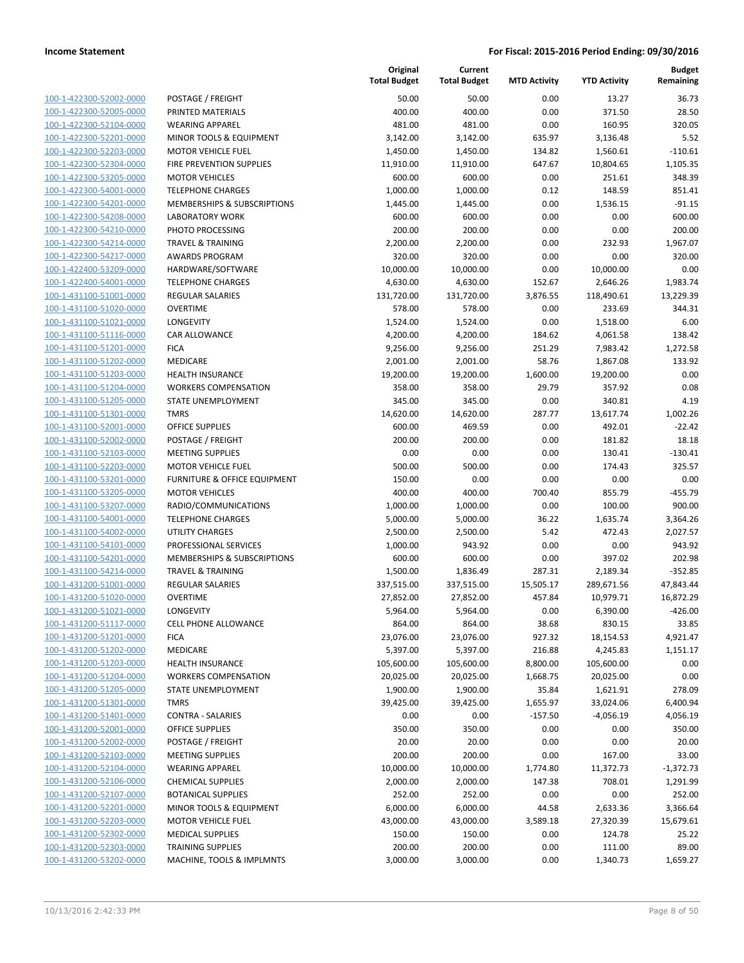| 100-1-422300-52002-0000            |
|------------------------------------|
| 100-1-422300-52005-0000            |
| 100-1-422300-52104-0000            |
| 100-1-422300-52201-0000            |
| 100-1-422300-52203-0000            |
| 100-1-422300-52304-0000            |
| 100-1-422300-53205-0000            |
| 100-1-422300-54001-0000            |
| 100-1-422300-54201-0000            |
| $100 - 1$<br>-422300-54208-0000    |
| 100-1-422300-54210-0000            |
| 100-1-422300-54214-0000            |
| 100-1-422300-54217-0000            |
| 100-1-422400-53209-0000            |
| $100 - 1$<br>-422400-54001-0000    |
| 100-1-431100-51001-0000            |
| 100-1-431100-51020-0000            |
| 100-1-431100-51021-0000            |
|                                    |
| 100-1-431100-51116-0000            |
| 431100-51201<br>$100 - 1$<br>-0000 |
| 100-1-431100-51202-0000            |
| 100-1-431100-51203-0000            |
| 100-1-431100-51204-0000            |
| 100-1-431100-51205-0000            |
| -431100-51301-0000<br>$100 - 1$    |
| 100-1-431100-52001-0000            |
| 100-1-431100-52002-0000            |
| 100-1-431100-52103-0000            |
| 100-1-431100-52203-0000            |
| $100 - 1$<br>-431100-53201-0000    |
| 100-1-431100-53205-0000            |
| 100-1-431100-53207-0000            |
| 100-1-431100-54001-0000            |
| 100-1-431100-54002-0000            |
| -431100-54101-0000<br>$100 - 1$    |
| 100-1-431100-54201-0000            |
| 100-1-431100-54214-0000            |
| 100-1-431200-51001-0000            |
| 100-1-431200-51020-0000            |
| -431200-51021-0000<br>$100 - 1$    |
| 100-1-431200-51117-0000            |
| 100-1-431200-51201-0000            |
| <u>100-1-431200-51202-0000</u>     |
| 100-1-431200-51203-0000            |
| 100-1-431200-51204-0000            |
| 100-1-431200-51205-0000            |
| 100-1-431200-51301-0000            |
|                                    |
| <u>100-1-431200-51401-0000</u>     |
| 100-1-431200-52001-0000            |
| 100-1-431200-52002-0000            |
| 100-1-431200-52103-0000            |
| 100-1-431200-52104-0000            |
| 100-1-431200-52106-0000            |
| 100-1-431200-52107-0000            |
| 100-1-431200-52201-0000            |
| 100-1-431200-52203-0000            |
| 100-1-431200-52302-0000            |
| <u>100-1-431200-52303-0000</u>     |
| <u>100-1-431200-53202-0000</u>     |

|                                                    |                                                      | Original<br><b>Total Budget</b> | Current<br><b>Total Budget</b> | <b>MTD Activity</b> | <b>YTD Activity</b> | <b>Budget</b><br>Remaining |
|----------------------------------------------------|------------------------------------------------------|---------------------------------|--------------------------------|---------------------|---------------------|----------------------------|
| 100-1-422300-52002-0000                            | POSTAGE / FREIGHT                                    | 50.00                           | 50.00                          | 0.00                | 13.27               | 36.73                      |
| 100-1-422300-52005-0000                            | PRINTED MATERIALS                                    | 400.00                          | 400.00                         | 0.00                | 371.50              | 28.50                      |
| 100-1-422300-52104-0000                            | <b>WEARING APPAREL</b>                               | 481.00                          | 481.00                         | 0.00                | 160.95              | 320.05                     |
| 100-1-422300-52201-0000                            | MINOR TOOLS & EQUIPMENT                              | 3,142.00                        | 3,142.00                       | 635.97              | 3,136.48            | 5.52                       |
| 100-1-422300-52203-0000                            | <b>MOTOR VEHICLE FUEL</b>                            | 1,450.00                        | 1,450.00                       | 134.82              | 1,560.61            | $-110.61$                  |
| 100-1-422300-52304-0000                            | FIRE PREVENTION SUPPLIES                             | 11,910.00                       | 11,910.00                      | 647.67              | 10,804.65           | 1,105.35                   |
| 100-1-422300-53205-0000                            | <b>MOTOR VEHICLES</b>                                | 600.00                          | 600.00                         | 0.00                | 251.61              | 348.39                     |
| 100-1-422300-54001-0000                            | <b>TELEPHONE CHARGES</b>                             | 1,000.00                        | 1,000.00                       | 0.12                | 148.59              | 851.41                     |
| 100-1-422300-54201-0000                            | MEMBERSHIPS & SUBSCRIPTIONS                          | 1,445.00                        | 1,445.00                       | 0.00                | 1,536.15            | $-91.15$                   |
| 100-1-422300-54208-0000                            | <b>LABORATORY WORK</b>                               | 600.00                          | 600.00                         | 0.00                | 0.00                | 600.00                     |
| 100-1-422300-54210-0000                            | PHOTO PROCESSING                                     | 200.00                          | 200.00                         | 0.00                | 0.00                | 200.00                     |
| 100-1-422300-54214-0000                            | <b>TRAVEL &amp; TRAINING</b>                         | 2,200.00                        | 2,200.00                       | 0.00                | 232.93              | 1,967.07                   |
| 100-1-422300-54217-0000                            | <b>AWARDS PROGRAM</b>                                | 320.00                          | 320.00                         | 0.00                | 0.00                | 320.00                     |
| 100-1-422400-53209-0000                            | HARDWARE/SOFTWARE                                    | 10,000.00                       | 10,000.00                      | 0.00                | 10,000.00           | 0.00                       |
| 100-1-422400-54001-0000                            | <b>TELEPHONE CHARGES</b>                             | 4,630.00                        | 4,630.00                       | 152.67              | 2,646.26            | 1,983.74                   |
| 100-1-431100-51001-0000                            | <b>REGULAR SALARIES</b>                              | 131,720.00                      | 131,720.00                     | 3,876.55            | 118,490.61          | 13,229.39                  |
| 100-1-431100-51020-0000                            | <b>OVERTIME</b>                                      | 578.00                          | 578.00                         | 0.00                | 233.69              | 344.31                     |
| 100-1-431100-51021-0000                            | <b>LONGEVITY</b>                                     | 1,524.00                        | 1,524.00                       | 0.00                | 1,518.00            | 6.00                       |
| 100-1-431100-51116-0000                            | CAR ALLOWANCE                                        | 4,200.00                        | 4,200.00                       | 184.62              | 4,061.58            | 138.42                     |
| 100-1-431100-51201-0000                            | <b>FICA</b>                                          | 9,256.00                        | 9,256.00                       | 251.29              | 7,983.42            | 1,272.58                   |
| 100-1-431100-51202-0000                            | MEDICARE                                             | 2,001.00                        | 2,001.00                       | 58.76               | 1,867.08            | 133.92                     |
| 100-1-431100-51203-0000                            | <b>HEALTH INSURANCE</b>                              | 19,200.00                       | 19,200.00                      | 1,600.00            | 19,200.00           | 0.00                       |
| 100-1-431100-51204-0000                            | <b>WORKERS COMPENSATION</b>                          | 358.00                          | 358.00                         | 29.79               | 357.92              | 0.08                       |
| 100-1-431100-51205-0000                            | STATE UNEMPLOYMENT                                   | 345.00                          | 345.00                         | 0.00                | 340.81              | 4.19                       |
| 100-1-431100-51301-0000                            | <b>TMRS</b>                                          | 14,620.00                       | 14,620.00                      | 287.77              | 13,617.74           | 1,002.26                   |
| 100-1-431100-52001-0000                            | <b>OFFICE SUPPLIES</b>                               | 600.00                          | 469.59                         | 0.00                | 492.01              | $-22.42$                   |
| 100-1-431100-52002-0000                            | POSTAGE / FREIGHT                                    | 200.00                          | 200.00                         | 0.00                | 181.82              | 18.18                      |
| 100-1-431100-52103-0000                            | <b>MEETING SUPPLIES</b>                              | 0.00                            | 0.00                           | 0.00                | 130.41              | $-130.41$                  |
| 100-1-431100-52203-0000                            | <b>MOTOR VEHICLE FUEL</b>                            | 500.00                          | 500.00                         | 0.00                | 174.43              | 325.57                     |
| 100-1-431100-53201-0000                            | FURNITURE & OFFICE EQUIPMENT                         | 150.00                          | 0.00                           | 0.00                | 0.00                | 0.00                       |
| 100-1-431100-53205-0000                            | <b>MOTOR VEHICLES</b>                                | 400.00                          | 400.00                         | 700.40              | 855.79              | $-455.79$                  |
| 100-1-431100-53207-0000                            | RADIO/COMMUNICATIONS                                 | 1,000.00                        | 1,000.00                       | 0.00                | 100.00              | 900.00                     |
| 100-1-431100-54001-0000                            | <b>TELEPHONE CHARGES</b>                             | 5,000.00                        | 5,000.00                       | 36.22               | 1,635.74            | 3,364.26                   |
| 100-1-431100-54002-0000                            | <b>UTILITY CHARGES</b>                               | 2,500.00                        | 2,500.00                       | 5.42                | 472.43              | 2,027.57                   |
| 100-1-431100-54101-0000                            | PROFESSIONAL SERVICES                                | 1,000.00                        | 943.92                         | 0.00                | 0.00                | 943.92                     |
| 100-1-431100-54201-0000                            | MEMBERSHIPS & SUBSCRIPTIONS                          | 600.00                          | 600.00                         | 0.00                | 397.02              | 202.98                     |
| 100-1-431100-54214-0000                            | <b>TRAVEL &amp; TRAINING</b>                         | 1,500.00                        | 1,836.49                       | 287.31              | 2,189.34            | $-352.85$                  |
| 100-1-431200-51001-0000                            | <b>REGULAR SALARIES</b>                              | 337,515.00                      | 337,515.00                     | 15,505.17           | 289,671.56          | 47,843.44                  |
| 100-1-431200-51020-0000                            | <b>OVERTIME</b>                                      | 27,852.00                       | 27,852.00                      | 457.84              | 10,979.71           | 16,872.29                  |
| 100-1-431200-51021-0000                            | LONGEVITY                                            | 5,964.00                        | 5,964.00                       | 0.00                | 6,390.00            | $-426.00$                  |
| 100-1-431200-51117-0000                            | <b>CELL PHONE ALLOWANCE</b>                          | 864.00                          | 864.00                         | 38.68               | 830.15              | 33.85                      |
| 100-1-431200-51201-0000                            | <b>FICA</b>                                          | 23,076.00                       | 23,076.00                      | 927.32              | 18,154.53           | 4,921.47                   |
| 100-1-431200-51202-0000                            | MEDICARE                                             | 5,397.00                        | 5,397.00                       | 216.88              | 4,245.83            | 1,151.17                   |
| 100-1-431200-51203-0000                            | HEALTH INSURANCE                                     | 105,600.00                      | 105,600.00                     | 8,800.00            | 105,600.00          | 0.00                       |
| 100-1-431200-51204-0000                            | <b>WORKERS COMPENSATION</b>                          | 20,025.00                       | 20,025.00                      | 1,668.75            | 20,025.00           | 0.00                       |
| 100-1-431200-51205-0000                            | STATE UNEMPLOYMENT                                   | 1,900.00                        | 1,900.00                       | 35.84               | 1,621.91            | 278.09                     |
| 100-1-431200-51301-0000                            | <b>TMRS</b>                                          | 39,425.00                       | 39,425.00                      | 1,655.97            | 33,024.06           | 6,400.94                   |
| 100-1-431200-51401-0000                            | <b>CONTRA - SALARIES</b>                             | 0.00                            | 0.00                           | $-157.50$           | $-4,056.19$         | 4,056.19                   |
| 100-1-431200-52001-0000                            | <b>OFFICE SUPPLIES</b>                               | 350.00                          | 350.00                         | 0.00                | 0.00                | 350.00                     |
| 100-1-431200-52002-0000                            | POSTAGE / FREIGHT                                    | 20.00                           | 20.00                          | 0.00                | 0.00                | 20.00                      |
| 100-1-431200-52103-0000                            | <b>MEETING SUPPLIES</b>                              | 200.00                          | 200.00                         | 0.00                | 167.00              | 33.00                      |
| 100-1-431200-52104-0000                            | <b>WEARING APPAREL</b>                               | 10,000.00                       | 10,000.00                      | 1,774.80            | 11,372.73           | $-1,372.73$                |
| 100-1-431200-52106-0000<br>100-1-431200-52107-0000 | <b>CHEMICAL SUPPLIES</b>                             | 2,000.00                        | 2,000.00                       | 147.38              | 708.01              | 1,291.99                   |
| 100-1-431200-52201-0000                            | <b>BOTANICAL SUPPLIES</b><br>MINOR TOOLS & EQUIPMENT | 252.00                          | 252.00                         | 0.00<br>44.58       | 0.00                | 252.00<br>3,366.64         |
| 100-1-431200-52203-0000                            | <b>MOTOR VEHICLE FUEL</b>                            | 6,000.00<br>43,000.00           | 6,000.00<br>43,000.00          |                     | 2,633.36            | 15,679.61                  |
| 100-1-431200-52302-0000                            | <b>MEDICAL SUPPLIES</b>                              | 150.00                          | 150.00                         | 3,589.18<br>0.00    | 27,320.39<br>124.78 | 25.22                      |
| 100-1-431200-52303-0000                            | <b>TRAINING SUPPLIES</b>                             | 200.00                          | 200.00                         | 0.00                | 111.00              | 89.00                      |
| 100-1-431200-53202-0000                            | MACHINE, TOOLS & IMPLMNTS                            | 3,000.00                        | 3,000.00                       | 0.00                | 1,340.73            | 1,659.27                   |
|                                                    |                                                      |                                 |                                |                     |                     |                            |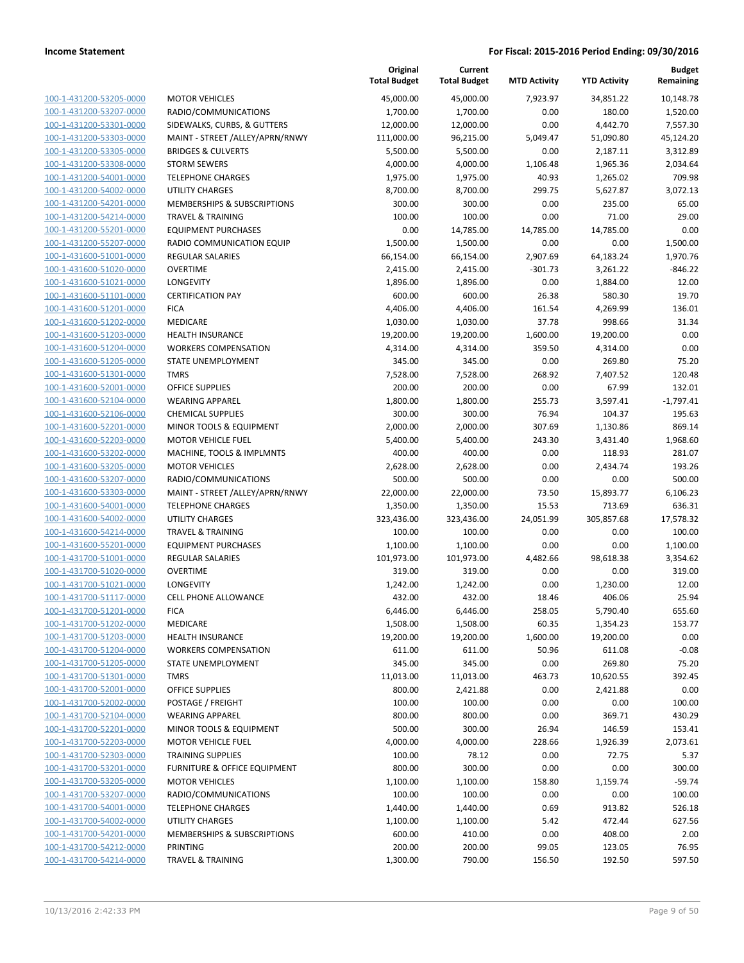**Budget Remaining**

**MTD Activity YTD Activity**

**Current**

**Original**

|                                                    |                                                     | <b>Total Budget</b> | <b>Total Budget</b> | <b>MTD Activity</b> | <b>YTD Activity</b> | Remaining             |
|----------------------------------------------------|-----------------------------------------------------|---------------------|---------------------|---------------------|---------------------|-----------------------|
| 100-1-431200-53205-0000                            | <b>MOTOR VEHICLES</b>                               | 45,000.00           | 45.000.00           | 7,923.97            | 34,851.22           | 10,148.78             |
| 100-1-431200-53207-0000                            | RADIO/COMMUNICATIONS                                | 1,700.00            | 1,700.00            | 0.00                | 180.00              | 1,520.00              |
| 100-1-431200-53301-0000                            | SIDEWALKS, CURBS, & GUTTERS                         | 12,000.00           | 12,000.00           | 0.00                | 4,442.70            | 7,557.30              |
| 100-1-431200-53303-0000                            | MAINT - STREET /ALLEY/APRN/RNWY                     | 111,000.00          | 96,215.00           | 5,049.47            | 51,090.80           | 45,124.20             |
| 100-1-431200-53305-0000                            | <b>BRIDGES &amp; CULVERTS</b>                       | 5,500.00            | 5,500.00            | 0.00                | 2,187.11            | 3,312.89              |
| 100-1-431200-53308-0000                            | <b>STORM SEWERS</b>                                 | 4,000.00            | 4,000.00            | 1,106.48            | 1,965.36            | 2,034.64              |
| 100-1-431200-54001-0000                            | <b>TELEPHONE CHARGES</b>                            | 1,975.00            | 1,975.00            | 40.93               | 1,265.02            | 709.98                |
| 100-1-431200-54002-0000                            | <b>UTILITY CHARGES</b>                              | 8,700.00            | 8,700.00            | 299.75              | 5,627.87            | 3,072.13              |
| 100-1-431200-54201-0000                            | MEMBERSHIPS & SUBSCRIPTIONS                         | 300.00              | 300.00              | 0.00                | 235.00              | 65.00                 |
| 100-1-431200-54214-0000                            | <b>TRAVEL &amp; TRAINING</b>                        | 100.00              | 100.00              | 0.00                | 71.00               | 29.00                 |
| 100-1-431200-55201-0000                            | <b>EQUIPMENT PURCHASES</b>                          | 0.00                | 14,785.00           | 14,785.00           | 14,785.00           | 0.00                  |
| 100-1-431200-55207-0000                            | RADIO COMMUNICATION EQUIP                           | 1,500.00            | 1,500.00            | 0.00                | 0.00                | 1,500.00              |
| 100-1-431600-51001-0000                            | <b>REGULAR SALARIES</b>                             | 66,154.00           | 66,154.00           | 2,907.69            | 64,183.24           | 1,970.76              |
| 100-1-431600-51020-0000                            | <b>OVERTIME</b>                                     | 2,415.00            | 2,415.00            | $-301.73$           | 3,261.22            | $-846.22$             |
| 100-1-431600-51021-0000                            | LONGEVITY                                           | 1,896.00            | 1,896.00            | 0.00                | 1,884.00            | 12.00                 |
| 100-1-431600-51101-0000                            | <b>CERTIFICATION PAY</b>                            | 600.00              | 600.00              | 26.38               | 580.30              | 19.70                 |
| 100-1-431600-51201-0000                            | <b>FICA</b>                                         | 4,406.00            | 4,406.00            | 161.54              | 4,269.99            | 136.01                |
| 100-1-431600-51202-0000                            | <b>MEDICARE</b>                                     | 1,030.00            | 1,030.00            | 37.78               | 998.66              | 31.34                 |
| 100-1-431600-51203-0000                            | <b>HEALTH INSURANCE</b>                             | 19,200.00           | 19,200.00           | 1,600.00            | 19,200.00           | 0.00                  |
| 100-1-431600-51204-0000                            | <b>WORKERS COMPENSATION</b>                         | 4,314.00            | 4,314.00            | 359.50              | 4,314.00            | 0.00                  |
| 100-1-431600-51205-0000                            | STATE UNEMPLOYMENT                                  | 345.00              | 345.00              | 0.00                | 269.80              | 75.20                 |
| 100-1-431600-51301-0000                            | <b>TMRS</b><br><b>OFFICE SUPPLIES</b>               | 7,528.00            | 7,528.00            | 268.92              | 7,407.52            | 120.48                |
| 100-1-431600-52001-0000                            | <b>WEARING APPAREL</b>                              | 200.00              | 200.00              | 0.00                | 67.99               | 132.01<br>$-1.797.41$ |
| 100-1-431600-52104-0000<br>100-1-431600-52106-0000 |                                                     | 1,800.00            | 1,800.00            | 255.73<br>76.94     | 3,597.41            | 195.63                |
| 100-1-431600-52201-0000                            | <b>CHEMICAL SUPPLIES</b><br>MINOR TOOLS & EQUIPMENT | 300.00<br>2,000.00  | 300.00<br>2,000.00  | 307.69              | 104.37<br>1,130.86  | 869.14                |
| 100-1-431600-52203-0000                            | <b>MOTOR VEHICLE FUEL</b>                           | 5,400.00            | 5,400.00            | 243.30              | 3,431.40            | 1,968.60              |
| 100-1-431600-53202-0000                            | MACHINE, TOOLS & IMPLMNTS                           | 400.00              | 400.00              | 0.00                | 118.93              | 281.07                |
| 100-1-431600-53205-0000                            | <b>MOTOR VEHICLES</b>                               | 2,628.00            | 2,628.00            | 0.00                | 2,434.74            | 193.26                |
| 100-1-431600-53207-0000                            | RADIO/COMMUNICATIONS                                | 500.00              | 500.00              | 0.00                | 0.00                | 500.00                |
| 100-1-431600-53303-0000                            | MAINT - STREET /ALLEY/APRN/RNWY                     | 22,000.00           | 22,000.00           | 73.50               | 15,893.77           | 6,106.23              |
| 100-1-431600-54001-0000                            | <b>TELEPHONE CHARGES</b>                            | 1,350.00            | 1,350.00            | 15.53               | 713.69              | 636.31                |
| 100-1-431600-54002-0000                            | <b>UTILITY CHARGES</b>                              | 323,436.00          | 323,436.00          | 24,051.99           | 305,857.68          | 17,578.32             |
| 100-1-431600-54214-0000                            | <b>TRAVEL &amp; TRAINING</b>                        | 100.00              | 100.00              | 0.00                | 0.00                | 100.00                |
| 100-1-431600-55201-0000                            | <b>EQUIPMENT PURCHASES</b>                          | 1,100.00            | 1,100.00            | 0.00                | 0.00                | 1,100.00              |
| 100-1-431700-51001-0000                            | <b>REGULAR SALARIES</b>                             | 101,973.00          | 101,973.00          | 4,482.66            | 98,618.38           | 3,354.62              |
| 100-1-431700-51020-0000                            | <b>OVERTIME</b>                                     | 319.00              | 319.00              | 0.00                | 0.00                | 319.00                |
| 100-1-431700-51021-0000                            | LONGEVITY                                           | 1,242.00            | 1,242.00            | 0.00                | 1,230.00            | 12.00                 |
| 100-1-431700-51117-0000                            | <b>CELL PHONE ALLOWANCE</b>                         | 432.00              | 432.00              | 18.46               | 406.06              | 25.94                 |
| 100-1-431700-51201-0000                            | <b>FICA</b>                                         | 6,446.00            | 6,446.00            | 258.05              | 5,790.40            | 655.60                |
| 100-1-431700-51202-0000                            | MEDICARE                                            | 1,508.00            | 1,508.00            | 60.35               | 1,354.23            | 153.77                |
| 100-1-431700-51203-0000                            | <b>HEALTH INSURANCE</b>                             | 19,200.00           | 19,200.00           | 1,600.00            | 19,200.00           | 0.00                  |
| 100-1-431700-51204-0000                            | <b>WORKERS COMPENSATION</b>                         | 611.00              | 611.00              | 50.96               | 611.08              | $-0.08$               |
| 100-1-431700-51205-0000                            | STATE UNEMPLOYMENT                                  | 345.00              | 345.00              | 0.00                | 269.80              | 75.20                 |
| 100-1-431700-51301-0000                            | TMRS                                                | 11,013.00           | 11,013.00           | 463.73              | 10,620.55           | 392.45                |
| 100-1-431700-52001-0000                            | OFFICE SUPPLIES                                     | 800.00              | 2,421.88            | 0.00                | 2,421.88            | 0.00                  |
| 100-1-431700-52002-0000                            | POSTAGE / FREIGHT                                   | 100.00              | 100.00              | 0.00                | 0.00                | 100.00                |
| 100-1-431700-52104-0000                            | <b>WEARING APPAREL</b>                              | 800.00              | 800.00              | 0.00                | 369.71              | 430.29                |
| 100-1-431700-52201-0000                            | MINOR TOOLS & EQUIPMENT                             | 500.00              | 300.00              | 26.94               | 146.59              | 153.41                |
| 100-1-431700-52203-0000                            | <b>MOTOR VEHICLE FUEL</b>                           | 4,000.00            | 4,000.00            | 228.66              | 1,926.39            | 2,073.61              |
| 100-1-431700-52303-0000                            | <b>TRAINING SUPPLIES</b>                            | 100.00              | 78.12               | 0.00                | 72.75               | 5.37                  |
| 100-1-431700-53201-0000                            | FURNITURE & OFFICE EQUIPMENT                        | 800.00              | 300.00              | 0.00                | 0.00                | 300.00                |
| 100-1-431700-53205-0000                            | <b>MOTOR VEHICLES</b>                               | 1,100.00            | 1,100.00            | 158.80              | 1,159.74            | $-59.74$              |
| 100-1-431700-53207-0000                            | RADIO/COMMUNICATIONS                                | 100.00              | 100.00              | 0.00                | 0.00                | 100.00                |
| 100-1-431700-54001-0000                            | <b>TELEPHONE CHARGES</b>                            | 1,440.00            | 1,440.00            | 0.69                | 913.82              | 526.18                |
| 100-1-431700-54002-0000                            | <b>UTILITY CHARGES</b>                              | 1,100.00            | 1,100.00            | 5.42                | 472.44              | 627.56                |
| 100-1-431700-54201-0000                            | MEMBERSHIPS & SUBSCRIPTIONS                         | 600.00              | 410.00              | 0.00                | 408.00              | 2.00                  |
| 100-1-431700-54212-0000                            | PRINTING                                            | 200.00              | 200.00              | 99.05               | 123.05              | 76.95                 |
| 100-1-431700-54214-0000                            | <b>TRAVEL &amp; TRAINING</b>                        | 1,300.00            | 790.00              | 156.50              | 192.50              | 597.50                |
|                                                    |                                                     |                     |                     |                     |                     |                       |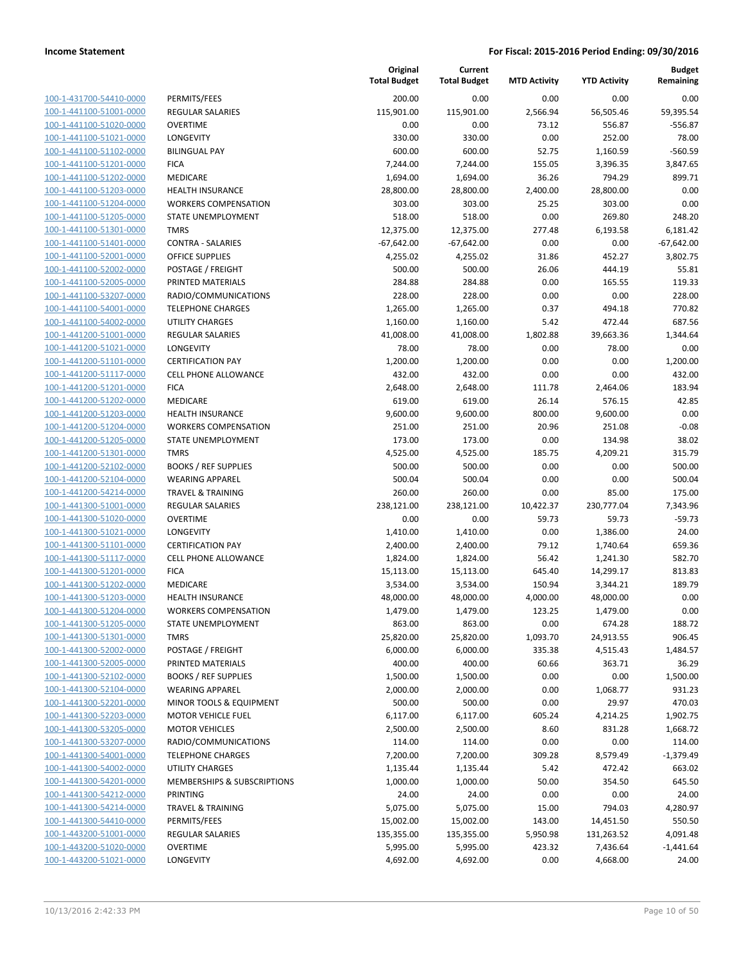| 100-1-431700-54410-0000        |
|--------------------------------|
| 100-1-441100-51001-0000        |
| 100-1-441100-51020-0000        |
| 100-1-441100-51021-0000        |
| 100-1-441100-51102-0000        |
| 100-1-441100-51201-0000        |
| 100-1-441100-51202-0000        |
| 100-1-441100-51203-0000        |
| <u>100-1-441100-51204-0000</u> |
| 100-1-441100-51205-0000        |
| 100-1-441100-51301-0000        |
| 100-1-441100-51401-0000        |
| 100-1-441100-52001-0000        |
| 100-1-441100-52002-0000        |
| 100-1-441100-52005-0000        |
| 100-1-441100-53207-0000        |
|                                |
| 100-1-441100-54001-0000        |
| 100-1-441100-54002-0000        |
| <u>100-1-441200-51001-0000</u> |
| 100-1-441200-51021-0000        |
| 100-1-441200-51101-0000        |
| 100-1-441200-51117-0000        |
| 100-1-441200-51201-0000        |
| <u>100-1-441200-51202-0000</u> |
| 100-1-441200-51203-0000        |
| 100-1-441200-51204-0000        |
| 100-1-441200-51205-0000        |
| 100-1-441200-51301-0000        |
| 100-1-441200-52102-0000        |
| 100-1-441200-52104-0000        |
| 100-1-441200-54214-0000        |
| 100-1-441300-51001-0000        |
| 100-1-441300-51020-0000        |
|                                |
| <u>100-1-441300-51021-0000</u> |
| 100-1-441300-51101-0000        |
| 100-1-441300-51117-0000        |
| 100-1-441300-51201-0000        |
| 100-1-441300-51202-0000        |
| 100-1-441300-51203-0000        |
| 100-1-441300-51204-0000        |
| 100-1-441300-51205-0000        |
| <u>100-1-441300-51301-0000</u> |
| 100-1-441300-52002-0000        |
| 100-1-441300-52005-0000        |
| <u>100-1-441300-52102-0000</u> |
| <u>100-1-441300-52104-0000</u> |
| 100-1-441300-52201-0000        |
| 100-1-441300-52203-0000        |
| 100-1-441300-53205-0000        |
| <u>100-1-441300-53207-0000</u> |
| <u>100-1-441300-54001-0000</u> |
|                                |
| 100-1-441300-54002-0000        |
| 100-1-441300-54201-0000        |
| 100-1-441300-54212-0000        |
| <u>100-1-441300-54214-0000</u> |
| <u>100-1-441300-54410-0000</u> |
| 100-1-443200-51001-0000        |
| 100-1-443200-51020-0000        |
| 100-1-443200-51021-0000        |
|                                |

|                                                    |                                                        | Original<br><b>Total Budget</b> | Current<br><b>Total Budget</b> | <b>MTD Activity</b> | <b>YTD Activity</b>   | <b>Budget</b><br>Remaining |
|----------------------------------------------------|--------------------------------------------------------|---------------------------------|--------------------------------|---------------------|-----------------------|----------------------------|
| 100-1-431700-54410-0000                            | PERMITS/FEES                                           | 200.00                          | 0.00                           | 0.00                | 0.00                  | 0.00                       |
| 100-1-441100-51001-0000                            | <b>REGULAR SALARIES</b>                                | 115,901.00                      | 115,901.00                     | 2,566.94            | 56,505.46             | 59,395.54                  |
| 100-1-441100-51020-0000                            | <b>OVERTIME</b>                                        | 0.00                            | 0.00                           | 73.12               | 556.87                | $-556.87$                  |
| 100-1-441100-51021-0000                            | LONGEVITY                                              | 330.00                          | 330.00                         | 0.00                | 252.00                | 78.00                      |
| 100-1-441100-51102-0000                            | <b>BILINGUAL PAY</b>                                   | 600.00                          | 600.00                         | 52.75               | 1,160.59              | $-560.59$                  |
| 100-1-441100-51201-0000                            | <b>FICA</b>                                            | 7,244.00                        | 7,244.00                       | 155.05              | 3,396.35              | 3,847.65                   |
| 100-1-441100-51202-0000                            | MEDICARE                                               | 1,694.00                        | 1,694.00                       | 36.26               | 794.29                | 899.71                     |
| 100-1-441100-51203-0000                            | <b>HEALTH INSURANCE</b>                                | 28,800.00                       | 28,800.00                      | 2,400.00            | 28,800.00             | 0.00                       |
| 100-1-441100-51204-0000                            | <b>WORKERS COMPENSATION</b>                            | 303.00                          | 303.00                         | 25.25               | 303.00                | 0.00                       |
| 100-1-441100-51205-0000                            | <b>STATE UNEMPLOYMENT</b>                              | 518.00                          | 518.00                         | 0.00                | 269.80                | 248.20                     |
| 100-1-441100-51301-0000                            | <b>TMRS</b>                                            | 12,375.00                       | 12,375.00                      | 277.48              | 6,193.58              | 6,181.42                   |
| 100-1-441100-51401-0000                            | <b>CONTRA - SALARIES</b>                               | $-67,642.00$                    | $-67,642.00$                   | 0.00                | 0.00                  | $-67,642.00$               |
| 100-1-441100-52001-0000                            | <b>OFFICE SUPPLIES</b>                                 | 4,255.02                        | 4,255.02                       | 31.86               | 452.27                | 3,802.75                   |
| 100-1-441100-52002-0000                            | POSTAGE / FREIGHT                                      | 500.00                          | 500.00                         | 26.06               | 444.19                | 55.81                      |
| 100-1-441100-52005-0000                            | PRINTED MATERIALS                                      | 284.88                          | 284.88                         | 0.00                | 165.55                | 119.33                     |
| 100-1-441100-53207-0000                            | RADIO/COMMUNICATIONS                                   | 228.00                          | 228.00                         | 0.00                | 0.00                  | 228.00                     |
| 100-1-441100-54001-0000                            | <b>TELEPHONE CHARGES</b>                               | 1,265.00                        | 1,265.00                       | 0.37                | 494.18                | 770.82                     |
| 100-1-441100-54002-0000                            | UTILITY CHARGES                                        | 1,160.00                        | 1,160.00                       | 5.42                | 472.44                | 687.56                     |
| 100-1-441200-51001-0000                            | REGULAR SALARIES                                       | 41,008.00                       | 41,008.00                      | 1,802.88            | 39,663.36             | 1,344.64                   |
| 100-1-441200-51021-0000                            | LONGEVITY                                              | 78.00                           | 78.00                          | 0.00                | 78.00                 | 0.00                       |
| 100-1-441200-51101-0000                            | <b>CERTIFICATION PAY</b>                               | 1,200.00                        | 1,200.00                       | 0.00                | 0.00                  | 1,200.00                   |
| 100-1-441200-51117-0000                            | <b>CELL PHONE ALLOWANCE</b>                            | 432.00                          | 432.00                         | 0.00                | 0.00                  | 432.00                     |
| 100-1-441200-51201-0000                            | <b>FICA</b>                                            | 2,648.00                        | 2,648.00                       | 111.78              | 2,464.06              | 183.94                     |
| 100-1-441200-51202-0000                            | MEDICARE                                               | 619.00                          | 619.00                         | 26.14               | 576.15                | 42.85                      |
| 100-1-441200-51203-0000                            | <b>HEALTH INSURANCE</b>                                | 9,600.00                        | 9,600.00                       | 800.00              | 9,600.00              | 0.00                       |
| 100-1-441200-51204-0000                            | <b>WORKERS COMPENSATION</b>                            | 251.00                          | 251.00                         | 20.96               | 251.08                | $-0.08$                    |
| 100-1-441200-51205-0000                            | STATE UNEMPLOYMENT                                     | 173.00                          | 173.00                         | 0.00                | 134.98                | 38.02                      |
| 100-1-441200-51301-0000                            | <b>TMRS</b>                                            | 4,525.00                        | 4,525.00                       | 185.75              | 4,209.21              | 315.79                     |
| 100-1-441200-52102-0000                            | <b>BOOKS / REF SUPPLIES</b>                            | 500.00                          | 500.00                         | 0.00                | 0.00                  | 500.00                     |
| 100-1-441200-52104-0000                            | <b>WEARING APPAREL</b>                                 | 500.04                          | 500.04                         | 0.00                | 0.00                  | 500.04                     |
| 100-1-441200-54214-0000                            | <b>TRAVEL &amp; TRAINING</b>                           | 260.00                          | 260.00                         | 0.00                | 85.00                 | 175.00                     |
| 100-1-441300-51001-0000                            | REGULAR SALARIES                                       | 238,121.00                      | 238,121.00                     | 10,422.37           | 230,777.04            | 7,343.96                   |
| 100-1-441300-51020-0000                            | <b>OVERTIME</b>                                        | 0.00                            | 0.00                           | 59.73               | 59.73                 | $-59.73$                   |
| 100-1-441300-51021-0000                            | LONGEVITY                                              | 1,410.00                        | 1,410.00                       | 0.00                | 1,386.00              | 24.00                      |
| 100-1-441300-51101-0000                            | <b>CERTIFICATION PAY</b>                               | 2,400.00                        | 2,400.00                       | 79.12               | 1,740.64              | 659.36                     |
| 100-1-441300-51117-0000                            | <b>CELL PHONE ALLOWANCE</b>                            | 1,824.00<br>15,113.00           | 1,824.00                       | 56.42               | 1,241.30              | 582.70                     |
| 100-1-441300-51201-0000                            | <b>FICA</b>                                            |                                 | 15,113.00<br>3,534.00          | 645.40              | 14,299.17             | 813.83<br>189.79           |
| 100-1-441300-51202-0000<br>100-1-441300-51203-0000 | MEDICARE                                               | 3,534.00                        | 48,000.00                      | 150.94              | 3,344.21              | 0.00                       |
| 100-1-441300-51204-0000                            | <b>HEALTH INSURANCE</b><br><b>WORKERS COMPENSATION</b> | 48,000.00<br>1,479.00           | 1,479.00                       | 4,000.00<br>123.25  | 48,000.00<br>1,479.00 | 0.00                       |
| 100-1-441300-51205-0000                            | STATE UNEMPLOYMENT                                     | 863.00                          | 863.00                         | 0.00                | 674.28                | 188.72                     |
| 100-1-441300-51301-0000                            | TMRS                                                   | 25,820.00                       | 25,820.00                      | 1,093.70            | 24,913.55             | 906.45                     |
| 100-1-441300-52002-0000                            | POSTAGE / FREIGHT                                      | 6,000.00                        | 6,000.00                       | 335.38              | 4,515.43              | 1,484.57                   |
| 100-1-441300-52005-0000                            | PRINTED MATERIALS                                      | 400.00                          | 400.00                         | 60.66               | 363.71                | 36.29                      |
| 100-1-441300-52102-0000                            | <b>BOOKS / REF SUPPLIES</b>                            | 1,500.00                        | 1,500.00                       | 0.00                | 0.00                  | 1,500.00                   |
| 100-1-441300-52104-0000                            | <b>WEARING APPAREL</b>                                 | 2,000.00                        | 2,000.00                       | 0.00                | 1,068.77              | 931.23                     |
| 100-1-441300-52201-0000                            | MINOR TOOLS & EQUIPMENT                                | 500.00                          | 500.00                         | 0.00                | 29.97                 | 470.03                     |
| 100-1-441300-52203-0000                            | <b>MOTOR VEHICLE FUEL</b>                              | 6,117.00                        | 6,117.00                       | 605.24              | 4,214.25              | 1,902.75                   |
| 100-1-441300-53205-0000                            | <b>MOTOR VEHICLES</b>                                  | 2,500.00                        | 2,500.00                       | 8.60                | 831.28                | 1,668.72                   |
| 100-1-441300-53207-0000                            | RADIO/COMMUNICATIONS                                   | 114.00                          | 114.00                         | 0.00                | 0.00                  | 114.00                     |
| 100-1-441300-54001-0000                            | <b>TELEPHONE CHARGES</b>                               | 7,200.00                        | 7,200.00                       | 309.28              | 8,579.49              | $-1,379.49$                |
| 100-1-441300-54002-0000                            | UTILITY CHARGES                                        | 1,135.44                        | 1,135.44                       | 5.42                | 472.42                | 663.02                     |
| 100-1-441300-54201-0000                            | MEMBERSHIPS & SUBSCRIPTIONS                            | 1,000.00                        | 1,000.00                       | 50.00               | 354.50                | 645.50                     |
| 100-1-441300-54212-0000                            | <b>PRINTING</b>                                        | 24.00                           | 24.00                          | 0.00                | 0.00                  | 24.00                      |
| 100-1-441300-54214-0000                            | <b>TRAVEL &amp; TRAINING</b>                           | 5,075.00                        | 5,075.00                       | 15.00               | 794.03                | 4,280.97                   |
| 100-1-441300-54410-0000                            | PERMITS/FEES                                           | 15,002.00                       | 15,002.00                      | 143.00              | 14,451.50             | 550.50                     |
| 100-1-443200-51001-0000                            | REGULAR SALARIES                                       | 135,355.00                      | 135,355.00                     | 5,950.98            | 131,263.52            | 4,091.48                   |
| 100-1-443200-51020-0000                            | <b>OVERTIME</b>                                        | 5,995.00                        | 5,995.00                       | 423.32              | 7,436.64              | $-1,441.64$                |
| 100-1-443200-51021-0000                            | LONGEVITY                                              | 4,692.00                        | 4,692.00                       | 0.00                | 4,668.00              | 24.00                      |
|                                                    |                                                        |                                 |                                |                     |                       |                            |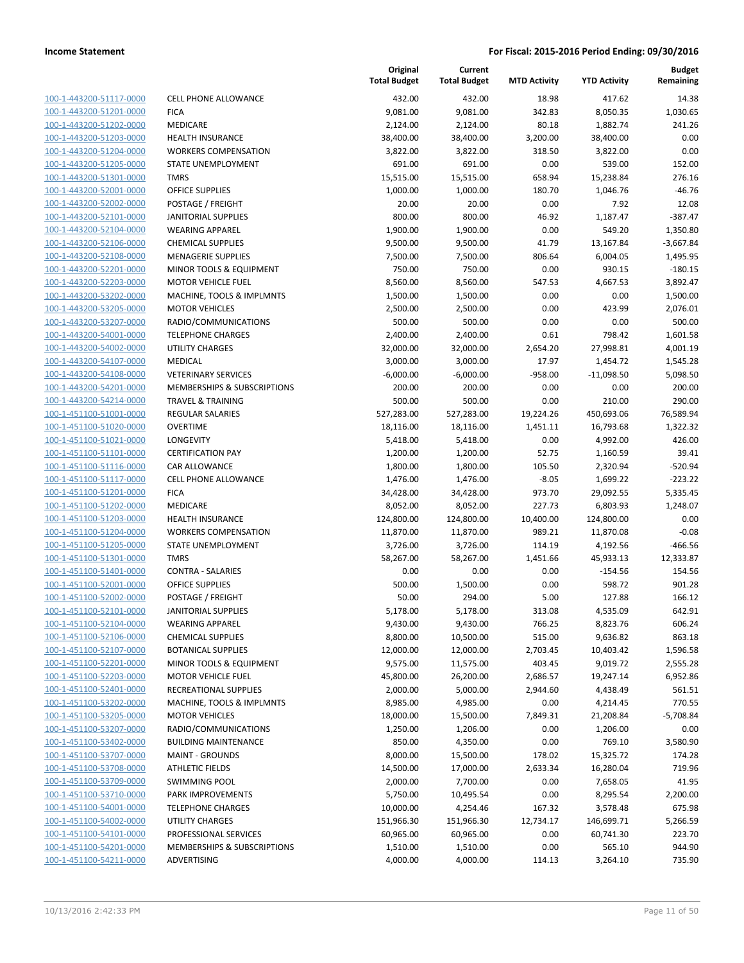| 100-1-443200-51117-0000        |
|--------------------------------|
| 100-1-443200-51201-0000        |
| 100-1-443200-51202-0000        |
| 100-1-443200-51203-0000        |
| 100-1-443200-51204-0000        |
| 100-1-443200-51205-0000        |
| 100-1-443200-51301-0000        |
| 100-1-443200-52001-0000        |
| 100-1-443200-52002-0000        |
| 100-1-443200-52101-0000        |
| 100-1-443200-52104-0000        |
| 100-1-443200-52106-0000        |
| 100-1-443200-52108-0000        |
| 100-1-443200-52201-0000        |
| 100-1-443200-52203-0000        |
| 100-1-443200-53202-0000        |
| 100-1-443200-53205-0000        |
| 100-1-443200-53207-0000        |
| 100-1-443200-54001-0000        |
| 100-1-443200-54002-0000        |
|                                |
| 100-1-443200-54107-0000        |
| 100-1-443200-54108-0000        |
| 100-1-443200-54201-0000        |
| 100-1-443200-54214-0000        |
| 100-1-451100-51001-0000        |
| 100-1-451100-51020-0000        |
| 100-1-451100-51021-0000        |
| 100-1-451100-51101-0000        |
| 100-1-451100-51116-0000        |
| 100-1-451100-51117-0000        |
| 100-1-451100-51201-0000        |
| 100-1-451100-51202-0000        |
| 100-1-451100-51203-0000        |
| 100-1-451100-51204-0000        |
| 100-1-451100-51205-0000        |
| 100-1-451100-51301-0000        |
| 100-1-451100-51401-0000        |
| 100-1-451100-52001-0000        |
| 100-1-451100-52002-0000        |
| 100-1-451100-52101-0000        |
| 100-1-451100-52104-0000        |
| <u>100-1-451100-52106-0000</u> |
| <u>100-1-451100-52107-0000</u> |
| <u>100-1-451100-52201-0000</u> |
| 100-1-451100-52203-0000        |
| <u>100-1-451100-52401-0000</u> |
| <u>100-1-451100-53202-0000</u> |
| <u>100-1-451100-53205-0000</u> |
| <u>100-1-451100-53207-0000</u> |
|                                |
| <u>100-1-451100-53402-0000</u> |
| 100-1-451100-53707-0000        |
| 100-1-451100-53708-0000        |
| <u>100-1-451100-53709-0000</u> |
| <u>100-1-451100-53710-0000</u> |
| 100-1-451100-54001-0000        |
| 100-1-451100-54002-0000        |
| 100-1-451100-54101-0000        |
| <u>100-1-451100-54201-0000</u> |
| <u>100-1-451100-54211-0000</u> |

|                                                    |                                                       | Original<br><b>Total Budget</b> | Current<br><b>Total Budget</b> | <b>MTD Activity</b> | <b>YTD Activity</b>   | <b>Budget</b><br>Remaining |
|----------------------------------------------------|-------------------------------------------------------|---------------------------------|--------------------------------|---------------------|-----------------------|----------------------------|
| 100-1-443200-51117-0000                            | <b>CELL PHONE ALLOWANCE</b>                           | 432.00                          | 432.00                         | 18.98               | 417.62                | 14.38                      |
| 100-1-443200-51201-0000                            | <b>FICA</b>                                           | 9,081.00                        | 9,081.00                       | 342.83              | 8,050.35              | 1,030.65                   |
| 100-1-443200-51202-0000                            | <b>MEDICARE</b>                                       | 2,124.00                        | 2,124.00                       | 80.18               | 1,882.74              | 241.26                     |
| 100-1-443200-51203-0000                            | <b>HEALTH INSURANCE</b>                               | 38,400.00                       | 38,400.00                      | 3,200.00            | 38,400.00             | 0.00                       |
| 100-1-443200-51204-0000                            | <b>WORKERS COMPENSATION</b>                           | 3,822.00                        | 3,822.00                       | 318.50              | 3,822.00              | 0.00                       |
| 100-1-443200-51205-0000                            | <b>STATE UNEMPLOYMENT</b>                             | 691.00                          | 691.00                         | 0.00                | 539.00                | 152.00                     |
| 100-1-443200-51301-0000                            | <b>TMRS</b>                                           | 15,515.00                       | 15,515.00                      | 658.94              | 15,238.84             | 276.16                     |
| 100-1-443200-52001-0000                            | OFFICE SUPPLIES                                       | 1,000.00                        | 1,000.00                       | 180.70              | 1,046.76              | $-46.76$                   |
| 100-1-443200-52002-0000                            | POSTAGE / FREIGHT                                     | 20.00                           | 20.00                          | 0.00                | 7.92                  | 12.08                      |
| 100-1-443200-52101-0000                            | <b>JANITORIAL SUPPLIES</b>                            | 800.00                          | 800.00                         | 46.92               | 1,187.47              | $-387.47$                  |
| 100-1-443200-52104-0000                            | <b>WEARING APPAREL</b>                                | 1,900.00                        | 1,900.00                       | 0.00                | 549.20                | 1,350.80                   |
| 100-1-443200-52106-0000                            | <b>CHEMICAL SUPPLIES</b>                              | 9,500.00                        | 9,500.00                       | 41.79               | 13,167.84             | $-3,667.84$                |
| 100-1-443200-52108-0000                            | <b>MENAGERIE SUPPLIES</b>                             | 7,500.00                        | 7,500.00                       | 806.64              | 6,004.05              | 1,495.95                   |
| 100-1-443200-52201-0000                            | MINOR TOOLS & EQUIPMENT                               | 750.00                          | 750.00                         | 0.00                | 930.15                | $-180.15$                  |
| 100-1-443200-52203-0000                            | <b>MOTOR VEHICLE FUEL</b>                             | 8,560.00                        | 8,560.00                       | 547.53              | 4,667.53              | 3,892.47                   |
| 100-1-443200-53202-0000                            | MACHINE, TOOLS & IMPLMNTS                             | 1,500.00                        | 1,500.00                       | 0.00                | 0.00                  | 1,500.00                   |
| 100-1-443200-53205-0000                            | <b>MOTOR VEHICLES</b>                                 | 2,500.00                        | 2,500.00                       | 0.00                | 423.99                | 2,076.01                   |
| 100-1-443200-53207-0000                            | RADIO/COMMUNICATIONS                                  | 500.00                          | 500.00                         | 0.00                | 0.00                  | 500.00                     |
| 100-1-443200-54001-0000                            | <b>TELEPHONE CHARGES</b>                              | 2,400.00                        | 2,400.00                       | 0.61                | 798.42                | 1,601.58                   |
| 100-1-443200-54002-0000                            | UTILITY CHARGES                                       | 32,000.00                       | 32,000.00                      | 2,654.20            | 27,998.81             | 4,001.19                   |
| 100-1-443200-54107-0000                            | <b>MEDICAL</b>                                        | 3,000.00                        | 3,000.00                       | 17.97               | 1,454.72              | 1,545.28                   |
| 100-1-443200-54108-0000                            | <b>VETERINARY SERVICES</b>                            | $-6,000.00$                     | $-6,000.00$                    | $-958.00$           | $-11,098.50$          | 5,098.50                   |
| 100-1-443200-54201-0000                            | MEMBERSHIPS & SUBSCRIPTIONS                           | 200.00                          | 200.00                         | 0.00                | 0.00                  | 200.00                     |
| 100-1-443200-54214-0000                            | <b>TRAVEL &amp; TRAINING</b>                          | 500.00                          | 500.00                         | 0.00                | 210.00                | 290.00                     |
| 100-1-451100-51001-0000                            | <b>REGULAR SALARIES</b>                               | 527,283.00                      | 527,283.00                     | 19,224.26           | 450,693.06            | 76,589.94                  |
| 100-1-451100-51020-0000                            | <b>OVERTIME</b>                                       | 18,116.00                       | 18,116.00                      | 1,451.11            | 16,793.68             | 1,322.32                   |
| 100-1-451100-51021-0000                            | LONGEVITY                                             | 5,418.00                        | 5,418.00                       | 0.00                | 4,992.00              | 426.00                     |
| 100-1-451100-51101-0000                            | <b>CERTIFICATION PAY</b>                              | 1,200.00                        | 1,200.00                       | 52.75               | 1,160.59              | 39.41                      |
| 100-1-451100-51116-0000                            | CAR ALLOWANCE                                         | 1,800.00                        | 1,800.00                       | 105.50              | 2,320.94              | $-520.94$                  |
| 100-1-451100-51117-0000                            | CELL PHONE ALLOWANCE                                  | 1,476.00                        | 1,476.00                       | $-8.05$             | 1,699.22              | $-223.22$                  |
| 100-1-451100-51201-0000                            | <b>FICA</b>                                           | 34,428.00                       | 34,428.00                      | 973.70              | 29,092.55             | 5,335.45                   |
| 100-1-451100-51202-0000                            | MEDICARE                                              | 8,052.00                        | 8,052.00                       | 227.73              | 6,803.93              | 1,248.07                   |
| 100-1-451100-51203-0000                            | <b>HEALTH INSURANCE</b>                               | 124,800.00                      | 124,800.00                     | 10,400.00           | 124,800.00            | 0.00                       |
| 100-1-451100-51204-0000                            | <b>WORKERS COMPENSATION</b>                           | 11,870.00                       | 11,870.00                      | 989.21              | 11,870.08             | $-0.08$                    |
| 100-1-451100-51205-0000                            | STATE UNEMPLOYMENT                                    | 3,726.00                        | 3,726.00                       | 114.19              | 4,192.56              | $-466.56$                  |
| 100-1-451100-51301-0000                            | <b>TMRS</b>                                           | 58,267.00                       | 58,267.00                      | 1,451.66            | 45,933.13             | 12,333.87                  |
| 100-1-451100-51401-0000                            | <b>CONTRA - SALARIES</b>                              | 0.00                            | 0.00                           | 0.00                | $-154.56$             | 154.56                     |
| 100-1-451100-52001-0000                            | OFFICE SUPPLIES                                       | 500.00                          | 1,500.00                       | 0.00                | 598.72                | 901.28                     |
| 100-1-451100-52002-0000                            | POSTAGE / FREIGHT                                     | 50.00<br>5,178.00               | 294.00                         | 5.00<br>313.08      | 127.88<br>4,535.09    | 166.12<br>642.91           |
| 100-1-451100-52101-0000<br>100-1-451100-52104-0000 | <b>JANITORIAL SUPPLIES</b>                            |                                 | 5,178.00                       |                     |                       | 606.24                     |
| 100-1-451100-52106-0000                            | <b>WEARING APPAREL</b>                                | 9,430.00<br>8,800.00            | 9,430.00                       | 766.25<br>515.00    | 8,823.76              | 863.18                     |
| 100-1-451100-52107-0000                            | <b>CHEMICAL SUPPLIES</b><br><b>BOTANICAL SUPPLIES</b> | 12,000.00                       | 10,500.00<br>12,000.00         | 2,703.45            | 9,636.82<br>10,403.42 | 1,596.58                   |
| 100-1-451100-52201-0000                            | MINOR TOOLS & EQUIPMENT                               | 9,575.00                        | 11,575.00                      | 403.45              | 9,019.72              | 2,555.28                   |
| 100-1-451100-52203-0000                            | <b>MOTOR VEHICLE FUEL</b>                             | 45,800.00                       | 26,200.00                      | 2,686.57            | 19,247.14             | 6,952.86                   |
| 100-1-451100-52401-0000                            | <b>RECREATIONAL SUPPLIES</b>                          | 2,000.00                        | 5,000.00                       | 2,944.60            | 4,438.49              | 561.51                     |
| 100-1-451100-53202-0000                            | MACHINE, TOOLS & IMPLMNTS                             | 8,985.00                        | 4,985.00                       | 0.00                | 4,214.45              | 770.55                     |
| 100-1-451100-53205-0000                            | <b>MOTOR VEHICLES</b>                                 | 18,000.00                       | 15,500.00                      | 7,849.31            | 21,208.84             | $-5,708.84$                |
| 100-1-451100-53207-0000                            | RADIO/COMMUNICATIONS                                  | 1,250.00                        | 1,206.00                       | 0.00                | 1,206.00              | 0.00                       |
| 100-1-451100-53402-0000                            | <b>BUILDING MAINTENANCE</b>                           | 850.00                          | 4,350.00                       | 0.00                | 769.10                | 3,580.90                   |
| 100-1-451100-53707-0000                            | <b>MAINT - GROUNDS</b>                                | 8,000.00                        | 15,500.00                      | 178.02              | 15,325.72             | 174.28                     |
| 100-1-451100-53708-0000                            | <b>ATHLETIC FIELDS</b>                                | 14,500.00                       | 17,000.00                      | 2,633.34            | 16,280.04             | 719.96                     |
| 100-1-451100-53709-0000                            | <b>SWIMMING POOL</b>                                  | 2,000.00                        | 7,700.00                       | 0.00                | 7,658.05              | 41.95                      |
| 100-1-451100-53710-0000                            | PARK IMPROVEMENTS                                     | 5,750.00                        | 10,495.54                      | 0.00                | 8,295.54              | 2,200.00                   |
| 100-1-451100-54001-0000                            | <b>TELEPHONE CHARGES</b>                              | 10,000.00                       | 4,254.46                       | 167.32              | 3,578.48              | 675.98                     |
| 100-1-451100-54002-0000                            | <b>UTILITY CHARGES</b>                                | 151,966.30                      | 151,966.30                     | 12,734.17           | 146,699.71            | 5,266.59                   |
| 100-1-451100-54101-0000                            | PROFESSIONAL SERVICES                                 | 60,965.00                       | 60,965.00                      | 0.00                | 60,741.30             | 223.70                     |
| 100-1-451100-54201-0000                            | MEMBERSHIPS & SUBSCRIPTIONS                           | 1,510.00                        | 1,510.00                       | 0.00                | 565.10                | 944.90                     |
| 100-1-451100-54211-0000                            | ADVERTISING                                           | 4,000.00                        | 4,000.00                       | 114.13              | 3,264.10              | 735.90                     |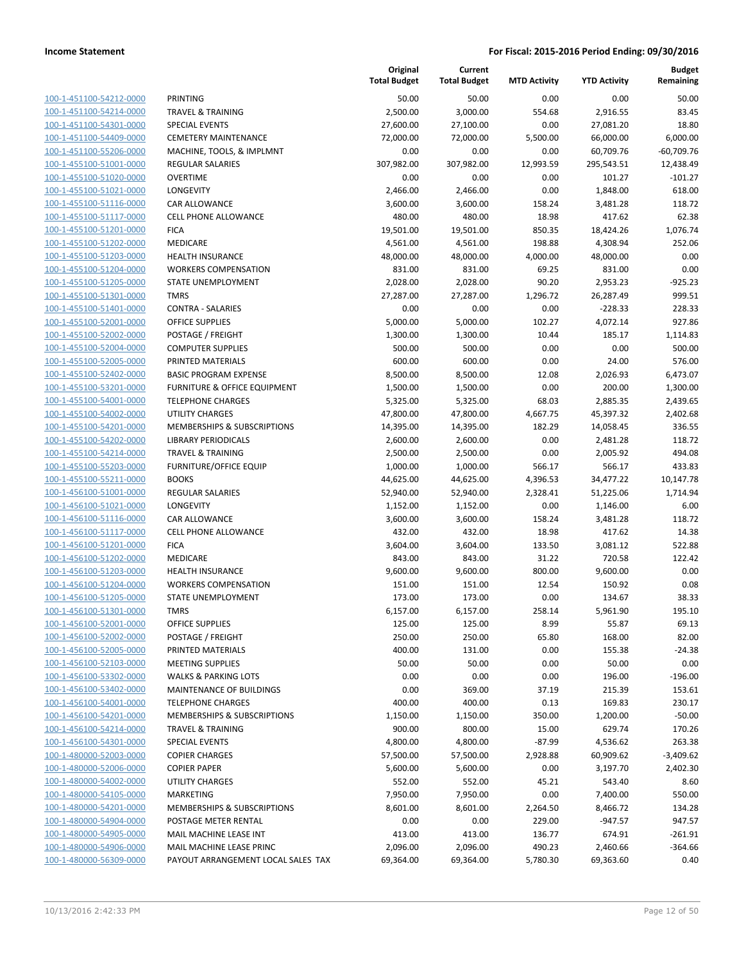| 100-1-451100-54212-0000        |
|--------------------------------|
| 100-1-451100-54214-0000        |
| 100-1-451100-54301-0000        |
| 100-1-451100-54409-0000        |
| 100-1-451100-55206-0000        |
| 100-1-455100-51001-0000        |
| 100-1-455100-51020-0000        |
| 100-1-455100-51021-0000        |
| 100-1-455100-51116-0000        |
| 100-1-455100-51117-0000        |
| 100-1-455100-51201-0000        |
| 100-1-455100-51202-0000        |
| 100-1-455100-51203-0000        |
| 100-1-455100-51204-0000        |
| 100-1-455100-51205-0000        |
| 100-1-455100-51301-0000        |
| 100-1-455100-51401-0000        |
| 100-1-455100-52001-0000        |
| 100-1-455100-52002-0000        |
| 100-1-455100-52004-0000        |
| 100-1-455100-52005-0000        |
| 100-1-455100-52402-0000        |
| 100-1-455100-53201-0000        |
| 100-1-455100-54001-0000        |
| 100-1-455100-54002-0000        |
| 100-1-455100-54201-0000        |
| 100-1-455100-54202-0000        |
| 100-1-455100-54214-0000        |
|                                |
| 100-1-455100-55203-0000        |
| 100-1-455100-55211-0000        |
| 100-1-456100-51001-0000        |
| 100-1-456100-51021-0000        |
| 100-1-456100-51116-0000        |
| 100-1-456100-51117-0000        |
| 100-1-456100-51201-0000        |
| 100-1-456100-51202-0000        |
| 100-1-456100-51203-0000        |
| 100-1-456100-51204-0000        |
| 100-1-456100-51205-0000        |
| 100-1-456100-51301-0000        |
| 100-1-456100-52001-0000        |
| 100-1-456100-52002-0000        |
| 100-1-456100-52005-0000        |
| 100-1-456100-52103-0000        |
| <u>100-1-456100-53302-0000</u> |
| 100-1-456100-53402-0000        |
| 100-1-456100-54001-0000        |
| 100-1-456100-54201-0000        |
| <u>100-1-456100-54214-0000</u> |
| <u>100-1-456100-54301-0000</u> |
| 100-1-480000-52003-0000        |
| 100-1-480000-52006-0000        |
| <u>100-1-480000-54002-0000</u> |
| <u>100-1-480000-54105-0000</u> |
| <u>100-1-480000-54201-0000</u> |
| 100-1-480000-54904-0000        |
| 100-1-480000-54905-0000        |
| <u>100-1-480000-54906-0000</u> |
| <u>100-1-480000-56309-0000</u> |
|                                |

|                         |                                        | Original<br><b>Total Budget</b> | Current<br><b>Total Budget</b> | <b>MTD Activity</b> | <b>YTD Activity</b> | <b>Budget</b><br>Remaining |
|-------------------------|----------------------------------------|---------------------------------|--------------------------------|---------------------|---------------------|----------------------------|
| 100-1-451100-54212-0000 | PRINTING                               | 50.00                           | 50.00                          | 0.00                | 0.00                | 50.00                      |
| 100-1-451100-54214-0000 | <b>TRAVEL &amp; TRAINING</b>           | 2,500.00                        | 3,000.00                       | 554.68              | 2,916.55            | 83.45                      |
| 100-1-451100-54301-0000 | <b>SPECIAL EVENTS</b>                  | 27,600.00                       | 27,100.00                      | 0.00                | 27,081.20           | 18.80                      |
| 100-1-451100-54409-0000 | <b>CEMETERY MAINTENANCE</b>            | 72,000.00                       | 72,000.00                      | 5,500.00            | 66,000.00           | 6,000.00                   |
| 100-1-451100-55206-0000 | MACHINE, TOOLS, & IMPLMNT              | 0.00                            | 0.00                           | 0.00                | 60,709.76           | $-60,709.76$               |
| 100-1-455100-51001-0000 | <b>REGULAR SALARIES</b>                | 307,982.00                      | 307,982.00                     | 12,993.59           | 295,543.51          | 12,438.49                  |
| 100-1-455100-51020-0000 | <b>OVERTIME</b>                        | 0.00                            | 0.00                           | 0.00                | 101.27              | $-101.27$                  |
| 100-1-455100-51021-0000 | LONGEVITY                              | 2,466.00                        | 2,466.00                       | 0.00                | 1,848.00            | 618.00                     |
| 100-1-455100-51116-0000 | CAR ALLOWANCE                          | 3,600.00                        | 3,600.00                       | 158.24              | 3,481.28            | 118.72                     |
| 100-1-455100-51117-0000 | <b>CELL PHONE ALLOWANCE</b>            | 480.00                          | 480.00                         | 18.98               | 417.62              | 62.38                      |
| 100-1-455100-51201-0000 | <b>FICA</b>                            | 19,501.00                       | 19,501.00                      | 850.35              | 18,424.26           | 1,076.74                   |
| 100-1-455100-51202-0000 | MEDICARE                               | 4,561.00                        | 4,561.00                       | 198.88              | 4,308.94            | 252.06                     |
| 100-1-455100-51203-0000 | HEALTH INSURANCE                       | 48,000.00                       | 48,000.00                      | 4,000.00            | 48,000.00           | 0.00                       |
| 100-1-455100-51204-0000 | <b>WORKERS COMPENSATION</b>            | 831.00                          | 831.00                         | 69.25               | 831.00              | 0.00                       |
| 100-1-455100-51205-0000 | STATE UNEMPLOYMENT                     | 2,028.00                        | 2,028.00                       | 90.20               | 2,953.23            | $-925.23$                  |
| 100-1-455100-51301-0000 | <b>TMRS</b>                            | 27,287.00                       | 27,287.00                      | 1,296.72            | 26,287.49           | 999.51                     |
| 100-1-455100-51401-0000 | <b>CONTRA - SALARIES</b>               | 0.00                            | 0.00                           | 0.00                | $-228.33$           | 228.33                     |
| 100-1-455100-52001-0000 | <b>OFFICE SUPPLIES</b>                 | 5,000.00                        | 5,000.00                       | 102.27              | 4,072.14            | 927.86                     |
| 100-1-455100-52002-0000 | POSTAGE / FREIGHT                      | 1,300.00                        | 1,300.00                       | 10.44               | 185.17              | 1,114.83                   |
| 100-1-455100-52004-0000 | <b>COMPUTER SUPPLIES</b>               | 500.00                          | 500.00                         | 0.00                | 0.00                | 500.00                     |
| 100-1-455100-52005-0000 | PRINTED MATERIALS                      | 600.00                          | 600.00                         | 0.00                | 24.00               | 576.00                     |
| 100-1-455100-52402-0000 | <b>BASIC PROGRAM EXPENSE</b>           | 8,500.00                        | 8,500.00                       | 12.08               | 2,026.93            | 6,473.07                   |
| 100-1-455100-53201-0000 | FURNITURE & OFFICE EQUIPMENT           | 1,500.00                        | 1,500.00                       | 0.00                | 200.00              | 1,300.00                   |
| 100-1-455100-54001-0000 | <b>TELEPHONE CHARGES</b>               | 5,325.00                        | 5,325.00                       | 68.03               | 2,885.35            | 2,439.65                   |
| 100-1-455100-54002-0000 | <b>UTILITY CHARGES</b>                 | 47,800.00                       | 47,800.00                      | 4,667.75            | 45,397.32           | 2,402.68                   |
| 100-1-455100-54201-0000 | MEMBERSHIPS & SUBSCRIPTIONS            | 14,395.00                       | 14,395.00                      | 182.29              | 14,058.45           | 336.55                     |
| 100-1-455100-54202-0000 | <b>LIBRARY PERIODICALS</b>             | 2,600.00                        | 2,600.00                       | 0.00                | 2,481.28            | 118.72                     |
| 100-1-455100-54214-0000 | <b>TRAVEL &amp; TRAINING</b>           | 2,500.00                        | 2,500.00                       | 0.00                | 2,005.92            | 494.08                     |
| 100-1-455100-55203-0000 | FURNITURE/OFFICE EQUIP                 | 1,000.00                        | 1,000.00                       | 566.17              | 566.17              | 433.83                     |
| 100-1-455100-55211-0000 | <b>BOOKS</b>                           | 44,625.00                       | 44,625.00                      | 4,396.53            | 34,477.22           | 10,147.78                  |
| 100-1-456100-51001-0000 | <b>REGULAR SALARIES</b>                | 52,940.00                       | 52,940.00                      | 2,328.41            | 51,225.06           | 1,714.94                   |
| 100-1-456100-51021-0000 | LONGEVITY                              | 1,152.00                        | 1,152.00                       | 0.00                | 1,146.00            | 6.00                       |
| 100-1-456100-51116-0000 | <b>CAR ALLOWANCE</b>                   | 3,600.00                        | 3,600.00                       | 158.24              | 3,481.28            | 118.72                     |
| 100-1-456100-51117-0000 | <b>CELL PHONE ALLOWANCE</b>            | 432.00                          | 432.00                         | 18.98               | 417.62              | 14.38                      |
| 100-1-456100-51201-0000 | <b>FICA</b>                            | 3,604.00                        | 3,604.00                       | 133.50              | 3,081.12            | 522.88                     |
| 100-1-456100-51202-0000 | MEDICARE                               | 843.00                          | 843.00                         | 31.22               | 720.58              | 122.42                     |
| 100-1-456100-51203-0000 | <b>HEALTH INSURANCE</b>                | 9,600.00                        | 9,600.00                       | 800.00              | 9,600.00            | 0.00                       |
| 100-1-456100-51204-0000 | <b>WORKERS COMPENSATION</b>            | 151.00                          | 151.00                         | 12.54               | 150.92              | 0.08                       |
| 100-1-456100-51205-0000 | STATE UNEMPLOYMENT                     | 173.00                          | 173.00                         | 0.00                | 134.67              | 38.33                      |
| 100-1-456100-51301-0000 | <b>TMRS</b>                            | 6,157.00                        | 6,157.00                       | 258.14              | 5,961.90            | 195.10                     |
| 100-1-456100-52001-0000 | <b>OFFICE SUPPLIES</b>                 | 125.00                          | 125.00                         | 8.99                | 55.87               | 69.13                      |
| 100-1-456100-52002-0000 | POSTAGE / FREIGHT                      | 250.00                          | 250.00                         | 65.80               | 168.00              | 82.00                      |
| 100-1-456100-52005-0000 | PRINTED MATERIALS                      | 400.00                          | 131.00                         | 0.00                | 155.38              | $-24.38$                   |
| 100-1-456100-52103-0000 | <b>MEETING SUPPLIES</b>                | 50.00                           | 50.00                          | 0.00                | 50.00               | 0.00                       |
| 100-1-456100-53302-0000 | <b>WALKS &amp; PARKING LOTS</b>        | 0.00                            | 0.00                           | 0.00                | 196.00              | $-196.00$                  |
| 100-1-456100-53402-0000 | MAINTENANCE OF BUILDINGS               | 0.00                            | 369.00                         | 37.19               | 215.39              | 153.61                     |
| 100-1-456100-54001-0000 | <b>TELEPHONE CHARGES</b>               | 400.00                          | 400.00                         | 0.13                | 169.83              | 230.17                     |
| 100-1-456100-54201-0000 | <b>MEMBERSHIPS &amp; SUBSCRIPTIONS</b> | 1,150.00                        | 1,150.00                       | 350.00              | 1,200.00            | $-50.00$                   |
| 100-1-456100-54214-0000 | <b>TRAVEL &amp; TRAINING</b>           | 900.00                          | 800.00                         | 15.00               | 629.74              | 170.26                     |
| 100-1-456100-54301-0000 | <b>SPECIAL EVENTS</b>                  | 4,800.00                        | 4,800.00                       | $-87.99$            | 4,536.62            | 263.38                     |
| 100-1-480000-52003-0000 | <b>COPIER CHARGES</b>                  | 57,500.00                       | 57,500.00                      | 2,928.88            | 60,909.62           | $-3,409.62$                |
| 100-1-480000-52006-0000 | <b>COPIER PAPER</b>                    | 5,600.00                        | 5,600.00                       | 0.00                | 3,197.70            | 2,402.30                   |
| 100-1-480000-54002-0000 | <b>UTILITY CHARGES</b>                 | 552.00                          | 552.00                         | 45.21               | 543.40              | 8.60                       |
| 100-1-480000-54105-0000 | MARKETING                              | 7,950.00                        | 7,950.00                       | 0.00                | 7,400.00            | 550.00                     |
| 100-1-480000-54201-0000 | MEMBERSHIPS & SUBSCRIPTIONS            | 8,601.00                        | 8,601.00                       | 2,264.50            | 8,466.72            | 134.28                     |
| 100-1-480000-54904-0000 | POSTAGE METER RENTAL                   | 0.00                            | 0.00                           | 229.00              | $-947.57$           | 947.57                     |
| 100-1-480000-54905-0000 | MAIL MACHINE LEASE INT                 | 413.00                          | 413.00                         | 136.77              | 674.91              | $-261.91$                  |
| 100-1-480000-54906-0000 | MAIL MACHINE LEASE PRINC               | 2,096.00                        | 2,096.00                       | 490.23              | 2,460.66            | $-364.66$                  |
| 100-1-480000-56309-0000 | PAYOUT ARRANGEMENT LOCAL SALES TAX     | 69,364.00                       | 69,364.00                      | 5,780.30            | 69,363.60           | 0.40                       |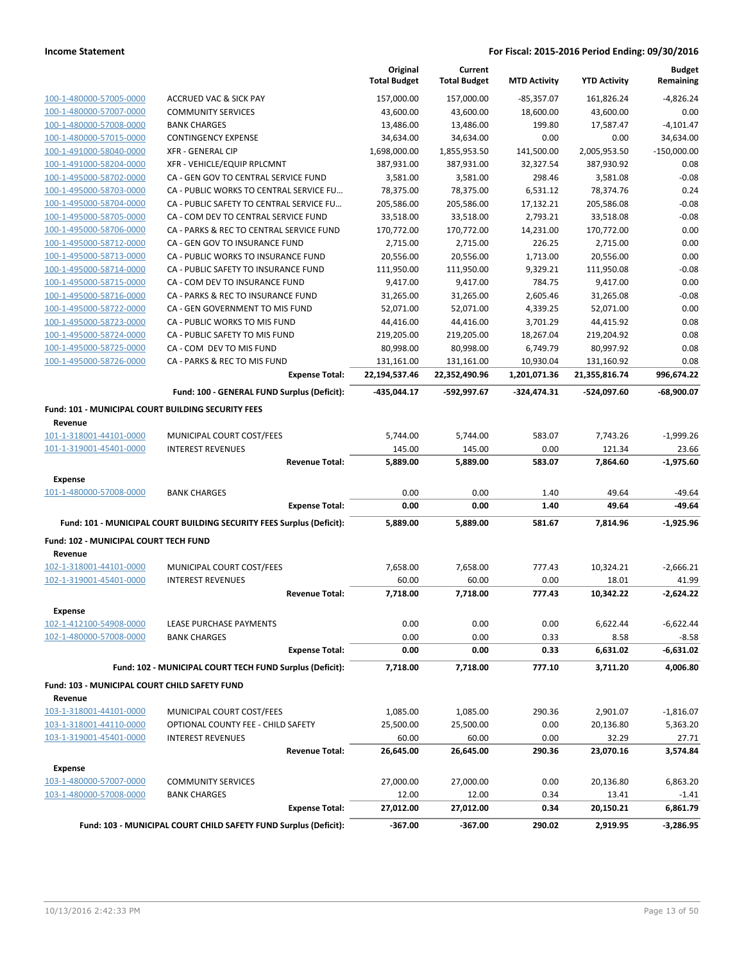|                                                               |                                                                       | Original<br><b>Total Budget</b> | Current<br><b>Total Budget</b> | <b>MTD Activity</b> | <b>YTD Activity</b> | <b>Budget</b><br>Remaining |
|---------------------------------------------------------------|-----------------------------------------------------------------------|---------------------------------|--------------------------------|---------------------|---------------------|----------------------------|
| 100-1-480000-57005-0000                                       | <b>ACCRUED VAC &amp; SICK PAY</b>                                     | 157,000.00                      | 157,000.00                     | -85,357.07          | 161,826.24          | $-4,826.24$                |
| 100-1-480000-57007-0000                                       | <b>COMMUNITY SERVICES</b>                                             | 43,600.00                       | 43,600.00                      | 18,600.00           | 43,600.00           | 0.00                       |
| 100-1-480000-57008-0000                                       | <b>BANK CHARGES</b>                                                   | 13,486.00                       | 13,486.00                      | 199.80              | 17,587.47           | $-4,101.47$                |
| 100-1-480000-57015-0000                                       | <b>CONTINGENCY EXPENSE</b>                                            | 34,634.00                       | 34,634.00                      | 0.00                | 0.00                | 34,634.00                  |
| 100-1-491000-58040-0000                                       | <b>XFR - GENERAL CIP</b>                                              | 1,698,000.00                    | 1,855,953.50                   | 141,500.00          | 2,005,953.50        | $-150,000.00$              |
| 100-1-491000-58204-0000                                       | XFR - VEHICLE/EQUIP RPLCMNT                                           | 387,931.00                      | 387,931.00                     | 32,327.54           | 387,930.92          | 0.08                       |
| 100-1-495000-58702-0000                                       | CA - GEN GOV TO CENTRAL SERVICE FUND                                  | 3,581.00                        | 3,581.00                       | 298.46              | 3,581.08            | $-0.08$                    |
| 100-1-495000-58703-0000                                       | CA - PUBLIC WORKS TO CENTRAL SERVICE FU                               | 78,375.00                       | 78,375.00                      | 6,531.12            | 78,374.76           | 0.24                       |
| 100-1-495000-58704-0000                                       | CA - PUBLIC SAFETY TO CENTRAL SERVICE FU                              | 205,586.00                      | 205,586.00                     | 17,132.21           | 205,586.08          | $-0.08$                    |
| 100-1-495000-58705-0000                                       | CA - COM DEV TO CENTRAL SERVICE FUND                                  | 33,518.00                       | 33,518.00                      | 2,793.21            | 33,518.08           | $-0.08$                    |
| 100-1-495000-58706-0000                                       | CA - PARKS & REC TO CENTRAL SERVICE FUND                              | 170,772.00                      | 170,772.00                     | 14,231.00           | 170,772.00          | 0.00                       |
| 100-1-495000-58712-0000                                       | CA - GEN GOV TO INSURANCE FUND                                        | 2,715.00                        | 2,715.00                       | 226.25              | 2,715.00            | 0.00                       |
| 100-1-495000-58713-0000                                       | CA - PUBLIC WORKS TO INSURANCE FUND                                   | 20,556.00                       | 20,556.00                      | 1,713.00            | 20,556.00           | 0.00                       |
| 100-1-495000-58714-0000                                       | CA - PUBLIC SAFETY TO INSURANCE FUND                                  | 111,950.00                      | 111,950.00                     | 9,329.21            | 111,950.08          | $-0.08$                    |
| 100-1-495000-58715-0000                                       | CA - COM DEV TO INSURANCE FUND                                        | 9,417.00                        | 9,417.00                       | 784.75              | 9,417.00            | 0.00                       |
| 100-1-495000-58716-0000                                       | CA - PARKS & REC TO INSURANCE FUND                                    | 31,265.00                       | 31,265.00                      | 2,605.46            | 31,265.08           | $-0.08$                    |
| 100-1-495000-58722-0000                                       | CA - GEN GOVERNMENT TO MIS FUND                                       | 52,071.00                       | 52,071.00                      | 4,339.25            | 52,071.00           | 0.00                       |
| 100-1-495000-58723-0000                                       | CA - PUBLIC WORKS TO MIS FUND                                         | 44,416.00                       | 44,416.00                      | 3,701.29            | 44,415.92           | 0.08                       |
| 100-1-495000-58724-0000                                       | CA - PUBLIC SAFETY TO MIS FUND                                        | 219,205.00                      | 219,205.00                     | 18,267.04           | 219,204.92          | 0.08                       |
| 100-1-495000-58725-0000                                       | CA - COM DEV TO MIS FUND                                              | 80,998.00                       | 80,998.00                      | 6,749.79            | 80,997.92           | 0.08                       |
| 100-1-495000-58726-0000                                       | CA - PARKS & REC TO MIS FUND                                          | 131,161.00                      | 131,161.00                     | 10,930.04           | 131,160.92          | 0.08                       |
|                                                               | <b>Expense Total:</b>                                                 | 22,194,537.46                   | 22,352,490.96                  | 1,201,071.36        | 21,355,816.74       | 996,674.22                 |
|                                                               | Fund: 100 - GENERAL FUND Surplus (Deficit):                           | -435.044.17                     | -592,997.67                    | $-324,474.31$       | -524,097.60         | $-68,900.07$               |
| Fund: 101 - MUNICIPAL COURT BUILDING SECURITY FEES<br>Revenue |                                                                       |                                 |                                |                     |                     |                            |
| 101-1-318001-44101-0000                                       | MUNICIPAL COURT COST/FEES                                             | 5,744.00                        | 5,744.00                       | 583.07              | 7,743.26            | $-1,999.26$                |
| 101-1-319001-45401-0000                                       | <b>INTEREST REVENUES</b>                                              | 145.00                          | 145.00                         | 0.00                | 121.34              | 23.66                      |
|                                                               | <b>Revenue Total:</b>                                                 | 5,889.00                        | 5,889.00                       | 583.07              | 7,864.60            | $-1,975.60$                |
| <b>Expense</b>                                                |                                                                       |                                 |                                |                     |                     |                            |
| 101-1-480000-57008-0000                                       | <b>BANK CHARGES</b>                                                   | 0.00                            | 0.00                           | 1.40                | 49.64               | -49.64                     |
|                                                               | <b>Expense Total:</b>                                                 | 0.00                            | 0.00                           | 1.40                | 49.64               | -49.64                     |
|                                                               | Fund: 101 - MUNICIPAL COURT BUILDING SECURITY FEES Surplus (Deficit): | 5,889.00                        | 5,889.00                       | 581.67              | 7,814.96            | $-1,925.96$                |
| Fund: 102 - MUNICIPAL COURT TECH FUND                         |                                                                       |                                 |                                |                     |                     |                            |
| Revenue                                                       |                                                                       |                                 |                                |                     |                     |                            |
| 102-1-318001-44101-0000                                       | MUNICIPAL COURT COST/FEES                                             | 7,658.00                        | 7,658.00                       | 777.43              | 10,324.21           | $-2,666.21$                |
| 102-1-319001-45401-0000                                       | <b>INTEREST REVENUES</b>                                              | 60.00                           | 60.00                          | 0.00                | 18.01               | 41.99                      |
|                                                               | <b>Revenue Total:</b>                                                 | 7,718.00                        | 7,718.00                       | 777.43              | 10,342.22           | $-2,624.22$                |
| Expense                                                       |                                                                       |                                 |                                |                     |                     |                            |
| 102-1-412100-54908-0000                                       | LEASE PURCHASE PAYMENTS                                               | 0.00                            | 0.00                           | 0.00                | 6,622.44            | $-6,622.44$                |
| 102-1-480000-57008-0000                                       | <b>BANK CHARGES</b>                                                   | 0.00                            | 0.00                           | 0.33                | 8.58                | $-8.58$                    |
|                                                               | <b>Expense Total:</b>                                                 | 0.00                            | 0.00                           | 0.33                | 6,631.02            | $-6,631.02$                |
|                                                               | Fund: 102 - MUNICIPAL COURT TECH FUND Surplus (Deficit):              | 7,718.00                        | 7,718.00                       | 777.10              | 3,711.20            | 4,006.80                   |
| Fund: 103 - MUNICIPAL COURT CHILD SAFETY FUND                 |                                                                       |                                 |                                |                     |                     |                            |
| Revenue                                                       |                                                                       |                                 |                                |                     |                     |                            |
| 103-1-318001-44101-0000                                       | MUNICIPAL COURT COST/FEES                                             | 1,085.00                        | 1,085.00                       | 290.36              | 2,901.07            | $-1,816.07$                |
| 103-1-318001-44110-0000                                       | OPTIONAL COUNTY FEE - CHILD SAFETY                                    | 25,500.00                       | 25,500.00                      | 0.00                | 20,136.80           | 5,363.20                   |
| 103-1-319001-45401-0000                                       | <b>INTEREST REVENUES</b>                                              | 60.00                           | 60.00                          | 0.00                | 32.29               | 27.71                      |
|                                                               | <b>Revenue Total:</b>                                                 | 26,645.00                       | 26,645.00                      | 290.36              | 23,070.16           | 3,574.84                   |
| <b>Expense</b>                                                |                                                                       |                                 |                                |                     |                     |                            |
| 103-1-480000-57007-0000                                       | <b>COMMUNITY SERVICES</b>                                             | 27,000.00                       | 27,000.00                      | 0.00                | 20,136.80           | 6,863.20                   |
| 103-1-480000-57008-0000                                       | <b>BANK CHARGES</b>                                                   | 12.00                           | 12.00                          | 0.34                | 13.41               | $-1.41$                    |
|                                                               | <b>Expense Total:</b>                                                 | 27,012.00                       | 27,012.00                      | 0.34                | 20,150.21           | 6,861.79                   |
|                                                               | Fund: 103 - MUNICIPAL COURT CHILD SAFETY FUND Surplus (Deficit):      | $-367.00$                       | $-367.00$                      | 290.02              | 2,919.95            | $-3,286.95$                |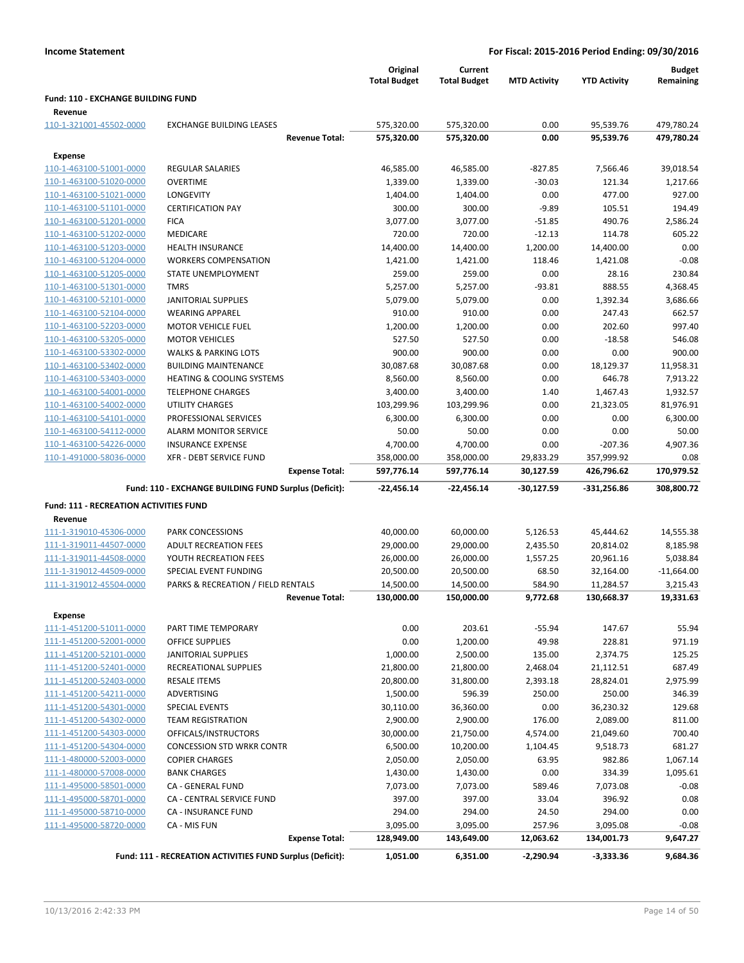|                                                    |                                                           | Original<br><b>Total Budget</b> | Current<br><b>Total Budget</b> | <b>MTD Activity</b>    | <b>YTD Activity</b>      | <b>Budget</b><br>Remaining |
|----------------------------------------------------|-----------------------------------------------------------|---------------------------------|--------------------------------|------------------------|--------------------------|----------------------------|
| <b>Fund: 110 - EXCHANGE BUILDING FUND</b>          |                                                           |                                 |                                |                        |                          |                            |
| Revenue                                            |                                                           |                                 |                                |                        |                          |                            |
| 110-1-321001-45502-0000                            | <b>EXCHANGE BUILDING LEASES</b><br><b>Revenue Total:</b>  | 575,320.00<br>575,320.00        | 575,320.00<br>575,320.00       | 0.00<br>0.00           | 95,539.76<br>95,539.76   | 479,780.24<br>479,780.24   |
|                                                    |                                                           |                                 |                                |                        |                          |                            |
| <b>Expense</b>                                     |                                                           |                                 |                                |                        |                          |                            |
| 110-1-463100-51001-0000                            | <b>REGULAR SALARIES</b>                                   | 46,585.00                       | 46,585.00                      | $-827.85$              | 7,566.46                 | 39,018.54                  |
| 110-1-463100-51020-0000                            | <b>OVERTIME</b>                                           | 1,339.00                        | 1,339.00                       | $-30.03$               | 121.34                   | 1,217.66                   |
| 110-1-463100-51021-0000                            | LONGEVITY                                                 | 1,404.00                        | 1,404.00                       | 0.00<br>$-9.89$        | 477.00                   | 927.00                     |
| 110-1-463100-51101-0000<br>110-1-463100-51201-0000 | <b>CERTIFICATION PAY</b>                                  | 300.00<br>3,077.00              | 300.00                         |                        | 105.51                   | 194.49                     |
| 110-1-463100-51202-0000                            | <b>FICA</b>                                               |                                 | 3,077.00                       | $-51.85$               | 490.76                   | 2,586.24                   |
|                                                    | <b>MEDICARE</b><br>HEALTH INSURANCE                       | 720.00                          | 720.00                         | $-12.13$               | 114.78<br>14,400.00      | 605.22<br>0.00             |
| 110-1-463100-51203-0000<br>110-1-463100-51204-0000 | <b>WORKERS COMPENSATION</b>                               | 14,400.00<br>1,421.00           | 14,400.00<br>1,421.00          | 1,200.00<br>118.46     | 1,421.08                 | $-0.08$                    |
| 110-1-463100-51205-0000                            | STATE UNEMPLOYMENT                                        | 259.00                          | 259.00                         | 0.00                   | 28.16                    | 230.84                     |
|                                                    | <b>TMRS</b>                                               |                                 |                                | $-93.81$               |                          |                            |
| 110-1-463100-51301-0000                            | <b>JANITORIAL SUPPLIES</b>                                | 5,257.00<br>5,079.00            | 5,257.00<br>5,079.00           |                        | 888.55                   | 4,368.45                   |
| 110-1-463100-52101-0000                            | <b>WEARING APPAREL</b>                                    |                                 | 910.00                         | 0.00                   | 1,392.34<br>247.43       | 3,686.66<br>662.57         |
| 110-1-463100-52104-0000<br>110-1-463100-52203-0000 | <b>MOTOR VEHICLE FUEL</b>                                 | 910.00<br>1,200.00              | 1,200.00                       | 0.00<br>0.00           | 202.60                   | 997.40                     |
| 110-1-463100-53205-0000                            | <b>MOTOR VEHICLES</b>                                     | 527.50                          | 527.50                         | 0.00                   | $-18.58$                 | 546.08                     |
|                                                    | <b>WALKS &amp; PARKING LOTS</b>                           |                                 |                                |                        | 0.00                     | 900.00                     |
| 110-1-463100-53302-0000                            | <b>BUILDING MAINTENANCE</b>                               | 900.00                          | 900.00<br>30,087.68            | 0.00                   |                          |                            |
| 110-1-463100-53402-0000                            | <b>HEATING &amp; COOLING SYSTEMS</b>                      | 30,087.68                       |                                | 0.00                   | 18,129.37                | 11,958.31                  |
| 110-1-463100-53403-0000                            | <b>TELEPHONE CHARGES</b>                                  | 8,560.00                        | 8,560.00                       | 0.00<br>1.40           | 646.78                   | 7,913.22<br>1,932.57       |
| 110-1-463100-54001-0000                            | <b>UTILITY CHARGES</b>                                    | 3,400.00                        | 3,400.00<br>103,299.96         | 0.00                   | 1,467.43<br>21,323.05    |                            |
| 110-1-463100-54002-0000                            |                                                           | 103,299.96                      |                                |                        |                          | 81,976.91                  |
| 110-1-463100-54101-0000                            | PROFESSIONAL SERVICES                                     | 6,300.00                        | 6,300.00                       | 0.00                   | 0.00                     | 6,300.00                   |
| 110-1-463100-54112-0000                            | <b>ALARM MONITOR SERVICE</b>                              | 50.00                           | 50.00                          | 0.00                   | 0.00                     | 50.00                      |
| 110-1-463100-54226-0000                            | <b>INSURANCE EXPENSE</b>                                  | 4,700.00                        | 4,700.00                       | 0.00                   | $-207.36$                | 4,907.36                   |
| 110-1-491000-58036-0000                            | XFR - DEBT SERVICE FUND<br><b>Expense Total:</b>          | 358,000.00<br>597,776.14        | 358,000.00<br>597,776.14       | 29,833.29<br>30,127.59 | 357,999.92<br>426,796.62 | 0.08<br>170,979.52         |
|                                                    | Fund: 110 - EXCHANGE BUILDING FUND Surplus (Deficit):     | -22,456.14                      | -22,456.14                     | -30,127.59             | -331,256.86              | 308,800.72                 |
| <b>Fund: 111 - RECREATION ACTIVITIES FUND</b>      |                                                           |                                 |                                |                        |                          |                            |
| Revenue                                            |                                                           |                                 |                                |                        |                          |                            |
| 111-1-319010-45306-0000                            | PARK CONCESSIONS                                          | 40,000.00                       | 60,000.00                      | 5,126.53               | 45,444.62                | 14,555.38                  |
| 111-1-319011-44507-0000                            | <b>ADULT RECREATION FEES</b>                              | 29,000.00                       | 29,000.00                      | 2,435.50               | 20,814.02                | 8,185.98                   |
| 111-1-319011-44508-0000                            | YOUTH RECREATION FEES                                     | 26,000.00                       | 26,000.00                      | 1,557.25               | 20,961.16                | 5,038.84                   |
| 111-1-319012-44509-0000                            | SPECIAL EVENT FUNDING                                     | 20,500.00                       | 20,500.00                      | 68.50                  | 32,164.00                | $-11,664.00$               |
| 111-1-319012-45504-0000                            | PARKS & RECREATION / FIELD RENTALS                        | 14,500.00                       | 14,500.00                      | 584.90                 | 11,284.57                | 3,215.43                   |
|                                                    | <b>Revenue Total:</b>                                     | 130,000.00                      | 150,000.00                     | 9,772.68               | 130,668.37               | 19,331.63                  |
| <b>Expense</b>                                     |                                                           |                                 |                                |                        |                          |                            |
| 111-1-451200-51011-0000                            | PART TIME TEMPORARY                                       | 0.00                            | 203.61                         | $-55.94$               | 147.67                   | 55.94                      |
| 111-1-451200-52001-0000                            | <b>OFFICE SUPPLIES</b>                                    | 0.00                            | 1,200.00                       | 49.98                  | 228.81                   | 971.19                     |
| 111-1-451200-52101-0000                            | <b>JANITORIAL SUPPLIES</b>                                | 1,000.00                        | 2,500.00                       | 135.00                 | 2,374.75                 | 125.25                     |
| 111-1-451200-52401-0000                            | <b>RECREATIONAL SUPPLIES</b>                              | 21,800.00                       | 21,800.00                      | 2,468.04               | 21,112.51                | 687.49                     |
| 111-1-451200-52403-0000                            | <b>RESALE ITEMS</b>                                       | 20,800.00                       | 31,800.00                      | 2,393.18               | 28,824.01                | 2,975.99                   |
| 111-1-451200-54211-0000                            | ADVERTISING                                               | 1,500.00                        | 596.39                         | 250.00                 | 250.00                   | 346.39                     |
| 111-1-451200-54301-0000                            | <b>SPECIAL EVENTS</b>                                     | 30,110.00                       | 36,360.00                      | 0.00                   | 36,230.32                | 129.68                     |
| 111-1-451200-54302-0000                            | <b>TEAM REGISTRATION</b>                                  | 2,900.00                        | 2,900.00                       | 176.00                 | 2,089.00                 | 811.00                     |
| 111-1-451200-54303-0000                            | OFFICALS/INSTRUCTORS                                      | 30,000.00                       | 21,750.00                      | 4,574.00               | 21,049.60                | 700.40                     |
| 111-1-451200-54304-0000                            | <b>CONCESSION STD WRKR CONTR</b>                          | 6,500.00                        | 10,200.00                      | 1,104.45               | 9,518.73                 | 681.27                     |
| 111-1-480000-52003-0000                            | <b>COPIER CHARGES</b>                                     | 2,050.00                        | 2,050.00                       | 63.95                  | 982.86                   | 1,067.14                   |
| 111-1-480000-57008-0000                            | <b>BANK CHARGES</b>                                       | 1,430.00                        | 1,430.00                       | 0.00                   | 334.39                   | 1,095.61                   |
| 111-1-495000-58501-0000                            | CA - GENERAL FUND                                         | 7,073.00                        | 7,073.00                       | 589.46                 | 7,073.08                 | $-0.08$                    |
| 111-1-495000-58701-0000                            | CA - CENTRAL SERVICE FUND                                 | 397.00                          | 397.00                         | 33.04                  | 396.92                   | 0.08                       |
| 111-1-495000-58710-0000                            | CA - INSURANCE FUND                                       | 294.00                          | 294.00                         | 24.50                  | 294.00                   | 0.00                       |
| 111-1-495000-58720-0000                            | CA - MIS FUN                                              | 3,095.00                        | 3,095.00                       | 257.96                 | 3,095.08                 | $-0.08$                    |
|                                                    | <b>Expense Total:</b>                                     | 128,949.00                      | 143,649.00                     | 12,063.62              | 134,001.73               | 9,647.27                   |
|                                                    | Fund: 111 - RECREATION ACTIVITIES FUND Surplus (Deficit): | 1,051.00                        | 6,351.00                       | $-2,290.94$            | $-3,333.36$              | 9,684.36                   |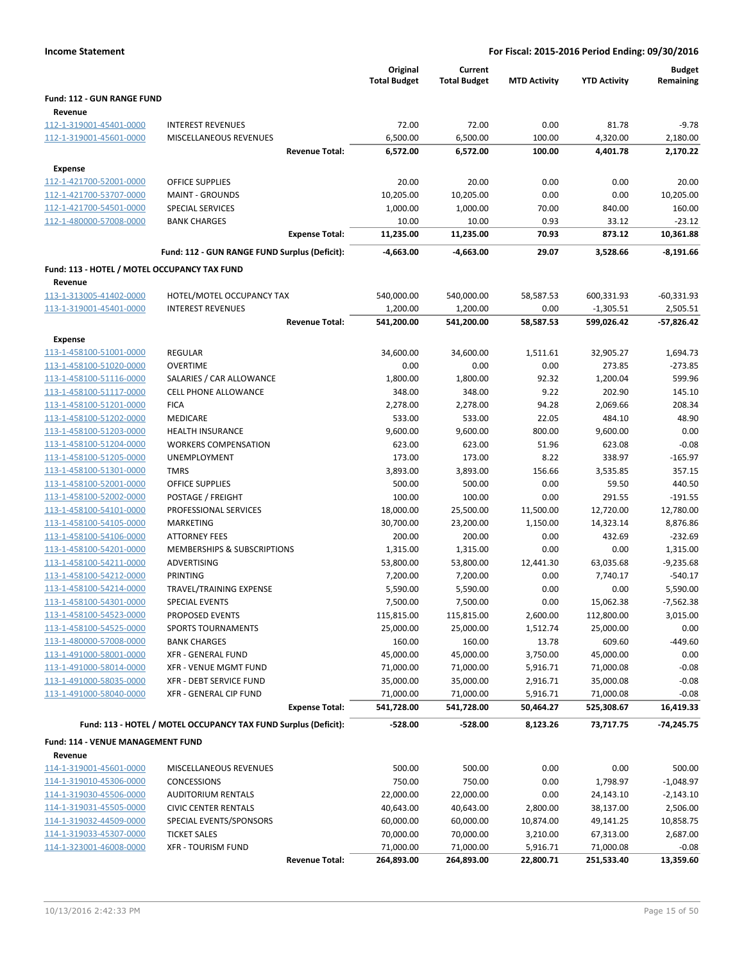|                                                    |                                                                 | Original               | Current                 |                      |                        | <b>Budget</b>   |
|----------------------------------------------------|-----------------------------------------------------------------|------------------------|-------------------------|----------------------|------------------------|-----------------|
|                                                    |                                                                 | <b>Total Budget</b>    | <b>Total Budget</b>     | <b>MTD Activity</b>  | <b>YTD Activity</b>    | Remaining       |
| <b>Fund: 112 - GUN RANGE FUND</b>                  |                                                                 |                        |                         |                      |                        |                 |
| Revenue                                            |                                                                 |                        |                         |                      |                        |                 |
| 112-1-319001-45401-0000                            | <b>INTEREST REVENUES</b>                                        | 72.00                  | 72.00                   | 0.00                 | 81.78                  | $-9.78$         |
| 112-1-319001-45601-0000                            | <b>MISCELLANEOUS REVENUES</b>                                   | 6,500.00               | 6,500.00                | 100.00               | 4,320.00               | 2,180.00        |
|                                                    | <b>Revenue Total:</b>                                           | 6,572.00               | 6,572.00                | 100.00               | 4,401.78               | 2,170.22        |
| Expense                                            |                                                                 |                        |                         |                      |                        |                 |
| 112-1-421700-52001-0000                            | <b>OFFICE SUPPLIES</b>                                          | 20.00                  | 20.00                   | 0.00                 | 0.00                   | 20.00           |
| 112-1-421700-53707-0000                            | <b>MAINT - GROUNDS</b>                                          | 10,205.00              | 10,205.00               | 0.00                 | 0.00                   | 10,205.00       |
| 112-1-421700-54501-0000                            | SPECIAL SERVICES                                                | 1,000.00               | 1,000.00                | 70.00                | 840.00                 | 160.00          |
| 112-1-480000-57008-0000                            | <b>BANK CHARGES</b>                                             | 10.00                  | 10.00                   | 0.93                 | 33.12                  | $-23.12$        |
|                                                    | <b>Expense Total:</b>                                           | 11,235.00              | 11,235.00               | 70.93                | 873.12                 | 10,361.88       |
|                                                    | Fund: 112 - GUN RANGE FUND Surplus (Deficit):                   | -4,663.00              | -4,663.00               | 29.07                | 3,528.66               | $-8,191.66$     |
| Fund: 113 - HOTEL / MOTEL OCCUPANCY TAX FUND       |                                                                 |                        |                         |                      |                        |                 |
| Revenue                                            |                                                                 |                        |                         |                      |                        |                 |
| 113-1-313005-41402-0000                            | HOTEL/MOTEL OCCUPANCY TAX                                       | 540,000.00             | 540,000.00              | 58,587.53            | 600,331.93             | $-60,331.93$    |
| 113-1-319001-45401-0000                            | <b>INTEREST REVENUES</b>                                        | 1,200.00               | 1,200.00                | 0.00                 | $-1,305.51$            | 2,505.51        |
|                                                    | <b>Revenue Total:</b>                                           | 541,200.00             | 541,200.00              | 58,587.53            | 599,026.42             | $-57,826.42$    |
| Expense                                            |                                                                 |                        |                         |                      |                        |                 |
| 113-1-458100-51001-0000                            | <b>REGULAR</b>                                                  | 34,600.00              | 34,600.00               | 1,511.61             | 32,905.27              | 1,694.73        |
| 113-1-458100-51020-0000                            | <b>OVERTIME</b>                                                 | 0.00                   | 0.00                    | 0.00                 | 273.85                 | $-273.85$       |
| 113-1-458100-51116-0000                            | SALARIES / CAR ALLOWANCE                                        | 1,800.00               | 1,800.00                | 92.32                | 1,200.04               | 599.96          |
| 113-1-458100-51117-0000                            | <b>CELL PHONE ALLOWANCE</b>                                     | 348.00                 | 348.00                  | 9.22                 | 202.90                 | 145.10          |
| 113-1-458100-51201-0000                            | <b>FICA</b>                                                     | 2,278.00               | 2,278.00                | 94.28                | 2,069.66               | 208.34          |
| 113-1-458100-51202-0000                            | MEDICARE                                                        | 533.00                 | 533.00                  | 22.05                | 484.10                 | 48.90           |
| 113-1-458100-51203-0000                            | <b>HEALTH INSURANCE</b>                                         | 9,600.00               | 9,600.00                | 800.00               | 9,600.00               | 0.00            |
| 113-1-458100-51204-0000                            | <b>WORKERS COMPENSATION</b>                                     | 623.00                 | 623.00                  | 51.96                | 623.08                 | $-0.08$         |
| 113-1-458100-51205-0000                            | <b>UNEMPLOYMENT</b>                                             | 173.00                 | 173.00                  | 8.22                 | 338.97                 | $-165.97$       |
| 113-1-458100-51301-0000                            | <b>TMRS</b>                                                     | 3,893.00               | 3,893.00                | 156.66               | 3,535.85               | 357.15          |
| 113-1-458100-52001-0000                            | <b>OFFICE SUPPLIES</b>                                          | 500.00                 | 500.00                  | 0.00                 | 59.50                  | 440.50          |
| 113-1-458100-52002-0000                            | POSTAGE / FREIGHT                                               | 100.00                 | 100.00                  | 0.00                 | 291.55                 | $-191.55$       |
| 113-1-458100-54101-0000                            | PROFESSIONAL SERVICES                                           | 18,000.00              | 25,500.00               | 11,500.00            | 12,720.00              | 12,780.00       |
| 113-1-458100-54105-0000                            | <b>MARKETING</b>                                                | 30,700.00              | 23,200.00               | 1,150.00             | 14,323.14              | 8,876.86        |
| 113-1-458100-54106-0000                            | <b>ATTORNEY FEES</b>                                            | 200.00                 | 200.00                  | 0.00                 | 432.69                 | $-232.69$       |
| 113-1-458100-54201-0000                            | MEMBERSHIPS & SUBSCRIPTIONS                                     | 1,315.00               | 1,315.00                | 0.00                 | 0.00                   | 1,315.00        |
| 113-1-458100-54211-0000                            | ADVERTISING                                                     | 53,800.00              | 53,800.00               | 12,441.30            | 63,035.68              | $-9,235.68$     |
| 113-1-458100-54212-0000                            | <b>PRINTING</b>                                                 | 7,200.00               | 7,200.00                | 0.00                 | 7,740.17               | $-540.17$       |
| 113-1-458100-54214-0000                            | TRAVEL/TRAINING EXPENSE                                         | 5,590.00               | 5,590.00                | 0.00                 | 0.00                   | 5,590.00        |
| 113-1-458100-54301-0000                            | SPECIAL EVENTS                                                  | 7,500.00               | 7,500.00                | 0.00                 | 15,062.38              | $-7,562.38$     |
| 113-1-458100-54523-0000                            | PROPOSED EVENTS                                                 | 115,815.00             | 115,815.00              | 2,600.00             | 112,800.00             | 3,015.00        |
| 113-1-458100-54525-0000                            | <b>SPORTS TOURNAMENTS</b>                                       | 25,000.00              | 25,000.00               | 1,512.74             | 25,000.00              | 0.00            |
| 113-1-480000-57008-0000                            | <b>BANK CHARGES</b>                                             | 160.00                 | 160.00                  | 13.78                | 609.60                 | $-449.60$       |
| 113-1-491000-58001-0000                            | XFR - GENERAL FUND<br><b>XFR - VENUE MGMT FUND</b>              | 45,000.00              | 45,000.00               | 3,750.00             | 45,000.00              | 0.00<br>$-0.08$ |
| 113-1-491000-58014-0000                            |                                                                 | 71,000.00              | 71,000.00               | 5,916.71             | 71,000.08              | $-0.08$         |
| 113-1-491000-58035-0000<br>113-1-491000-58040-0000 | XFR - DEBT SERVICE FUND<br>XFR - GENERAL CIP FUND               | 35,000.00<br>71,000.00 | 35,000.00               | 2,916.71<br>5,916.71 | 35,000.08<br>71,000.08 | $-0.08$         |
|                                                    | <b>Expense Total:</b>                                           | 541,728.00             | 71,000.00<br>541,728.00 | 50,464.27            | 525,308.67             | 16,419.33       |
|                                                    |                                                                 |                        |                         |                      |                        |                 |
|                                                    | Fund: 113 - HOTEL / MOTEL OCCUPANCY TAX FUND Surplus (Deficit): | $-528.00$              | $-528.00$               | 8,123.26             | 73,717.75              | $-74,245.75$    |
| Fund: 114 - VENUE MANAGEMENT FUND                  |                                                                 |                        |                         |                      |                        |                 |
| Revenue                                            |                                                                 |                        |                         |                      |                        |                 |
| 114-1-319001-45601-0000                            | MISCELLANEOUS REVENUES                                          | 500.00                 | 500.00                  | 0.00                 | 0.00                   | 500.00          |
| 114-1-319010-45306-0000                            | <b>CONCESSIONS</b>                                              | 750.00                 | 750.00                  | 0.00                 | 1,798.97               | $-1,048.97$     |
| 114-1-319030-45506-0000                            | <b>AUDITORIUM RENTALS</b>                                       | 22,000.00              | 22,000.00               | 0.00                 | 24,143.10              | $-2,143.10$     |
| 114-1-319031-45505-0000                            | <b>CIVIC CENTER RENTALS</b>                                     | 40,643.00              | 40,643.00               | 2,800.00             | 38,137.00              | 2,506.00        |
| 114-1-319032-44509-0000                            | SPECIAL EVENTS/SPONSORS                                         | 60,000.00              | 60,000.00               | 10,874.00            | 49,141.25              | 10,858.75       |
| 114-1-319033-45307-0000                            | <b>TICKET SALES</b>                                             | 70,000.00              | 70,000.00               | 3,210.00             | 67,313.00              | 2,687.00        |
| 114-1-323001-46008-0000                            | <b>XFR - TOURISM FUND</b>                                       | 71,000.00              | 71,000.00               | 5,916.71             | 71,000.08              | $-0.08$         |
|                                                    | <b>Revenue Total:</b>                                           | 264,893.00             | 264,893.00              | 22,800.71            | 251,533.40             | 13,359.60       |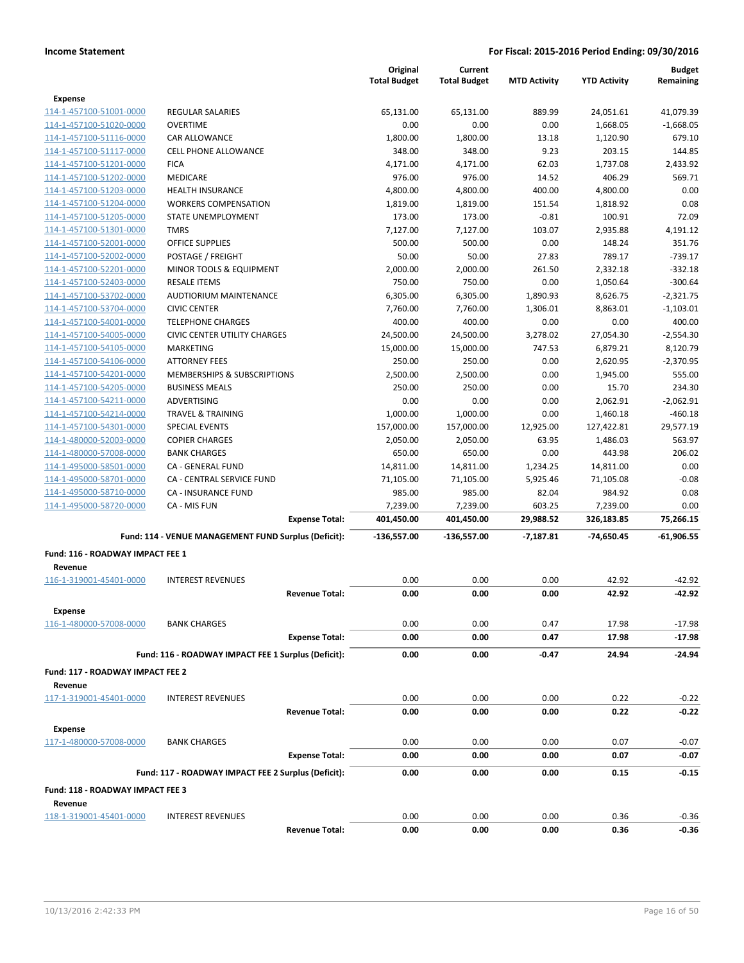|                                  |                                                      | Original<br><b>Total Budget</b> | Current<br><b>Total Budget</b> | <b>MTD Activity</b> | <b>YTD Activity</b> | <b>Budget</b><br>Remaining |
|----------------------------------|------------------------------------------------------|---------------------------------|--------------------------------|---------------------|---------------------|----------------------------|
| <b>Expense</b>                   |                                                      |                                 |                                |                     |                     |                            |
| 114-1-457100-51001-0000          | <b>REGULAR SALARIES</b>                              | 65,131.00                       | 65,131.00                      | 889.99              | 24,051.61           | 41,079.39                  |
| 114-1-457100-51020-0000          | <b>OVERTIME</b>                                      | 0.00                            | 0.00                           | 0.00                | 1,668.05            | $-1,668.05$                |
| 114-1-457100-51116-0000          | CAR ALLOWANCE                                        | 1,800.00                        | 1,800.00                       | 13.18               | 1,120.90            | 679.10                     |
| 114-1-457100-51117-0000          | <b>CELL PHONE ALLOWANCE</b>                          | 348.00                          | 348.00                         | 9.23                | 203.15              | 144.85                     |
| 114-1-457100-51201-0000          | <b>FICA</b>                                          | 4,171.00                        | 4,171.00                       | 62.03               | 1,737.08            | 2,433.92                   |
| 114-1-457100-51202-0000          | MEDICARE                                             | 976.00                          | 976.00                         | 14.52               | 406.29              | 569.71                     |
| 114-1-457100-51203-0000          | <b>HEALTH INSURANCE</b>                              | 4,800.00                        | 4,800.00                       | 400.00              | 4,800.00            | 0.00                       |
| 114-1-457100-51204-0000          | <b>WORKERS COMPENSATION</b>                          | 1,819.00                        | 1,819.00                       | 151.54              | 1,818.92            | 0.08                       |
| 114-1-457100-51205-0000          | STATE UNEMPLOYMENT                                   | 173.00                          | 173.00                         | $-0.81$             | 100.91              | 72.09                      |
| 114-1-457100-51301-0000          | <b>TMRS</b>                                          | 7,127.00                        | 7,127.00                       | 103.07              | 2,935.88            | 4,191.12                   |
| 114-1-457100-52001-0000          | <b>OFFICE SUPPLIES</b>                               | 500.00                          | 500.00                         | 0.00                | 148.24              | 351.76                     |
| 114-1-457100-52002-0000          | POSTAGE / FREIGHT                                    | 50.00                           | 50.00                          | 27.83               | 789.17              | $-739.17$                  |
| 114-1-457100-52201-0000          | MINOR TOOLS & EQUIPMENT                              | 2,000.00                        | 2,000.00                       | 261.50              | 2,332.18            | $-332.18$                  |
| 114-1-457100-52403-0000          | <b>RESALE ITEMS</b>                                  | 750.00                          | 750.00                         | 0.00                | 1,050.64            | $-300.64$                  |
| 114-1-457100-53702-0000          | AUDTIORIUM MAINTENANCE                               | 6,305.00                        | 6,305.00                       | 1,890.93            | 8,626.75            | $-2,321.75$                |
| 114-1-457100-53704-0000          | <b>CIVIC CENTER</b>                                  | 7,760.00                        | 7,760.00                       | 1,306.01            | 8,863.01            | $-1,103.01$                |
| 114-1-457100-54001-0000          | <b>TELEPHONE CHARGES</b>                             | 400.00                          | 400.00                         | 0.00                | 0.00                | 400.00                     |
| 114-1-457100-54005-0000          | <b>CIVIC CENTER UTILITY CHARGES</b>                  | 24,500.00                       | 24,500.00                      | 3,278.02            | 27,054.30           | $-2,554.30$                |
| 114-1-457100-54105-0000          | <b>MARKETING</b>                                     | 15,000.00                       | 15,000.00                      | 747.53              | 6,879.21            | 8,120.79                   |
| 114-1-457100-54106-0000          | <b>ATTORNEY FEES</b>                                 | 250.00                          | 250.00                         | 0.00                | 2,620.95            | $-2,370.95$                |
| 114-1-457100-54201-0000          | MEMBERSHIPS & SUBSCRIPTIONS                          | 2,500.00                        | 2,500.00                       | 0.00                | 1,945.00            | 555.00                     |
| 114-1-457100-54205-0000          | <b>BUSINESS MEALS</b>                                | 250.00                          | 250.00                         | 0.00                | 15.70               | 234.30                     |
| 114-1-457100-54211-0000          | ADVERTISING                                          | 0.00                            | 0.00                           | 0.00                | 2,062.91            | $-2,062.91$                |
| 114-1-457100-54214-0000          | <b>TRAVEL &amp; TRAINING</b>                         | 1,000.00                        | 1,000.00                       | 0.00                | 1,460.18            | $-460.18$                  |
| 114-1-457100-54301-0000          | <b>SPECIAL EVENTS</b>                                | 157,000.00                      | 157,000.00                     | 12,925.00           | 127,422.81          | 29,577.19                  |
| 114-1-480000-52003-0000          | <b>COPIER CHARGES</b>                                | 2,050.00                        | 2,050.00                       | 63.95               | 1,486.03            | 563.97                     |
| 114-1-480000-57008-0000          | <b>BANK CHARGES</b>                                  | 650.00                          | 650.00                         | 0.00                | 443.98              | 206.02                     |
| 114-1-495000-58501-0000          | CA - GENERAL FUND                                    | 14,811.00                       | 14,811.00                      | 1,234.25            | 14,811.00           | 0.00                       |
| 114-1-495000-58701-0000          | CA - CENTRAL SERVICE FUND                            | 71,105.00                       | 71,105.00                      | 5,925.46            | 71,105.08           | $-0.08$                    |
| 114-1-495000-58710-0000          | CA - INSURANCE FUND                                  | 985.00                          | 985.00                         | 82.04               | 984.92              | 0.08                       |
| 114-1-495000-58720-0000          | CA - MIS FUN                                         | 7,239.00                        | 7,239.00                       | 603.25              | 7,239.00            | 0.00                       |
|                                  | <b>Expense Total:</b>                                | 401,450.00                      | 401,450.00                     | 29,988.52           | 326,183.85          | 75,266.15                  |
|                                  | Fund: 114 - VENUE MANAGEMENT FUND Surplus (Deficit): | $-136,557.00$                   | $-136,557.00$                  | $-7,187.81$         | -74,650.45          | $-61,906.55$               |
| Fund: 116 - ROADWAY IMPACT FEE 1 |                                                      |                                 |                                |                     |                     |                            |
| Revenue                          |                                                      |                                 |                                |                     |                     |                            |
| 116-1-319001-45401-0000          | <b>INTEREST REVENUES</b>                             | 0.00                            | 0.00                           | 0.00                | 42.92               | $-42.92$                   |
|                                  | <b>Revenue Total:</b>                                | 0.00                            | 0.00                           | 0.00                | 42.92               | $-42.92$                   |
| <b>Expense</b>                   |                                                      |                                 |                                |                     |                     |                            |
| 116-1-480000-57008-0000          | <b>BANK CHARGES</b>                                  | 0.00                            | 0.00                           | 0.47                | 17.98               | $-17.98$                   |
|                                  | <b>Expense Total:</b>                                | 0.00                            | 0.00                           | 0.47                | 17.98               | $-17.98$                   |
|                                  | Fund: 116 - ROADWAY IMPACT FEE 1 Surplus (Deficit):  | 0.00                            | 0.00                           | -0.47               | 24.94               | $-24.94$                   |
| Fund: 117 - ROADWAY IMPACT FEE 2 |                                                      |                                 |                                |                     |                     |                            |
| Revenue                          |                                                      | 0.00                            |                                |                     | 0.22                |                            |
| 117-1-319001-45401-0000          | <b>INTEREST REVENUES</b><br><b>Revenue Total:</b>    | 0.00                            | 0.00<br>0.00                   | 0.00<br>0.00        | 0.22                | $-0.22$<br>$-0.22$         |
|                                  |                                                      |                                 |                                |                     |                     |                            |
| <b>Expense</b>                   |                                                      |                                 |                                |                     |                     |                            |
| 117-1-480000-57008-0000          | <b>BANK CHARGES</b>                                  | 0.00                            | 0.00                           | 0.00                | 0.07                | $-0.07$                    |
|                                  | <b>Expense Total:</b>                                | 0.00                            | 0.00                           | 0.00                | 0.07                | $-0.07$                    |
|                                  | Fund: 117 - ROADWAY IMPACT FEE 2 Surplus (Deficit):  | 0.00                            | 0.00                           | 0.00                | 0.15                | $-0.15$                    |
| Fund: 118 - ROADWAY IMPACT FEE 3 |                                                      |                                 |                                |                     |                     |                            |
| Revenue                          |                                                      |                                 |                                |                     |                     |                            |
| 118-1-319001-45401-0000          | <b>INTEREST REVENUES</b>                             | 0.00                            | 0.00                           | 0.00                | 0.36                | $-0.36$                    |
|                                  | <b>Revenue Total:</b>                                | 0.00                            | 0.00                           | 0.00                | 0.36                | $-0.36$                    |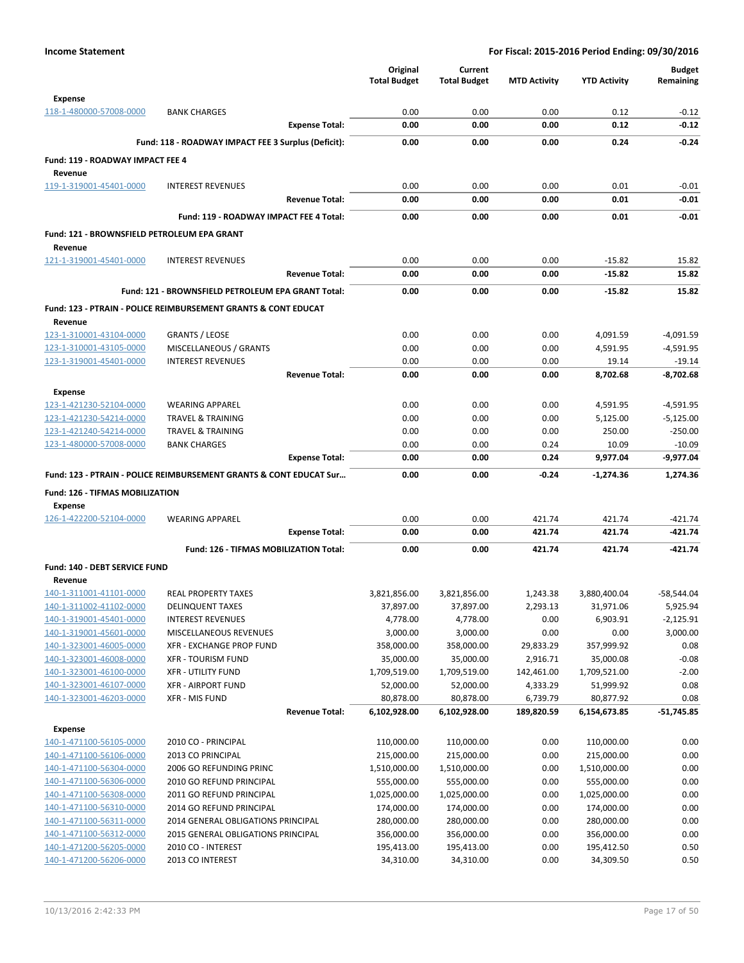|                                             |                                                                    | Original            | Current             |                     |                     | <b>Budget</b> |
|---------------------------------------------|--------------------------------------------------------------------|---------------------|---------------------|---------------------|---------------------|---------------|
|                                             |                                                                    | <b>Total Budget</b> | <b>Total Budget</b> | <b>MTD Activity</b> | <b>YTD Activity</b> | Remaining     |
| <b>Expense</b>                              |                                                                    |                     |                     |                     |                     |               |
| 118-1-480000-57008-0000                     | <b>BANK CHARGES</b>                                                | 0.00                | 0.00                | 0.00                | 0.12                | $-0.12$       |
|                                             | <b>Expense Total:</b>                                              | 0.00                | 0.00                | 0.00                | 0.12                | $-0.12$       |
|                                             |                                                                    |                     |                     |                     |                     |               |
|                                             | Fund: 118 - ROADWAY IMPACT FEE 3 Surplus (Deficit):                | 0.00                | 0.00                | 0.00                | 0.24                | $-0.24$       |
| Fund: 119 - ROADWAY IMPACT FEE 4            |                                                                    |                     |                     |                     |                     |               |
| Revenue                                     |                                                                    |                     |                     |                     |                     |               |
| 119-1-319001-45401-0000                     | <b>INTEREST REVENUES</b>                                           | 0.00                | 0.00                | 0.00                | 0.01                | $-0.01$       |
|                                             | <b>Revenue Total:</b>                                              | 0.00                | 0.00                | 0.00                | 0.01                | $-0.01$       |
|                                             | Fund: 119 - ROADWAY IMPACT FEE 4 Total:                            | 0.00                | 0.00                | 0.00                | 0.01                | $-0.01$       |
|                                             |                                                                    |                     |                     |                     |                     |               |
| Fund: 121 - BROWNSFIELD PETROLEUM EPA GRANT |                                                                    |                     |                     |                     |                     |               |
| Revenue                                     |                                                                    |                     |                     |                     |                     |               |
| 121-1-319001-45401-0000                     | <b>INTEREST REVENUES</b>                                           | 0.00                | 0.00                | 0.00                | $-15.82$            | 15.82         |
|                                             | <b>Revenue Total:</b>                                              | 0.00                | 0.00                | 0.00                | $-15.82$            | 15.82         |
|                                             | Fund: 121 - BROWNSFIELD PETROLEUM EPA GRANT Total:                 | 0.00                | 0.00                | 0.00                | $-15.82$            | 15.82         |
|                                             | Fund: 123 - PTRAIN - POLICE REIMBURSEMENT GRANTS & CONT EDUCAT     |                     |                     |                     |                     |               |
| Revenue                                     |                                                                    |                     |                     |                     |                     |               |
| 123-1-310001-43104-0000                     | <b>GRANTS / LEOSE</b>                                              | 0.00                | 0.00                | 0.00                | 4,091.59            | $-4,091.59$   |
| 123-1-310001-43105-0000                     | MISCELLANEOUS / GRANTS                                             | 0.00                | 0.00                | 0.00                | 4,591.95            | $-4,591.95$   |
| 123-1-319001-45401-0000                     | <b>INTEREST REVENUES</b>                                           | 0.00                | 0.00                | 0.00                | 19.14               | $-19.14$      |
|                                             | <b>Revenue Total:</b>                                              | 0.00                | 0.00                | 0.00                | 8,702.68            | $-8,702.68$   |
|                                             |                                                                    |                     |                     |                     |                     |               |
| Expense                                     |                                                                    |                     |                     |                     |                     |               |
| 123-1-421230-52104-0000                     | <b>WEARING APPAREL</b>                                             | 0.00                | 0.00                | 0.00                | 4,591.95            | $-4,591.95$   |
| 123-1-421230-54214-0000                     | <b>TRAVEL &amp; TRAINING</b>                                       | 0.00                | 0.00                | 0.00                | 5,125.00            | $-5,125.00$   |
| 123-1-421240-54214-0000                     | <b>TRAVEL &amp; TRAINING</b>                                       | 0.00                | 0.00                | 0.00                | 250.00              | $-250.00$     |
| 123-1-480000-57008-0000                     | <b>BANK CHARGES</b>                                                | 0.00                | 0.00                | 0.24                | 10.09               | $-10.09$      |
|                                             | <b>Expense Total:</b>                                              | 0.00                | 0.00                | 0.24                | 9,977.04            | $-9,977.04$   |
|                                             | Fund: 123 - PTRAIN - POLICE REIMBURSEMENT GRANTS & CONT EDUCAT Sur | 0.00                | 0.00                | $-0.24$             | -1,274.36           | 1,274.36      |
| Fund: 126 - TIFMAS MOBILIZATION             |                                                                    |                     |                     |                     |                     |               |
| <b>Expense</b>                              |                                                                    |                     |                     |                     |                     |               |
| 126-1-422200-52104-0000                     | <b>WEARING APPAREL</b>                                             | 0.00                | 0.00                | 421.74              | 421.74              | $-421.74$     |
|                                             | <b>Expense Total:</b>                                              | 0.00                | 0.00                | 421.74              | 421.74              | -421.74       |
|                                             | Fund: 126 - TIFMAS MOBILIZATION Total:                             | 0.00                | 0.00                | 421.74              | 421.74              | -421.74       |
|                                             |                                                                    |                     |                     |                     |                     |               |
| Fund: 140 - DEBT SERVICE FUND               |                                                                    |                     |                     |                     |                     |               |
| Revenue                                     |                                                                    |                     |                     |                     |                     |               |
| 140-1-311001-41101-0000                     | <b>REAL PROPERTY TAXES</b>                                         | 3,821,856.00        | 3,821,856.00        | 1,243.38            | 3,880,400.04        | $-58,544.04$  |
| 140-1-311002-41102-0000                     | <b>DELINQUENT TAXES</b>                                            | 37,897.00           | 37,897.00           | 2,293.13            | 31,971.06           | 5,925.94      |
| 140-1-319001-45401-0000                     | <b>INTEREST REVENUES</b>                                           | 4,778.00            | 4,778.00            | 0.00                | 6,903.91            | $-2,125.91$   |
| 140-1-319001-45601-0000                     | MISCELLANEOUS REVENUES                                             | 3,000.00            | 3,000.00            | 0.00                | 0.00                | 3,000.00      |
| 140-1-323001-46005-0000                     | XFR - EXCHANGE PROP FUND                                           | 358,000.00          | 358,000.00          | 29,833.29           | 357,999.92          | 0.08          |
| 140-1-323001-46008-0000                     | <b>XFR - TOURISM FUND</b>                                          | 35,000.00           | 35,000.00           | 2,916.71            | 35,000.08           | $-0.08$       |
| 140-1-323001-46100-0000                     | <b>XFR - UTILITY FUND</b>                                          | 1,709,519.00        | 1,709,519.00        | 142,461.00          | 1,709,521.00        | $-2.00$       |
| 140-1-323001-46107-0000                     | <b>XFR - AIRPORT FUND</b>                                          | 52,000.00           | 52,000.00           | 4,333.29            | 51,999.92           | 0.08          |
| 140-1-323001-46203-0000                     | XFR - MIS FUND<br><b>Revenue Total:</b>                            | 80,878.00           | 80,878.00           | 6,739.79            | 80,877.92           | 0.08          |
|                                             |                                                                    | 6,102,928.00        | 6,102,928.00        | 189,820.59          | 6,154,673.85        | $-51,745.85$  |
| <b>Expense</b>                              |                                                                    |                     |                     |                     |                     |               |
| 140-1-471100-56105-0000                     | 2010 CO - PRINCIPAL                                                | 110,000.00          | 110,000.00          | 0.00                | 110,000.00          | 0.00          |
| 140-1-471100-56106-0000                     | 2013 CO PRINCIPAL                                                  | 215,000.00          | 215,000.00          | 0.00                | 215,000.00          | 0.00          |
| 140-1-471100-56304-0000                     | 2006 GO REFUNDING PRINC                                            | 1,510,000.00        | 1,510,000.00        | 0.00                | 1,510,000.00        | 0.00          |
| 140-1-471100-56306-0000                     | 2010 GO REFUND PRINCIPAL                                           | 555,000.00          | 555,000.00          | 0.00                | 555,000.00          | 0.00          |
| 140-1-471100-56308-0000                     | 2011 GO REFUND PRINCIPAL                                           | 1,025,000.00        | 1,025,000.00        | 0.00                | 1,025,000.00        | 0.00          |
| 140-1-471100-56310-0000                     | 2014 GO REFUND PRINCIPAL                                           | 174,000.00          | 174,000.00          | 0.00                | 174,000.00          | 0.00          |
| 140-1-471100-56311-0000                     | 2014 GENERAL OBLIGATIONS PRINCIPAL                                 | 280,000.00          | 280,000.00          | 0.00                | 280,000.00          | 0.00          |
| 140-1-471100-56312-0000                     | 2015 GENERAL OBLIGATIONS PRINCIPAL                                 | 356,000.00          | 356,000.00          | 0.00                | 356,000.00          | 0.00          |
| 140-1-471200-56205-0000                     | 2010 CO - INTEREST                                                 | 195,413.00          | 195,413.00          | 0.00                | 195,412.50          | 0.50          |
| 140-1-471200-56206-0000                     | 2013 CO INTEREST                                                   | 34,310.00           | 34,310.00           | 0.00                | 34,309.50           | 0.50          |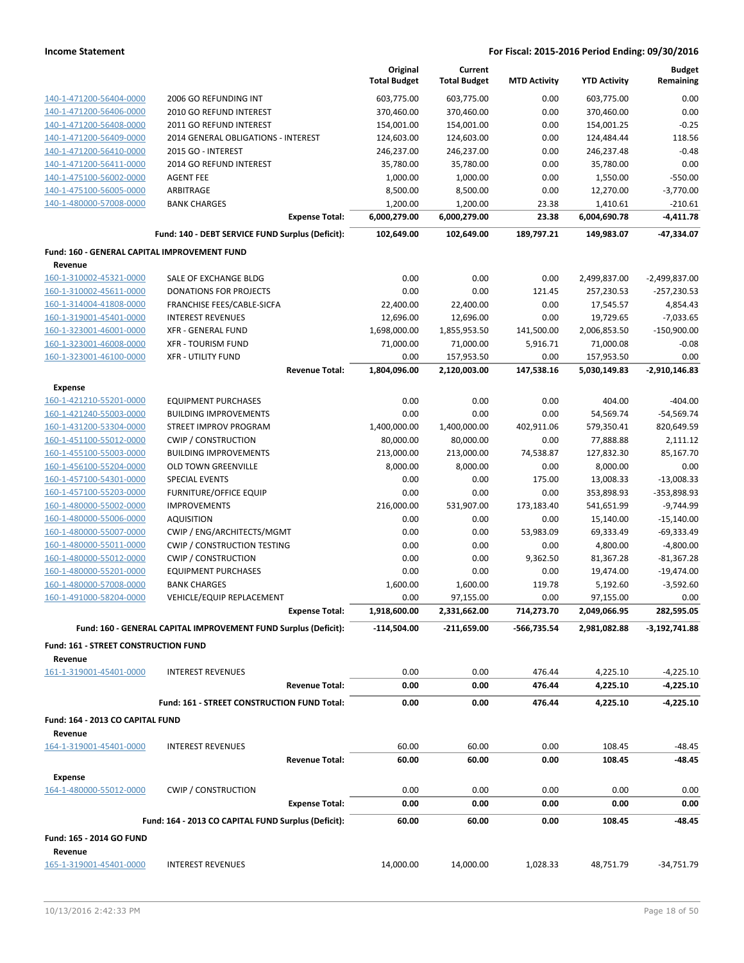|                                                         |                                                                 | Original<br><b>Total Budget</b> | Current<br><b>Total Budget</b> | <b>MTD Activity</b> | <b>YTD Activity</b>       | <b>Budget</b><br>Remaining |
|---------------------------------------------------------|-----------------------------------------------------------------|---------------------------------|--------------------------------|---------------------|---------------------------|----------------------------|
| 140-1-471200-56404-0000                                 | 2006 GO REFUNDING INT                                           | 603,775.00                      | 603,775.00                     | 0.00                | 603,775.00                | 0.00                       |
| 140-1-471200-56406-0000                                 | 2010 GO REFUND INTEREST                                         | 370,460.00                      | 370,460.00                     | 0.00                | 370,460.00                | 0.00                       |
| 140-1-471200-56408-0000                                 | 2011 GO REFUND INTEREST                                         | 154,001.00                      | 154,001.00                     | 0.00                | 154,001.25                | $-0.25$                    |
| 140-1-471200-56409-0000                                 | 2014 GENERAL OBLIGATIONS - INTEREST                             | 124,603.00                      | 124,603.00                     | 0.00                | 124,484.44                | 118.56                     |
| 140-1-471200-56410-0000                                 | 2015 GO - INTEREST                                              | 246,237.00                      | 246,237.00                     | 0.00                | 246,237.48                | $-0.48$                    |
| 140-1-471200-56411-0000                                 | 2014 GO REFUND INTEREST                                         | 35,780.00                       | 35,780.00                      | 0.00                | 35,780.00                 | 0.00                       |
| 140-1-475100-56002-0000                                 | <b>AGENT FEE</b>                                                | 1,000.00                        | 1,000.00                       | 0.00                | 1,550.00                  | $-550.00$                  |
| 140-1-475100-56005-0000                                 | ARBITRAGE                                                       | 8,500.00                        | 8,500.00                       | 0.00                | 12,270.00                 | $-3,770.00$                |
| 140-1-480000-57008-0000                                 | <b>BANK CHARGES</b>                                             | 1,200.00                        | 1,200.00                       | 23.38               | 1,410.61                  | $-210.61$                  |
|                                                         | <b>Expense Total:</b>                                           | 6,000,279.00                    | 6,000,279.00                   | 23.38               | 6,004,690.78              | -4,411.78                  |
|                                                         | Fund: 140 - DEBT SERVICE FUND Surplus (Deficit):                | 102,649.00                      | 102,649.00                     | 189,797.21          | 149,983.07                | -47,334.07                 |
| Fund: 160 - GENERAL CAPITAL IMPROVEMENT FUND<br>Revenue |                                                                 |                                 |                                |                     |                           |                            |
| 160-1-310002-45321-0000                                 | SALE OF EXCHANGE BLDG                                           | 0.00                            | 0.00                           | 0.00                | 2,499,837.00              | $-2,499,837.00$            |
| 160-1-310002-45611-0000                                 | <b>DONATIONS FOR PROJECTS</b>                                   | 0.00                            | 0.00                           | 121.45              | 257,230.53                | $-257,230.53$              |
| 160-1-314004-41808-0000                                 | FRANCHISE FEES/CABLE-SICFA                                      | 22,400.00                       | 22,400.00                      | 0.00                | 17,545.57                 | 4,854.43                   |
| 160-1-319001-45401-0000                                 | <b>INTEREST REVENUES</b>                                        | 12,696.00                       | 12,696.00                      | 0.00                | 19,729.65                 | $-7,033.65$                |
| 160-1-323001-46001-0000                                 | <b>XFR - GENERAL FUND</b>                                       | 1,698,000.00                    | 1,855,953.50                   | 141,500.00          | 2,006,853.50              | $-150,900.00$              |
| 160-1-323001-46008-0000                                 | <b>XFR - TOURISM FUND</b>                                       | 71,000.00                       | 71,000.00                      | 5,916.71            | 71,000.08                 | $-0.08$                    |
| 160-1-323001-46100-0000                                 | <b>XFR - UTILITY FUND</b>                                       | 0.00                            | 157,953.50                     | 0.00                | 157,953.50                | 0.00                       |
|                                                         | <b>Revenue Total:</b>                                           | 1,804,096.00                    | 2,120,003.00                   | 147,538.16          | 5,030,149.83              | $-2,910,146.83$            |
| <b>Expense</b>                                          |                                                                 |                                 |                                |                     |                           |                            |
| 160-1-421210-55201-0000                                 | <b>EQUIPMENT PURCHASES</b>                                      | 0.00                            | 0.00                           | 0.00                | 404.00                    | $-404.00$                  |
| 160-1-421240-55003-0000                                 | <b>BUILDING IMPROVEMENTS</b>                                    | 0.00                            | 0.00                           | 0.00                | 54,569.74                 | $-54,569.74$               |
| 160-1-431200-53304-0000                                 | STREET IMPROV PROGRAM                                           | 1,400,000.00                    | 1,400,000.00                   | 402,911.06          | 579,350.41                | 820,649.59                 |
| 160-1-451100-55012-0000                                 | <b>CWIP / CONSTRUCTION</b>                                      | 80,000.00                       | 80,000.00                      | 0.00                | 77,888.88                 | 2,111.12                   |
| 160-1-455100-55003-0000                                 | <b>BUILDING IMPROVEMENTS</b>                                    | 213,000.00                      | 213,000.00                     | 74,538.87           | 127,832.30                | 85,167.70                  |
| 160-1-456100-55204-0000                                 | <b>OLD TOWN GREENVILLE</b>                                      | 8,000.00                        | 8,000.00                       | 0.00                | 8,000.00                  | 0.00                       |
| 160-1-457100-54301-0000                                 | <b>SPECIAL EVENTS</b>                                           | 0.00                            | 0.00                           | 175.00              | 13,008.33                 | $-13,008.33$               |
| 160-1-457100-55203-0000                                 | <b>FURNITURE/OFFICE EQUIP</b>                                   | 0.00                            | 0.00                           | 0.00                | 353,898.93                | -353,898.93                |
| 160-1-480000-55002-0000                                 | <b>IMPROVEMENTS</b>                                             | 216,000.00                      | 531,907.00                     | 173,183.40          | 541,651.99                | $-9,744.99$                |
| 160-1-480000-55006-0000                                 | <b>AQUISITION</b>                                               | 0.00                            | 0.00                           | 0.00                | 15,140.00                 | $-15,140.00$               |
| 160-1-480000-55007-0000                                 | CWIP / ENG/ARCHITECTS/MGMT                                      | 0.00                            | 0.00                           | 53,983.09           | 69,333.49                 | $-69,333.49$               |
| 160-1-480000-55011-0000                                 | <b>CWIP / CONSTRUCTION TESTING</b>                              | 0.00                            | 0.00                           | 0.00                | 4,800.00                  | $-4,800.00$                |
| 160-1-480000-55012-0000                                 | <b>CWIP / CONSTRUCTION</b>                                      | 0.00                            | 0.00                           | 9,362.50            | 81,367.28                 | $-81,367.28$               |
| 160-1-480000-55201-0000                                 | <b>EQUIPMENT PURCHASES</b>                                      | 0.00                            | 0.00                           | 0.00                | 19,474.00                 | $-19,474.00$               |
| 160-1-480000-57008-0000                                 | <b>BANK CHARGES</b>                                             | 1,600.00                        | 1,600.00                       | 119.78              | 5,192.60                  | $-3,592.60$                |
| 160-1-491000-58204-0000                                 | <b>VEHICLE/EQUIP REPLACEMENT</b><br>Expense Total:              | 0.00<br>1,918,600.00            | 97,155.00<br>2,331,662.00      | 0.00<br>714,273.70  | 97,155.00<br>2,049,066.95 | 0.00<br>282,595.05         |
|                                                         | Fund: 160 - GENERAL CAPITAL IMPROVEMENT FUND Surplus (Deficit): | -114,504.00                     | $-211,659.00$                  | -566,735.54         | 2,981,082.88              | $-3,192,741.88$            |
| Fund: 161 - STREET CONSTRUCTION FUND                    |                                                                 |                                 |                                |                     |                           |                            |
| Revenue                                                 |                                                                 |                                 |                                |                     |                           |                            |
| 161-1-319001-45401-0000                                 | <b>INTEREST REVENUES</b>                                        | 0.00                            | 0.00                           | 476.44              | 4,225.10                  | $-4,225.10$                |
|                                                         | <b>Revenue Total:</b>                                           | 0.00                            | 0.00                           | 476.44              | 4,225.10                  | -4,225.10                  |
|                                                         | Fund: 161 - STREET CONSTRUCTION FUND Total:                     | 0.00                            | 0.00                           | 476.44              | 4,225.10                  | -4,225.10                  |
| Fund: 164 - 2013 CO CAPITAL FUND<br>Revenue             |                                                                 |                                 |                                |                     |                           |                            |
| 164-1-319001-45401-0000                                 | <b>INTEREST REVENUES</b>                                        | 60.00                           | 60.00                          | 0.00                | 108.45                    | $-48.45$                   |
|                                                         | <b>Revenue Total:</b>                                           | 60.00                           | 60.00                          | 0.00                | 108.45                    | $-48.45$                   |
| Expense                                                 |                                                                 |                                 |                                |                     |                           |                            |
| 164-1-480000-55012-0000                                 | <b>CWIP / CONSTRUCTION</b>                                      | 0.00                            | 0.00                           | 0.00                | 0.00                      | 0.00                       |
|                                                         | <b>Expense Total:</b>                                           | 0.00                            | 0.00                           | 0.00                | 0.00                      | 0.00                       |
|                                                         | Fund: 164 - 2013 CO CAPITAL FUND Surplus (Deficit):             | 60.00                           | 60.00                          | 0.00                | 108.45                    | -48.45                     |
| Fund: 165 - 2014 GO FUND                                |                                                                 |                                 |                                |                     |                           |                            |
| Revenue                                                 |                                                                 |                                 |                                |                     |                           |                            |
| 165-1-319001-45401-0000                                 | <b>INTEREST REVENUES</b>                                        | 14,000.00                       | 14,000.00                      | 1,028.33            | 48,751.79                 | $-34,751.79$               |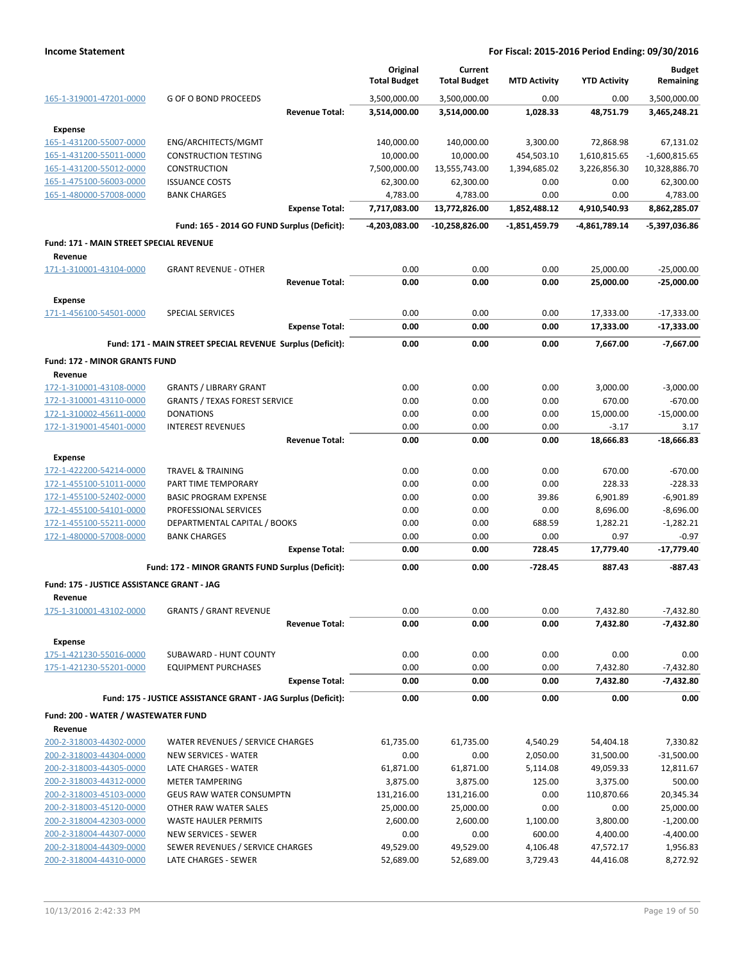|                                                    |                                                               |                       | Original<br><b>Total Budget</b> | Current<br><b>Total Budget</b> | <b>MTD Activity</b> | <b>YTD Activity</b> | <b>Budget</b><br>Remaining |
|----------------------------------------------------|---------------------------------------------------------------|-----------------------|---------------------------------|--------------------------------|---------------------|---------------------|----------------------------|
| 165-1-319001-47201-0000                            | <b>G OF O BOND PROCEEDS</b>                                   |                       | 3,500,000.00                    | 3,500,000.00                   | 0.00                | 0.00                | 3,500,000.00               |
|                                                    |                                                               | <b>Revenue Total:</b> | 3,514,000.00                    | 3,514,000.00                   | 1,028.33            | 48,751.79           | 3,465,248.21               |
| <b>Expense</b>                                     |                                                               |                       |                                 |                                |                     |                     |                            |
| 165-1-431200-55007-0000                            | ENG/ARCHITECTS/MGMT                                           |                       | 140,000.00                      | 140,000.00                     | 3,300.00            | 72,868.98           | 67,131.02                  |
| 165-1-431200-55011-0000                            | <b>CONSTRUCTION TESTING</b>                                   |                       | 10,000.00                       | 10,000.00                      | 454,503.10          | 1,610,815.65        | $-1,600,815.65$            |
| 165-1-431200-55012-0000                            | <b>CONSTRUCTION</b>                                           |                       | 7,500,000.00                    | 13,555,743.00                  | 1,394,685.02        | 3,226,856.30        | 10,328,886.70              |
| 165-1-475100-56003-0000                            | <b>ISSUANCE COSTS</b>                                         |                       | 62,300.00                       | 62,300.00                      | 0.00                | 0.00                | 62,300.00                  |
| 165-1-480000-57008-0000                            | <b>BANK CHARGES</b>                                           |                       | 4,783.00                        | 4,783.00                       | 0.00                | 0.00                | 4,783.00                   |
|                                                    |                                                               | <b>Expense Total:</b> | 7,717,083.00                    | 13,772,826.00                  | 1,852,488.12        | 4,910,540.93        | 8,862,285.07               |
|                                                    | Fund: 165 - 2014 GO FUND Surplus (Deficit):                   |                       | -4,203,083.00                   | $-10,258,826.00$               | $-1,851,459.79$     | -4,861,789.14       | -5,397,036.86              |
| Fund: 171 - MAIN STREET SPECIAL REVENUE            |                                                               |                       |                                 |                                |                     |                     |                            |
| Revenue                                            |                                                               |                       |                                 |                                |                     |                     |                            |
| 171-1-310001-43104-0000                            | <b>GRANT REVENUE - OTHER</b>                                  |                       | 0.00                            | 0.00                           | 0.00                | 25,000.00           | $-25,000.00$               |
|                                                    |                                                               | <b>Revenue Total:</b> | 0.00                            | 0.00                           | 0.00                | 25,000.00           | $-25,000.00$               |
| <b>Expense</b>                                     |                                                               |                       |                                 |                                |                     |                     |                            |
| 171-1-456100-54501-0000                            | <b>SPECIAL SERVICES</b>                                       |                       | 0.00                            | 0.00                           | 0.00                | 17,333.00           | $-17,333.00$               |
|                                                    |                                                               | <b>Expense Total:</b> | 0.00                            | 0.00                           | 0.00                | 17,333.00           | -17,333.00                 |
|                                                    | Fund: 171 - MAIN STREET SPECIAL REVENUE Surplus (Deficit):    |                       | 0.00                            | 0.00                           | 0.00                | 7,667.00            | $-7,667.00$                |
| <b>Fund: 172 - MINOR GRANTS FUND</b>               |                                                               |                       |                                 |                                |                     |                     |                            |
| Revenue                                            |                                                               |                       |                                 |                                |                     |                     |                            |
| 172-1-310001-43108-0000                            | <b>GRANTS / LIBRARY GRANT</b>                                 |                       | 0.00                            | 0.00                           | 0.00                | 3,000.00            | $-3,000.00$                |
| 172-1-310001-43110-0000                            | <b>GRANTS / TEXAS FOREST SERVICE</b>                          |                       | 0.00                            | 0.00                           | 0.00                | 670.00              | $-670.00$                  |
| 172-1-310002-45611-0000                            | <b>DONATIONS</b>                                              |                       | 0.00                            | 0.00                           | 0.00                | 15,000.00           | $-15,000.00$               |
| 172-1-319001-45401-0000                            | <b>INTEREST REVENUES</b>                                      |                       | 0.00                            | 0.00                           | 0.00                | $-3.17$             | 3.17                       |
|                                                    |                                                               | <b>Revenue Total:</b> | 0.00                            | 0.00                           | 0.00                | 18,666.83           | $-18,666.83$               |
|                                                    |                                                               |                       |                                 |                                |                     |                     |                            |
| <b>Expense</b>                                     | <b>TRAVEL &amp; TRAINING</b>                                  |                       | 0.00                            | 0.00                           | 0.00                | 670.00              | $-670.00$                  |
| 172-1-422200-54214-0000                            | PART TIME TEMPORARY                                           |                       | 0.00                            | 0.00                           | 0.00                | 228.33              | $-228.33$                  |
| 172-1-455100-51011-0000<br>172-1-455100-52402-0000 | <b>BASIC PROGRAM EXPENSE</b>                                  |                       | 0.00                            | 0.00                           | 39.86               | 6,901.89            | $-6,901.89$                |
| 172-1-455100-54101-0000                            | PROFESSIONAL SERVICES                                         |                       | 0.00                            | 0.00                           | 0.00                | 8,696.00            | $-8,696.00$                |
| 172-1-455100-55211-0000                            | DEPARTMENTAL CAPITAL / BOOKS                                  |                       | 0.00                            | 0.00                           | 688.59              | 1,282.21            | $-1,282.21$                |
| 172-1-480000-57008-0000                            | <b>BANK CHARGES</b>                                           |                       | 0.00                            | 0.00                           | 0.00                | 0.97                | $-0.97$                    |
|                                                    |                                                               | <b>Expense Total:</b> | 0.00                            | 0.00                           | 728.45              | 17,779.40           | $-17,779.40$               |
|                                                    | Fund: 172 - MINOR GRANTS FUND Surplus (Deficit):              |                       | 0.00                            | 0.00                           | $-728.45$           | 887.43              | $-887.43$                  |
|                                                    |                                                               |                       |                                 |                                |                     |                     |                            |
| Fund: 175 - JUSTICE ASSISTANCE GRANT - JAG         |                                                               |                       |                                 |                                |                     |                     |                            |
| Revenue                                            |                                                               |                       |                                 |                                |                     |                     |                            |
| 175-1-310001-43102-0000                            | <b>GRANTS / GRANT REVENUE</b>                                 |                       | 0.00                            | 0.00                           | 0.00                | 7,432.80            | $-7,432.80$                |
|                                                    |                                                               | <b>Revenue Total:</b> | 0.00                            | 0.00                           | 0.00                | 7,432.80            | $-7,432.80$                |
| <b>Expense</b>                                     |                                                               |                       |                                 |                                |                     |                     |                            |
| 175-1-421230-55016-0000                            | SUBAWARD - HUNT COUNTY                                        |                       | 0.00                            | 0.00                           | 0.00                | 0.00                | 0.00                       |
| 175-1-421230-55201-0000                            | <b>EQUIPMENT PURCHASES</b>                                    |                       | 0.00                            | 0.00                           | 0.00                | 7,432.80            | $-7,432.80$                |
|                                                    |                                                               | <b>Expense Total:</b> | 0.00                            | 0.00                           | 0.00                | 7,432.80            | -7,432.80                  |
|                                                    | Fund: 175 - JUSTICE ASSISTANCE GRANT - JAG Surplus (Deficit): |                       | 0.00                            | 0.00                           | 0.00                | 0.00                | 0.00                       |
| Fund: 200 - WATER / WASTEWATER FUND                |                                                               |                       |                                 |                                |                     |                     |                            |
| Revenue                                            |                                                               |                       |                                 |                                |                     |                     |                            |
| 200-2-318003-44302-0000                            | WATER REVENUES / SERVICE CHARGES                              |                       | 61,735.00                       | 61,735.00                      | 4,540.29            | 54,404.18           | 7,330.82                   |
| 200-2-318003-44304-0000                            | NEW SERVICES - WATER                                          |                       | 0.00                            | 0.00                           | 2,050.00            | 31,500.00           | $-31,500.00$               |
| 200-2-318003-44305-0000                            | LATE CHARGES - WATER                                          |                       | 61,871.00                       | 61,871.00                      | 5,114.08            | 49,059.33           | 12,811.67                  |
| 200-2-318003-44312-0000                            | <b>METER TAMPERING</b>                                        |                       | 3,875.00                        | 3,875.00                       | 125.00              | 3,375.00            | 500.00                     |
| 200-2-318003-45103-0000                            | <b>GEUS RAW WATER CONSUMPTN</b>                               |                       | 131,216.00                      | 131,216.00                     | 0.00                | 110,870.66          | 20,345.34                  |
| 200-2-318003-45120-0000                            | OTHER RAW WATER SALES                                         |                       | 25,000.00                       | 25,000.00                      | 0.00                | 0.00                | 25,000.00                  |
| 200-2-318004-42303-0000                            | WASTE HAULER PERMITS                                          |                       | 2,600.00                        | 2,600.00                       | 1,100.00            | 3,800.00            | $-1,200.00$                |
| 200-2-318004-44307-0000                            | NEW SERVICES - SEWER                                          |                       | 0.00                            | 0.00                           | 600.00              | 4,400.00            | $-4,400.00$                |
| 200-2-318004-44309-0000                            | SEWER REVENUES / SERVICE CHARGES                              |                       | 49,529.00                       | 49,529.00                      | 4,106.48            | 47,572.17           | 1,956.83                   |
| 200-2-318004-44310-0000                            | LATE CHARGES - SEWER                                          |                       | 52,689.00                       | 52,689.00                      | 3,729.43            | 44,416.08           | 8,272.92                   |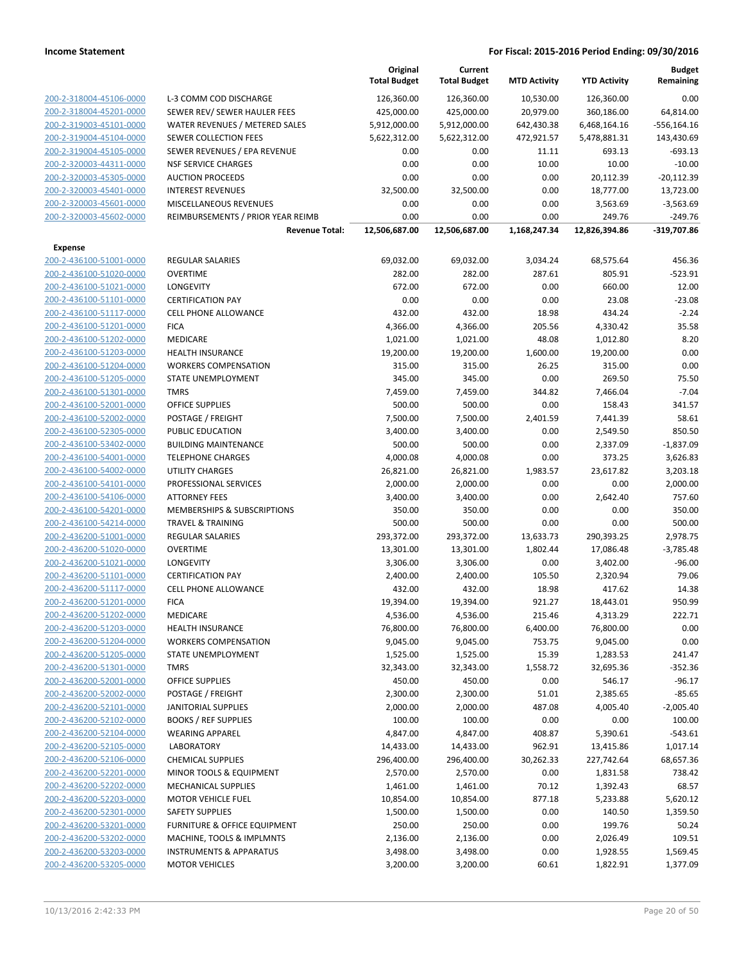|                         |                                         | Original<br><b>Total Budget</b> | Current<br><b>Total Budget</b> | <b>MTD Activity</b> | <b>YTD Activity</b> | <b>Budget</b><br>Remaining |
|-------------------------|-----------------------------------------|---------------------------------|--------------------------------|---------------------|---------------------|----------------------------|
| 200-2-318004-45106-0000 | L-3 COMM COD DISCHARGE                  | 126,360.00                      | 126,360.00                     | 10,530.00           | 126,360.00          | 0.00                       |
| 200-2-318004-45201-0000 | SEWER REV/ SEWER HAULER FEES            | 425,000.00                      | 425,000.00                     | 20,979.00           | 360,186.00          | 64,814.00                  |
| 200-2-319003-45101-0000 | WATER REVENUES / METERED SALES          | 5,912,000.00                    | 5,912,000.00                   | 642,430.38          | 6,468,164.16        | $-556, 164.16$             |
| 200-2-319004-45104-0000 | <b>SEWER COLLECTION FEES</b>            | 5,622,312.00                    | 5,622,312.00                   | 472,921.57          | 5,478,881.31        | 143,430.69                 |
| 200-2-319004-45105-0000 | SEWER REVENUES / EPA REVENUE            | 0.00                            | 0.00                           | 11.11               | 693.13              | $-693.13$                  |
| 200-2-320003-44311-0000 | <b>NSF SERVICE CHARGES</b>              | 0.00                            | 0.00                           | 10.00               | 10.00               | $-10.00$                   |
| 200-2-320003-45305-0000 | <b>AUCTION PROCEEDS</b>                 | 0.00                            | 0.00                           | 0.00                | 20,112.39           | $-20,112.39$               |
| 200-2-320003-45401-0000 | <b>INTEREST REVENUES</b>                | 32,500.00                       | 32,500.00                      | 0.00                | 18,777.00           | 13,723.00                  |
| 200-2-320003-45601-0000 | MISCELLANEOUS REVENUES                  | 0.00                            | 0.00                           | 0.00                | 3,563.69            | $-3,563.69$                |
| 200-2-320003-45602-0000 | REIMBURSEMENTS / PRIOR YEAR REIMB       | 0.00                            | 0.00                           | 0.00                | 249.76              | $-249.76$                  |
|                         | <b>Revenue Total:</b>                   | 12,506,687.00                   | 12,506,687.00                  | 1,168,247.34        | 12,826,394.86       | -319,707.86                |
| Expense                 |                                         |                                 |                                |                     |                     |                            |
| 200-2-436100-51001-0000 | <b>REGULAR SALARIES</b>                 | 69,032.00                       | 69,032.00                      | 3,034.24            | 68,575.64           | 456.36                     |
| 200-2-436100-51020-0000 | <b>OVERTIME</b>                         | 282.00                          | 282.00                         | 287.61              | 805.91              | $-523.91$                  |
| 200-2-436100-51021-0000 | <b>LONGEVITY</b>                        | 672.00                          | 672.00                         | 0.00                | 660.00              | 12.00                      |
| 200-2-436100-51101-0000 | <b>CERTIFICATION PAY</b>                | 0.00                            | 0.00                           | 0.00                | 23.08               | $-23.08$                   |
| 200-2-436100-51117-0000 | <b>CELL PHONE ALLOWANCE</b>             | 432.00                          | 432.00                         | 18.98               | 434.24              | $-2.24$                    |
| 200-2-436100-51201-0000 | <b>FICA</b>                             | 4,366.00                        | 4,366.00                       | 205.56              | 4,330.42            | 35.58                      |
| 200-2-436100-51202-0000 | MEDICARE                                | 1,021.00                        | 1,021.00                       | 48.08               | 1,012.80            | 8.20                       |
| 200-2-436100-51203-0000 | <b>HEALTH INSURANCE</b>                 | 19,200.00                       | 19,200.00                      | 1,600.00            | 19,200.00           | 0.00                       |
| 200-2-436100-51204-0000 | <b>WORKERS COMPENSATION</b>             | 315.00                          | 315.00                         | 26.25               | 315.00              | 0.00                       |
| 200-2-436100-51205-0000 | STATE UNEMPLOYMENT                      | 345.00                          | 345.00                         | 0.00                | 269.50              | 75.50                      |
| 200-2-436100-51301-0000 | <b>TMRS</b>                             | 7,459.00                        | 7,459.00                       | 344.82              | 7,466.04            | $-7.04$                    |
| 200-2-436100-52001-0000 | <b>OFFICE SUPPLIES</b>                  | 500.00                          | 500.00                         | 0.00                | 158.43              | 341.57                     |
| 200-2-436100-52002-0000 | POSTAGE / FREIGHT                       | 7,500.00                        | 7,500.00                       | 2,401.59            | 7,441.39            | 58.61                      |
| 200-2-436100-52305-0000 | PUBLIC EDUCATION                        | 3,400.00                        | 3,400.00                       | 0.00                | 2,549.50            | 850.50                     |
| 200-2-436100-53402-0000 | <b>BUILDING MAINTENANCE</b>             | 500.00                          | 500.00                         | 0.00                | 2,337.09            | $-1,837.09$                |
| 200-2-436100-54001-0000 | <b>TELEPHONE CHARGES</b>                | 4,000.08                        | 4,000.08                       | 0.00                | 373.25              | 3,626.83                   |
| 200-2-436100-54002-0000 | UTILITY CHARGES                         | 26,821.00                       | 26,821.00                      | 1,983.57            | 23,617.82           | 3,203.18                   |
| 200-2-436100-54101-0000 | PROFESSIONAL SERVICES                   | 2,000.00                        | 2,000.00                       | 0.00                | 0.00                | 2,000.00                   |
| 200-2-436100-54106-0000 | <b>ATTORNEY FEES</b>                    | 3,400.00                        | 3,400.00                       | 0.00                | 2,642.40            | 757.60                     |
| 200-2-436100-54201-0000 | <b>MEMBERSHIPS &amp; SUBSCRIPTIONS</b>  | 350.00                          | 350.00                         | 0.00                | 0.00                | 350.00                     |
| 200-2-436100-54214-0000 | <b>TRAVEL &amp; TRAINING</b>            | 500.00                          | 500.00                         | 0.00                | 0.00                | 500.00                     |
| 200-2-436200-51001-0000 | REGULAR SALARIES                        | 293,372.00                      | 293,372.00                     | 13,633.73           | 290,393.25          | 2,978.75                   |
| 200-2-436200-51020-0000 | <b>OVERTIME</b>                         | 13,301.00                       | 13,301.00                      | 1,802.44            | 17,086.48           | $-3,785.48$                |
| 200-2-436200-51021-0000 | <b>LONGEVITY</b>                        | 3,306.00                        | 3,306.00                       | 0.00                | 3,402.00            | $-96.00$                   |
| 200-2-436200-51101-0000 | <b>CERTIFICATION PAY</b>                | 2,400.00                        | 2,400.00                       | 105.50              | 2,320.94            | 79.06                      |
| 200-2-436200-51117-0000 | <b>CELL PHONE ALLOWANCE</b>             | 432.00                          | 432.00                         | 18.98               | 417.62              | 14.38                      |
| 200-2-436200-51201-0000 | <b>FICA</b>                             | 19,394.00                       | 19,394.00                      | 921.27              | 18,443.01           | 950.99                     |
| 200-2-436200-51202-0000 | MEDICARE                                | 4,536.00                        | 4,536.00                       | 215.46              | 4,313.29            | 222.71                     |
| 200-2-436200-51203-0000 | <b>HEALTH INSURANCE</b>                 | 76,800.00                       | 76,800.00                      | 6,400.00            | 76,800.00           | 0.00                       |
| 200-2-436200-51204-0000 | <b>WORKERS COMPENSATION</b>             | 9,045.00                        | 9,045.00                       | 753.75              | 9,045.00            | 0.00                       |
| 200-2-436200-51205-0000 | STATE UNEMPLOYMENT                      | 1,525.00                        | 1,525.00                       | 15.39               | 1,283.53            | 241.47                     |
| 200-2-436200-51301-0000 | TMRS                                    | 32,343.00                       | 32,343.00                      | 1,558.72            | 32,695.36           | $-352.36$                  |
| 200-2-436200-52001-0000 | <b>OFFICE SUPPLIES</b>                  | 450.00                          | 450.00                         | 0.00                | 546.17              | $-96.17$                   |
| 200-2-436200-52002-0000 | POSTAGE / FREIGHT                       | 2,300.00                        | 2,300.00                       | 51.01               | 2,385.65            | $-85.65$                   |
| 200-2-436200-52101-0000 | <b>JANITORIAL SUPPLIES</b>              | 2,000.00                        | 2,000.00                       | 487.08              | 4,005.40            | $-2,005.40$                |
| 200-2-436200-52102-0000 | <b>BOOKS / REF SUPPLIES</b>             | 100.00                          | 100.00                         | 0.00                | 0.00                | 100.00                     |
| 200-2-436200-52104-0000 | <b>WEARING APPAREL</b>                  | 4,847.00                        | 4,847.00                       | 408.87              | 5,390.61            | $-543.61$                  |
| 200-2-436200-52105-0000 | <b>LABORATORY</b>                       | 14,433.00                       | 14,433.00                      | 962.91              | 13,415.86           | 1,017.14                   |
| 200-2-436200-52106-0000 | <b>CHEMICAL SUPPLIES</b>                | 296,400.00                      | 296,400.00                     | 30,262.33           | 227,742.64          | 68,657.36                  |
| 200-2-436200-52201-0000 | MINOR TOOLS & EQUIPMENT                 | 2,570.00                        | 2,570.00                       | 0.00                | 1,831.58            | 738.42                     |
| 200-2-436200-52202-0000 | MECHANICAL SUPPLIES                     | 1,461.00                        | 1,461.00                       | 70.12               | 1,392.43            | 68.57                      |
| 200-2-436200-52203-0000 | <b>MOTOR VEHICLE FUEL</b>               | 10,854.00                       | 10,854.00                      | 877.18              | 5,233.88            | 5,620.12                   |
| 200-2-436200-52301-0000 | <b>SAFETY SUPPLIES</b>                  | 1,500.00                        | 1,500.00                       | 0.00                | 140.50              | 1,359.50                   |
| 200-2-436200-53201-0000 | <b>FURNITURE &amp; OFFICE EQUIPMENT</b> | 250.00                          | 250.00                         | 0.00                | 199.76              | 50.24                      |
| 200-2-436200-53202-0000 | MACHINE, TOOLS & IMPLMNTS               | 2,136.00                        | 2,136.00                       | 0.00                | 2,026.49            | 109.51                     |
| 200-2-436200-53203-0000 | <b>INSTRUMENTS &amp; APPARATUS</b>      | 3,498.00                        | 3,498.00                       | 0.00                | 1,928.55            | 1,569.45                   |
| 200-2-436200-53205-0000 | <b>MOTOR VEHICLES</b>                   | 3,200.00                        | 3,200.00                       | 60.61               | 1,822.91            | 1,377.09                   |
|                         |                                         |                                 |                                |                     |                     |                            |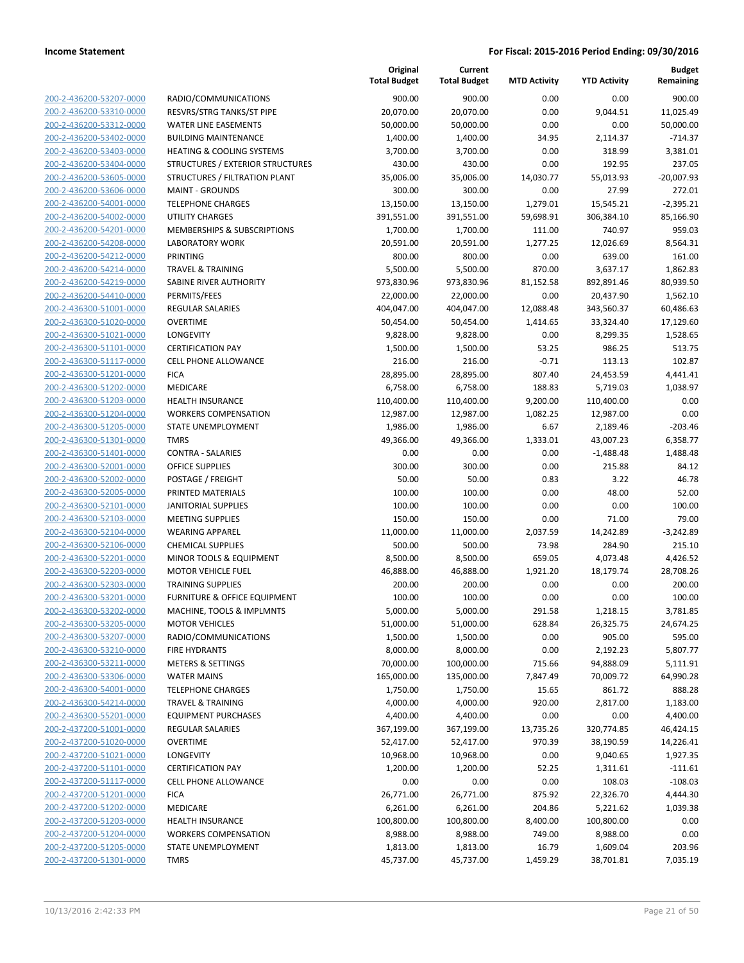|                         |                                         | Original<br><b>Total Budget</b> | Current<br><b>Total Budget</b> | <b>MTD Activity</b> | <b>YTD Activity</b> | <b>Budget</b><br>Remaining |
|-------------------------|-----------------------------------------|---------------------------------|--------------------------------|---------------------|---------------------|----------------------------|
| 200-2-436200-53207-0000 | RADIO/COMMUNICATIONS                    | 900.00                          | 900.00                         | 0.00                | 0.00                | 900.00                     |
| 200-2-436200-53310-0000 | RESVRS/STRG TANKS/ST PIPE               | 20,070.00                       | 20,070.00                      | 0.00                | 9,044.51            | 11,025.49                  |
| 200-2-436200-53312-0000 | <b>WATER LINE EASEMENTS</b>             | 50,000.00                       | 50,000.00                      | 0.00                | 0.00                | 50,000.00                  |
| 200-2-436200-53402-0000 | <b>BUILDING MAINTENANCE</b>             | 1,400.00                        | 1,400.00                       | 34.95               | 2,114.37            | $-714.37$                  |
| 200-2-436200-53403-0000 | <b>HEATING &amp; COOLING SYSTEMS</b>    | 3,700.00                        | 3,700.00                       | 0.00                | 318.99              | 3,381.01                   |
| 200-2-436200-53404-0000 | STRUCTURES / EXTERIOR STRUCTURES        | 430.00                          | 430.00                         | 0.00                | 192.95              | 237.05                     |
| 200-2-436200-53605-0000 | STRUCTURES / FILTRATION PLANT           | 35,006.00                       | 35,006.00                      | 14,030.77           | 55,013.93           | $-20,007.93$               |
| 200-2-436200-53606-0000 | <b>MAINT - GROUNDS</b>                  | 300.00                          | 300.00                         | 0.00                | 27.99               | 272.01                     |
| 200-2-436200-54001-0000 | <b>TELEPHONE CHARGES</b>                | 13,150.00                       | 13,150.00                      | 1,279.01            | 15,545.21           | $-2,395.21$                |
| 200-2-436200-54002-0000 | <b>UTILITY CHARGES</b>                  | 391,551.00                      | 391,551.00                     | 59,698.91           | 306,384.10          | 85,166.90                  |
| 200-2-436200-54201-0000 | MEMBERSHIPS & SUBSCRIPTIONS             | 1,700.00                        | 1,700.00                       | 111.00              | 740.97              | 959.03                     |
| 200-2-436200-54208-0000 | <b>LABORATORY WORK</b>                  | 20,591.00                       | 20,591.00                      | 1,277.25            | 12,026.69           | 8,564.31                   |
| 200-2-436200-54212-0000 | <b>PRINTING</b>                         | 800.00                          | 800.00                         | 0.00                | 639.00              | 161.00                     |
| 200-2-436200-54214-0000 | <b>TRAVEL &amp; TRAINING</b>            | 5,500.00                        | 5,500.00                       | 870.00              | 3,637.17            | 1,862.83                   |
| 200-2-436200-54219-0000 | SABINE RIVER AUTHORITY                  | 973,830.96                      | 973,830.96                     | 81,152.58           | 892,891.46          | 80,939.50                  |
| 200-2-436200-54410-0000 | PERMITS/FEES                            | 22,000.00                       | 22,000.00                      | 0.00                | 20,437.90           | 1,562.10                   |
| 200-2-436300-51001-0000 | REGULAR SALARIES                        | 404,047.00                      | 404,047.00                     | 12,088.48           | 343,560.37          | 60,486.63                  |
| 200-2-436300-51020-0000 | <b>OVERTIME</b>                         | 50,454.00                       | 50,454.00                      | 1,414.65            | 33,324.40           | 17,129.60                  |
| 200-2-436300-51021-0000 | LONGEVITY                               | 9,828.00                        | 9,828.00                       | 0.00                | 8,299.35            | 1,528.65                   |
| 200-2-436300-51101-0000 | <b>CERTIFICATION PAY</b>                | 1,500.00                        | 1,500.00                       | 53.25               | 986.25              | 513.75                     |
| 200-2-436300-51117-0000 | <b>CELL PHONE ALLOWANCE</b>             | 216.00                          | 216.00                         | $-0.71$             | 113.13              | 102.87                     |
| 200-2-436300-51201-0000 | <b>FICA</b>                             | 28,895.00                       | 28,895.00                      | 807.40              | 24,453.59           | 4,441.41                   |
| 200-2-436300-51202-0000 | MEDICARE                                | 6,758.00                        | 6,758.00                       | 188.83              | 5,719.03            | 1,038.97                   |
| 200-2-436300-51203-0000 | <b>HEALTH INSURANCE</b>                 | 110,400.00                      | 110,400.00                     | 9,200.00            | 110,400.00          | 0.00                       |
| 200-2-436300-51204-0000 | <b>WORKERS COMPENSATION</b>             | 12,987.00                       | 12,987.00                      | 1,082.25            | 12,987.00           | 0.00                       |
| 200-2-436300-51205-0000 | STATE UNEMPLOYMENT                      | 1,986.00                        | 1,986.00                       | 6.67                | 2,189.46            | $-203.46$                  |
| 200-2-436300-51301-0000 | <b>TMRS</b>                             | 49,366.00                       | 49,366.00                      | 1,333.01            | 43,007.23           | 6,358.77                   |
| 200-2-436300-51401-0000 | <b>CONTRA - SALARIES</b>                | 0.00                            | 0.00                           | 0.00                | $-1,488.48$         | 1,488.48                   |
| 200-2-436300-52001-0000 | <b>OFFICE SUPPLIES</b>                  | 300.00                          | 300.00                         | 0.00                | 215.88              | 84.12                      |
| 200-2-436300-52002-0000 | POSTAGE / FREIGHT                       | 50.00                           | 50.00                          | 0.83                | 3.22                | 46.78                      |
| 200-2-436300-52005-0000 | PRINTED MATERIALS                       | 100.00                          | 100.00                         | 0.00                | 48.00               | 52.00                      |
| 200-2-436300-52101-0000 | <b>JANITORIAL SUPPLIES</b>              | 100.00                          | 100.00                         | 0.00                | 0.00                | 100.00                     |
| 200-2-436300-52103-0000 | <b>MEETING SUPPLIES</b>                 | 150.00                          | 150.00                         | 0.00                | 71.00               | 79.00                      |
| 200-2-436300-52104-0000 | <b>WEARING APPAREL</b>                  | 11,000.00                       | 11,000.00                      | 2,037.59            | 14,242.89           | $-3,242.89$                |
| 200-2-436300-52106-0000 | <b>CHEMICAL SUPPLIES</b>                | 500.00                          | 500.00                         | 73.98               | 284.90              | 215.10                     |
| 200-2-436300-52201-0000 | MINOR TOOLS & EQUIPMENT                 | 8,500.00                        | 8,500.00                       | 659.05              | 4,073.48            | 4,426.52                   |
| 200-2-436300-52203-0000 | <b>MOTOR VEHICLE FUEL</b>               | 46,888.00                       | 46,888.00                      | 1,921.20            | 18,179.74           | 28,708.26                  |
| 200-2-436300-52303-0000 | <b>TRAINING SUPPLIES</b>                | 200.00                          | 200.00                         | 0.00                | 0.00                | 200.00                     |
| 200-2-436300-53201-0000 | <b>FURNITURE &amp; OFFICE EQUIPMENT</b> | 100.00                          | 100.00                         | 0.00                | 0.00                | 100.00                     |
| 200-2-436300-53202-0000 | MACHINE, TOOLS & IMPLMNTS               | 5,000.00                        | 5,000.00                       | 291.58              | 1,218.15            | 3,781.85                   |
| 200-2-436300-53205-0000 | <b>MOTOR VEHICLES</b>                   | 51,000.00                       | 51,000.00                      | 628.84              | 26,325.75           | 24,674.25                  |
| 200-2-436300-53207-0000 | RADIO/COMMUNICATIONS                    | 1,500.00                        | 1,500.00                       | 0.00                | 905.00              | 595.00                     |
| 200-2-436300-53210-0000 | <b>FIRE HYDRANTS</b>                    | 8,000.00                        | 8,000.00                       | 0.00                | 2,192.23            | 5,807.77                   |
| 200-2-436300-53211-0000 | <b>METERS &amp; SETTINGS</b>            | 70,000.00                       | 100,000.00                     | 715.66              | 94,888.09           | 5,111.91                   |
| 200-2-436300-53306-0000 | <b>WATER MAINS</b>                      | 165,000.00                      | 135,000.00                     | 7,847.49            | 70,009.72           | 64,990.28                  |
| 200-2-436300-54001-0000 | <b>TELEPHONE CHARGES</b>                | 1,750.00                        | 1,750.00                       | 15.65               | 861.72              | 888.28                     |
| 200-2-436300-54214-0000 | <b>TRAVEL &amp; TRAINING</b>            | 4,000.00                        | 4,000.00                       | 920.00              | 2,817.00            | 1,183.00                   |
| 200-2-436300-55201-0000 | <b>EQUIPMENT PURCHASES</b>              | 4,400.00                        | 4,400.00                       | 0.00                | 0.00                | 4,400.00                   |
| 200-2-437200-51001-0000 | <b>REGULAR SALARIES</b>                 | 367,199.00                      | 367,199.00                     | 13,735.26           | 320,774.85          | 46,424.15                  |
| 200-2-437200-51020-0000 | <b>OVERTIME</b>                         | 52,417.00                       | 52,417.00                      | 970.39              | 38,190.59           | 14,226.41                  |
| 200-2-437200-51021-0000 | LONGEVITY                               | 10,968.00                       | 10,968.00                      | 0.00                | 9,040.65            | 1,927.35                   |
| 200-2-437200-51101-0000 | <b>CERTIFICATION PAY</b>                | 1,200.00                        | 1,200.00                       | 52.25               | 1,311.61            | $-111.61$                  |
| 200-2-437200-51117-0000 | <b>CELL PHONE ALLOWANCE</b>             | 0.00                            | 0.00                           | 0.00                | 108.03              | $-108.03$                  |
| 200-2-437200-51201-0000 | <b>FICA</b>                             | 26,771.00                       | 26,771.00                      | 875.92              | 22,326.70           | 4,444.30                   |
| 200-2-437200-51202-0000 | MEDICARE                                | 6,261.00                        | 6,261.00                       | 204.86              | 5,221.62            | 1,039.38                   |
| 200-2-437200-51203-0000 | <b>HEALTH INSURANCE</b>                 | 100,800.00                      | 100,800.00                     | 8,400.00            | 100,800.00          | 0.00                       |
| 200-2-437200-51204-0000 | <b>WORKERS COMPENSATION</b>             | 8,988.00                        | 8,988.00                       | 749.00              | 8,988.00            | 0.00                       |
| 200-2-437200-51205-0000 | STATE UNEMPLOYMENT                      | 1,813.00                        | 1,813.00                       | 16.79               | 1,609.04            | 203.96                     |
| 200-2-437200-51301-0000 | <b>TMRS</b>                             | 45,737.00                       | 45,737.00                      | 1,459.29            | 38,701.81           | 7,035.19                   |
|                         |                                         |                                 |                                |                     |                     |                            |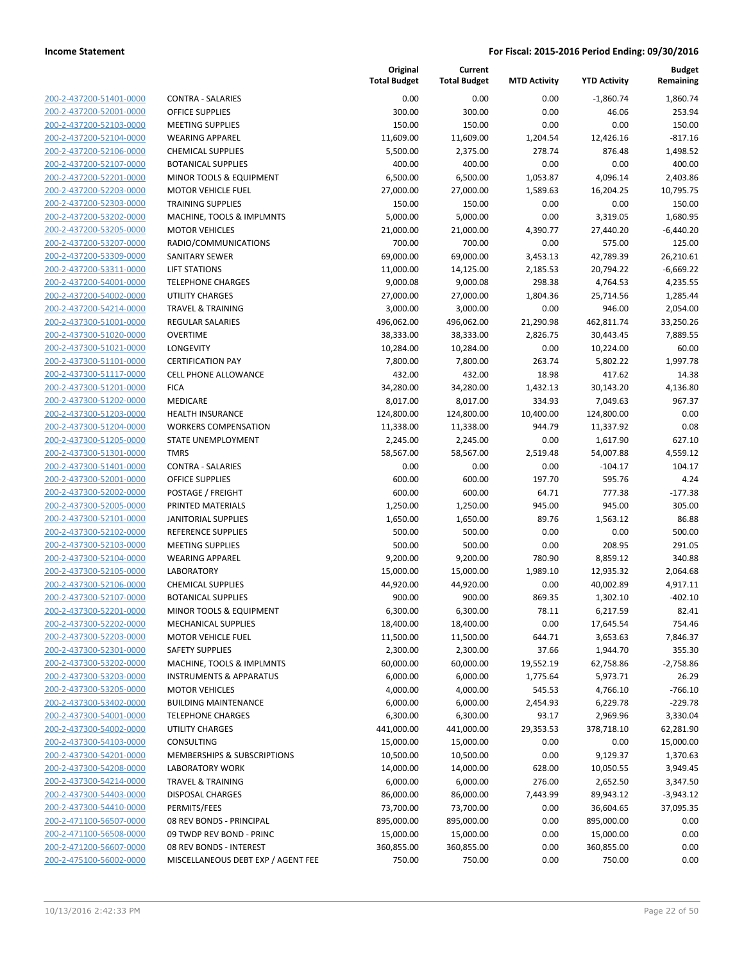| 200-2-437200-51401-0000                                   |
|-----------------------------------------------------------|
| 200-2-437200-52001-0000                                   |
| 200-2-437200-52103-0000                                   |
| 200-2-437200-52104-0000                                   |
| 200-2-437200-52106-0000                                   |
|                                                           |
| 200-2-437200-52107-0000                                   |
| 200-2-437200-52201-0000                                   |
| 200-2-437200-52203-0000                                   |
| 200-2-437200-52303-0000                                   |
| 200-2-437200-53202-0000                                   |
| 200-2-437200-53205-0000                                   |
| 200-2-437200-53207-0000                                   |
| 200-2-437200-53309-0000                                   |
| 200-2-437200-53311-0000                                   |
|                                                           |
| 200-2-437200-54001-0000                                   |
| 200-2-437200-54002-0000                                   |
| 200-2-437200-54214-0000                                   |
| 200-2-437300-51001-0000                                   |
| 200-2-437300-51020-0000                                   |
| 200-2-437300-51021-0000                                   |
| 200-2-437300-51101-0000                                   |
| 200-2-437300-51117-0000                                   |
| 200-2-437300-51201-0000                                   |
|                                                           |
| 200-2-437300-51202-0000                                   |
| 200-2-437300-51203-0000                                   |
| 200-2-437300-51204-0000                                   |
| 200-2-437300-51205-0000                                   |
| 200-2-437300-51301-0000                                   |
| 200-2-437300-51401-0000                                   |
| 200-2-437300-52001-0000                                   |
| 200-2-437300-52002-0000                                   |
| 200-2-437300-52005-0000                                   |
|                                                           |
| 200-2-437300-52101-0000                                   |
| 200-2-437300-52102-0000                                   |
| 200-2-437300-52103-0000                                   |
| 200-2-437300-52104-0000                                   |
| 200-2-437300-52105-0000                                   |
| 200-2-437300-52106-0000                                   |
| 200-2-437300-52107-0000                                   |
| 200-2-437300-52201-0000                                   |
| 200-2-437300-52202-0000                                   |
| 200-2-437300-52203-0000                                   |
|                                                           |
| 200-2-437300-52301-0000                                   |
| 200-2-437300-53202-0000                                   |
| 200-2-437300-53203-0000                                   |
| 200-2-437300-53205-0000                                   |
| <u>200-2-437300-53402-0000</u>                            |
| 200-2-437300-54001-0000                                   |
| 200-2-437300-54002-0000                                   |
|                                                           |
|                                                           |
| 200-2-437300-54103-0000                                   |
| 200-2-437300-54201-0000                                   |
| <u>200-2-437300-54208-0000</u>                            |
| 200-2-437300-54214-0000                                   |
| 200-2-437300-54403-0000                                   |
| 200-2-437300-54410-0000                                   |
| 200-2-471100-56507-0000                                   |
| <u>200-2-471100-56508-0000</u>                            |
|                                                           |
| <u>200-2-471200-56607-0000</u><br>200-2-475100-56002-0000 |

|                         |                                    | Original<br><b>Total Budget</b> | Current<br><b>Total Budget</b> | <b>MTD Activity</b> | <b>YTD Activity</b> | <b>Budget</b><br>Remaining |
|-------------------------|------------------------------------|---------------------------------|--------------------------------|---------------------|---------------------|----------------------------|
| 200-2-437200-51401-0000 | <b>CONTRA - SALARIES</b>           | 0.00                            | 0.00                           | 0.00                | $-1,860.74$         | 1,860.74                   |
| 200-2-437200-52001-0000 | <b>OFFICE SUPPLIES</b>             | 300.00                          | 300.00                         | 0.00                | 46.06               | 253.94                     |
| 200-2-437200-52103-0000 | <b>MEETING SUPPLIES</b>            | 150.00                          | 150.00                         | 0.00                | 0.00                | 150.00                     |
| 200-2-437200-52104-0000 | <b>WEARING APPAREL</b>             | 11,609.00                       | 11,609.00                      | 1,204.54            | 12,426.16           | $-817.16$                  |
| 200-2-437200-52106-0000 | <b>CHEMICAL SUPPLIES</b>           | 5,500.00                        | 2,375.00                       | 278.74              | 876.48              | 1,498.52                   |
| 200-2-437200-52107-0000 | <b>BOTANICAL SUPPLIES</b>          | 400.00                          | 400.00                         | 0.00                | 0.00                | 400.00                     |
| 200-2-437200-52201-0000 | MINOR TOOLS & EQUIPMENT            | 6,500.00                        | 6,500.00                       | 1,053.87            | 4,096.14            | 2,403.86                   |
| 200-2-437200-52203-0000 | <b>MOTOR VEHICLE FUEL</b>          | 27,000.00                       | 27,000.00                      | 1,589.63            | 16,204.25           | 10,795.75                  |
| 200-2-437200-52303-0000 | <b>TRAINING SUPPLIES</b>           | 150.00                          | 150.00                         | 0.00                | 0.00                | 150.00                     |
| 200-2-437200-53202-0000 | MACHINE, TOOLS & IMPLMNTS          | 5,000.00                        | 5,000.00                       | 0.00                | 3,319.05            | 1,680.95                   |
| 200-2-437200-53205-0000 | <b>MOTOR VEHICLES</b>              | 21,000.00                       | 21,000.00                      | 4,390.77            | 27,440.20           | $-6,440.20$                |
| 200-2-437200-53207-0000 | RADIO/COMMUNICATIONS               | 700.00                          | 700.00                         | 0.00                | 575.00              | 125.00                     |
| 200-2-437200-53309-0000 | SANITARY SEWER                     | 69,000.00                       | 69,000.00                      | 3,453.13            | 42,789.39           | 26,210.61                  |
| 200-2-437200-53311-0000 | <b>LIFT STATIONS</b>               | 11,000.00                       | 14,125.00                      | 2,185.53            | 20,794.22           | $-6,669.22$                |
| 200-2-437200-54001-0000 | <b>TELEPHONE CHARGES</b>           | 9,000.08                        | 9,000.08                       | 298.38              | 4,764.53            | 4,235.55                   |
| 200-2-437200-54002-0000 | UTILITY CHARGES                    | 27,000.00                       | 27,000.00                      | 1,804.36            | 25,714.56           | 1,285.44                   |
| 200-2-437200-54214-0000 | <b>TRAVEL &amp; TRAINING</b>       | 3,000.00                        | 3,000.00                       | 0.00                | 946.00              | 2,054.00                   |
| 200-2-437300-51001-0000 | REGULAR SALARIES                   | 496,062.00                      | 496,062.00                     | 21,290.98           | 462,811.74          | 33,250.26                  |
| 200-2-437300-51020-0000 | <b>OVERTIME</b>                    | 38,333.00                       | 38,333.00                      | 2,826.75            | 30,443.45           | 7,889.55                   |
| 200-2-437300-51021-0000 | <b>LONGEVITY</b>                   | 10,284.00                       | 10,284.00                      | 0.00                | 10,224.00           | 60.00                      |
| 200-2-437300-51101-0000 | <b>CERTIFICATION PAY</b>           | 7,800.00                        | 7,800.00                       | 263.74              | 5,802.22            | 1,997.78                   |
| 200-2-437300-51117-0000 | <b>CELL PHONE ALLOWANCE</b>        | 432.00                          | 432.00                         | 18.98               | 417.62              | 14.38                      |
| 200-2-437300-51201-0000 | <b>FICA</b>                        | 34,280.00                       | 34,280.00                      | 1,432.13            | 30,143.20           | 4,136.80                   |
| 200-2-437300-51202-0000 | MEDICARE                           | 8,017.00                        | 8,017.00                       | 334.93              | 7,049.63            | 967.37                     |
| 200-2-437300-51203-0000 | <b>HEALTH INSURANCE</b>            | 124,800.00                      | 124,800.00                     | 10,400.00           | 124,800.00          | 0.00                       |
| 200-2-437300-51204-0000 | <b>WORKERS COMPENSATION</b>        | 11,338.00                       | 11,338.00                      | 944.79              | 11,337.92           | 0.08                       |
| 200-2-437300-51205-0000 | STATE UNEMPLOYMENT                 | 2,245.00                        | 2,245.00                       | 0.00                | 1,617.90            | 627.10                     |
| 200-2-437300-51301-0000 | <b>TMRS</b>                        | 58,567.00                       | 58,567.00                      | 2,519.48            | 54,007.88           | 4,559.12                   |
| 200-2-437300-51401-0000 | <b>CONTRA - SALARIES</b>           | 0.00                            | 0.00                           | 0.00                | $-104.17$           | 104.17                     |
| 200-2-437300-52001-0000 | <b>OFFICE SUPPLIES</b>             | 600.00                          | 600.00                         | 197.70              | 595.76              | 4.24                       |
| 200-2-437300-52002-0000 | POSTAGE / FREIGHT                  | 600.00                          | 600.00                         | 64.71               | 777.38              | $-177.38$                  |
| 200-2-437300-52005-0000 | PRINTED MATERIALS                  | 1,250.00                        | 1,250.00                       | 945.00              | 945.00              | 305.00                     |
| 200-2-437300-52101-0000 | <b>JANITORIAL SUPPLIES</b>         | 1,650.00                        | 1,650.00                       | 89.76               | 1,563.12            | 86.88                      |
| 200-2-437300-52102-0000 | <b>REFERENCE SUPPLIES</b>          | 500.00                          | 500.00                         | 0.00                | 0.00                | 500.00                     |
| 200-2-437300-52103-0000 | <b>MEETING SUPPLIES</b>            | 500.00                          | 500.00                         | 0.00                | 208.95              | 291.05                     |
| 200-2-437300-52104-0000 | <b>WEARING APPAREL</b>             | 9,200.00                        | 9,200.00                       | 780.90              | 8,859.12            | 340.88                     |
| 200-2-437300-52105-0000 | LABORATORY                         | 15,000.00                       | 15,000.00                      | 1,989.10            | 12,935.32           | 2,064.68                   |
| 200-2-437300-52106-0000 | <b>CHEMICAL SUPPLIES</b>           | 44,920.00                       | 44,920.00                      | 0.00                | 40,002.89           | 4,917.11                   |
| 200-2-437300-52107-0000 | <b>BOTANICAL SUPPLIES</b>          | 900.00                          | 900.00                         | 869.35              | 1,302.10            | $-402.10$                  |
| 200-2-437300-52201-0000 | MINOR TOOLS & EQUIPMENT            | 6,300.00                        | 6,300.00                       | 78.11               | 6,217.59            | 82.41                      |
| 200-2-437300-52202-0000 | <b>MECHANICAL SUPPLIES</b>         | 18,400.00                       | 18,400.00                      | 0.00                | 17,645.54           | 754.46                     |
| 200-2-437300-52203-0000 | <b>MOTOR VEHICLE FUEL</b>          | 11,500.00                       | 11,500.00                      | 644.71              | 3,653.63            | 7,846.37                   |
| 200-2-437300-52301-0000 | <b>SAFETY SUPPLIES</b>             | 2,300.00                        | 2,300.00                       | 37.66               | 1,944.70            | 355.30                     |
| 200-2-437300-53202-0000 | MACHINE, TOOLS & IMPLMNTS          | 60,000.00                       | 60,000.00                      | 19,552.19           | 62,758.86           | $-2,758.86$                |
| 200-2-437300-53203-0000 | <b>INSTRUMENTS &amp; APPARATUS</b> | 6,000.00                        | 6,000.00                       | 1,775.64            | 5,973.71            | 26.29                      |
| 200-2-437300-53205-0000 | <b>MOTOR VEHICLES</b>              | 4,000.00                        | 4,000.00                       | 545.53              | 4,766.10            | $-766.10$                  |
| 200-2-437300-53402-0000 | <b>BUILDING MAINTENANCE</b>        | 6,000.00                        | 6,000.00                       | 2,454.93            | 6,229.78            | $-229.78$                  |
| 200-2-437300-54001-0000 | <b>TELEPHONE CHARGES</b>           | 6,300.00                        | 6,300.00                       | 93.17               | 2,969.96            | 3,330.04                   |
| 200-2-437300-54002-0000 | <b>UTILITY CHARGES</b>             | 441,000.00                      | 441,000.00                     | 29,353.53           | 378,718.10          | 62,281.90                  |
| 200-2-437300-54103-0000 | CONSULTING                         | 15,000.00                       | 15,000.00                      | 0.00                | 0.00                | 15,000.00                  |
| 200-2-437300-54201-0000 | MEMBERSHIPS & SUBSCRIPTIONS        | 10,500.00                       | 10,500.00                      | 0.00                | 9,129.37            | 1,370.63                   |
| 200-2-437300-54208-0000 | <b>LABORATORY WORK</b>             | 14,000.00                       | 14,000.00                      | 628.00              | 10,050.55           | 3,949.45                   |
| 200-2-437300-54214-0000 | <b>TRAVEL &amp; TRAINING</b>       | 6,000.00                        | 6,000.00                       | 276.00              | 2,652.50            | 3,347.50                   |
| 200-2-437300-54403-0000 | <b>DISPOSAL CHARGES</b>            | 86,000.00                       | 86,000.00                      | 7,443.99            | 89,943.12           | $-3,943.12$                |
| 200-2-437300-54410-0000 | PERMITS/FEES                       | 73,700.00                       | 73,700.00                      | 0.00                | 36,604.65           | 37,095.35                  |
| 200-2-471100-56507-0000 | 08 REV BONDS - PRINCIPAL           | 895,000.00                      | 895,000.00                     | 0.00                | 895,000.00          | 0.00                       |
| 200-2-471100-56508-0000 | 09 TWDP REV BOND - PRINC           | 15,000.00                       | 15,000.00                      | 0.00                | 15,000.00           | 0.00                       |
| 200-2-471200-56607-0000 | 08 REV BONDS - INTEREST            | 360,855.00                      | 360,855.00                     | 0.00                | 360,855.00          | 0.00                       |
| 200-2-475100-56002-0000 | MISCELLANEOUS DEBT EXP / AGENT FEE | 750.00                          | 750.00                         | 0.00                | 750.00              | 0.00                       |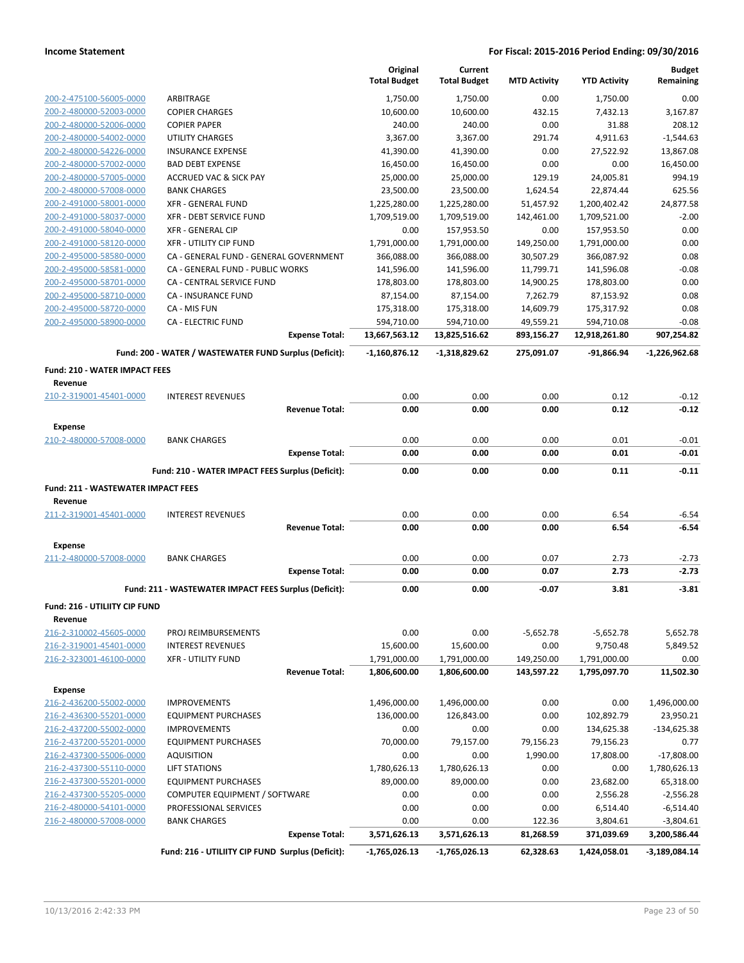|                                                    |                                                        | Original<br><b>Total Budget</b> | Current<br><b>Total Budget</b> | <b>MTD Activity</b> | <b>YTD Activity</b>  | <b>Budget</b><br>Remaining |
|----------------------------------------------------|--------------------------------------------------------|---------------------------------|--------------------------------|---------------------|----------------------|----------------------------|
|                                                    |                                                        |                                 |                                |                     |                      |                            |
| 200-2-475100-56005-0000<br>200-2-480000-52003-0000 | ARBITRAGE<br><b>COPIER CHARGES</b>                     | 1,750.00<br>10,600.00           | 1,750.00<br>10,600.00          | 0.00<br>432.15      | 1,750.00<br>7,432.13 | 0.00<br>3,167.87           |
| 200-2-480000-52006-0000                            | <b>COPIER PAPER</b>                                    | 240.00                          | 240.00                         | 0.00                | 31.88                | 208.12                     |
| 200-2-480000-54002-0000                            | UTILITY CHARGES                                        | 3,367.00                        | 3,367.00                       | 291.74              | 4,911.63             | $-1.544.63$                |
| 200-2-480000-54226-0000                            | <b>INSURANCE EXPENSE</b>                               | 41,390.00                       | 41,390.00                      | 0.00                | 27,522.92            | 13,867.08                  |
| 200-2-480000-57002-0000                            | <b>BAD DEBT EXPENSE</b>                                | 16,450.00                       | 16,450.00                      | 0.00                | 0.00                 | 16,450.00                  |
| 200-2-480000-57005-0000                            | <b>ACCRUED VAC &amp; SICK PAY</b>                      | 25,000.00                       | 25,000.00                      | 129.19              | 24,005.81            | 994.19                     |
| 200-2-480000-57008-0000                            | <b>BANK CHARGES</b>                                    | 23,500.00                       | 23,500.00                      | 1,624.54            | 22,874.44            | 625.56                     |
| 200-2-491000-58001-0000                            | <b>XFR - GENERAL FUND</b>                              | 1,225,280.00                    | 1,225,280.00                   | 51,457.92           | 1,200,402.42         | 24,877.58                  |
| 200-2-491000-58037-0000                            | XFR - DEBT SERVICE FUND                                | 1,709,519.00                    | 1,709,519.00                   | 142,461.00          | 1,709,521.00         | $-2.00$                    |
| 200-2-491000-58040-0000                            | <b>XFR - GENERAL CIP</b>                               | 0.00                            | 157,953.50                     | 0.00                | 157,953.50           | 0.00                       |
| 200-2-491000-58120-0000                            | <b>XFR - UTILITY CIP FUND</b>                          | 1,791,000.00                    | 1,791,000.00                   | 149,250.00          | 1,791,000.00         | 0.00                       |
| 200-2-495000-58580-0000                            | CA - GENERAL FUND - GENERAL GOVERNMENT                 | 366,088.00                      | 366,088.00                     | 30,507.29           | 366,087.92           | 0.08                       |
| 200-2-495000-58581-0000                            | CA - GENERAL FUND - PUBLIC WORKS                       | 141,596.00                      | 141,596.00                     | 11,799.71           | 141,596.08           | $-0.08$                    |
| 200-2-495000-58701-0000                            | CA - CENTRAL SERVICE FUND                              | 178,803.00                      | 178,803.00                     | 14,900.25           | 178,803.00           | 0.00                       |
| 200-2-495000-58710-0000                            | <b>CA - INSURANCE FUND</b>                             | 87,154.00                       | 87,154.00                      | 7,262.79            | 87,153.92            | 0.08                       |
| 200-2-495000-58720-0000                            | CA - MIS FUN                                           | 175,318.00                      | 175,318.00                     | 14,609.79           | 175,317.92           | 0.08                       |
| 200-2-495000-58900-0000                            | <b>CA - ELECTRIC FUND</b>                              | 594,710.00                      | 594,710.00                     | 49,559.21           | 594,710.08           | $-0.08$                    |
|                                                    | <b>Expense Total:</b>                                  | 13,667,563.12                   | 13,825,516.62                  | 893,156.27          | 12,918,261.80        | 907,254.82                 |
|                                                    | Fund: 200 - WATER / WASTEWATER FUND Surplus (Deficit): | $-1,160,876.12$                 | -1,318,829.62                  | 275,091.07          | $-91,866.94$         | $-1,226,962.68$            |
| Fund: 210 - WATER IMPACT FEES                      |                                                        |                                 |                                |                     |                      |                            |
| Revenue                                            |                                                        |                                 |                                |                     |                      |                            |
| 210-2-319001-45401-0000                            | <b>INTEREST REVENUES</b>                               | 0.00                            | 0.00                           | 0.00                | 0.12                 | $-0.12$                    |
|                                                    | <b>Revenue Total:</b>                                  | 0.00                            | 0.00                           | 0.00                | 0.12                 | $-0.12$                    |
| <b>Expense</b>                                     |                                                        |                                 |                                |                     |                      |                            |
| 210-2-480000-57008-0000                            | <b>BANK CHARGES</b>                                    | 0.00                            | 0.00                           | 0.00                | 0.01                 | $-0.01$                    |
|                                                    | <b>Expense Total:</b>                                  | 0.00                            | 0.00                           | 0.00                | 0.01                 | $-0.01$                    |
|                                                    | Fund: 210 - WATER IMPACT FEES Surplus (Deficit):       | 0.00                            | 0.00                           | 0.00                | 0.11                 | $-0.11$                    |
| Fund: 211 - WASTEWATER IMPACT FEES                 |                                                        |                                 |                                |                     |                      |                            |
| Revenue                                            |                                                        |                                 |                                |                     |                      |                            |
| 211-2-319001-45401-0000                            | <b>INTEREST REVENUES</b>                               | 0.00                            | 0.00                           | 0.00                | 6.54                 | $-6.54$                    |
|                                                    | <b>Revenue Total:</b>                                  | 0.00                            | 0.00                           | 0.00                | 6.54                 | -6.54                      |
| <b>Expense</b>                                     |                                                        |                                 |                                |                     |                      |                            |
| 211-2-480000-57008-0000                            | <b>BANK CHARGES</b>                                    | 0.00                            | 0.00                           | 0.07                | 2.73                 | $-2.73$                    |
|                                                    | <b>Expense Total:</b>                                  | 0.00                            | 0.00                           | 0.07                | 2.73                 | -2.73                      |
|                                                    | Fund: 211 - WASTEWATER IMPACT FEES Surplus (Deficit):  | 0.00                            | 0.00                           | $-0.07$             | 3.81                 | $-3.81$                    |
| Fund: 216 - UTILIITY CIP FUND                      |                                                        |                                 |                                |                     |                      |                            |
| Revenue                                            |                                                        |                                 |                                |                     |                      |                            |
| 216-2-310002-45605-0000                            | PROJ REIMBURSEMENTS                                    | 0.00                            | 0.00                           | $-5,652.78$         | $-5,652.78$          | 5,652.78                   |
| 216-2-319001-45401-0000                            | <b>INTEREST REVENUES</b>                               | 15,600.00                       | 15,600.00                      | 0.00                | 9,750.48             | 5,849.52                   |
| 216-2-323001-46100-0000                            | <b>XFR - UTILITY FUND</b>                              | 1,791,000.00                    | 1,791,000.00                   | 149,250.00          | 1,791,000.00         | 0.00                       |
|                                                    | <b>Revenue Total:</b>                                  | 1,806,600.00                    | 1,806,600.00                   | 143,597.22          | 1,795,097.70         | 11,502.30                  |
| <b>Expense</b>                                     |                                                        |                                 |                                |                     |                      |                            |
| 216-2-436200-55002-0000                            | <b>IMPROVEMENTS</b>                                    | 1,496,000.00                    | 1,496,000.00                   | 0.00                | 0.00                 | 1,496,000.00               |
| 216-2-436300-55201-0000                            | <b>EQUIPMENT PURCHASES</b>                             | 136,000.00                      | 126,843.00                     | 0.00                | 102,892.79           | 23,950.21                  |
| 216-2-437200-55002-0000                            | <b>IMPROVEMENTS</b>                                    | 0.00                            | 0.00                           | 0.00                | 134,625.38           | $-134,625.38$              |
| 216-2-437200-55201-0000                            | <b>EQUIPMENT PURCHASES</b>                             | 70,000.00                       | 79,157.00                      | 79,156.23           | 79,156.23            | 0.77                       |
| 216-2-437300-55006-0000                            | <b>AQUISITION</b>                                      | 0.00                            | 0.00                           | 1,990.00            | 17,808.00            | $-17,808.00$               |
| 216-2-437300-55110-0000                            | LIFT STATIONS                                          | 1,780,626.13                    | 1,780,626.13                   | 0.00                | 0.00                 | 1,780,626.13               |
| 216-2-437300-55201-0000                            | <b>EQUIPMENT PURCHASES</b>                             | 89,000.00                       | 89,000.00                      | 0.00                | 23,682.00            | 65,318.00                  |
| 216-2-437300-55205-0000                            | COMPUTER EQUIPMENT / SOFTWARE                          | 0.00                            | 0.00                           | 0.00                | 2,556.28             | $-2,556.28$                |
| 216-2-480000-54101-0000                            | PROFESSIONAL SERVICES                                  | 0.00                            | 0.00                           | 0.00                | 6,514.40             | $-6,514.40$                |
| 216-2-480000-57008-0000                            | <b>BANK CHARGES</b>                                    | 0.00                            | 0.00                           | 122.36              | 3,804.61             | $-3,804.61$                |
|                                                    | <b>Expense Total:</b>                                  | 3,571,626.13                    | 3,571,626.13                   | 81,268.59           | 371,039.69           | 3,200,586.44               |
|                                                    | Fund: 216 - UTILIITY CIP FUND Surplus (Deficit):       | $-1,765,026.13$                 | $-1,765,026.13$                | 62,328.63           | 1,424,058.01         | $-3,189,084.14$            |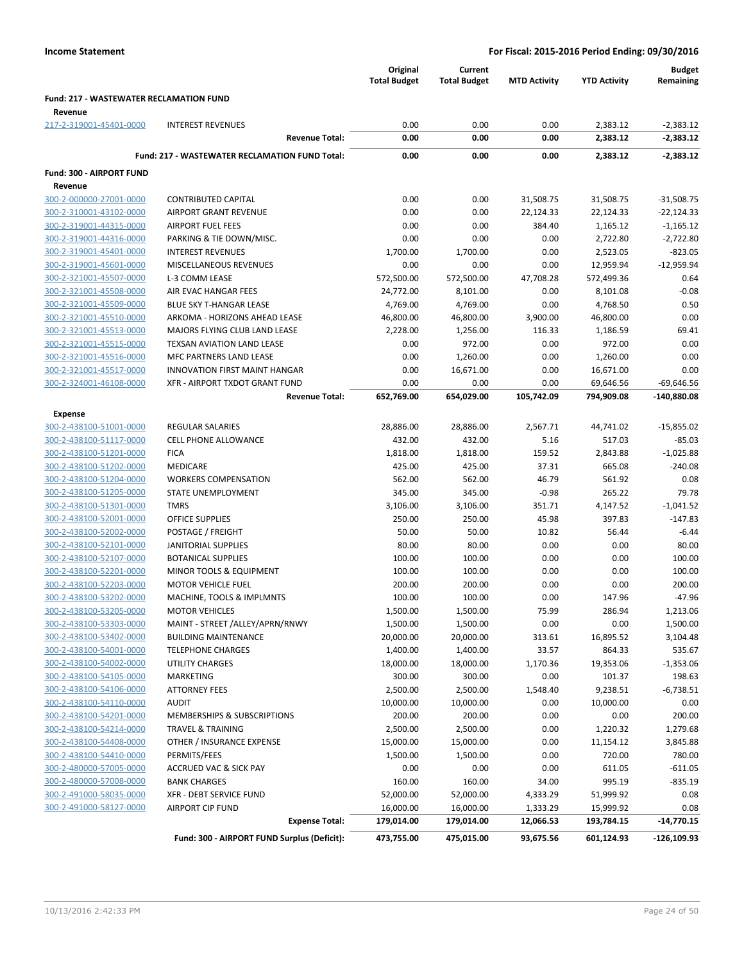|                                                |                                                       | Original<br><b>Total Budget</b> | Current<br><b>Total Budget</b> | <b>MTD Activity</b> | <b>YTD Activity</b>  | <b>Budget</b><br>Remaining   |
|------------------------------------------------|-------------------------------------------------------|---------------------------------|--------------------------------|---------------------|----------------------|------------------------------|
| <b>Fund: 217 - WASTEWATER RECLAMATION FUND</b> |                                                       |                                 |                                |                     |                      |                              |
| Revenue                                        |                                                       |                                 |                                |                     |                      |                              |
| 217-2-319001-45401-0000                        | <b>INTEREST REVENUES</b>                              | 0.00                            | 0.00                           | 0.00                | 2,383.12             | $-2,383.12$                  |
|                                                | <b>Revenue Total:</b>                                 | 0.00                            | 0.00                           | 0.00                | 2,383.12             | $-2,383.12$                  |
|                                                | <b>Fund: 217 - WASTEWATER RECLAMATION FUND Total:</b> | 0.00                            | 0.00                           | 0.00                | 2,383.12             | $-2,383.12$                  |
|                                                |                                                       |                                 |                                |                     |                      |                              |
| Fund: 300 - AIRPORT FUND                       |                                                       |                                 |                                |                     |                      |                              |
| Revenue<br>300-2-000000-27001-0000             | <b>CONTRIBUTED CAPITAL</b>                            | 0.00                            | 0.00                           | 31,508.75           | 31,508.75            |                              |
| 300-2-310001-43102-0000                        | AIRPORT GRANT REVENUE                                 | 0.00                            | 0.00                           | 22,124.33           | 22,124.33            | $-31,508.75$<br>$-22,124.33$ |
| 300-2-319001-44315-0000                        | <b>AIRPORT FUEL FEES</b>                              | 0.00                            | 0.00                           | 384.40              |                      |                              |
| 300-2-319001-44316-0000                        | PARKING & TIE DOWN/MISC.                              | 0.00                            | 0.00                           | 0.00                | 1,165.12<br>2,722.80 | $-1,165.12$<br>$-2,722.80$   |
|                                                | <b>INTEREST REVENUES</b>                              | 1,700.00                        | 1,700.00                       | 0.00                |                      | $-823.05$                    |
| 300-2-319001-45401-0000                        |                                                       |                                 |                                |                     | 2,523.05             |                              |
| 300-2-319001-45601-0000                        | MISCELLANEOUS REVENUES                                | 0.00                            | 0.00                           | 0.00                | 12,959.94            | $-12,959.94$                 |
| 300-2-321001-45507-0000                        | L-3 COMM LEASE                                        | 572,500.00                      | 572,500.00                     | 47,708.28           | 572,499.36           | 0.64                         |
| 300-2-321001-45508-0000                        | AIR EVAC HANGAR FEES                                  | 24,772.00                       | 8,101.00                       | 0.00                | 8,101.08             | $-0.08$                      |
| 300-2-321001-45509-0000                        | <b>BLUE SKY T-HANGAR LEASE</b>                        | 4,769.00                        | 4,769.00                       | 0.00                | 4,768.50             | 0.50                         |
| 300-2-321001-45510-0000                        | ARKOMA - HORIZONS AHEAD LEASE                         | 46,800.00                       | 46,800.00                      | 3,900.00            | 46,800.00            | 0.00                         |
| 300-2-321001-45513-0000                        | MAJORS FLYING CLUB LAND LEASE                         | 2,228.00                        | 1,256.00                       | 116.33              | 1,186.59             | 69.41                        |
| 300-2-321001-45515-0000                        | TEXSAN AVIATION LAND LEASE                            | 0.00                            | 972.00                         | 0.00                | 972.00               | 0.00                         |
| 300-2-321001-45516-0000                        | MFC PARTNERS LAND LEASE                               | 0.00                            | 1,260.00                       | 0.00                | 1,260.00             | 0.00                         |
| 300-2-321001-45517-0000                        | <b>INNOVATION FIRST MAINT HANGAR</b>                  | 0.00                            | 16,671.00                      | 0.00                | 16,671.00            | 0.00                         |
| 300-2-324001-46108-0000                        | XFR - AIRPORT TXDOT GRANT FUND                        | 0.00                            | 0.00                           | 0.00                | 69,646.56            | $-69,646.56$                 |
|                                                | <b>Revenue Total:</b>                                 | 652,769.00                      | 654,029.00                     | 105,742.09          | 794,909.08           | $-140,880.08$                |
| Expense                                        |                                                       |                                 |                                |                     |                      |                              |
| 300-2-438100-51001-0000                        | <b>REGULAR SALARIES</b>                               | 28,886.00                       | 28,886.00                      | 2,567.71            | 44,741.02            | $-15,855.02$                 |
| 300-2-438100-51117-0000                        | <b>CELL PHONE ALLOWANCE</b>                           | 432.00                          | 432.00                         | 5.16                | 517.03               | $-85.03$                     |
| 300-2-438100-51201-0000                        | <b>FICA</b>                                           | 1,818.00                        | 1,818.00                       | 159.52              | 2,843.88             | $-1,025.88$                  |
| 300-2-438100-51202-0000                        | <b>MEDICARE</b>                                       | 425.00                          | 425.00                         | 37.31               | 665.08               | $-240.08$                    |
| 300-2-438100-51204-0000                        | <b>WORKERS COMPENSATION</b>                           | 562.00                          | 562.00                         | 46.79               | 561.92               | 0.08                         |
| 300-2-438100-51205-0000                        | STATE UNEMPLOYMENT                                    | 345.00                          | 345.00                         | $-0.98$             | 265.22               | 79.78                        |
| 300-2-438100-51301-0000                        | <b>TMRS</b>                                           | 3,106.00                        | 3,106.00                       | 351.71              | 4,147.52             | $-1,041.52$                  |
| 300-2-438100-52001-0000                        | <b>OFFICE SUPPLIES</b>                                | 250.00                          | 250.00                         | 45.98               | 397.83               | $-147.83$                    |
| 300-2-438100-52002-0000                        | POSTAGE / FREIGHT                                     | 50.00                           | 50.00                          | 10.82               | 56.44                | $-6.44$                      |
| 300-2-438100-52101-0000                        | <b>JANITORIAL SUPPLIES</b>                            | 80.00                           | 80.00                          | 0.00                | 0.00                 | 80.00                        |
| 300-2-438100-52107-0000                        | <b>BOTANICAL SUPPLIES</b>                             | 100.00                          | 100.00                         | 0.00                | 0.00                 | 100.00                       |
| 300-2-438100-52201-0000                        | MINOR TOOLS & EQUIPMENT                               | 100.00                          | 100.00                         | 0.00                | 0.00                 | 100.00                       |
| 300-2-438100-52203-0000                        | <b>MOTOR VEHICLE FUEL</b>                             | 200.00                          | 200.00                         | 0.00                | 0.00                 | 200.00                       |
|                                                |                                                       |                                 |                                |                     |                      |                              |
| 300-2-438100-53202-0000                        | MACHINE, TOOLS & IMPLMNTS                             | 100.00                          | 100.00                         | 0.00                | 147.96               | $-47.96$                     |
| 300-2-438100-53205-0000                        | <b>MOTOR VEHICLES</b>                                 | 1,500.00                        | 1,500.00                       | 75.99               | 286.94               | 1,213.06                     |
| 300-2-438100-53303-0000                        | MAINT - STREET /ALLEY/APRN/RNWY                       | 1,500.00                        | 1,500.00                       | 0.00                | 0.00                 | 1,500.00                     |
| 300-2-438100-53402-0000                        | <b>BUILDING MAINTENANCE</b>                           | 20,000.00                       | 20,000.00                      | 313.61              | 16,895.52            | 3,104.48                     |
| 300-2-438100-54001-0000                        | <b>TELEPHONE CHARGES</b>                              | 1,400.00                        | 1,400.00                       | 33.57               | 864.33               | 535.67                       |
| 300-2-438100-54002-0000                        | UTILITY CHARGES                                       | 18,000.00                       | 18,000.00                      | 1,170.36            | 19,353.06            | $-1,353.06$                  |
| 300-2-438100-54105-0000                        | MARKETING                                             | 300.00                          | 300.00                         | 0.00                | 101.37               | 198.63                       |
| 300-2-438100-54106-0000                        | <b>ATTORNEY FEES</b>                                  | 2,500.00                        | 2,500.00                       | 1,548.40            | 9,238.51             | $-6,738.51$                  |
| 300-2-438100-54110-0000                        | <b>AUDIT</b>                                          | 10,000.00                       | 10,000.00                      | 0.00                | 10,000.00            | 0.00                         |
| 300-2-438100-54201-0000                        | MEMBERSHIPS & SUBSCRIPTIONS                           | 200.00                          | 200.00                         | 0.00                | 0.00                 | 200.00                       |
| 300-2-438100-54214-0000                        | <b>TRAVEL &amp; TRAINING</b>                          | 2,500.00                        | 2,500.00                       | 0.00                | 1,220.32             | 1,279.68                     |
| 300-2-438100-54408-0000                        | OTHER / INSURANCE EXPENSE                             | 15,000.00                       | 15,000.00                      | 0.00                | 11,154.12            | 3,845.88                     |
| 300-2-438100-54410-0000                        | PERMITS/FEES                                          | 1,500.00                        | 1,500.00                       | 0.00                | 720.00               | 780.00                       |
| 300-2-480000-57005-0000                        | ACCRUED VAC & SICK PAY                                | 0.00                            | 0.00                           | 0.00                | 611.05               | $-611.05$                    |
| 300-2-480000-57008-0000                        | <b>BANK CHARGES</b>                                   | 160.00                          | 160.00                         | 34.00               | 995.19               | $-835.19$                    |
| 300-2-491000-58035-0000                        | XFR - DEBT SERVICE FUND                               | 52,000.00                       | 52,000.00                      | 4,333.29            | 51,999.92            | 0.08                         |
| 300-2-491000-58127-0000                        | <b>AIRPORT CIP FUND</b>                               | 16,000.00                       | 16,000.00                      | 1,333.29            | 15,999.92            | 0.08                         |
|                                                | <b>Expense Total:</b>                                 | 179,014.00                      | 179,014.00                     | 12,066.53           | 193,784.15           | $-14,770.15$                 |
|                                                | Fund: 300 - AIRPORT FUND Surplus (Deficit):           | 473,755.00                      | 475,015.00                     | 93,675.56           | 601,124.93           | -126,109.93                  |
|                                                |                                                       |                                 |                                |                     |                      |                              |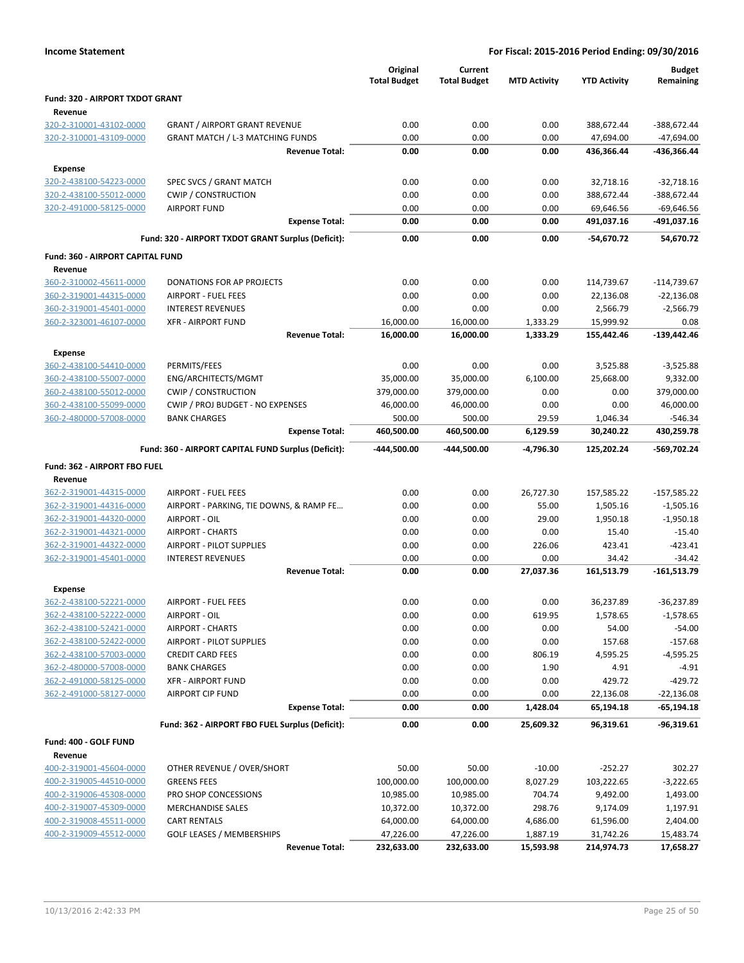|  | <b>Income Statement</b> |
|--|-------------------------|
|--|-------------------------|

|                                                    |                                                         | Original<br><b>Total Budget</b> | Current<br><b>Total Budget</b> | <b>MTD Activity</b>  | <b>YTD Activity</b>     | <b>Budget</b><br>Remaining |
|----------------------------------------------------|---------------------------------------------------------|---------------------------------|--------------------------------|----------------------|-------------------------|----------------------------|
| Fund: 320 - AIRPORT TXDOT GRANT<br>Revenue         |                                                         |                                 |                                |                      |                         |                            |
| 320-2-310001-43102-0000                            | <b>GRANT / AIRPORT GRANT REVENUE</b>                    | 0.00                            | 0.00                           | 0.00                 | 388,672.44              | $-388,672.44$              |
| 320-2-310001-43109-0000                            | <b>GRANT MATCH / L-3 MATCHING FUNDS</b>                 | 0.00                            | 0.00                           | 0.00                 | 47,694.00               | $-47,694.00$               |
|                                                    | <b>Revenue Total:</b>                                   | 0.00                            | 0.00                           | 0.00                 | 436,366.44              | -436,366.44                |
| <b>Expense</b>                                     |                                                         |                                 |                                |                      |                         |                            |
| 320-2-438100-54223-0000                            | SPEC SVCS / GRANT MATCH                                 | 0.00                            | 0.00                           | 0.00                 | 32,718.16               | $-32,718.16$               |
| 320-2-438100-55012-0000                            | <b>CWIP / CONSTRUCTION</b>                              | 0.00                            | 0.00                           | 0.00                 | 388,672.44              | -388,672.44                |
| 320-2-491000-58125-0000                            | <b>AIRPORT FUND</b>                                     | 0.00                            | 0.00                           | 0.00                 | 69,646.56               | $-69,646.56$               |
|                                                    | <b>Expense Total:</b>                                   | 0.00                            | 0.00                           | 0.00                 | 491,037.16              | -491,037.16                |
|                                                    | Fund: 320 - AIRPORT TXDOT GRANT Surplus (Deficit):      | 0.00                            | 0.00                           | 0.00                 | -54,670.72              | 54,670.72                  |
| Fund: 360 - AIRPORT CAPITAL FUND                   |                                                         |                                 |                                |                      |                         |                            |
| Revenue                                            |                                                         |                                 |                                |                      |                         |                            |
| 360-2-310002-45611-0000                            | DONATIONS FOR AP PROJECTS                               | 0.00                            | 0.00                           | 0.00                 | 114,739.67              | $-114,739.67$              |
| 360-2-319001-44315-0000                            | <b>AIRPORT - FUEL FEES</b>                              | 0.00                            | 0.00                           | 0.00                 | 22,136.08               | $-22,136.08$               |
| 360-2-319001-45401-0000<br>360-2-323001-46107-0000 | <b>INTEREST REVENUES</b>                                | 0.00                            | 0.00                           | 0.00                 | 2,566.79                | $-2,566.79$                |
|                                                    | <b>XFR - AIRPORT FUND</b><br><b>Revenue Total:</b>      | 16,000.00<br>16,000.00          | 16,000.00<br>16,000.00         | 1,333.29<br>1,333.29 | 15,999.92<br>155,442.46 | 0.08<br>-139,442.46        |
| <b>Expense</b>                                     |                                                         |                                 |                                |                      |                         |                            |
| 360-2-438100-54410-0000                            | PERMITS/FEES                                            | 0.00                            | 0.00                           | 0.00                 | 3,525.88                | $-3,525.88$                |
| 360-2-438100-55007-0000                            | ENG/ARCHITECTS/MGMT                                     | 35,000.00                       | 35,000.00                      | 6,100.00             | 25,668.00               | 9,332.00                   |
| 360-2-438100-55012-0000                            | <b>CWIP / CONSTRUCTION</b>                              | 379,000.00                      | 379,000.00                     | 0.00                 | 0.00                    | 379,000.00                 |
| 360-2-438100-55099-0000                            | CWIP / PROJ BUDGET - NO EXPENSES                        | 46,000.00                       | 46,000.00                      | 0.00                 | 0.00                    | 46,000.00                  |
| 360-2-480000-57008-0000                            | <b>BANK CHARGES</b>                                     | 500.00                          | 500.00                         | 29.59                | 1,046.34                | -546.34                    |
|                                                    | <b>Expense Total:</b>                                   | 460,500.00                      | 460,500.00                     | 6,129.59             | 30,240.22               | 430,259.78                 |
|                                                    | Fund: 360 - AIRPORT CAPITAL FUND Surplus (Deficit):     | -444,500.00                     | -444,500.00                    | $-4,796.30$          | 125,202.24              | -569,702.24                |
| Fund: 362 - AIRPORT FBO FUEL                       |                                                         |                                 |                                |                      |                         |                            |
| Revenue                                            |                                                         |                                 |                                |                      |                         |                            |
| 362-2-319001-44315-0000                            | <b>AIRPORT - FUEL FEES</b>                              | 0.00                            | 0.00                           | 26,727.30            | 157,585.22              | $-157,585.22$              |
| 362-2-319001-44316-0000                            | AIRPORT - PARKING, TIE DOWNS, & RAMP FE                 | 0.00                            | 0.00                           | 55.00                | 1,505.16                | $-1,505.16$                |
| 362-2-319001-44320-0000                            | AIRPORT - OIL                                           | 0.00                            | 0.00                           | 29.00                | 1,950.18                | $-1,950.18$                |
| 362-2-319001-44321-0000                            | <b>AIRPORT - CHARTS</b>                                 | 0.00                            | 0.00                           | 0.00                 | 15.40                   | $-15.40$                   |
| 362-2-319001-44322-0000                            | <b>AIRPORT - PILOT SUPPLIES</b>                         | 0.00                            | 0.00                           | 226.06               | 423.41                  | $-423.41$                  |
| 362-2-319001-45401-0000                            | <b>INTEREST REVENUES</b>                                | 0.00                            | 0.00                           | 0.00                 | 34.42                   | $-34.42$                   |
|                                                    | <b>Revenue Total:</b>                                   | 0.00                            | 0.00                           | 27,037.36            | 161,513.79              | -161,513.79                |
| <b>Expense</b>                                     |                                                         |                                 |                                |                      |                         |                            |
| 362-2-438100-52221-0000                            | AIRPORT - FUEL FEES                                     | 0.00                            | 0.00                           | 0.00                 | 36,237.89               | $-36,237.89$               |
| 362-2-438100-52222-0000<br>362-2-438100-52421-0000 | AIRPORT - OIL<br><b>AIRPORT - CHARTS</b>                | 0.00<br>0.00                    | 0.00<br>0.00                   | 619.95<br>0.00       | 1,578.65<br>54.00       | $-1,578.65$<br>$-54.00$    |
| 362-2-438100-52422-0000                            | <b>AIRPORT - PILOT SUPPLIES</b>                         | 0.00                            | 0.00                           | 0.00                 | 157.68                  | $-157.68$                  |
| 362-2-438100-57003-0000                            | <b>CREDIT CARD FEES</b>                                 | 0.00                            | 0.00                           | 806.19               | 4,595.25                | $-4,595.25$                |
| 362-2-480000-57008-0000                            | <b>BANK CHARGES</b>                                     | 0.00                            | 0.00                           | 1.90                 | 4.91                    | $-4.91$                    |
| 362-2-491000-58125-0000                            | <b>XFR - AIRPORT FUND</b>                               | 0.00                            | 0.00                           | 0.00                 | 429.72                  | $-429.72$                  |
| 362-2-491000-58127-0000                            | <b>AIRPORT CIP FUND</b>                                 | 0.00                            | 0.00                           | 0.00                 | 22,136.08               | -22,136.08                 |
|                                                    | <b>Expense Total:</b>                                   | 0.00                            | 0.00                           | 1,428.04             | 65,194.18               | -65,194.18                 |
|                                                    | Fund: 362 - AIRPORT FBO FUEL Surplus (Deficit):         | 0.00                            | 0.00                           | 25,609.32            | 96,319.61               | $-96,319.61$               |
| Fund: 400 - GOLF FUND                              |                                                         |                                 |                                |                      |                         |                            |
| Revenue                                            |                                                         |                                 |                                |                      |                         |                            |
| 400-2-319001-45604-0000                            | OTHER REVENUE / OVER/SHORT                              | 50.00                           | 50.00                          | $-10.00$             | $-252.27$               | 302.27                     |
| 400-2-319005-44510-0000                            | <b>GREENS FEES</b>                                      | 100,000.00                      | 100,000.00                     | 8,027.29             | 103,222.65              | $-3,222.65$                |
| 400-2-319006-45308-0000                            | PRO SHOP CONCESSIONS                                    | 10,985.00                       | 10,985.00                      | 704.74               | 9,492.00                | 1,493.00                   |
| 400-2-319007-45309-0000                            | <b>MERCHANDISE SALES</b>                                | 10,372.00                       | 10,372.00                      | 298.76               | 9,174.09                | 1,197.91                   |
| 400-2-319008-45511-0000<br>400-2-319009-45512-0000 | <b>CART RENTALS</b><br><b>GOLF LEASES / MEMBERSHIPS</b> | 64,000.00<br>47,226.00          | 64,000.00<br>47,226.00         | 4,686.00<br>1,887.19 | 61,596.00<br>31,742.26  | 2,404.00<br>15,483.74      |
|                                                    | <b>Revenue Total:</b>                                   | 232,633.00                      | 232,633.00                     | 15,593.98            | 214,974.73              | 17,658.27                  |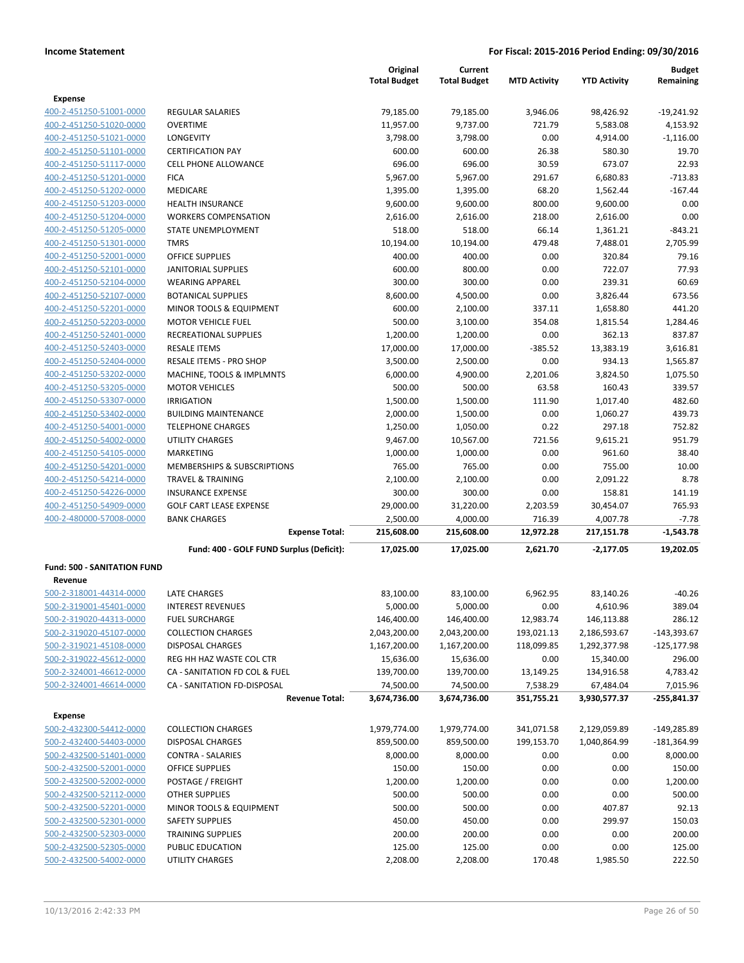|                                                    |                                                      | Original<br><b>Total Budget</b> | Current<br><b>Total Budget</b> | <b>MTD Activity</b> | <b>YTD Activity</b>        | <b>Budget</b><br>Remaining |
|----------------------------------------------------|------------------------------------------------------|---------------------------------|--------------------------------|---------------------|----------------------------|----------------------------|
| <b>Expense</b>                                     |                                                      |                                 |                                |                     |                            |                            |
| 400-2-451250-51001-0000                            | REGULAR SALARIES                                     | 79,185.00                       | 79,185.00                      | 3,946.06            | 98,426.92                  | $-19,241.92$               |
| 400-2-451250-51020-0000                            | <b>OVERTIME</b>                                      | 11,957.00                       | 9,737.00                       | 721.79              | 5,583.08                   | 4,153.92                   |
| 400-2-451250-51021-0000                            | LONGEVITY                                            | 3,798.00                        | 3,798.00                       | 0.00                | 4,914.00                   | $-1,116.00$                |
| 400-2-451250-51101-0000                            | <b>CERTIFICATION PAY</b>                             | 600.00                          | 600.00                         | 26.38               | 580.30                     | 19.70                      |
| 400-2-451250-51117-0000                            | <b>CELL PHONE ALLOWANCE</b>                          | 696.00                          | 696.00                         | 30.59               | 673.07                     | 22.93                      |
| 400-2-451250-51201-0000                            | <b>FICA</b>                                          | 5,967.00                        | 5,967.00                       | 291.67              | 6,680.83                   | $-713.83$                  |
| 400-2-451250-51202-0000                            | <b>MEDICARE</b>                                      | 1,395.00                        | 1,395.00                       | 68.20               | 1,562.44                   | $-167.44$                  |
| 400-2-451250-51203-0000                            | <b>HEALTH INSURANCE</b>                              | 9,600.00                        | 9,600.00                       | 800.00              | 9,600.00                   | 0.00                       |
| 400-2-451250-51204-0000                            | <b>WORKERS COMPENSATION</b>                          | 2,616.00                        | 2,616.00                       | 218.00              | 2,616.00                   | 0.00                       |
| 400-2-451250-51205-0000                            | <b>STATE UNEMPLOYMENT</b>                            | 518.00                          | 518.00                         | 66.14               | 1,361.21                   | $-843.21$                  |
| 400-2-451250-51301-0000                            | <b>TMRS</b>                                          | 10,194.00                       | 10,194.00                      | 479.48              | 7,488.01                   | 2,705.99                   |
| 400-2-451250-52001-0000                            | <b>OFFICE SUPPLIES</b>                               | 400.00                          | 400.00                         | 0.00                | 320.84                     | 79.16                      |
| 400-2-451250-52101-0000                            | JANITORIAL SUPPLIES                                  | 600.00                          | 800.00                         | 0.00                | 722.07                     | 77.93                      |
| 400-2-451250-52104-0000                            | <b>WEARING APPAREL</b>                               | 300.00                          | 300.00                         | 0.00                | 239.31                     | 60.69                      |
| 400-2-451250-52107-0000<br>400-2-451250-52201-0000 | <b>BOTANICAL SUPPLIES</b>                            | 8,600.00                        | 4,500.00                       | 0.00                | 3,826.44                   | 673.56<br>441.20           |
| 400-2-451250-52203-0000                            | MINOR TOOLS & EQUIPMENT<br><b>MOTOR VEHICLE FUEL</b> | 600.00<br>500.00                | 2,100.00<br>3,100.00           | 337.11<br>354.08    | 1,658.80                   |                            |
| 400-2-451250-52401-0000                            | RECREATIONAL SUPPLIES                                | 1,200.00                        | 1,200.00                       | 0.00                | 1,815.54<br>362.13         | 1,284.46<br>837.87         |
| 400-2-451250-52403-0000                            | <b>RESALE ITEMS</b>                                  | 17,000.00                       | 17,000.00                      | $-385.52$           | 13,383.19                  | 3,616.81                   |
| 400-2-451250-52404-0000                            | RESALE ITEMS - PRO SHOP                              | 3,500.00                        | 2,500.00                       | 0.00                | 934.13                     | 1,565.87                   |
| 400-2-451250-53202-0000                            | MACHINE, TOOLS & IMPLMNTS                            | 6,000.00                        | 4,900.00                       | 2,201.06            | 3,824.50                   | 1,075.50                   |
| 400-2-451250-53205-0000                            | <b>MOTOR VEHICLES</b>                                | 500.00                          | 500.00                         | 63.58               | 160.43                     | 339.57                     |
| 400-2-451250-53307-0000                            | <b>IRRIGATION</b>                                    | 1,500.00                        | 1,500.00                       | 111.90              | 1,017.40                   | 482.60                     |
| 400-2-451250-53402-0000                            | <b>BUILDING MAINTENANCE</b>                          | 2,000.00                        | 1,500.00                       | 0.00                | 1,060.27                   | 439.73                     |
| 400-2-451250-54001-0000                            | <b>TELEPHONE CHARGES</b>                             | 1,250.00                        | 1,050.00                       | 0.22                | 297.18                     | 752.82                     |
| 400-2-451250-54002-0000                            | <b>UTILITY CHARGES</b>                               | 9,467.00                        | 10,567.00                      | 721.56              | 9,615.21                   | 951.79                     |
| 400-2-451250-54105-0000                            | <b>MARKETING</b>                                     | 1,000.00                        | 1,000.00                       | 0.00                | 961.60                     | 38.40                      |
| 400-2-451250-54201-0000                            | MEMBERSHIPS & SUBSCRIPTIONS                          | 765.00                          | 765.00                         | 0.00                | 755.00                     | 10.00                      |
| 400-2-451250-54214-0000                            | TRAVEL & TRAINING                                    | 2,100.00                        | 2,100.00                       | 0.00                | 2,091.22                   | 8.78                       |
| 400-2-451250-54226-0000                            | <b>INSURANCE EXPENSE</b>                             | 300.00                          | 300.00                         | 0.00                | 158.81                     | 141.19                     |
| 400-2-451250-54909-0000                            | <b>GOLF CART LEASE EXPENSE</b>                       | 29,000.00                       | 31,220.00                      | 2,203.59            | 30,454.07                  | 765.93                     |
| 400-2-480000-57008-0000                            | <b>BANK CHARGES</b>                                  | 2,500.00                        | 4,000.00                       | 716.39              | 4,007.78                   | $-7.78$                    |
|                                                    | <b>Expense Total:</b>                                | 215,608.00                      | 215,608.00                     | 12,972.28           | 217,151.78                 | $-1,543.78$                |
|                                                    | Fund: 400 - GOLF FUND Surplus (Deficit):             | 17,025.00                       | 17,025.00                      | 2,621.70            | $-2,177.05$                | 19,202.05                  |
| <b>Fund: 500 - SANITATION FUND</b>                 |                                                      |                                 |                                |                     |                            |                            |
| Revenue                                            |                                                      |                                 |                                |                     |                            |                            |
| 500-2-318001-44314-0000                            | LATE CHARGES<br><b>INTEREST REVENUES</b>             | 83,100.00                       | 83,100.00                      | 6,962.95            | 83,140.26                  | $-40.26$                   |
| 500-2-319001-45401-0000<br>500-2-319020-44313-0000 |                                                      | 5,000.00                        | 5,000.00                       | 0.00<br>12,983.74   | 4,610.96                   | 389.04<br>286.12           |
| 500-2-319020-45107-0000                            | <b>FUEL SURCHARGE</b><br><b>COLLECTION CHARGES</b>   | 146,400.00<br>2,043,200.00      | 146,400.00<br>2,043,200.00     | 193,021.13          | 146,113.88<br>2,186,593.67 | $-143,393.67$              |
| 500-2-319021-45108-0000                            | <b>DISPOSAL CHARGES</b>                              | 1,167,200.00                    | 1,167,200.00                   | 118,099.85          | 1,292,377.98               | $-125, 177.98$             |
| 500-2-319022-45612-0000                            | REG HH HAZ WASTE COL CTR                             | 15,636.00                       | 15,636.00                      | 0.00                | 15,340.00                  | 296.00                     |
| 500-2-324001-46612-0000                            | CA - SANITATION FD COL & FUEL                        | 139,700.00                      | 139,700.00                     | 13,149.25           | 134,916.58                 | 4,783.42                   |
| 500-2-324001-46614-0000                            | CA - SANITATION FD-DISPOSAL                          | 74,500.00                       | 74,500.00                      | 7,538.29            | 67,484.04                  | 7,015.96                   |
|                                                    | <b>Revenue Total:</b>                                | 3,674,736.00                    | 3,674,736.00                   | 351,755.21          | 3,930,577.37               | $-255,841.37$              |
| Expense                                            |                                                      |                                 |                                |                     |                            |                            |
| 500-2-432300-54412-0000                            | <b>COLLECTION CHARGES</b>                            | 1,979,774.00                    | 1,979,774.00                   | 341,071.58          | 2,129,059.89               | $-149,285.89$              |
| 500-2-432400-54403-0000                            | <b>DISPOSAL CHARGES</b>                              | 859,500.00                      | 859,500.00                     | 199,153.70          | 1,040,864.99               | $-181,364.99$              |
| 500-2-432500-51401-0000                            | <b>CONTRA - SALARIES</b>                             | 8,000.00                        | 8,000.00                       | 0.00                | 0.00                       | 8,000.00                   |
| 500-2-432500-52001-0000                            | OFFICE SUPPLIES                                      | 150.00                          | 150.00                         | 0.00                | 0.00                       | 150.00                     |
| 500-2-432500-52002-0000                            | POSTAGE / FREIGHT                                    | 1,200.00                        | 1,200.00                       | 0.00                | 0.00                       | 1,200.00                   |
| 500-2-432500-52112-0000                            | <b>OTHER SUPPLIES</b>                                | 500.00                          | 500.00                         | 0.00                | 0.00                       | 500.00                     |
| 500-2-432500-52201-0000                            | MINOR TOOLS & EQUIPMENT                              | 500.00                          | 500.00                         | 0.00                | 407.87                     | 92.13                      |
| 500-2-432500-52301-0000                            | <b>SAFETY SUPPLIES</b>                               | 450.00                          | 450.00                         | 0.00                | 299.97                     | 150.03                     |
| 500-2-432500-52303-0000                            | <b>TRAINING SUPPLIES</b>                             | 200.00                          | 200.00                         | 0.00                | 0.00                       | 200.00                     |
| 500-2-432500-52305-0000                            | PUBLIC EDUCATION                                     | 125.00                          | 125.00                         | 0.00                | 0.00                       | 125.00                     |
| 500-2-432500-54002-0000                            | UTILITY CHARGES                                      | 2,208.00                        | 2,208.00                       | 170.48              | 1,985.50                   | 222.50                     |
|                                                    |                                                      |                                 |                                |                     |                            |                            |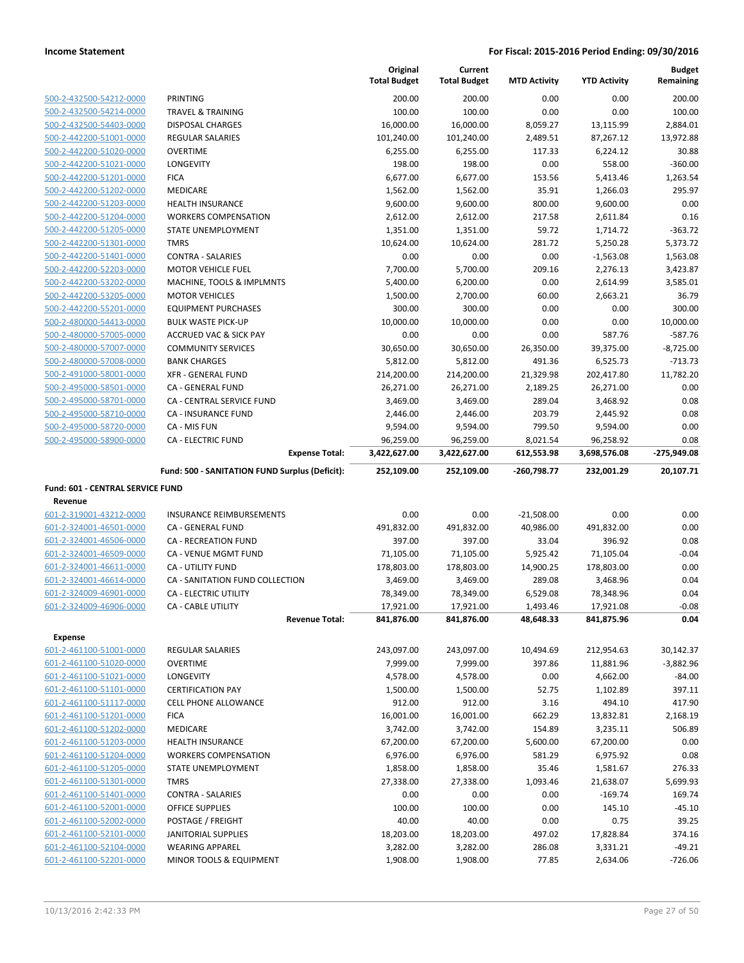|                                                    |                                                         | Original<br><b>Total Budget</b> | Current<br><b>Total Budget</b> | <b>MTD Activity</b> | <b>YTD Activity</b>  | <b>Budget</b><br>Remaining |
|----------------------------------------------------|---------------------------------------------------------|---------------------------------|--------------------------------|---------------------|----------------------|----------------------------|
| 500-2-432500-54212-0000                            | PRINTING                                                | 200.00                          | 200.00                         | 0.00                | 0.00                 | 200.00                     |
| 500-2-432500-54214-0000                            | TRAVEL & TRAINING                                       | 100.00                          | 100.00                         | 0.00                | 0.00                 | 100.00                     |
| 500-2-432500-54403-0000                            | <b>DISPOSAL CHARGES</b>                                 | 16,000.00                       | 16,000.00                      | 8,059.27            | 13,115.99            | 2,884.01                   |
| 500-2-442200-51001-0000                            | <b>REGULAR SALARIES</b>                                 | 101,240.00                      | 101,240.00                     | 2,489.51            | 87,267.12            | 13,972.88                  |
| 500-2-442200-51020-0000                            | <b>OVERTIME</b>                                         | 6,255.00                        | 6,255.00                       | 117.33              | 6,224.12             | 30.88                      |
| 500-2-442200-51021-0000                            | <b>LONGEVITY</b>                                        | 198.00                          | 198.00                         | 0.00                | 558.00               | $-360.00$                  |
| 500-2-442200-51201-0000                            | <b>FICA</b>                                             | 6,677.00                        | 6,677.00                       | 153.56              | 5,413.46             | 1,263.54                   |
| 500-2-442200-51202-0000                            | <b>MEDICARE</b>                                         | 1,562.00                        | 1,562.00                       | 35.91               | 1,266.03             | 295.97                     |
| 500-2-442200-51203-0000                            | <b>HEALTH INSURANCE</b>                                 | 9,600.00                        | 9,600.00                       | 800.00              | 9,600.00             | 0.00                       |
| 500-2-442200-51204-0000                            | <b>WORKERS COMPENSATION</b>                             | 2,612.00                        | 2,612.00                       | 217.58              | 2,611.84             | 0.16                       |
| 500-2-442200-51205-0000                            | STATE UNEMPLOYMENT                                      | 1,351.00                        | 1,351.00                       | 59.72               | 1,714.72             | $-363.72$                  |
| 500-2-442200-51301-0000                            | <b>TMRS</b>                                             | 10,624.00                       | 10,624.00                      | 281.72              | 5,250.28             | 5,373.72                   |
| 500-2-442200-51401-0000                            | <b>CONTRA - SALARIES</b>                                | 0.00                            | 0.00                           | 0.00                | $-1,563.08$          | 1,563.08                   |
| 500-2-442200-52203-0000                            | <b>MOTOR VEHICLE FUEL</b>                               | 7,700.00                        | 5,700.00                       | 209.16              | 2,276.13             | 3,423.87                   |
| 500-2-442200-53202-0000                            | MACHINE, TOOLS & IMPLMNTS                               | 5,400.00                        | 6,200.00                       | 0.00                | 2,614.99             | 3,585.01                   |
| 500-2-442200-53205-0000                            | <b>MOTOR VEHICLES</b>                                   | 1,500.00<br>300.00              | 2,700.00                       | 60.00<br>0.00       | 2,663.21<br>0.00     | 36.79<br>300.00            |
| 500-2-442200-55201-0000<br>500-2-480000-54413-0000 | <b>EQUIPMENT PURCHASES</b><br><b>BULK WASTE PICK-UP</b> | 10,000.00                       | 300.00<br>10,000.00            | 0.00                | 0.00                 | 10,000.00                  |
| 500-2-480000-57005-0000                            | <b>ACCRUED VAC &amp; SICK PAY</b>                       | 0.00                            | 0.00                           | 0.00                | 587.76               | $-587.76$                  |
| 500-2-480000-57007-0000                            | <b>COMMUNITY SERVICES</b>                               | 30,650.00                       | 30,650.00                      | 26,350.00           | 39,375.00            | $-8,725.00$                |
| 500-2-480000-57008-0000                            | <b>BANK CHARGES</b>                                     | 5,812.00                        | 5,812.00                       | 491.36              | 6,525.73             | $-713.73$                  |
| 500-2-491000-58001-0000                            | <b>XFR - GENERAL FUND</b>                               | 214,200.00                      | 214,200.00                     | 21,329.98           | 202,417.80           | 11,782.20                  |
| 500-2-495000-58501-0000                            | CA - GENERAL FUND                                       | 26,271.00                       | 26,271.00                      | 2,189.25            | 26,271.00            | 0.00                       |
| 500-2-495000-58701-0000                            | CA - CENTRAL SERVICE FUND                               | 3,469.00                        | 3,469.00                       | 289.04              | 3,468.92             | 0.08                       |
| 500-2-495000-58710-0000                            | <b>CA - INSURANCE FUND</b>                              | 2,446.00                        | 2,446.00                       | 203.79              | 2,445.92             | 0.08                       |
| 500-2-495000-58720-0000                            | CA - MIS FUN                                            | 9,594.00                        | 9,594.00                       | 799.50              | 9,594.00             | 0.00                       |
| 500-2-495000-58900-0000                            | <b>CA - ELECTRIC FUND</b>                               | 96,259.00                       | 96,259.00                      | 8,021.54            | 96,258.92            | 0.08                       |
|                                                    | <b>Expense Total:</b>                                   | 3,422,627.00                    | 3,422,627.00                   | 612,553.98          | 3,698,576.08         | -275,949.08                |
|                                                    | Fund: 500 - SANITATION FUND Surplus (Deficit):          | 252,109.00                      | 252,109.00                     | -260,798.77         | 232,001.29           | 20,107.71                  |
|                                                    |                                                         |                                 |                                |                     |                      |                            |
|                                                    |                                                         |                                 |                                |                     |                      |                            |
| Fund: 601 - CENTRAL SERVICE FUND                   |                                                         |                                 |                                |                     |                      |                            |
| Revenue<br>601-2-319001-43212-0000                 | <b>INSURANCE REIMBURSEMENTS</b>                         | 0.00                            | 0.00                           | $-21,508.00$        | 0.00                 | 0.00                       |
| 601-2-324001-46501-0000                            | CA - GENERAL FUND                                       | 491,832.00                      | 491,832.00                     | 40,986.00           | 491,832.00           | 0.00                       |
| 601-2-324001-46506-0000                            | <b>CA - RECREATION FUND</b>                             | 397.00                          | 397.00                         | 33.04               | 396.92               | 0.08                       |
| 601-2-324001-46509-0000                            | CA - VENUE MGMT FUND                                    | 71,105.00                       | 71,105.00                      | 5,925.42            | 71,105.04            | $-0.04$                    |
| 601-2-324001-46611-0000                            | CA - UTILITY FUND                                       | 178,803.00                      | 178,803.00                     | 14,900.25           | 178,803.00           | 0.00                       |
| 601-2-324001-46614-0000                            | CA - SANITATION FUND COLLECTION                         | 3,469.00                        | 3,469.00                       | 289.08              | 3,468.96             | 0.04                       |
| 601-2-324009-46901-0000                            | <b>CA - ELECTRIC UTILITY</b>                            | 78,349.00                       | 78,349.00                      | 6,529.08            | 78,348.96            | 0.04                       |
| 601-2-324009-46906-0000                            | <b>CA - CABLE UTILITY</b>                               | 17,921.00                       | 17,921.00                      | 1,493.46            | 17,921.08            | $-0.08$                    |
|                                                    | <b>Revenue Total:</b>                                   | 841,876.00                      | 841,876.00                     | 48,648.33           | 841,875.96           | 0.04                       |
| <b>Expense</b>                                     |                                                         |                                 |                                |                     |                      |                            |
| 601-2-461100-51001-0000                            | <b>REGULAR SALARIES</b>                                 | 243,097.00                      | 243,097.00                     | 10,494.69           | 212,954.63           | 30,142.37                  |
| 601-2-461100-51020-0000                            | <b>OVERTIME</b>                                         | 7,999.00                        | 7,999.00                       | 397.86              | 11,881.96            | $-3,882.96$                |
| 601-2-461100-51021-0000                            | LONGEVITY                                               | 4,578.00                        | 4,578.00                       | 0.00                | 4,662.00             | $-84.00$                   |
| 601-2-461100-51101-0000                            | <b>CERTIFICATION PAY</b>                                | 1,500.00                        | 1,500.00                       | 52.75               | 1,102.89             | 397.11                     |
| 601-2-461100-51117-0000                            | CELL PHONE ALLOWANCE                                    | 912.00                          | 912.00                         | 3.16                | 494.10               | 417.90                     |
| 601-2-461100-51201-0000                            | <b>FICA</b>                                             | 16,001.00                       | 16,001.00                      | 662.29              | 13,832.81            | 2,168.19                   |
| 601-2-461100-51202-0000                            | MEDICARE                                                | 3,742.00                        | 3,742.00                       | 154.89              | 3,235.11             | 506.89                     |
| 601-2-461100-51203-0000                            | <b>HEALTH INSURANCE</b>                                 | 67,200.00                       | 67,200.00                      | 5,600.00            | 67,200.00            | 0.00                       |
| 601-2-461100-51204-0000                            | <b>WORKERS COMPENSATION</b>                             | 6,976.00                        | 6,976.00                       | 581.29              | 6,975.92             | 0.08                       |
| 601-2-461100-51205-0000                            | STATE UNEMPLOYMENT                                      | 1,858.00                        | 1,858.00                       | 35.46               | 1,581.67             | 276.33                     |
| 601-2-461100-51301-0000                            | <b>TMRS</b>                                             | 27,338.00                       | 27,338.00                      | 1,093.46            | 21,638.07            | 5,699.93                   |
| 601-2-461100-51401-0000                            | <b>CONTRA - SALARIES</b>                                | 0.00                            | 0.00                           | 0.00                | $-169.74$            | 169.74                     |
| 601-2-461100-52001-0000                            | OFFICE SUPPLIES                                         | 100.00                          | 100.00                         | 0.00                | 145.10               | $-45.10$                   |
| 601-2-461100-52002-0000                            | POSTAGE / FREIGHT                                       | 40.00                           | 40.00                          | 0.00                | 0.75                 | 39.25                      |
| 601-2-461100-52101-0000                            | <b>JANITORIAL SUPPLIES</b>                              | 18,203.00                       | 18,203.00                      | 497.02              | 17,828.84            | 374.16                     |
| 601-2-461100-52104-0000<br>601-2-461100-52201-0000 | <b>WEARING APPAREL</b><br>MINOR TOOLS & EQUIPMENT       | 3,282.00<br>1,908.00            | 3,282.00<br>1,908.00           | 286.08<br>77.85     | 3,331.21<br>2,634.06 | $-49.21$<br>$-726.06$      |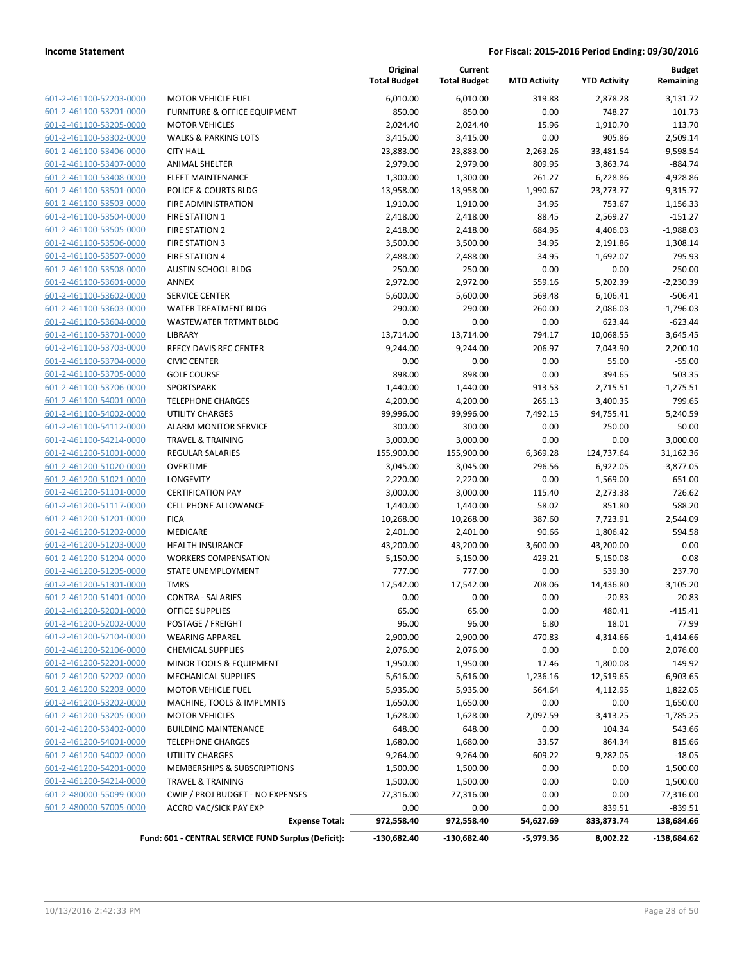| 601-2-461100-52203-0000         |
|---------------------------------|
| 601-2-461100-53201-0000         |
| 601-2-461100-53205-0000         |
| 601-2-461100-53302-0000         |
| 601-2-461100-53406-0000         |
| 601-2-461100-53407-0000         |
| 601-2-461100-53408-0000         |
| 601-2-461100-53501-0000         |
| 601-2-461100-53503-0000         |
| 601-2-461100-53504-0000         |
| 601-2-461100-53505-0000         |
| 601-2-461100-53506-0000         |
| 601-2-461100-53507-0000         |
| 601-2-461100-53508-0000         |
| 601-2-461100-53601-0000         |
| 601-2-461100-53602-0000         |
| 601-2-461100-53603-0000         |
| 601-2-461100-53604-0000         |
| 601-2-461100-53701-0000         |
| 601-2-461100-53703-0000         |
| 601-2-461100-53704-0000         |
| 601-2-461100-53705-0000         |
| 601-2-461100-53706-0000         |
| 601-2-461100-54001-0000         |
| 601-2-461100-54002-0000         |
| 601-2-461100-54112-0000         |
| 601-2-461100-54214-0000         |
| 601-2-461200-51001-0000         |
| 601-2-461200-51020-0000         |
| 601-2-461200-51021-0000         |
| 601-2-461200-51101-0000         |
| 601-2-461200-51117-0000         |
| 601-2-461200-51201-0000         |
| 601-2-461200-51202-0000         |
| 601-2-461200-51203-0000         |
| 601-2-461200-51204-0000         |
| 601-2-461200-51205-0000         |
| 601-2-461200-51301-0000         |
| 601-2-461200-51401-0000         |
| -2-461200-52001-0000<br>$601 -$ |
| 601-2-461200-52002-0000         |
| 601-2-461200-52104-0000         |
|                                 |
| 601-2-461200-52106-0000         |
| 601-2-461200-52201-0000         |
| 601-2-461200-52202-0000         |
| 601-2-461200-52203-0000         |
| 601-2-461200-53202-0000         |
| 601-2-461200-53205-0000         |
| 601-2-461200-53402-0000         |
| 601-2-461200-54001-0000         |
| 601-2-461200-54002-0000         |
| 601-2-461200-54201-0000         |
| 601-2-461200-54214-0000         |
| 601-2-480000-55099-0000         |
| 601-2-480000-57005-0000         |

| 6,010.00<br>601-2-461100-52203-0000<br><b>MOTOR VEHICLE FUEL</b><br>601-2-461100-53201-0000<br>850.00<br>FURNITURE & OFFICE EQUIPMENT<br>601-2-461100-53205-0000<br><b>MOTOR VEHICLES</b><br>2,024.40<br>601-2-461100-53302-0000<br><b>WALKS &amp; PARKING LOTS</b><br>3,415.00<br>601-2-461100-53406-0000<br><b>CITY HALL</b><br>23,883.00<br>601-2-461100-53407-0000<br>2,979.00<br><b>ANIMAL SHELTER</b><br>601-2-461100-53408-0000<br><b>FLEET MAINTENANCE</b><br>1,300.00<br>601-2-461100-53501-0000<br>POLICE & COURTS BLDG<br>13,958.00<br>601-2-461100-53503-0000<br>FIRE ADMINISTRATION<br>1,910.00<br>601-2-461100-53504-0000<br><b>FIRE STATION 1</b><br>2,418.00<br>601-2-461100-53505-0000<br><b>FIRE STATION 2</b><br>2,418.00<br>601-2-461100-53506-0000<br><b>FIRE STATION 3</b><br>3,500.00<br>601-2-461100-53507-0000<br><b>FIRE STATION 4</b><br>2,488.00<br>601-2-461100-53508-0000<br><b>AUSTIN SCHOOL BLDG</b><br>250.00<br>601-2-461100-53601-0000<br><b>ANNEX</b><br>2,972.00<br>601-2-461100-53602-0000<br>5,600.00<br><b>SERVICE CENTER</b><br>601-2-461100-53603-0000<br>290.00<br>WATER TREATMENT BLDG<br>601-2-461100-53604-0000<br>WASTEWATER TRTMNT BLDG<br>0.00<br>601-2-461100-53701-0000<br>LIBRARY<br>13,714.00<br>601-2-461100-53703-0000<br><b>REECY DAVIS REC CENTER</b><br>9,244.00<br>601-2-461100-53704-0000<br><b>CIVIC CENTER</b><br>0.00<br>601-2-461100-53705-0000<br><b>GOLF COURSE</b><br>898.00<br>601-2-461100-53706-0000<br>SPORTSPARK<br>1,440.00<br>601-2-461100-54001-0000<br><b>TELEPHONE CHARGES</b><br>4,200.00<br>601-2-461100-54002-0000<br>99,996.00<br><b>UTILITY CHARGES</b><br>601-2-461100-54112-0000<br><b>ALARM MONITOR SERVICE</b><br>300.00<br>601-2-461100-54214-0000<br><b>TRAVEL &amp; TRAINING</b><br>3,000.00<br>601-2-461200-51001-0000<br><b>REGULAR SALARIES</b><br>155,900.00<br>601-2-461200-51020-0000<br><b>OVERTIME</b><br>3,045.00<br>601-2-461200-51021-0000<br>LONGEVITY<br>2,220.00<br>601-2-461200-51101-0000<br><b>CERTIFICATION PAY</b><br>3,000.00<br>601-2-461200-51117-0000<br><b>CELL PHONE ALLOWANCE</b><br>1,440.00<br>601-2-461200-51201-0000<br><b>FICA</b><br>10,268.00<br>601-2-461200-51202-0000<br>MEDICARE<br>2,401.00<br>601-2-461200-51203-0000<br><b>HEALTH INSURANCE</b><br>43,200.00<br>601-2-461200-51204-0000<br><b>WORKERS COMPENSATION</b><br>5,150.00<br>601-2-461200-51205-0000<br>STATE UNEMPLOYMENT<br>777.00<br>601-2-461200-51301-0000<br><b>TMRS</b><br>17,542.00<br>601-2-461200-51401-0000<br><b>CONTRA - SALARIES</b><br>0.00<br><b>OFFICE SUPPLIES</b><br>65.00<br>601-2-461200-52001-0000<br>601-2-461200-52002-0000<br>POSTAGE / FREIGHT<br>96.00<br>601-2-461200-52104-0000<br><b>WEARING APPAREL</b><br>2,900.00<br>601-2-461200-52106-0000<br><b>CHEMICAL SUPPLIES</b><br>2,076.00<br>601-2-461200-52201-0000<br>MINOR TOOLS & EQUIPMENT<br>1,950.00<br>601-2-461200-52202-0000<br>5,616.00<br><b>MECHANICAL SUPPLIES</b><br>601-2-461200-52203-0000<br><b>MOTOR VEHICLE FUEL</b><br>5,935.00<br>601-2-461200-53202-0000<br>MACHINE, TOOLS & IMPLMNTS<br>1,650.00<br>601-2-461200-53205-0000<br><b>MOTOR VEHICLES</b><br>1,628.00 | 6,010.00<br>850.00<br>2,024.40<br>3,415.00<br>23,883.00<br>2,979.00<br>1,300.00<br>13,958.00<br>1,910.00<br>2,418.00<br>2,418.00<br>3,500.00<br>2,488.00<br>250.00<br>2,972.00<br>5,600.00<br>290.00<br>0.00<br>13,714.00<br>9,244.00 | 319.88<br>0.00<br>15.96<br>0.00<br>2,263.26<br>809.95<br>261.27<br>1,990.67<br>34.95<br>88.45<br>684.95<br>34.95<br>34.95<br>0.00<br>559.16<br>569.48<br>260.00 | 2,878.28<br>748.27<br>1,910.70<br>905.86<br>33,481.54<br>3,863.74<br>6,228.86<br>23,273.77<br>753.67<br>2,569.27<br>4,406.03<br>2,191.86<br>1,692.07<br>0.00<br>5,202.39 | 3,131.72<br>101.73<br>113.70<br>2,509.14<br>$-9,598.54$<br>$-884.74$<br>$-4,928.86$<br>$-9,315.77$<br>1,156.33<br>$-151.27$<br>$-1,988.03$<br>1,308.14<br>795.93<br>250.00 |
|----------------------------------------------------------------------------------------------------------------------------------------------------------------------------------------------------------------------------------------------------------------------------------------------------------------------------------------------------------------------------------------------------------------------------------------------------------------------------------------------------------------------------------------------------------------------------------------------------------------------------------------------------------------------------------------------------------------------------------------------------------------------------------------------------------------------------------------------------------------------------------------------------------------------------------------------------------------------------------------------------------------------------------------------------------------------------------------------------------------------------------------------------------------------------------------------------------------------------------------------------------------------------------------------------------------------------------------------------------------------------------------------------------------------------------------------------------------------------------------------------------------------------------------------------------------------------------------------------------------------------------------------------------------------------------------------------------------------------------------------------------------------------------------------------------------------------------------------------------------------------------------------------------------------------------------------------------------------------------------------------------------------------------------------------------------------------------------------------------------------------------------------------------------------------------------------------------------------------------------------------------------------------------------------------------------------------------------------------------------------------------------------------------------------------------------------------------------------------------------------------------------------------------------------------------------------------------------------------------------------------------------------------------------------------------------------------------------------------------------------------------------------------------------------------------------------------------------------------------------------------------------------------------------------------------------------------------------------------------------------------------------------------------------------------------------------------------------------------------------------------------------------------------------|---------------------------------------------------------------------------------------------------------------------------------------------------------------------------------------------------------------------------------------|-----------------------------------------------------------------------------------------------------------------------------------------------------------------|--------------------------------------------------------------------------------------------------------------------------------------------------------------------------|----------------------------------------------------------------------------------------------------------------------------------------------------------------------------|
|                                                                                                                                                                                                                                                                                                                                                                                                                                                                                                                                                                                                                                                                                                                                                                                                                                                                                                                                                                                                                                                                                                                                                                                                                                                                                                                                                                                                                                                                                                                                                                                                                                                                                                                                                                                                                                                                                                                                                                                                                                                                                                                                                                                                                                                                                                                                                                                                                                                                                                                                                                                                                                                                                                                                                                                                                                                                                                                                                                                                                                                                                                                                                                |                                                                                                                                                                                                                                       |                                                                                                                                                                 |                                                                                                                                                                          |                                                                                                                                                                            |
|                                                                                                                                                                                                                                                                                                                                                                                                                                                                                                                                                                                                                                                                                                                                                                                                                                                                                                                                                                                                                                                                                                                                                                                                                                                                                                                                                                                                                                                                                                                                                                                                                                                                                                                                                                                                                                                                                                                                                                                                                                                                                                                                                                                                                                                                                                                                                                                                                                                                                                                                                                                                                                                                                                                                                                                                                                                                                                                                                                                                                                                                                                                                                                |                                                                                                                                                                                                                                       |                                                                                                                                                                 |                                                                                                                                                                          |                                                                                                                                                                            |
|                                                                                                                                                                                                                                                                                                                                                                                                                                                                                                                                                                                                                                                                                                                                                                                                                                                                                                                                                                                                                                                                                                                                                                                                                                                                                                                                                                                                                                                                                                                                                                                                                                                                                                                                                                                                                                                                                                                                                                                                                                                                                                                                                                                                                                                                                                                                                                                                                                                                                                                                                                                                                                                                                                                                                                                                                                                                                                                                                                                                                                                                                                                                                                |                                                                                                                                                                                                                                       |                                                                                                                                                                 |                                                                                                                                                                          |                                                                                                                                                                            |
|                                                                                                                                                                                                                                                                                                                                                                                                                                                                                                                                                                                                                                                                                                                                                                                                                                                                                                                                                                                                                                                                                                                                                                                                                                                                                                                                                                                                                                                                                                                                                                                                                                                                                                                                                                                                                                                                                                                                                                                                                                                                                                                                                                                                                                                                                                                                                                                                                                                                                                                                                                                                                                                                                                                                                                                                                                                                                                                                                                                                                                                                                                                                                                |                                                                                                                                                                                                                                       |                                                                                                                                                                 |                                                                                                                                                                          |                                                                                                                                                                            |
|                                                                                                                                                                                                                                                                                                                                                                                                                                                                                                                                                                                                                                                                                                                                                                                                                                                                                                                                                                                                                                                                                                                                                                                                                                                                                                                                                                                                                                                                                                                                                                                                                                                                                                                                                                                                                                                                                                                                                                                                                                                                                                                                                                                                                                                                                                                                                                                                                                                                                                                                                                                                                                                                                                                                                                                                                                                                                                                                                                                                                                                                                                                                                                |                                                                                                                                                                                                                                       |                                                                                                                                                                 |                                                                                                                                                                          |                                                                                                                                                                            |
|                                                                                                                                                                                                                                                                                                                                                                                                                                                                                                                                                                                                                                                                                                                                                                                                                                                                                                                                                                                                                                                                                                                                                                                                                                                                                                                                                                                                                                                                                                                                                                                                                                                                                                                                                                                                                                                                                                                                                                                                                                                                                                                                                                                                                                                                                                                                                                                                                                                                                                                                                                                                                                                                                                                                                                                                                                                                                                                                                                                                                                                                                                                                                                |                                                                                                                                                                                                                                       |                                                                                                                                                                 |                                                                                                                                                                          |                                                                                                                                                                            |
|                                                                                                                                                                                                                                                                                                                                                                                                                                                                                                                                                                                                                                                                                                                                                                                                                                                                                                                                                                                                                                                                                                                                                                                                                                                                                                                                                                                                                                                                                                                                                                                                                                                                                                                                                                                                                                                                                                                                                                                                                                                                                                                                                                                                                                                                                                                                                                                                                                                                                                                                                                                                                                                                                                                                                                                                                                                                                                                                                                                                                                                                                                                                                                |                                                                                                                                                                                                                                       |                                                                                                                                                                 |                                                                                                                                                                          |                                                                                                                                                                            |
|                                                                                                                                                                                                                                                                                                                                                                                                                                                                                                                                                                                                                                                                                                                                                                                                                                                                                                                                                                                                                                                                                                                                                                                                                                                                                                                                                                                                                                                                                                                                                                                                                                                                                                                                                                                                                                                                                                                                                                                                                                                                                                                                                                                                                                                                                                                                                                                                                                                                                                                                                                                                                                                                                                                                                                                                                                                                                                                                                                                                                                                                                                                                                                |                                                                                                                                                                                                                                       |                                                                                                                                                                 |                                                                                                                                                                          |                                                                                                                                                                            |
|                                                                                                                                                                                                                                                                                                                                                                                                                                                                                                                                                                                                                                                                                                                                                                                                                                                                                                                                                                                                                                                                                                                                                                                                                                                                                                                                                                                                                                                                                                                                                                                                                                                                                                                                                                                                                                                                                                                                                                                                                                                                                                                                                                                                                                                                                                                                                                                                                                                                                                                                                                                                                                                                                                                                                                                                                                                                                                                                                                                                                                                                                                                                                                |                                                                                                                                                                                                                                       |                                                                                                                                                                 |                                                                                                                                                                          |                                                                                                                                                                            |
|                                                                                                                                                                                                                                                                                                                                                                                                                                                                                                                                                                                                                                                                                                                                                                                                                                                                                                                                                                                                                                                                                                                                                                                                                                                                                                                                                                                                                                                                                                                                                                                                                                                                                                                                                                                                                                                                                                                                                                                                                                                                                                                                                                                                                                                                                                                                                                                                                                                                                                                                                                                                                                                                                                                                                                                                                                                                                                                                                                                                                                                                                                                                                                |                                                                                                                                                                                                                                       |                                                                                                                                                                 |                                                                                                                                                                          |                                                                                                                                                                            |
|                                                                                                                                                                                                                                                                                                                                                                                                                                                                                                                                                                                                                                                                                                                                                                                                                                                                                                                                                                                                                                                                                                                                                                                                                                                                                                                                                                                                                                                                                                                                                                                                                                                                                                                                                                                                                                                                                                                                                                                                                                                                                                                                                                                                                                                                                                                                                                                                                                                                                                                                                                                                                                                                                                                                                                                                                                                                                                                                                                                                                                                                                                                                                                |                                                                                                                                                                                                                                       |                                                                                                                                                                 |                                                                                                                                                                          |                                                                                                                                                                            |
|                                                                                                                                                                                                                                                                                                                                                                                                                                                                                                                                                                                                                                                                                                                                                                                                                                                                                                                                                                                                                                                                                                                                                                                                                                                                                                                                                                                                                                                                                                                                                                                                                                                                                                                                                                                                                                                                                                                                                                                                                                                                                                                                                                                                                                                                                                                                                                                                                                                                                                                                                                                                                                                                                                                                                                                                                                                                                                                                                                                                                                                                                                                                                                |                                                                                                                                                                                                                                       |                                                                                                                                                                 |                                                                                                                                                                          |                                                                                                                                                                            |
|                                                                                                                                                                                                                                                                                                                                                                                                                                                                                                                                                                                                                                                                                                                                                                                                                                                                                                                                                                                                                                                                                                                                                                                                                                                                                                                                                                                                                                                                                                                                                                                                                                                                                                                                                                                                                                                                                                                                                                                                                                                                                                                                                                                                                                                                                                                                                                                                                                                                                                                                                                                                                                                                                                                                                                                                                                                                                                                                                                                                                                                                                                                                                                |                                                                                                                                                                                                                                       |                                                                                                                                                                 |                                                                                                                                                                          |                                                                                                                                                                            |
|                                                                                                                                                                                                                                                                                                                                                                                                                                                                                                                                                                                                                                                                                                                                                                                                                                                                                                                                                                                                                                                                                                                                                                                                                                                                                                                                                                                                                                                                                                                                                                                                                                                                                                                                                                                                                                                                                                                                                                                                                                                                                                                                                                                                                                                                                                                                                                                                                                                                                                                                                                                                                                                                                                                                                                                                                                                                                                                                                                                                                                                                                                                                                                |                                                                                                                                                                                                                                       |                                                                                                                                                                 |                                                                                                                                                                          |                                                                                                                                                                            |
|                                                                                                                                                                                                                                                                                                                                                                                                                                                                                                                                                                                                                                                                                                                                                                                                                                                                                                                                                                                                                                                                                                                                                                                                                                                                                                                                                                                                                                                                                                                                                                                                                                                                                                                                                                                                                                                                                                                                                                                                                                                                                                                                                                                                                                                                                                                                                                                                                                                                                                                                                                                                                                                                                                                                                                                                                                                                                                                                                                                                                                                                                                                                                                |                                                                                                                                                                                                                                       |                                                                                                                                                                 |                                                                                                                                                                          | $-2,230.39$                                                                                                                                                                |
|                                                                                                                                                                                                                                                                                                                                                                                                                                                                                                                                                                                                                                                                                                                                                                                                                                                                                                                                                                                                                                                                                                                                                                                                                                                                                                                                                                                                                                                                                                                                                                                                                                                                                                                                                                                                                                                                                                                                                                                                                                                                                                                                                                                                                                                                                                                                                                                                                                                                                                                                                                                                                                                                                                                                                                                                                                                                                                                                                                                                                                                                                                                                                                |                                                                                                                                                                                                                                       |                                                                                                                                                                 | 6,106.41                                                                                                                                                                 | $-506.41$                                                                                                                                                                  |
|                                                                                                                                                                                                                                                                                                                                                                                                                                                                                                                                                                                                                                                                                                                                                                                                                                                                                                                                                                                                                                                                                                                                                                                                                                                                                                                                                                                                                                                                                                                                                                                                                                                                                                                                                                                                                                                                                                                                                                                                                                                                                                                                                                                                                                                                                                                                                                                                                                                                                                                                                                                                                                                                                                                                                                                                                                                                                                                                                                                                                                                                                                                                                                |                                                                                                                                                                                                                                       |                                                                                                                                                                 | 2,086.03                                                                                                                                                                 | $-1,796.03$                                                                                                                                                                |
|                                                                                                                                                                                                                                                                                                                                                                                                                                                                                                                                                                                                                                                                                                                                                                                                                                                                                                                                                                                                                                                                                                                                                                                                                                                                                                                                                                                                                                                                                                                                                                                                                                                                                                                                                                                                                                                                                                                                                                                                                                                                                                                                                                                                                                                                                                                                                                                                                                                                                                                                                                                                                                                                                                                                                                                                                                                                                                                                                                                                                                                                                                                                                                |                                                                                                                                                                                                                                       | 0.00                                                                                                                                                            | 623.44                                                                                                                                                                   | $-623.44$                                                                                                                                                                  |
|                                                                                                                                                                                                                                                                                                                                                                                                                                                                                                                                                                                                                                                                                                                                                                                                                                                                                                                                                                                                                                                                                                                                                                                                                                                                                                                                                                                                                                                                                                                                                                                                                                                                                                                                                                                                                                                                                                                                                                                                                                                                                                                                                                                                                                                                                                                                                                                                                                                                                                                                                                                                                                                                                                                                                                                                                                                                                                                                                                                                                                                                                                                                                                |                                                                                                                                                                                                                                       | 794.17                                                                                                                                                          | 10,068.55                                                                                                                                                                | 3,645.45                                                                                                                                                                   |
|                                                                                                                                                                                                                                                                                                                                                                                                                                                                                                                                                                                                                                                                                                                                                                                                                                                                                                                                                                                                                                                                                                                                                                                                                                                                                                                                                                                                                                                                                                                                                                                                                                                                                                                                                                                                                                                                                                                                                                                                                                                                                                                                                                                                                                                                                                                                                                                                                                                                                                                                                                                                                                                                                                                                                                                                                                                                                                                                                                                                                                                                                                                                                                |                                                                                                                                                                                                                                       | 206.97                                                                                                                                                          | 7,043.90                                                                                                                                                                 | 2,200.10                                                                                                                                                                   |
|                                                                                                                                                                                                                                                                                                                                                                                                                                                                                                                                                                                                                                                                                                                                                                                                                                                                                                                                                                                                                                                                                                                                                                                                                                                                                                                                                                                                                                                                                                                                                                                                                                                                                                                                                                                                                                                                                                                                                                                                                                                                                                                                                                                                                                                                                                                                                                                                                                                                                                                                                                                                                                                                                                                                                                                                                                                                                                                                                                                                                                                                                                                                                                | 0.00                                                                                                                                                                                                                                  | 0.00                                                                                                                                                            | 55.00                                                                                                                                                                    | $-55.00$                                                                                                                                                                   |
|                                                                                                                                                                                                                                                                                                                                                                                                                                                                                                                                                                                                                                                                                                                                                                                                                                                                                                                                                                                                                                                                                                                                                                                                                                                                                                                                                                                                                                                                                                                                                                                                                                                                                                                                                                                                                                                                                                                                                                                                                                                                                                                                                                                                                                                                                                                                                                                                                                                                                                                                                                                                                                                                                                                                                                                                                                                                                                                                                                                                                                                                                                                                                                | 898.00                                                                                                                                                                                                                                | 0.00                                                                                                                                                            | 394.65                                                                                                                                                                   | 503.35                                                                                                                                                                     |
|                                                                                                                                                                                                                                                                                                                                                                                                                                                                                                                                                                                                                                                                                                                                                                                                                                                                                                                                                                                                                                                                                                                                                                                                                                                                                                                                                                                                                                                                                                                                                                                                                                                                                                                                                                                                                                                                                                                                                                                                                                                                                                                                                                                                                                                                                                                                                                                                                                                                                                                                                                                                                                                                                                                                                                                                                                                                                                                                                                                                                                                                                                                                                                | 1,440.00                                                                                                                                                                                                                              | 913.53                                                                                                                                                          | 2,715.51                                                                                                                                                                 | $-1,275.51$                                                                                                                                                                |
|                                                                                                                                                                                                                                                                                                                                                                                                                                                                                                                                                                                                                                                                                                                                                                                                                                                                                                                                                                                                                                                                                                                                                                                                                                                                                                                                                                                                                                                                                                                                                                                                                                                                                                                                                                                                                                                                                                                                                                                                                                                                                                                                                                                                                                                                                                                                                                                                                                                                                                                                                                                                                                                                                                                                                                                                                                                                                                                                                                                                                                                                                                                                                                | 4,200.00                                                                                                                                                                                                                              | 265.13                                                                                                                                                          | 3,400.35                                                                                                                                                                 | 799.65                                                                                                                                                                     |
|                                                                                                                                                                                                                                                                                                                                                                                                                                                                                                                                                                                                                                                                                                                                                                                                                                                                                                                                                                                                                                                                                                                                                                                                                                                                                                                                                                                                                                                                                                                                                                                                                                                                                                                                                                                                                                                                                                                                                                                                                                                                                                                                                                                                                                                                                                                                                                                                                                                                                                                                                                                                                                                                                                                                                                                                                                                                                                                                                                                                                                                                                                                                                                | 99,996.00                                                                                                                                                                                                                             | 7,492.15                                                                                                                                                        | 94,755.41                                                                                                                                                                | 5,240.59                                                                                                                                                                   |
|                                                                                                                                                                                                                                                                                                                                                                                                                                                                                                                                                                                                                                                                                                                                                                                                                                                                                                                                                                                                                                                                                                                                                                                                                                                                                                                                                                                                                                                                                                                                                                                                                                                                                                                                                                                                                                                                                                                                                                                                                                                                                                                                                                                                                                                                                                                                                                                                                                                                                                                                                                                                                                                                                                                                                                                                                                                                                                                                                                                                                                                                                                                                                                | 300.00                                                                                                                                                                                                                                | 0.00                                                                                                                                                            | 250.00                                                                                                                                                                   | 50.00                                                                                                                                                                      |
|                                                                                                                                                                                                                                                                                                                                                                                                                                                                                                                                                                                                                                                                                                                                                                                                                                                                                                                                                                                                                                                                                                                                                                                                                                                                                                                                                                                                                                                                                                                                                                                                                                                                                                                                                                                                                                                                                                                                                                                                                                                                                                                                                                                                                                                                                                                                                                                                                                                                                                                                                                                                                                                                                                                                                                                                                                                                                                                                                                                                                                                                                                                                                                | 3,000.00                                                                                                                                                                                                                              | 0.00                                                                                                                                                            | 0.00                                                                                                                                                                     | 3,000.00                                                                                                                                                                   |
|                                                                                                                                                                                                                                                                                                                                                                                                                                                                                                                                                                                                                                                                                                                                                                                                                                                                                                                                                                                                                                                                                                                                                                                                                                                                                                                                                                                                                                                                                                                                                                                                                                                                                                                                                                                                                                                                                                                                                                                                                                                                                                                                                                                                                                                                                                                                                                                                                                                                                                                                                                                                                                                                                                                                                                                                                                                                                                                                                                                                                                                                                                                                                                | 155,900.00                                                                                                                                                                                                                            | 6,369.28                                                                                                                                                        | 124,737.64                                                                                                                                                               | 31,162.36                                                                                                                                                                  |
|                                                                                                                                                                                                                                                                                                                                                                                                                                                                                                                                                                                                                                                                                                                                                                                                                                                                                                                                                                                                                                                                                                                                                                                                                                                                                                                                                                                                                                                                                                                                                                                                                                                                                                                                                                                                                                                                                                                                                                                                                                                                                                                                                                                                                                                                                                                                                                                                                                                                                                                                                                                                                                                                                                                                                                                                                                                                                                                                                                                                                                                                                                                                                                | 3,045.00                                                                                                                                                                                                                              | 296.56                                                                                                                                                          | 6,922.05                                                                                                                                                                 | $-3,877.05$                                                                                                                                                                |
|                                                                                                                                                                                                                                                                                                                                                                                                                                                                                                                                                                                                                                                                                                                                                                                                                                                                                                                                                                                                                                                                                                                                                                                                                                                                                                                                                                                                                                                                                                                                                                                                                                                                                                                                                                                                                                                                                                                                                                                                                                                                                                                                                                                                                                                                                                                                                                                                                                                                                                                                                                                                                                                                                                                                                                                                                                                                                                                                                                                                                                                                                                                                                                | 2,220.00                                                                                                                                                                                                                              | 0.00                                                                                                                                                            | 1,569.00                                                                                                                                                                 | 651.00                                                                                                                                                                     |
|                                                                                                                                                                                                                                                                                                                                                                                                                                                                                                                                                                                                                                                                                                                                                                                                                                                                                                                                                                                                                                                                                                                                                                                                                                                                                                                                                                                                                                                                                                                                                                                                                                                                                                                                                                                                                                                                                                                                                                                                                                                                                                                                                                                                                                                                                                                                                                                                                                                                                                                                                                                                                                                                                                                                                                                                                                                                                                                                                                                                                                                                                                                                                                | 3,000.00                                                                                                                                                                                                                              | 115.40                                                                                                                                                          | 2,273.38                                                                                                                                                                 | 726.62                                                                                                                                                                     |
|                                                                                                                                                                                                                                                                                                                                                                                                                                                                                                                                                                                                                                                                                                                                                                                                                                                                                                                                                                                                                                                                                                                                                                                                                                                                                                                                                                                                                                                                                                                                                                                                                                                                                                                                                                                                                                                                                                                                                                                                                                                                                                                                                                                                                                                                                                                                                                                                                                                                                                                                                                                                                                                                                                                                                                                                                                                                                                                                                                                                                                                                                                                                                                | 1,440.00                                                                                                                                                                                                                              | 58.02                                                                                                                                                           | 851.80                                                                                                                                                                   | 588.20                                                                                                                                                                     |
|                                                                                                                                                                                                                                                                                                                                                                                                                                                                                                                                                                                                                                                                                                                                                                                                                                                                                                                                                                                                                                                                                                                                                                                                                                                                                                                                                                                                                                                                                                                                                                                                                                                                                                                                                                                                                                                                                                                                                                                                                                                                                                                                                                                                                                                                                                                                                                                                                                                                                                                                                                                                                                                                                                                                                                                                                                                                                                                                                                                                                                                                                                                                                                | 10,268.00                                                                                                                                                                                                                             | 387.60                                                                                                                                                          | 7,723.91                                                                                                                                                                 | 2,544.09                                                                                                                                                                   |
|                                                                                                                                                                                                                                                                                                                                                                                                                                                                                                                                                                                                                                                                                                                                                                                                                                                                                                                                                                                                                                                                                                                                                                                                                                                                                                                                                                                                                                                                                                                                                                                                                                                                                                                                                                                                                                                                                                                                                                                                                                                                                                                                                                                                                                                                                                                                                                                                                                                                                                                                                                                                                                                                                                                                                                                                                                                                                                                                                                                                                                                                                                                                                                | 2,401.00                                                                                                                                                                                                                              | 90.66                                                                                                                                                           | 1,806.42                                                                                                                                                                 | 594.58                                                                                                                                                                     |
|                                                                                                                                                                                                                                                                                                                                                                                                                                                                                                                                                                                                                                                                                                                                                                                                                                                                                                                                                                                                                                                                                                                                                                                                                                                                                                                                                                                                                                                                                                                                                                                                                                                                                                                                                                                                                                                                                                                                                                                                                                                                                                                                                                                                                                                                                                                                                                                                                                                                                                                                                                                                                                                                                                                                                                                                                                                                                                                                                                                                                                                                                                                                                                | 43,200.00                                                                                                                                                                                                                             | 3,600.00                                                                                                                                                        | 43,200.00                                                                                                                                                                | 0.00                                                                                                                                                                       |
|                                                                                                                                                                                                                                                                                                                                                                                                                                                                                                                                                                                                                                                                                                                                                                                                                                                                                                                                                                                                                                                                                                                                                                                                                                                                                                                                                                                                                                                                                                                                                                                                                                                                                                                                                                                                                                                                                                                                                                                                                                                                                                                                                                                                                                                                                                                                                                                                                                                                                                                                                                                                                                                                                                                                                                                                                                                                                                                                                                                                                                                                                                                                                                | 5,150.00                                                                                                                                                                                                                              | 429.21                                                                                                                                                          | 5,150.08                                                                                                                                                                 | $-0.08$                                                                                                                                                                    |
|                                                                                                                                                                                                                                                                                                                                                                                                                                                                                                                                                                                                                                                                                                                                                                                                                                                                                                                                                                                                                                                                                                                                                                                                                                                                                                                                                                                                                                                                                                                                                                                                                                                                                                                                                                                                                                                                                                                                                                                                                                                                                                                                                                                                                                                                                                                                                                                                                                                                                                                                                                                                                                                                                                                                                                                                                                                                                                                                                                                                                                                                                                                                                                | 777.00                                                                                                                                                                                                                                | 0.00                                                                                                                                                            | 539.30                                                                                                                                                                   | 237.70                                                                                                                                                                     |
|                                                                                                                                                                                                                                                                                                                                                                                                                                                                                                                                                                                                                                                                                                                                                                                                                                                                                                                                                                                                                                                                                                                                                                                                                                                                                                                                                                                                                                                                                                                                                                                                                                                                                                                                                                                                                                                                                                                                                                                                                                                                                                                                                                                                                                                                                                                                                                                                                                                                                                                                                                                                                                                                                                                                                                                                                                                                                                                                                                                                                                                                                                                                                                | 17,542.00                                                                                                                                                                                                                             | 708.06                                                                                                                                                          | 14,436.80                                                                                                                                                                | 3,105.20                                                                                                                                                                   |
|                                                                                                                                                                                                                                                                                                                                                                                                                                                                                                                                                                                                                                                                                                                                                                                                                                                                                                                                                                                                                                                                                                                                                                                                                                                                                                                                                                                                                                                                                                                                                                                                                                                                                                                                                                                                                                                                                                                                                                                                                                                                                                                                                                                                                                                                                                                                                                                                                                                                                                                                                                                                                                                                                                                                                                                                                                                                                                                                                                                                                                                                                                                                                                | 0.00                                                                                                                                                                                                                                  | 0.00                                                                                                                                                            | $-20.83$                                                                                                                                                                 | 20.83                                                                                                                                                                      |
|                                                                                                                                                                                                                                                                                                                                                                                                                                                                                                                                                                                                                                                                                                                                                                                                                                                                                                                                                                                                                                                                                                                                                                                                                                                                                                                                                                                                                                                                                                                                                                                                                                                                                                                                                                                                                                                                                                                                                                                                                                                                                                                                                                                                                                                                                                                                                                                                                                                                                                                                                                                                                                                                                                                                                                                                                                                                                                                                                                                                                                                                                                                                                                | 65.00                                                                                                                                                                                                                                 | 0.00                                                                                                                                                            | 480.41                                                                                                                                                                   | $-415.41$                                                                                                                                                                  |
|                                                                                                                                                                                                                                                                                                                                                                                                                                                                                                                                                                                                                                                                                                                                                                                                                                                                                                                                                                                                                                                                                                                                                                                                                                                                                                                                                                                                                                                                                                                                                                                                                                                                                                                                                                                                                                                                                                                                                                                                                                                                                                                                                                                                                                                                                                                                                                                                                                                                                                                                                                                                                                                                                                                                                                                                                                                                                                                                                                                                                                                                                                                                                                | 96.00                                                                                                                                                                                                                                 | 6.80                                                                                                                                                            | 18.01                                                                                                                                                                    | 77.99                                                                                                                                                                      |
|                                                                                                                                                                                                                                                                                                                                                                                                                                                                                                                                                                                                                                                                                                                                                                                                                                                                                                                                                                                                                                                                                                                                                                                                                                                                                                                                                                                                                                                                                                                                                                                                                                                                                                                                                                                                                                                                                                                                                                                                                                                                                                                                                                                                                                                                                                                                                                                                                                                                                                                                                                                                                                                                                                                                                                                                                                                                                                                                                                                                                                                                                                                                                                | 2,900.00                                                                                                                                                                                                                              | 470.83                                                                                                                                                          | 4,314.66                                                                                                                                                                 | -1,414.66                                                                                                                                                                  |
|                                                                                                                                                                                                                                                                                                                                                                                                                                                                                                                                                                                                                                                                                                                                                                                                                                                                                                                                                                                                                                                                                                                                                                                                                                                                                                                                                                                                                                                                                                                                                                                                                                                                                                                                                                                                                                                                                                                                                                                                                                                                                                                                                                                                                                                                                                                                                                                                                                                                                                                                                                                                                                                                                                                                                                                                                                                                                                                                                                                                                                                                                                                                                                | 2,076.00                                                                                                                                                                                                                              | 0.00                                                                                                                                                            | 0.00                                                                                                                                                                     | 2,076.00                                                                                                                                                                   |
|                                                                                                                                                                                                                                                                                                                                                                                                                                                                                                                                                                                                                                                                                                                                                                                                                                                                                                                                                                                                                                                                                                                                                                                                                                                                                                                                                                                                                                                                                                                                                                                                                                                                                                                                                                                                                                                                                                                                                                                                                                                                                                                                                                                                                                                                                                                                                                                                                                                                                                                                                                                                                                                                                                                                                                                                                                                                                                                                                                                                                                                                                                                                                                | 1,950.00                                                                                                                                                                                                                              | 17.46                                                                                                                                                           | 1,800.08                                                                                                                                                                 | 149.92                                                                                                                                                                     |
|                                                                                                                                                                                                                                                                                                                                                                                                                                                                                                                                                                                                                                                                                                                                                                                                                                                                                                                                                                                                                                                                                                                                                                                                                                                                                                                                                                                                                                                                                                                                                                                                                                                                                                                                                                                                                                                                                                                                                                                                                                                                                                                                                                                                                                                                                                                                                                                                                                                                                                                                                                                                                                                                                                                                                                                                                                                                                                                                                                                                                                                                                                                                                                | 5,616.00                                                                                                                                                                                                                              | 1,236.16                                                                                                                                                        | 12,519.65                                                                                                                                                                | $-6,903.65$                                                                                                                                                                |
|                                                                                                                                                                                                                                                                                                                                                                                                                                                                                                                                                                                                                                                                                                                                                                                                                                                                                                                                                                                                                                                                                                                                                                                                                                                                                                                                                                                                                                                                                                                                                                                                                                                                                                                                                                                                                                                                                                                                                                                                                                                                                                                                                                                                                                                                                                                                                                                                                                                                                                                                                                                                                                                                                                                                                                                                                                                                                                                                                                                                                                                                                                                                                                | 5,935.00                                                                                                                                                                                                                              | 564.64                                                                                                                                                          | 4,112.95                                                                                                                                                                 | 1,822.05                                                                                                                                                                   |
|                                                                                                                                                                                                                                                                                                                                                                                                                                                                                                                                                                                                                                                                                                                                                                                                                                                                                                                                                                                                                                                                                                                                                                                                                                                                                                                                                                                                                                                                                                                                                                                                                                                                                                                                                                                                                                                                                                                                                                                                                                                                                                                                                                                                                                                                                                                                                                                                                                                                                                                                                                                                                                                                                                                                                                                                                                                                                                                                                                                                                                                                                                                                                                | 1,650.00                                                                                                                                                                                                                              | 0.00                                                                                                                                                            | 0.00                                                                                                                                                                     | 1,650.00                                                                                                                                                                   |
|                                                                                                                                                                                                                                                                                                                                                                                                                                                                                                                                                                                                                                                                                                                                                                                                                                                                                                                                                                                                                                                                                                                                                                                                                                                                                                                                                                                                                                                                                                                                                                                                                                                                                                                                                                                                                                                                                                                                                                                                                                                                                                                                                                                                                                                                                                                                                                                                                                                                                                                                                                                                                                                                                                                                                                                                                                                                                                                                                                                                                                                                                                                                                                |                                                                                                                                                                                                                                       | 2,097.59                                                                                                                                                        | 3,413.25                                                                                                                                                                 | $-1,785.25$                                                                                                                                                                |
| 601-2-461200-53402-0000<br><b>BUILDING MAINTENANCE</b><br>648.00                                                                                                                                                                                                                                                                                                                                                                                                                                                                                                                                                                                                                                                                                                                                                                                                                                                                                                                                                                                                                                                                                                                                                                                                                                                                                                                                                                                                                                                                                                                                                                                                                                                                                                                                                                                                                                                                                                                                                                                                                                                                                                                                                                                                                                                                                                                                                                                                                                                                                                                                                                                                                                                                                                                                                                                                                                                                                                                                                                                                                                                                                               |                                                                                                                                                                                                                                       | 0.00                                                                                                                                                            | 104.34                                                                                                                                                                   | 543.66                                                                                                                                                                     |
| 601-2-461200-54001-0000<br>1,680.00<br><b>TELEPHONE CHARGES</b>                                                                                                                                                                                                                                                                                                                                                                                                                                                                                                                                                                                                                                                                                                                                                                                                                                                                                                                                                                                                                                                                                                                                                                                                                                                                                                                                                                                                                                                                                                                                                                                                                                                                                                                                                                                                                                                                                                                                                                                                                                                                                                                                                                                                                                                                                                                                                                                                                                                                                                                                                                                                                                                                                                                                                                                                                                                                                                                                                                                                                                                                                                | 1,628.00<br>648.00                                                                                                                                                                                                                    | 33.57                                                                                                                                                           | 864.34                                                                                                                                                                   | 815.66                                                                                                                                                                     |
| 601-2-461200-54002-0000<br>9,264.00<br><b>UTILITY CHARGES</b>                                                                                                                                                                                                                                                                                                                                                                                                                                                                                                                                                                                                                                                                                                                                                                                                                                                                                                                                                                                                                                                                                                                                                                                                                                                                                                                                                                                                                                                                                                                                                                                                                                                                                                                                                                                                                                                                                                                                                                                                                                                                                                                                                                                                                                                                                                                                                                                                                                                                                                                                                                                                                                                                                                                                                                                                                                                                                                                                                                                                                                                                                                  | 1,680.00                                                                                                                                                                                                                              | 609.22                                                                                                                                                          | 9,282.05                                                                                                                                                                 | $-18.05$                                                                                                                                                                   |
| 601-2-461200-54201-0000<br>MEMBERSHIPS & SUBSCRIPTIONS<br>1,500.00                                                                                                                                                                                                                                                                                                                                                                                                                                                                                                                                                                                                                                                                                                                                                                                                                                                                                                                                                                                                                                                                                                                                                                                                                                                                                                                                                                                                                                                                                                                                                                                                                                                                                                                                                                                                                                                                                                                                                                                                                                                                                                                                                                                                                                                                                                                                                                                                                                                                                                                                                                                                                                                                                                                                                                                                                                                                                                                                                                                                                                                                                             |                                                                                                                                                                                                                                       | 0.00                                                                                                                                                            | 0.00                                                                                                                                                                     | 1,500.00                                                                                                                                                                   |
| 601-2-461200-54214-0000<br><b>TRAVEL &amp; TRAINING</b><br>1,500.00                                                                                                                                                                                                                                                                                                                                                                                                                                                                                                                                                                                                                                                                                                                                                                                                                                                                                                                                                                                                                                                                                                                                                                                                                                                                                                                                                                                                                                                                                                                                                                                                                                                                                                                                                                                                                                                                                                                                                                                                                                                                                                                                                                                                                                                                                                                                                                                                                                                                                                                                                                                                                                                                                                                                                                                                                                                                                                                                                                                                                                                                                            | 9,264.00<br>1,500.00                                                                                                                                                                                                                  | 0.00                                                                                                                                                            | 0.00                                                                                                                                                                     | 1,500.00                                                                                                                                                                   |
| 601-2-480000-55099-0000<br>CWIP / PROJ BUDGET - NO EXPENSES<br>77,316.00                                                                                                                                                                                                                                                                                                                                                                                                                                                                                                                                                                                                                                                                                                                                                                                                                                                                                                                                                                                                                                                                                                                                                                                                                                                                                                                                                                                                                                                                                                                                                                                                                                                                                                                                                                                                                                                                                                                                                                                                                                                                                                                                                                                                                                                                                                                                                                                                                                                                                                                                                                                                                                                                                                                                                                                                                                                                                                                                                                                                                                                                                       |                                                                                                                                                                                                                                       | 0.00                                                                                                                                                            | 0.00                                                                                                                                                                     | 77,316.00                                                                                                                                                                  |
| 601-2-480000-57005-0000<br><b>ACCRD VAC/SICK PAY EXP</b><br>0.00                                                                                                                                                                                                                                                                                                                                                                                                                                                                                                                                                                                                                                                                                                                                                                                                                                                                                                                                                                                                                                                                                                                                                                                                                                                                                                                                                                                                                                                                                                                                                                                                                                                                                                                                                                                                                                                                                                                                                                                                                                                                                                                                                                                                                                                                                                                                                                                                                                                                                                                                                                                                                                                                                                                                                                                                                                                                                                                                                                                                                                                                                               | 1,500.00                                                                                                                                                                                                                              | 0.00                                                                                                                                                            | 839.51                                                                                                                                                                   | $-839.51$                                                                                                                                                                  |
| <b>Expense Total:</b><br>972,558.40                                                                                                                                                                                                                                                                                                                                                                                                                                                                                                                                                                                                                                                                                                                                                                                                                                                                                                                                                                                                                                                                                                                                                                                                                                                                                                                                                                                                                                                                                                                                                                                                                                                                                                                                                                                                                                                                                                                                                                                                                                                                                                                                                                                                                                                                                                                                                                                                                                                                                                                                                                                                                                                                                                                                                                                                                                                                                                                                                                                                                                                                                                                            | 77,316.00<br>0.00                                                                                                                                                                                                                     |                                                                                                                                                                 | 833,873.74                                                                                                                                                               | 138,684.66                                                                                                                                                                 |
| Fund: 601 - CENTRAL SERVICE FUND Surplus (Deficit):<br>-130,682.40                                                                                                                                                                                                                                                                                                                                                                                                                                                                                                                                                                                                                                                                                                                                                                                                                                                                                                                                                                                                                                                                                                                                                                                                                                                                                                                                                                                                                                                                                                                                                                                                                                                                                                                                                                                                                                                                                                                                                                                                                                                                                                                                                                                                                                                                                                                                                                                                                                                                                                                                                                                                                                                                                                                                                                                                                                                                                                                                                                                                                                                                                             | 972,558.40                                                                                                                                                                                                                            | 54,627.69                                                                                                                                                       |                                                                                                                                                                          |                                                                                                                                                                            |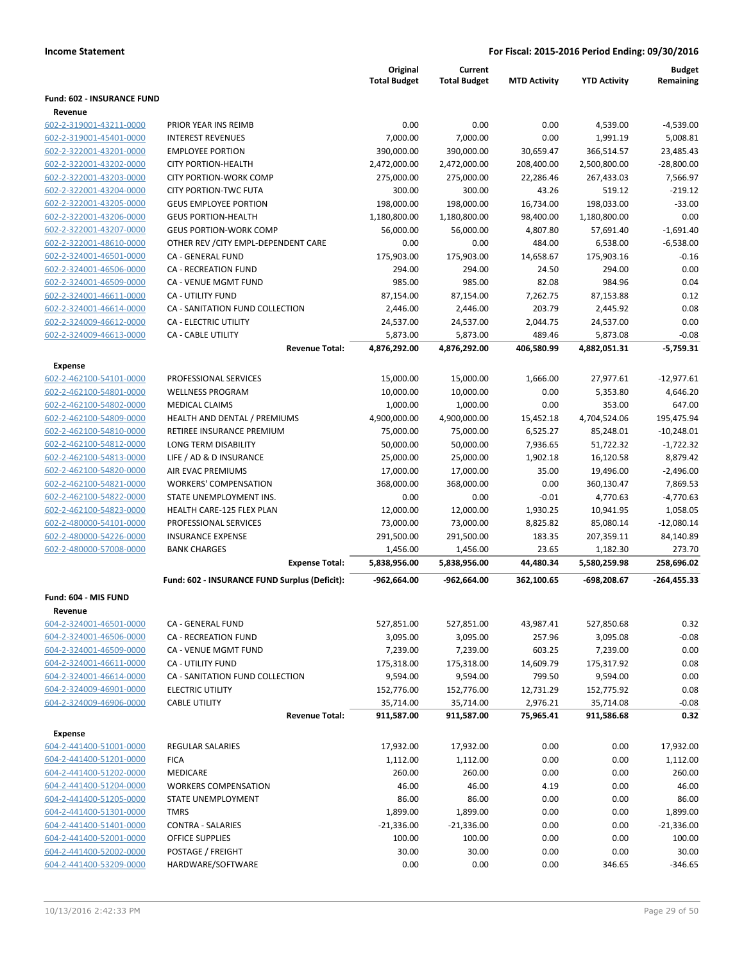|                                                    |                                               | Original<br><b>Total Budget</b> | Current<br><b>Total Budget</b> | <b>MTD Activity</b> | <b>YTD Activity</b>    | <b>Budget</b><br>Remaining |
|----------------------------------------------------|-----------------------------------------------|---------------------------------|--------------------------------|---------------------|------------------------|----------------------------|
| <b>Fund: 602 - INSURANCE FUND</b>                  |                                               |                                 |                                |                     |                        |                            |
| Revenue                                            |                                               |                                 |                                |                     |                        |                            |
| 602-2-319001-43211-0000                            | PRIOR YEAR INS REIMB                          | 0.00                            | 0.00                           | 0.00                | 4,539.00               | $-4,539.00$                |
| 602-2-319001-45401-0000                            | <b>INTEREST REVENUES</b>                      | 7,000.00                        | 7,000.00                       | 0.00                | 1,991.19               | 5,008.81                   |
| 602-2-322001-43201-0000                            | <b>EMPLOYEE PORTION</b>                       | 390,000.00                      | 390,000.00                     | 30,659.47           | 366,514.57             | 23,485.43                  |
| 602-2-322001-43202-0000                            | <b>CITY PORTION-HEALTH</b>                    | 2,472,000.00                    | 2,472,000.00                   | 208,400.00          | 2,500,800.00           | $-28,800.00$               |
| 602-2-322001-43203-0000                            | <b>CITY PORTION-WORK COMP</b>                 | 275,000.00                      | 275,000.00                     | 22,286.46           | 267,433.03             | 7,566.97                   |
| 602-2-322001-43204-0000                            | <b>CITY PORTION-TWC FUTA</b>                  | 300.00                          | 300.00                         | 43.26               | 519.12                 | $-219.12$                  |
| 602-2-322001-43205-0000                            | <b>GEUS EMPLOYEE PORTION</b>                  | 198,000.00                      | 198,000.00                     | 16,734.00           | 198,033.00             | $-33.00$                   |
| 602-2-322001-43206-0000                            | <b>GEUS PORTION-HEALTH</b>                    | 1,180,800.00                    | 1,180,800.00                   | 98,400.00           | 1,180,800.00           | 0.00                       |
| 602-2-322001-43207-0000                            | <b>GEUS PORTION-WORK COMP</b>                 | 56,000.00                       | 56,000.00                      | 4,807.80            | 57,691.40              | $-1,691.40$                |
| 602-2-322001-48610-0000                            | OTHER REV / CITY EMPL-DEPENDENT CARE          | 0.00                            | 0.00                           | 484.00              | 6,538.00               | $-6,538.00$                |
| 602-2-324001-46501-0000                            | CA - GENERAL FUND                             | 175,903.00                      | 175,903.00                     | 14,658.67           | 175,903.16             | $-0.16$                    |
| 602-2-324001-46506-0000                            | <b>CA - RECREATION FUND</b>                   | 294.00                          | 294.00                         | 24.50               | 294.00                 | 0.00                       |
| 602-2-324001-46509-0000                            | CA - VENUE MGMT FUND                          | 985.00                          | 985.00                         | 82.08               | 984.96                 | 0.04                       |
| 602-2-324001-46611-0000                            | CA - UTILITY FUND                             | 87,154.00                       | 87,154.00                      | 7,262.75            | 87,153.88              | 0.12                       |
| 602-2-324001-46614-0000                            | CA - SANITATION FUND COLLECTION               | 2,446.00                        | 2,446.00                       | 203.79              | 2,445.92               | 0.08                       |
| 602-2-324009-46612-0000                            | <b>CA - ELECTRIC UTILITY</b>                  | 24,537.00                       | 24,537.00                      | 2,044.75            | 24,537.00              | 0.00                       |
| 602-2-324009-46613-0000                            | <b>CA - CABLE UTILITY</b>                     | 5,873.00                        | 5,873.00                       | 489.46              | 5,873.08               | $-0.08$                    |
|                                                    | <b>Revenue Total:</b>                         | 4,876,292.00                    | 4,876,292.00                   | 406,580.99          | 4,882,051.31           | $-5,759.31$                |
| <b>Expense</b>                                     |                                               |                                 |                                |                     |                        |                            |
| 602-2-462100-54101-0000                            | PROFESSIONAL SERVICES                         | 15,000.00                       | 15,000.00                      | 1,666.00            | 27,977.61              | $-12,977.61$               |
| 602-2-462100-54801-0000                            | <b>WELLNESS PROGRAM</b>                       | 10,000.00                       | 10,000.00                      | 0.00                | 5,353.80               | 4,646.20                   |
| 602-2-462100-54802-0000                            | <b>MEDICAL CLAIMS</b>                         | 1,000.00                        | 1,000.00                       | 0.00                | 353.00                 | 647.00                     |
| 602-2-462100-54809-0000                            | HEALTH AND DENTAL / PREMIUMS                  | 4,900,000.00                    | 4,900,000.00                   | 15,452.18           | 4,704,524.06           | 195,475.94                 |
| 602-2-462100-54810-0000                            | RETIREE INSURANCE PREMIUM                     | 75,000.00                       | 75,000.00                      | 6,525.27            | 85,248.01              | $-10,248.01$               |
| 602-2-462100-54812-0000                            | LONG TERM DISABILITY                          | 50,000.00                       | 50,000.00                      | 7,936.65            | 51,722.32              | $-1,722.32$                |
| 602-2-462100-54813-0000<br>602-2-462100-54820-0000 | LIFE / AD & D INSURANCE<br>AIR EVAC PREMIUMS  | 25,000.00<br>17,000.00          | 25,000.00<br>17,000.00         | 1,902.18<br>35.00   | 16,120.58<br>19,496.00 | 8,879.42<br>$-2,496.00$    |
| 602-2-462100-54821-0000                            | <b>WORKERS' COMPENSATION</b>                  | 368,000.00                      | 368,000.00                     | 0.00                | 360,130.47             | 7,869.53                   |
| 602-2-462100-54822-0000                            | STATE UNEMPLOYMENT INS.                       | 0.00                            | 0.00                           | $-0.01$             | 4,770.63               | $-4,770.63$                |
| 602-2-462100-54823-0000                            | HEALTH CARE-125 FLEX PLAN                     | 12,000.00                       | 12,000.00                      | 1,930.25            | 10,941.95              | 1,058.05                   |
| 602-2-480000-54101-0000                            | PROFESSIONAL SERVICES                         | 73,000.00                       | 73,000.00                      | 8,825.82            | 85,080.14              | $-12,080.14$               |
| 602-2-480000-54226-0000                            | <b>INSURANCE EXPENSE</b>                      | 291,500.00                      | 291,500.00                     | 183.35              | 207,359.11             | 84,140.89                  |
| 602-2-480000-57008-0000                            | <b>BANK CHARGES</b>                           | 1,456.00                        | 1,456.00                       | 23.65               | 1,182.30               | 273.70                     |
|                                                    | <b>Expense Total:</b>                         | 5,838,956.00                    | 5,838,956.00                   | 44,480.34           | 5,580,259.98           | 258,696.02                 |
|                                                    | Fund: 602 - INSURANCE FUND Surplus (Deficit): | -962,664.00                     | -962,664.00                    | 362,100.65          | -698,208.67            | $-264,455.33$              |
| Fund: 604 - MIS FUND                               |                                               |                                 |                                |                     |                        |                            |
| Revenue                                            |                                               |                                 |                                |                     |                        |                            |
| 604-2-324001-46501-0000                            | CA - GENERAL FUND                             | 527,851.00                      | 527,851.00                     | 43,987.41           | 527,850.68             | 0.32                       |
| 604-2-324001-46506-0000                            | <b>CA - RECREATION FUND</b>                   | 3,095.00                        | 3,095.00                       | 257.96              | 3,095.08               | $-0.08$                    |
| 604-2-324001-46509-0000                            | CA - VENUE MGMT FUND                          | 7,239.00                        | 7,239.00                       | 603.25              | 7,239.00               | 0.00                       |
| 604-2-324001-46611-0000                            | CA - UTILITY FUND                             | 175,318.00                      | 175,318.00                     | 14,609.79           | 175,317.92             | 0.08                       |
| 604-2-324001-46614-0000                            | CA - SANITATION FUND COLLECTION               | 9,594.00                        | 9,594.00                       | 799.50              | 9,594.00               | 0.00                       |
| 604-2-324009-46901-0000                            | <b>ELECTRIC UTILITY</b>                       | 152,776.00                      | 152,776.00                     | 12,731.29           | 152,775.92             | 0.08                       |
| 604-2-324009-46906-0000                            | <b>CABLE UTILITY</b>                          | 35,714.00                       | 35,714.00                      | 2,976.21            | 35,714.08              | $-0.08$                    |
|                                                    | <b>Revenue Total:</b>                         | 911,587.00                      | 911,587.00                     | 75,965.41           | 911,586.68             | 0.32                       |
| Expense                                            |                                               |                                 |                                |                     |                        |                            |
| 604-2-441400-51001-0000                            | <b>REGULAR SALARIES</b>                       | 17,932.00                       | 17,932.00                      | 0.00                | 0.00                   | 17,932.00                  |
| 604-2-441400-51201-0000                            | <b>FICA</b>                                   | 1,112.00                        | 1,112.00                       | 0.00                | 0.00                   | 1,112.00                   |
| 604-2-441400-51202-0000                            | MEDICARE                                      | 260.00                          | 260.00                         | 0.00                | 0.00                   | 260.00                     |
| 604-2-441400-51204-0000                            | <b>WORKERS COMPENSATION</b>                   | 46.00                           | 46.00                          | 4.19                | 0.00                   | 46.00                      |
| 604-2-441400-51205-0000                            | STATE UNEMPLOYMENT                            | 86.00                           | 86.00                          | 0.00                | 0.00                   | 86.00                      |
| 604-2-441400-51301-0000                            | <b>TMRS</b>                                   | 1,899.00                        | 1,899.00                       | 0.00                | 0.00                   | 1,899.00                   |
| 604-2-441400-51401-0000                            | <b>CONTRA - SALARIES</b>                      | $-21,336.00$                    | $-21,336.00$                   | 0.00                | 0.00                   | $-21,336.00$               |
| 604-2-441400-52001-0000                            | <b>OFFICE SUPPLIES</b>                        | 100.00                          | 100.00                         | 0.00                | 0.00                   | 100.00                     |
| 604-2-441400-52002-0000<br>604-2-441400-53209-0000 | POSTAGE / FREIGHT<br>HARDWARE/SOFTWARE        | 30.00<br>0.00                   | 30.00<br>0.00                  | 0.00<br>0.00        | 0.00<br>346.65         | 30.00<br>$-346.65$         |
|                                                    |                                               |                                 |                                |                     |                        |                            |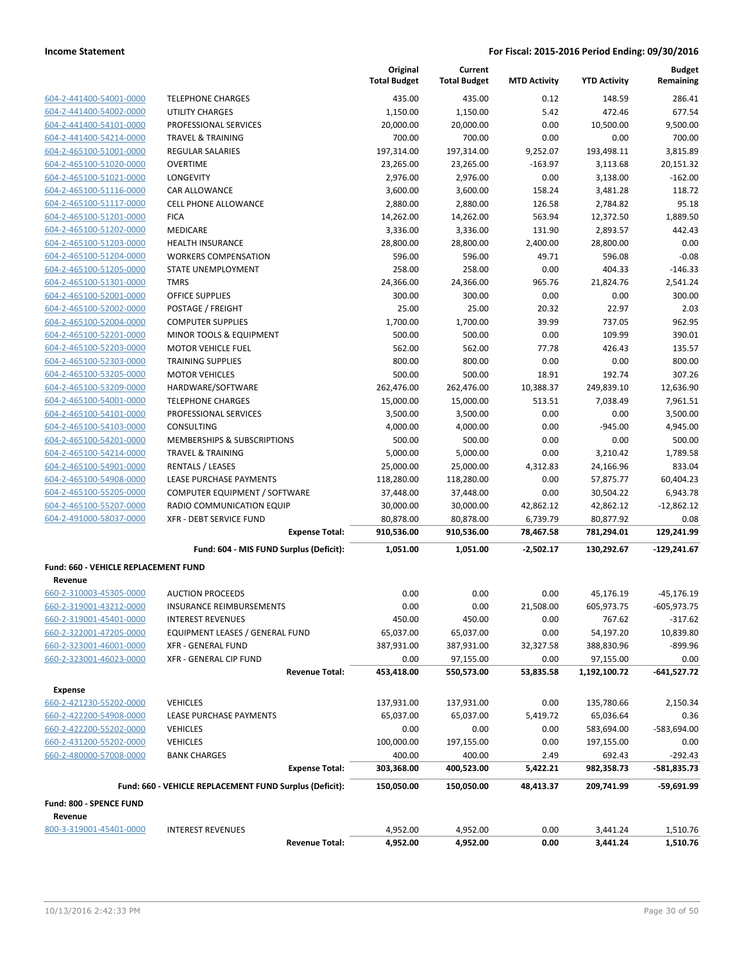|                                      |                                                                  | Original<br><b>Total Budget</b> | Current<br><b>Total Budget</b> | <b>MTD Activity</b>      | <b>YTD Activity</b>      | <b>Budget</b><br>Remaining  |
|--------------------------------------|------------------------------------------------------------------|---------------------------------|--------------------------------|--------------------------|--------------------------|-----------------------------|
| 604-2-441400-54001-0000              | <b>TELEPHONE CHARGES</b>                                         | 435.00                          | 435.00                         | 0.12                     | 148.59                   | 286.41                      |
| 604-2-441400-54002-0000              | UTILITY CHARGES                                                  | 1,150.00                        | 1,150.00                       | 5.42                     | 472.46                   | 677.54                      |
| 604-2-441400-54101-0000              | PROFESSIONAL SERVICES                                            | 20,000.00                       | 20,000.00                      | 0.00                     | 10,500.00                | 9,500.00                    |
| 604-2-441400-54214-0000              | <b>TRAVEL &amp; TRAINING</b>                                     | 700.00                          | 700.00                         | 0.00                     | 0.00                     | 700.00                      |
| 604-2-465100-51001-0000              | <b>REGULAR SALARIES</b>                                          | 197,314.00                      | 197,314.00                     | 9,252.07                 | 193,498.11               | 3,815.89                    |
| 604-2-465100-51020-0000              | OVERTIME                                                         | 23,265.00                       | 23,265.00                      | $-163.97$                | 3,113.68                 | 20,151.32                   |
| 604-2-465100-51021-0000              | LONGEVITY                                                        | 2,976.00                        | 2,976.00                       | 0.00                     | 3,138.00                 | $-162.00$                   |
| 604-2-465100-51116-0000              | CAR ALLOWANCE                                                    | 3,600.00                        | 3,600.00                       | 158.24                   | 3,481.28                 | 118.72                      |
| 604-2-465100-51117-0000              | <b>CELL PHONE ALLOWANCE</b>                                      | 2,880.00                        | 2,880.00                       | 126.58                   | 2,784.82                 | 95.18                       |
| 604-2-465100-51201-0000              | <b>FICA</b>                                                      | 14,262.00                       | 14,262.00                      | 563.94                   | 12,372.50                | 1,889.50                    |
| 604-2-465100-51202-0000              | MEDICARE                                                         | 3,336.00                        | 3,336.00                       | 131.90                   | 2,893.57                 | 442.43                      |
| 604-2-465100-51203-0000              | <b>HEALTH INSURANCE</b>                                          | 28,800.00                       | 28,800.00                      | 2,400.00                 | 28,800.00                | 0.00                        |
| 604-2-465100-51204-0000              | <b>WORKERS COMPENSATION</b>                                      | 596.00                          | 596.00                         | 49.71                    | 596.08                   | $-0.08$                     |
| 604-2-465100-51205-0000              | STATE UNEMPLOYMENT                                               | 258.00                          | 258.00                         | 0.00                     | 404.33                   | $-146.33$                   |
| 604-2-465100-51301-0000              | <b>TMRS</b>                                                      | 24,366.00                       | 24,366.00                      | 965.76                   | 21,824.76                | 2,541.24                    |
| 604-2-465100-52001-0000              | <b>OFFICE SUPPLIES</b>                                           | 300.00                          | 300.00                         | 0.00                     | 0.00                     | 300.00                      |
| 604-2-465100-52002-0000              | POSTAGE / FREIGHT                                                | 25.00                           | 25.00                          | 20.32                    | 22.97                    | 2.03                        |
| 604-2-465100-52004-0000              | <b>COMPUTER SUPPLIES</b>                                         | 1,700.00                        | 1,700.00                       | 39.99                    | 737.05                   | 962.95                      |
| 604-2-465100-52201-0000              | MINOR TOOLS & EQUIPMENT                                          | 500.00                          | 500.00                         | 0.00                     | 109.99                   | 390.01                      |
| 604-2-465100-52203-0000              | <b>MOTOR VEHICLE FUEL</b>                                        | 562.00                          | 562.00                         | 77.78                    | 426.43                   | 135.57                      |
| 604-2-465100-52303-0000              | <b>TRAINING SUPPLIES</b>                                         | 800.00                          | 800.00                         | 0.00                     | 0.00                     | 800.00                      |
| 604-2-465100-53205-0000              | <b>MOTOR VEHICLES</b>                                            | 500.00                          | 500.00                         | 18.91                    | 192.74                   | 307.26                      |
| 604-2-465100-53209-0000              | HARDWARE/SOFTWARE                                                | 262,476.00                      | 262,476.00                     | 10,388.37                | 249,839.10               | 12,636.90                   |
| 604-2-465100-54001-0000              | <b>TELEPHONE CHARGES</b>                                         | 15,000.00                       | 15,000.00                      | 513.51                   | 7,038.49                 | 7.961.51                    |
| 604-2-465100-54101-0000              | PROFESSIONAL SERVICES                                            | 3,500.00                        | 3,500.00                       | 0.00                     | 0.00                     | 3,500.00                    |
| 604-2-465100-54103-0000              | <b>CONSULTING</b>                                                | 4,000.00                        | 4,000.00                       | 0.00                     | $-945.00$                | 4,945.00                    |
| 604-2-465100-54201-0000              | MEMBERSHIPS & SUBSCRIPTIONS                                      | 500.00                          | 500.00                         | 0.00                     | 0.00                     | 500.00                      |
| 604-2-465100-54214-0000              | <b>TRAVEL &amp; TRAINING</b>                                     | 5,000.00                        | 5,000.00                       | 0.00                     | 3,210.42                 | 1,789.58                    |
| 604-2-465100-54901-0000              | RENTALS / LEASES                                                 | 25,000.00                       | 25,000.00                      | 4,312.83                 | 24,166.96                | 833.04                      |
| 604-2-465100-54908-0000              | LEASE PURCHASE PAYMENTS                                          | 118,280.00                      | 118,280.00                     | 0.00                     | 57,875.77                | 60,404.23                   |
| 604-2-465100-55205-0000              | COMPUTER EQUIPMENT / SOFTWARE                                    | 37,448.00                       | 37,448.00                      | 0.00                     | 30,504.22                | 6,943.78                    |
| 604-2-465100-55207-0000              | RADIO COMMUNICATION EQUIP                                        | 30,000.00                       | 30,000.00                      | 42,862.12                | 42,862.12                | $-12,862.12$                |
| 604-2-491000-58037-0000              | <b>XFR - DEBT SERVICE FUND</b>                                   | 80,878.00                       | 80,878.00                      | 6,739.79                 | 80,877.92                | 0.08                        |
|                                      | <b>Expense Total:</b><br>Fund: 604 - MIS FUND Surplus (Deficit): | 910,536.00<br>1,051.00          | 910,536.00<br>1,051.00         | 78,467.58<br>$-2,502.17$ | 781,294.01<br>130,292.67 | 129,241.99<br>$-129,241.67$ |
| Fund: 660 - VEHICLE REPLACEMENT FUND |                                                                  |                                 |                                |                          |                          |                             |
| Revenue                              |                                                                  |                                 |                                |                          |                          |                             |
| 660-2-310003-45305-0000              | <b>AUCTION PROCEEDS</b>                                          | 0.00                            | 0.00                           | 0.00                     | 45,176.19                | $-45, 176.19$               |
| 660-2-319001-43212-0000              | <b>INSURANCE REIMBURSEMENTS</b>                                  | 0.00                            | 0.00                           | 21,508.00                | 605,973.75               | $-605,973.75$               |
| 660-2-319001-45401-0000              | <b>INTEREST REVENUES</b>                                         | 450.00                          | 450.00                         | 0.00                     | 767.62                   | $-317.62$                   |
| 660-2-322001-47205-0000              | EQUIPMENT LEASES / GENERAL FUND                                  | 65,037.00                       | 65,037.00                      | 0.00                     | 54,197.20                | 10,839.80                   |
| 660-2-323001-46001-0000              | <b>XFR - GENERAL FUND</b>                                        | 387,931.00                      | 387,931.00                     | 32,327.58                | 388,830.96               | -899.96                     |
| 660-2-323001-46023-0000              | XFR - GENERAL CIP FUND                                           | 0.00                            | 97,155.00                      | 0.00                     | 97,155.00                | 0.00                        |
|                                      | <b>Revenue Total:</b>                                            | 453,418.00                      | 550,573.00                     | 53,835.58                | 1,192,100.72             | $-641,527.72$               |
| <b>Expense</b>                       |                                                                  |                                 |                                |                          |                          |                             |
| 660-2-421230-55202-0000              | <b>VEHICLES</b>                                                  | 137,931.00                      | 137,931.00                     | 0.00                     | 135,780.66               | 2,150.34                    |
| 660-2-422200-54908-0000              | LEASE PURCHASE PAYMENTS                                          | 65,037.00                       | 65,037.00                      | 5,419.72                 | 65,036.64                | 0.36                        |
| 660-2-422200-55202-0000              | <b>VEHICLES</b>                                                  | 0.00                            | 0.00                           | 0.00                     | 583,694.00               | -583,694.00                 |
| 660-2-431200-55202-0000              | <b>VEHICLES</b>                                                  | 100,000.00                      | 197,155.00                     | 0.00                     | 197,155.00               | 0.00                        |
| 660-2-480000-57008-0000              | <b>BANK CHARGES</b>                                              | 400.00                          | 400.00                         | 2.49                     | 692.43                   | $-292.43$                   |
|                                      | <b>Expense Total:</b>                                            | 303,368.00                      | 400,523.00                     | 5,422.21                 | 982,358.73               | -581,835.73                 |
|                                      | Fund: 660 - VEHICLE REPLACEMENT FUND Surplus (Deficit):          | 150,050.00                      | 150,050.00                     | 48,413.37                | 209,741.99               | $-59,691.99$                |
| Fund: 800 - SPENCE FUND              |                                                                  |                                 |                                |                          |                          |                             |
| Revenue                              |                                                                  |                                 |                                |                          |                          |                             |
| 800-3-319001-45401-0000              | <b>INTEREST REVENUES</b>                                         | 4,952.00                        | 4,952.00                       | 0.00                     | 3,441.24                 | 1,510.76                    |
|                                      | <b>Revenue Total:</b>                                            | 4,952.00                        | 4,952.00                       | 0.00                     | 3,441.24                 | 1,510.76                    |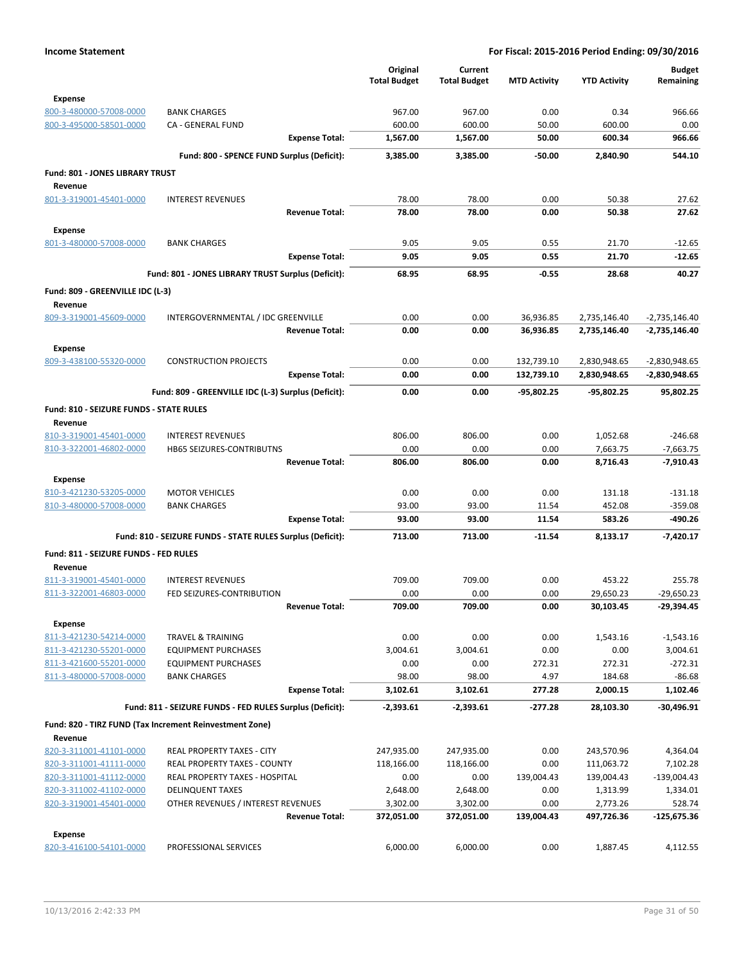|                                                    |                                                              | Original            | Current             |                     |                        | <b>Budget</b>              |
|----------------------------------------------------|--------------------------------------------------------------|---------------------|---------------------|---------------------|------------------------|----------------------------|
|                                                    |                                                              | <b>Total Budget</b> | <b>Total Budget</b> | <b>MTD Activity</b> | <b>YTD Activity</b>    | Remaining                  |
| <b>Expense</b>                                     |                                                              |                     |                     |                     |                        |                            |
| 800-3-480000-57008-0000                            | <b>BANK CHARGES</b>                                          | 967.00              | 967.00              | 0.00                | 0.34                   | 966.66                     |
| 800-3-495000-58501-0000                            | CA - GENERAL FUND                                            | 600.00              | 600.00              | 50.00               | 600.00                 | 0.00                       |
|                                                    | <b>Expense Total:</b>                                        | 1,567.00            | 1,567.00            | 50.00               | 600.34                 | 966.66                     |
|                                                    | Fund: 800 - SPENCE FUND Surplus (Deficit):                   | 3,385.00            | 3,385.00            | $-50.00$            | 2,840.90               | 544.10                     |
| Fund: 801 - JONES LIBRARY TRUST                    |                                                              |                     |                     |                     |                        |                            |
| Revenue                                            |                                                              |                     |                     |                     |                        |                            |
| 801-3-319001-45401-0000                            | <b>INTEREST REVENUES</b>                                     | 78.00               | 78.00               | 0.00                | 50.38                  | 27.62                      |
|                                                    | <b>Revenue Total:</b>                                        | 78.00               | 78.00               | 0.00                | 50.38                  | 27.62                      |
| <b>Expense</b>                                     |                                                              |                     |                     |                     |                        |                            |
| 801-3-480000-57008-0000                            | <b>BANK CHARGES</b>                                          | 9.05                | 9.05                | 0.55                | 21.70                  | $-12.65$                   |
|                                                    | <b>Expense Total:</b>                                        | 9.05                | 9.05                | 0.55                | 21.70                  | $-12.65$                   |
|                                                    | Fund: 801 - JONES LIBRARY TRUST Surplus (Deficit):           | 68.95               | 68.95               | -0.55               | 28.68                  | 40.27                      |
| Fund: 809 - GREENVILLE IDC (L-3)                   |                                                              |                     |                     |                     |                        |                            |
| Revenue                                            |                                                              |                     |                     |                     |                        |                            |
| 809-3-319001-45609-0000                            | INTERGOVERNMENTAL / IDC GREENVILLE                           | 0.00                | 0.00                | 36,936.85           | 2,735,146.40           | -2,735,146.40              |
|                                                    | <b>Revenue Total:</b>                                        | 0.00                | 0.00                | 36,936.85           | 2,735,146.40           | -2,735,146.40              |
| <b>Expense</b>                                     |                                                              |                     |                     |                     |                        |                            |
| 809-3-438100-55320-0000                            | <b>CONSTRUCTION PROJECTS</b>                                 | 0.00                | 0.00                | 132,739.10          | 2,830,948.65           | -2,830,948.65              |
|                                                    | <b>Expense Total:</b>                                        | 0.00                | 0.00                | 132,739.10          | 2,830,948.65           | -2,830,948.65              |
|                                                    |                                                              |                     |                     |                     |                        |                            |
|                                                    | Fund: 809 - GREENVILLE IDC (L-3) Surplus (Deficit):          | 0.00                | 0.00                | -95,802.25          | -95,802.25             | 95,802.25                  |
| Fund: 810 - SEIZURE FUNDS - STATE RULES            |                                                              |                     |                     |                     |                        |                            |
| Revenue                                            |                                                              |                     |                     |                     |                        |                            |
| 810-3-319001-45401-0000                            | <b>INTEREST REVENUES</b><br><b>HB65 SEIZURES-CONTRIBUTNS</b> | 806.00<br>0.00      | 806.00<br>0.00      | 0.00<br>0.00        | 1,052.68               | $-246.68$                  |
| 810-3-322001-46802-0000                            | <b>Revenue Total:</b>                                        | 806.00              | 806.00              | 0.00                | 7,663.75<br>8,716.43   | $-7,663.75$<br>$-7,910.43$ |
|                                                    |                                                              |                     |                     |                     |                        |                            |
| <b>Expense</b>                                     |                                                              |                     |                     |                     |                        |                            |
| 810-3-421230-53205-0000                            | <b>MOTOR VEHICLES</b>                                        | 0.00<br>93.00       | 0.00                | 0.00                | 131.18<br>452.08       | $-131.18$<br>$-359.08$     |
| 810-3-480000-57008-0000                            | <b>BANK CHARGES</b><br><b>Expense Total:</b>                 | 93.00               | 93.00<br>93.00      | 11.54<br>11.54      | 583.26                 | $-490.26$                  |
|                                                    |                                                              |                     |                     |                     |                        |                            |
|                                                    | Fund: 810 - SEIZURE FUNDS - STATE RULES Surplus (Deficit):   | 713.00              | 713.00              | $-11.54$            | 8,133.17               | $-7.420.17$                |
| Fund: 811 - SEIZURE FUNDS - FED RULES              |                                                              |                     |                     |                     |                        |                            |
| Revenue                                            |                                                              |                     |                     |                     |                        |                            |
| 811-3-319001-45401-0000                            | <b>INTEREST REVENUES</b>                                     | 709.00              | 709.00              | 0.00                | 453.22                 | 255.78                     |
| 811-3-322001-46803-0000                            | FED SEIZURES-CONTRIBUTION<br><b>Revenue Total:</b>           | 0.00                | 0.00                | 0.00                | 29,650.23              | $-29,650.23$               |
|                                                    |                                                              | 709.00              | 709.00              | 0.00                | 30,103.45              | -29,394.45                 |
| <b>Expense</b>                                     |                                                              |                     |                     |                     |                        |                            |
| 811-3-421230-54214-0000                            | <b>TRAVEL &amp; TRAINING</b>                                 | 0.00                | 0.00                | 0.00                | 1,543.16               | $-1,543.16$                |
| 811-3-421230-55201-0000                            | <b>EQUIPMENT PURCHASES</b>                                   | 3,004.61            | 3,004.61            | 0.00                | 0.00                   | 3,004.61                   |
| 811-3-421600-55201-0000<br>811-3-480000-57008-0000 | <b>EQUIPMENT PURCHASES</b><br><b>BANK CHARGES</b>            | 0.00<br>98.00       | 0.00<br>98.00       | 272.31<br>4.97      | 272.31<br>184.68       | $-272.31$<br>$-86.68$      |
|                                                    | <b>Expense Total:</b>                                        | 3,102.61            | 3,102.61            | 277.28              | 2,000.15               | 1,102.46                   |
|                                                    |                                                              |                     |                     |                     |                        |                            |
|                                                    | Fund: 811 - SEIZURE FUNDS - FED RULES Surplus (Deficit):     | $-2,393.61$         | -2,393.61           | -277.28             | 28,103.30              | -30,496.91                 |
|                                                    | Fund: 820 - TIRZ FUND (Tax Increment Reinvestment Zone)      |                     |                     |                     |                        |                            |
| Revenue                                            |                                                              |                     |                     |                     |                        |                            |
| 820-3-311001-41101-0000                            | REAL PROPERTY TAXES - CITY                                   | 247,935.00          | 247,935.00          | 0.00                | 243,570.96             | 4,364.04                   |
| 820-3-311001-41111-0000                            | REAL PROPERTY TAXES - COUNTY                                 | 118,166.00          | 118,166.00          | 0.00                | 111,063.72             | 7,102.28                   |
| 820-3-311001-41112-0000<br>820-3-311002-41102-0000 | REAL PROPERTY TAXES - HOSPITAL<br><b>DELINQUENT TAXES</b>    | 0.00<br>2,648.00    | 0.00<br>2,648.00    | 139,004.43<br>0.00  | 139,004.43<br>1,313.99 | $-139,004.43$<br>1,334.01  |
| 820-3-319001-45401-0000                            | OTHER REVENUES / INTEREST REVENUES                           | 3,302.00            | 3,302.00            | 0.00                | 2,773.26               | 528.74                     |
|                                                    | <b>Revenue Total:</b>                                        | 372,051.00          | 372,051.00          | 139,004.43          | 497,726.36             | -125,675.36                |
|                                                    |                                                              |                     |                     |                     |                        |                            |
| <b>Expense</b><br>820-3-416100-54101-0000          | PROFESSIONAL SERVICES                                        | 6,000.00            | 6,000.00            | 0.00                | 1,887.45               | 4,112.55                   |
|                                                    |                                                              |                     |                     |                     |                        |                            |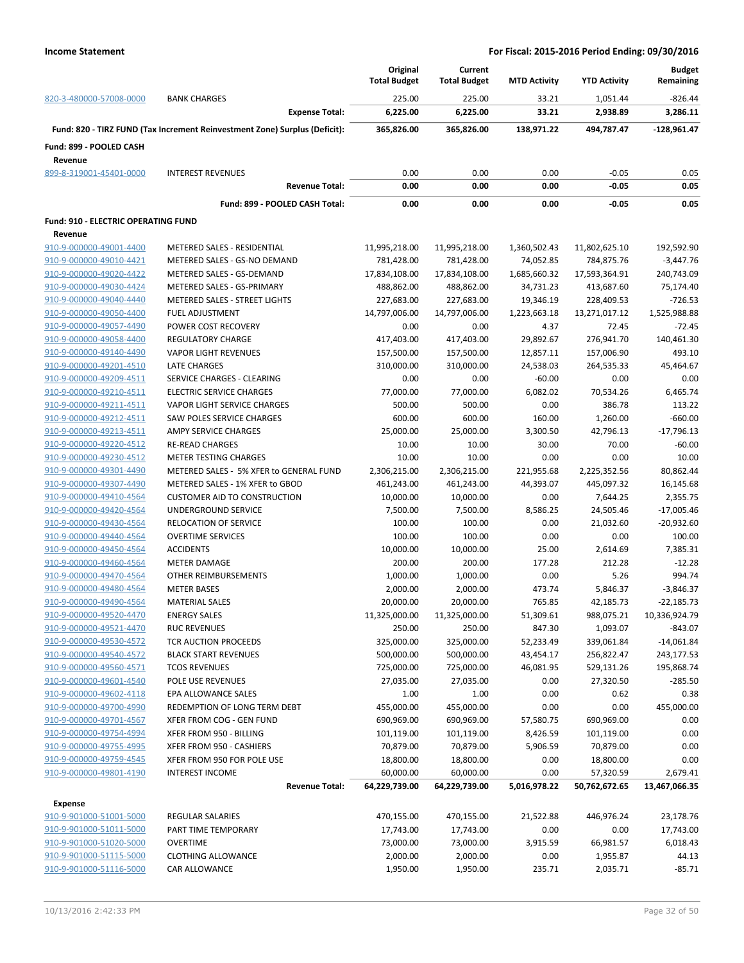|                                            |                                                                            | Original<br><b>Total Budget</b> | Current             |                     |                     | <b>Budget</b><br>Remaining |
|--------------------------------------------|----------------------------------------------------------------------------|---------------------------------|---------------------|---------------------|---------------------|----------------------------|
|                                            |                                                                            |                                 | <b>Total Budget</b> | <b>MTD Activity</b> | <b>YTD Activity</b> |                            |
| 820-3-480000-57008-0000                    | <b>BANK CHARGES</b>                                                        | 225.00                          | 225.00              | 33.21               | 1,051.44            | $-826.44$                  |
|                                            | <b>Expense Total:</b>                                                      | 6,225.00                        | 6,225.00            | 33.21               | 2,938.89            | 3,286.11                   |
|                                            | Fund: 820 - TIRZ FUND (Tax Increment Reinvestment Zone) Surplus (Deficit): | 365,826.00                      | 365,826.00          | 138,971.22          | 494,787.47          | -128,961.47                |
| Fund: 899 - POOLED CASH                    |                                                                            |                                 |                     |                     |                     |                            |
| Revenue                                    |                                                                            |                                 |                     |                     |                     |                            |
| 899-8-319001-45401-0000                    | <b>INTEREST REVENUES</b>                                                   | 0.00                            | 0.00                | 0.00                | $-0.05$             | 0.05                       |
|                                            | <b>Revenue Total:</b>                                                      | 0.00                            | 0.00                | 0.00                | $-0.05$             | 0.05                       |
|                                            | Fund: 899 - POOLED CASH Total:                                             | 0.00                            | 0.00                | 0.00                | $-0.05$             | 0.05                       |
| <b>Fund: 910 - ELECTRIC OPERATING FUND</b> |                                                                            |                                 |                     |                     |                     |                            |
| Revenue                                    |                                                                            |                                 |                     |                     |                     |                            |
| 910-9-000000-49001-4400                    | METERED SALES - RESIDENTIAL                                                | 11,995,218.00                   | 11,995,218.00       | 1,360,502.43        | 11,802,625.10       | 192,592.90                 |
| 910-9-000000-49010-4421                    | METERED SALES - GS-NO DEMAND                                               | 781,428.00                      | 781,428.00          | 74,052.85           | 784,875.76          | -3,447.76                  |
| 910-9-000000-49020-4422                    | METERED SALES - GS-DEMAND                                                  | 17,834,108.00                   | 17,834,108.00       | 1,685,660.32        | 17,593,364.91       | 240,743.09                 |
| 910-9-000000-49030-4424                    | METERED SALES - GS-PRIMARY                                                 | 488,862.00                      | 488,862.00          | 34,731.23           | 413,687.60          | 75,174.40                  |
| 910-9-000000-49040-4440                    | METERED SALES - STREET LIGHTS                                              | 227,683.00                      | 227,683.00          | 19,346.19           | 228,409.53          | $-726.53$                  |
| 910-9-000000-49050-4400                    | <b>FUEL ADJUSTMENT</b>                                                     | 14,797,006.00                   | 14,797,006.00       | 1,223,663.18        | 13,271,017.12       | 1,525,988.88               |
| 910-9-000000-49057-4490                    | POWER COST RECOVERY                                                        | 0.00                            | 0.00                | 4.37                | 72.45               | $-72.45$                   |
| 910-9-000000-49058-4400                    | <b>REGULATORY CHARGE</b>                                                   | 417,403.00                      | 417,403.00          | 29,892.67           | 276,941.70          | 140,461.30                 |
| 910-9-000000-49140-4490                    | <b>VAPOR LIGHT REVENUES</b>                                                | 157,500.00                      | 157,500.00          | 12,857.11           | 157,006.90          | 493.10                     |
| 910-9-000000-49201-4510                    | <b>LATE CHARGES</b>                                                        | 310,000.00                      | 310,000.00          | 24,538.03           | 264,535.33          | 45,464.67                  |
| 910-9-000000-49209-4511                    | SERVICE CHARGES - CLEARING                                                 | 0.00                            | 0.00                | $-60.00$            | 0.00                | 0.00                       |
| 910-9-000000-49210-4511                    | <b>ELECTRIC SERVICE CHARGES</b>                                            | 77,000.00                       | 77,000.00           | 6,082.02            | 70,534.26           | 6,465.74                   |
| 910-9-000000-49211-4511                    | VAPOR LIGHT SERVICE CHARGES                                                | 500.00                          | 500.00              | 0.00                | 386.78              | 113.22                     |
| 910-9-000000-49212-4511                    | SAW POLES SERVICE CHARGES                                                  | 600.00                          | 600.00              | 160.00              | 1,260.00            | $-660.00$                  |
| 910-9-000000-49213-4511                    | AMPY SERVICE CHARGES                                                       | 25,000.00                       | 25,000.00           | 3,300.50            | 42,796.13           | $-17,796.13$               |
|                                            |                                                                            |                                 |                     | 30.00               | 70.00               | $-60.00$                   |
| 910-9-000000-49220-4512                    | <b>RE-READ CHARGES</b>                                                     | 10.00                           | 10.00               |                     |                     |                            |
| 910-9-000000-49230-4512                    | <b>METER TESTING CHARGES</b>                                               | 10.00                           | 10.00               | 0.00                | 0.00                | 10.00                      |
| 910-9-000000-49301-4490                    | METERED SALES - 5% XFER to GENERAL FUND                                    | 2,306,215.00                    | 2,306,215.00        | 221,955.68          | 2,225,352.56        | 80,862.44                  |
| 910-9-000000-49307-4490                    | METERED SALES - 1% XFER to GBOD                                            | 461,243.00                      | 461,243.00          | 44,393.07           | 445,097.32          | 16,145.68                  |
| 910-9-000000-49410-4564                    | <b>CUSTOMER AID TO CONSTRUCTION</b>                                        | 10,000.00                       | 10,000.00           | 0.00                | 7,644.25            | 2,355.75                   |
| 910-9-000000-49420-4564                    | UNDERGROUND SERVICE                                                        | 7,500.00                        | 7,500.00            | 8,586.25            | 24,505.46           | $-17,005.46$               |
| 910-9-000000-49430-4564                    | RELOCATION OF SERVICE                                                      | 100.00                          | 100.00              | 0.00                | 21,032.60           | $-20,932.60$               |
| 910-9-000000-49440-4564                    | <b>OVERTIME SERVICES</b>                                                   | 100.00                          | 100.00              | 0.00                | 0.00                | 100.00                     |
| 910-9-000000-49450-4564                    | <b>ACCIDENTS</b>                                                           | 10,000.00                       | 10,000.00           | 25.00               | 2,614.69            | 7,385.31                   |
| 910-9-000000-49460-4564                    | <b>METER DAMAGE</b>                                                        | 200.00                          | 200.00              | 177.28              | 212.28              | $-12.28$                   |
| 910-9-000000-49470-4564                    | OTHER REIMBURSEMENTS                                                       | 1,000.00                        | 1,000.00            | 0.00                | 5.26                | 994.74                     |
| 910-9-000000-49480-4564                    | <b>METER BASES</b>                                                         | 2,000.00                        | 2,000.00            | 473.74              | 5,846.37            | $-3,846.37$                |
| 910-9-000000-49490-4564                    | <b>MATERIAL SALES</b>                                                      | 20,000.00                       | 20,000.00           | 765.85              | 42,185.73           | $-22,185.73$               |
| 910-9-000000-49520-4470                    | <b>ENERGY SALES</b>                                                        | 11,325,000.00                   | 11,325,000.00       | 51,309.61           | 988,075.21          | 10,336,924.79              |
| 910-9-000000-49521-4470                    | <b>RUC REVENUES</b>                                                        | 250.00                          | 250.00              | 847.30              | 1,093.07            | $-843.07$                  |
| 910-9-000000-49530-4572                    | TCR AUCTION PROCEEDS                                                       | 325,000.00                      | 325,000.00          | 52,233.49           | 339,061.84          | $-14,061.84$               |
| 910-9-000000-49540-4572                    | <b>BLACK START REVENUES</b>                                                | 500,000.00                      | 500,000.00          | 43,454.17           | 256,822.47          | 243,177.53                 |
| 910-9-000000-49560-4571                    | <b>TCOS REVENUES</b>                                                       | 725,000.00                      | 725,000.00          | 46,081.95           | 529,131.26          | 195,868.74                 |
| 910-9-000000-49601-4540                    | POLE USE REVENUES                                                          | 27,035.00                       | 27,035.00           | 0.00                | 27,320.50           | $-285.50$                  |
| 910-9-000000-49602-4118                    | EPA ALLOWANCE SALES                                                        | 1.00                            | 1.00                | 0.00                | 0.62                | 0.38                       |
| 910-9-000000-49700-4990                    | REDEMPTION OF LONG TERM DEBT                                               | 455,000.00                      | 455,000.00          | 0.00                | 0.00                | 455,000.00                 |
| 910-9-000000-49701-4567                    | XFER FROM COG - GEN FUND                                                   | 690,969.00                      | 690,969.00          | 57,580.75           | 690,969.00          | 0.00                       |
| 910-9-000000-49754-4994                    | XFER FROM 950 - BILLING                                                    | 101,119.00                      | 101,119.00          | 8,426.59            | 101,119.00          | 0.00                       |
| 910-9-000000-49755-4995                    | XFER FROM 950 - CASHIERS                                                   | 70,879.00                       | 70,879.00           | 5,906.59            | 70,879.00           | 0.00                       |
| 910-9-000000-49759-4545                    | XFER FROM 950 FOR POLE USE                                                 | 18,800.00                       | 18,800.00           | 0.00                | 18,800.00           | 0.00                       |
| 910-9-000000-49801-4190                    | <b>INTEREST INCOME</b>                                                     | 60,000.00                       | 60,000.00           | 0.00                | 57,320.59           | 2,679.41                   |
|                                            | <b>Revenue Total:</b>                                                      | 64,229,739.00                   | 64,229,739.00       | 5,016,978.22        | 50,762,672.65       | 13,467,066.35              |
| <b>Expense</b>                             |                                                                            |                                 |                     |                     |                     |                            |
| 910-9-901000-51001-5000                    | <b>REGULAR SALARIES</b>                                                    | 470,155.00                      | 470,155.00          | 21,522.88           | 446,976.24          | 23,178.76                  |
| 910-9-901000-51011-5000                    | PART TIME TEMPORARY                                                        | 17,743.00                       | 17,743.00           | 0.00                | 0.00                | 17,743.00                  |
| 910-9-901000-51020-5000                    | <b>OVERTIME</b>                                                            | 73,000.00                       | 73,000.00           | 3,915.59            | 66,981.57           | 6,018.43                   |
| 910-9-901000-51115-5000                    | <b>CLOTHING ALLOWANCE</b>                                                  |                                 |                     |                     |                     |                            |
|                                            |                                                                            | 2,000.00                        | 2,000.00            | 0.00                | 1,955.87            | 44.13                      |
| 910-9-901000-51116-5000                    | CAR ALLOWANCE                                                              | 1,950.00                        | 1,950.00            | 235.71              | 2,035.71            | $-85.71$                   |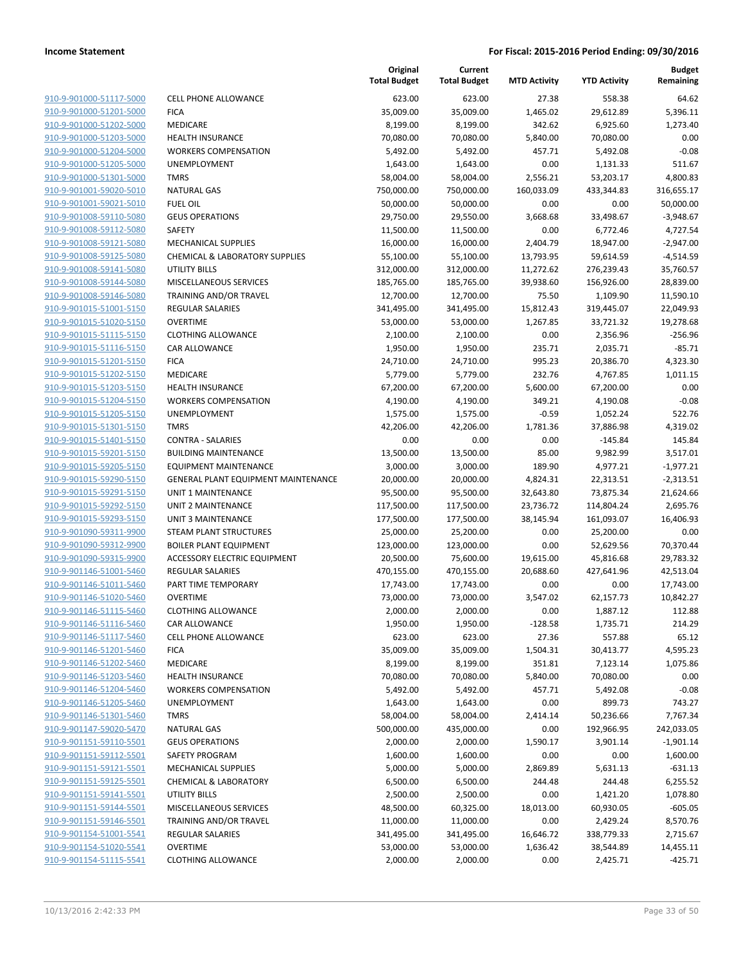| 910-9-901000-51117-5000        |
|--------------------------------|
| 910-9-901000-51201-5000        |
| 910-9-901000-51202-5000        |
| 910-9-901000-51203-5000        |
| 910-9-901000-51204-5000        |
| 910-9-901000-51205-5000        |
| 910-9-901000-51301-5000        |
| 910-9-901001-59020-5010        |
| <u>910-9-901001-59021-5010</u> |
| <u>910-9-901008-59110-5080</u> |
| 910-9-901008-59112-5080        |
|                                |
| 910-9-901008-59121-5080        |
| 910-9-901008-59125-5080        |
| 910-9-901008-59141-5080        |
| <u>910-9-901008-59144-5080</u> |
| 910-9-901008-59146-5080        |
| 910-9-901015-51001-5150        |
| 910-9-901015-51020-5150        |
| 910-9-901015-51115-5150        |
| 910-9-901015-51116-5150        |
| 910-9-901015-51201-5150        |
| 910-9-901015-51202-5150        |
| 910-9-901015-51203-5150        |
| 910-9-901015-51204-5150        |
| 910-9-901015-51205-5150        |
| 910-9-901015-51301-5150        |
| 910-9-901015-51401-5150        |
| 910-9-901015-59201-5150        |
| 910-9-901015-59205-5150        |
| 910-9-901015-59290-5150        |
| 910-9-901015-59291-5150        |
|                                |
| 910-9-901015-59292-5150        |
| 910-9-901015-59293-5150        |
| 910-9-901090-59311-9900        |
| 910-9-901090-59312-9900        |
| 910-9-901090-59315-9900        |
| 910-9-901146-51001-5460        |
| 910-9-901146-51011-5460        |
| 910-9-901146-51020-5460        |
| 910-9-901146-51115-5460        |
| 910-9-901146-51116-5460        |
| 910-9-901146-51117-5460        |
| 910-9-901146-51201-5460        |
| 910-9-901146-51202-5460        |
| <u>910-9-901146-51203-5460</u> |
| 910-9-901146-51204-5460        |
| 910-9-901146-51205-5460        |
| 910-9-901146-51301-5460        |
| 910-9-901147-59020-5470        |
|                                |
| <u>910-9-901151-59110-5501</u> |
| 910-9-901151-59112-5501        |
| 910-9-901151-59121-5501        |
| 910-9-901151-59125-5501        |
| 910-9-901151-59141-5501        |
| <u>910-9-901151-59144-5501</u> |
| 910-9-901151-59146-5501        |
| 910-9-901154-51001-5541        |
| 910-9-901154-51020-5541        |
| 910-9-901154-51115-5541        |
|                                |

|                                                    |                                                  | Original<br><b>Total Budget</b> | Current<br><b>Total Budget</b> | <b>MTD Activity</b> | <b>YTD Activity</b>    | <b>Budget</b><br>Remaining |
|----------------------------------------------------|--------------------------------------------------|---------------------------------|--------------------------------|---------------------|------------------------|----------------------------|
| 910-9-901000-51117-5000                            | <b>CELL PHONE ALLOWANCE</b>                      | 623.00                          | 623.00                         | 27.38               | 558.38                 | 64.62                      |
| 910-9-901000-51201-5000                            | <b>FICA</b>                                      | 35,009.00                       | 35,009.00                      | 1,465.02            | 29,612.89              | 5,396.11                   |
| 910-9-901000-51202-5000                            | MEDICARE                                         | 8,199.00                        | 8,199.00                       | 342.62              | 6,925.60               | 1,273.40                   |
| 910-9-901000-51203-5000                            | <b>HEALTH INSURANCE</b>                          | 70,080.00                       | 70,080.00                      | 5,840.00            | 70,080.00              | 0.00                       |
| 910-9-901000-51204-5000                            | <b>WORKERS COMPENSATION</b>                      | 5,492.00                        | 5,492.00                       | 457.71              | 5,492.08               | $-0.08$                    |
| 910-9-901000-51205-5000                            | UNEMPLOYMENT                                     | 1,643.00                        | 1,643.00                       | 0.00                | 1,131.33               | 511.67                     |
| 910-9-901000-51301-5000                            | <b>TMRS</b>                                      | 58,004.00                       | 58,004.00                      | 2,556.21            | 53,203.17              | 4,800.83                   |
| 910-9-901001-59020-5010                            | <b>NATURAL GAS</b>                               | 750,000.00                      | 750,000.00                     | 160,033.09          | 433,344.83             | 316,655.17                 |
| 910-9-901001-59021-5010                            | <b>FUEL OIL</b>                                  | 50,000.00                       | 50,000.00                      | 0.00                | 0.00                   | 50,000.00                  |
| 910-9-901008-59110-5080                            | <b>GEUS OPERATIONS</b>                           | 29,750.00                       | 29,550.00                      | 3,668.68            | 33,498.67              | $-3,948.67$                |
| 910-9-901008-59112-5080                            | SAFETY                                           | 11,500.00                       | 11,500.00                      | 0.00                | 6,772.46               | 4,727.54                   |
| 910-9-901008-59121-5080                            | <b>MECHANICAL SUPPLIES</b>                       | 16,000.00                       | 16,000.00                      | 2,404.79            | 18,947.00              | $-2,947.00$                |
| 910-9-901008-59125-5080                            | <b>CHEMICAL &amp; LABORATORY SUPPLIES</b>        | 55,100.00                       | 55,100.00                      | 13,793.95           | 59,614.59              | $-4,514.59$                |
| 910-9-901008-59141-5080                            | UTILITY BILLS                                    | 312,000.00                      | 312,000.00                     | 11,272.62           | 276,239.43             | 35,760.57                  |
| 910-9-901008-59144-5080                            | MISCELLANEOUS SERVICES                           | 185,765.00                      | 185,765.00                     | 39,938.60           | 156,926.00             | 28,839.00                  |
| 910-9-901008-59146-5080                            | TRAINING AND/OR TRAVEL                           | 12,700.00                       | 12,700.00                      | 75.50               | 1,109.90               | 11,590.10                  |
| 910-9-901015-51001-5150                            | <b>REGULAR SALARIES</b>                          | 341,495.00                      | 341,495.00                     | 15,812.43           | 319,445.07             | 22,049.93                  |
| 910-9-901015-51020-5150                            | <b>OVERTIME</b>                                  | 53,000.00                       | 53,000.00                      | 1,267.85            | 33,721.32              | 19,278.68                  |
| 910-9-901015-51115-5150                            | <b>CLOTHING ALLOWANCE</b>                        | 2,100.00                        | 2,100.00                       | 0.00                | 2,356.96               | $-256.96$                  |
| 910-9-901015-51116-5150                            | CAR ALLOWANCE                                    | 1,950.00                        | 1,950.00                       | 235.71              | 2,035.71               | $-85.71$                   |
| 910-9-901015-51201-5150                            | <b>FICA</b>                                      | 24,710.00                       | 24,710.00                      | 995.23              | 20,386.70              | 4,323.30                   |
| 910-9-901015-51202-5150                            | MEDICARE                                         | 5,779.00                        | 5,779.00                       | 232.76              | 4,767.85               | 1,011.15                   |
| 910-9-901015-51203-5150                            | <b>HEALTH INSURANCE</b>                          | 67,200.00                       | 67,200.00                      | 5,600.00            | 67,200.00              | 0.00                       |
| 910-9-901015-51204-5150                            | <b>WORKERS COMPENSATION</b>                      | 4,190.00                        | 4,190.00                       | 349.21              | 4,190.08               | $-0.08$                    |
| 910-9-901015-51205-5150                            | UNEMPLOYMENT<br><b>TMRS</b>                      | 1,575.00                        | 1,575.00                       | $-0.59$             | 1,052.24               | 522.76                     |
| 910-9-901015-51301-5150<br>910-9-901015-51401-5150 | <b>CONTRA - SALARIES</b>                         | 42,206.00<br>0.00               | 42,206.00<br>0.00              | 1,781.36<br>0.00    | 37,886.98<br>$-145.84$ | 4,319.02<br>145.84         |
| 910-9-901015-59201-5150                            | <b>BUILDING MAINTENANCE</b>                      | 13,500.00                       | 13,500.00                      | 85.00               | 9,982.99               | 3,517.01                   |
| 910-9-901015-59205-5150                            | <b>EQUIPMENT MAINTENANCE</b>                     | 3,000.00                        | 3,000.00                       | 189.90              | 4,977.21               | $-1,977.21$                |
| 910-9-901015-59290-5150                            | GENERAL PLANT EQUIPMENT MAINTENANCE              | 20,000.00                       | 20,000.00                      | 4,824.31            | 22,313.51              | $-2,313.51$                |
| 910-9-901015-59291-5150                            | <b>UNIT 1 MAINTENANCE</b>                        | 95,500.00                       | 95,500.00                      | 32,643.80           | 73,875.34              | 21,624.66                  |
| 910-9-901015-59292-5150                            | UNIT 2 MAINTENANCE                               | 117,500.00                      | 117,500.00                     | 23,736.72           | 114,804.24             | 2,695.76                   |
| 910-9-901015-59293-5150                            | <b>UNIT 3 MAINTENANCE</b>                        | 177,500.00                      | 177,500.00                     | 38,145.94           | 161,093.07             | 16,406.93                  |
| 910-9-901090-59311-9900                            | STEAM PLANT STRUCTURES                           | 25,000.00                       | 25,200.00                      | 0.00                | 25,200.00              | 0.00                       |
| 910-9-901090-59312-9900                            | <b>BOILER PLANT EQUIPMENT</b>                    | 123,000.00                      | 123,000.00                     | 0.00                | 52,629.56              | 70,370.44                  |
| 910-9-901090-59315-9900                            | ACCESSORY ELECTRIC EQUIPMENT                     | 20,500.00                       | 75,600.00                      | 19,615.00           | 45,816.68              | 29,783.32                  |
| 910-9-901146-51001-5460                            | <b>REGULAR SALARIES</b>                          | 470,155.00                      | 470,155.00                     | 20,688.60           | 427,641.96             | 42,513.04                  |
| 910-9-901146-51011-5460                            | PART TIME TEMPORARY                              | 17,743.00                       | 17,743.00                      | 0.00                | 0.00                   | 17,743.00                  |
| 910-9-901146-51020-5460                            | <b>OVERTIME</b>                                  | 73,000.00                       | 73,000.00                      | 3,547.02            | 62,157.73              | 10,842.27                  |
| 910-9-901146-51115-5460                            | <b>CLOTHING ALLOWANCE</b>                        | 2,000.00                        | 2,000.00                       | 0.00                | 1,887.12               | 112.88                     |
| 910-9-901146-51116-5460                            | CAR ALLOWANCE                                    | 1,950.00                        | 1,950.00                       | $-128.58$           | 1,735.71               | 214.29                     |
| 910-9-901146-51117-5460                            | <b>CELL PHONE ALLOWANCE</b>                      | 623.00                          | 623.00                         | 27.36               | 557.88                 | 65.12                      |
| 910-9-901146-51201-5460                            | <b>FICA</b>                                      | 35,009.00                       | 35,009.00                      | 1,504.31            | 30,413.77              | 4,595.23                   |
| 910-9-901146-51202-5460                            | MEDICARE                                         | 8,199.00                        | 8,199.00                       | 351.81              | 7,123.14               | 1,075.86                   |
| 910-9-901146-51203-5460                            | <b>HEALTH INSURANCE</b>                          | 70,080.00                       | 70,080.00                      | 5,840.00            | 70,080.00              | 0.00                       |
| 910-9-901146-51204-5460                            | <b>WORKERS COMPENSATION</b>                      | 5,492.00                        | 5,492.00                       | 457.71              | 5,492.08               | $-0.08$                    |
| 910-9-901146-51205-5460                            | <b>UNEMPLOYMENT</b>                              | 1,643.00                        | 1,643.00                       | 0.00                | 899.73                 | 743.27                     |
| 910-9-901146-51301-5460                            | <b>TMRS</b>                                      | 58,004.00                       | 58,004.00                      | 2,414.14            | 50,236.66              | 7,767.34                   |
| 910-9-901147-59020-5470                            | <b>NATURAL GAS</b>                               | 500,000.00                      | 435,000.00                     | 0.00                | 192,966.95             | 242,033.05                 |
| 910-9-901151-59110-5501                            | <b>GEUS OPERATIONS</b>                           | 2,000.00                        | 2,000.00                       | 1,590.17            | 3,901.14               | $-1,901.14$                |
| 910-9-901151-59112-5501                            | <b>SAFETY PROGRAM</b>                            | 1,600.00                        | 1,600.00                       | 0.00                | 0.00                   | 1,600.00                   |
| 910-9-901151-59121-5501                            | <b>MECHANICAL SUPPLIES</b>                       | 5,000.00                        | 5,000.00                       | 2,869.89            | 5,631.13               | $-631.13$                  |
| 910-9-901151-59125-5501                            | <b>CHEMICAL &amp; LABORATORY</b>                 | 6,500.00                        | 6,500.00                       | 244.48              | 244.48                 | 6,255.52                   |
| 910-9-901151-59141-5501                            | <b>UTILITY BILLS</b>                             | 2,500.00                        | 2,500.00                       | 0.00                | 1,421.20               | 1,078.80                   |
| 910-9-901151-59144-5501<br>910-9-901151-59146-5501 | MISCELLANEOUS SERVICES<br>TRAINING AND/OR TRAVEL | 48,500.00<br>11,000.00          | 60,325.00                      | 18,013.00<br>0.00   | 60,930.05              | $-605.05$                  |
| 910-9-901154-51001-5541                            | <b>REGULAR SALARIES</b>                          | 341,495.00                      | 11,000.00<br>341,495.00        | 16,646.72           | 2,429.24<br>338,779.33 | 8,570.76<br>2,715.67       |
| 910-9-901154-51020-5541                            | <b>OVERTIME</b>                                  | 53,000.00                       | 53,000.00                      | 1,636.42            | 38,544.89              | 14,455.11                  |
| 910-9-901154-51115-5541                            | <b>CLOTHING ALLOWANCE</b>                        | 2,000.00                        | 2,000.00                       | 0.00                | 2,425.71               | $-425.71$                  |
|                                                    |                                                  |                                 |                                |                     |                        |                            |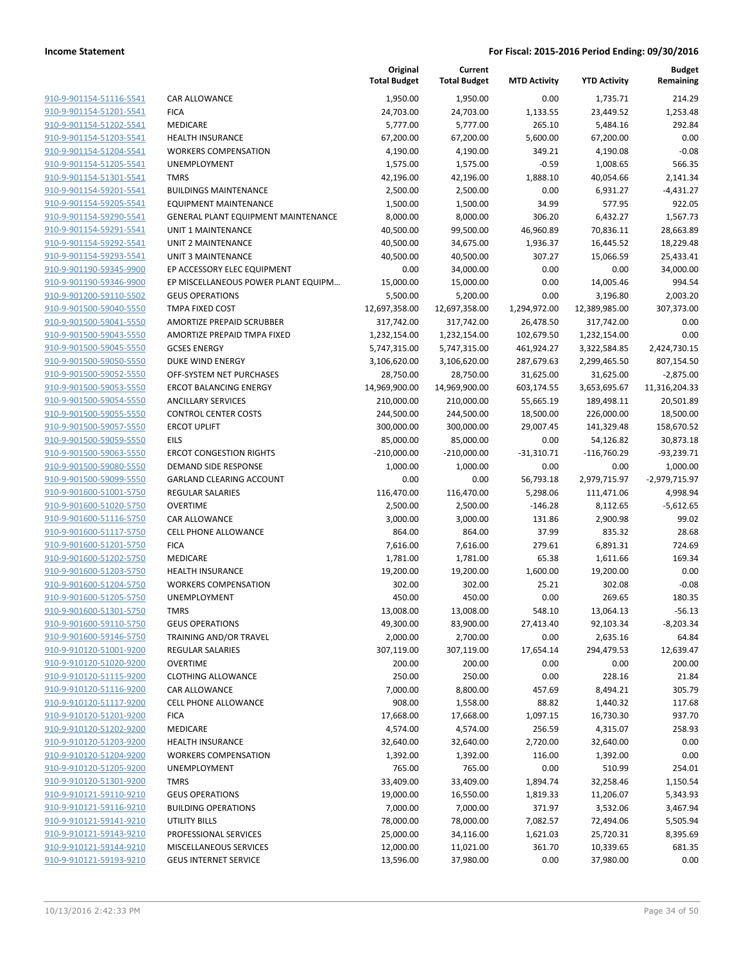|                         |                                            | Original<br><b>Total Budget</b> | Current<br><b>Total Budget</b> | <b>MTD Activity</b> | <b>YTD Activity</b> | <b>Budget</b><br>Remaining |
|-------------------------|--------------------------------------------|---------------------------------|--------------------------------|---------------------|---------------------|----------------------------|
| 910-9-901154-51116-5541 | CAR ALLOWANCE                              | 1,950.00                        | 1,950.00                       | 0.00                | 1,735.71            | 214.29                     |
| 910-9-901154-51201-5541 | <b>FICA</b>                                | 24,703.00                       | 24,703.00                      | 1,133.55            | 23,449.52           | 1,253.48                   |
| 910-9-901154-51202-5541 | MEDICARE                                   | 5,777.00                        | 5,777.00                       | 265.10              | 5,484.16            | 292.84                     |
| 910-9-901154-51203-5541 | <b>HEALTH INSURANCE</b>                    | 67,200.00                       | 67,200.00                      | 5,600.00            | 67,200.00           | 0.00                       |
| 910-9-901154-51204-5541 | <b>WORKERS COMPENSATION</b>                | 4,190.00                        | 4,190.00                       | 349.21              | 4,190.08            | $-0.08$                    |
| 910-9-901154-51205-5541 | UNEMPLOYMENT                               | 1,575.00                        | 1,575.00                       | $-0.59$             | 1,008.65            | 566.35                     |
| 910-9-901154-51301-5541 | <b>TMRS</b>                                | 42,196.00                       | 42,196.00                      | 1,888.10            | 40,054.66           | 2,141.34                   |
| 910-9-901154-59201-5541 | <b>BUILDINGS MAINTENANCE</b>               | 2,500.00                        | 2,500.00                       | 0.00                | 6,931.27            | $-4,431.27$                |
| 910-9-901154-59205-5541 | <b>EQUIPMENT MAINTENANCE</b>               | 1,500.00                        | 1,500.00                       | 34.99               | 577.95              | 922.05                     |
| 910-9-901154-59290-5541 | <b>GENERAL PLANT EQUIPMENT MAINTENANCE</b> | 8,000.00                        | 8,000.00                       | 306.20              | 6,432.27            | 1,567.73                   |
| 910-9-901154-59291-5541 | <b>UNIT 1 MAINTENANCE</b>                  | 40,500.00                       | 99,500.00                      | 46,960.89           | 70,836.11           | 28,663.89                  |
| 910-9-901154-59292-5541 | <b>UNIT 2 MAINTENANCE</b>                  | 40,500.00                       | 34,675.00                      | 1,936.37            | 16,445.52           | 18,229.48                  |
| 910-9-901154-59293-5541 | <b>UNIT 3 MAINTENANCE</b>                  | 40,500.00                       | 40,500.00                      | 307.27              | 15,066.59           | 25,433.41                  |
| 910-9-901190-59345-9900 | EP ACCESSORY ELEC EQUIPMENT                | 0.00                            | 34,000.00                      | 0.00                | 0.00                | 34,000.00                  |
| 910-9-901190-59346-9900 | EP MISCELLANEOUS POWER PLANT EQUIPM        | 15,000.00                       | 15,000.00                      | 0.00                | 14,005.46           | 994.54                     |
| 910-9-901200-59110-5502 | <b>GEUS OPERATIONS</b>                     | 5,500.00                        | 5,200.00                       | 0.00                | 3,196.80            | 2,003.20                   |
| 910-9-901500-59040-5550 | TMPA FIXED COST                            | 12,697,358.00                   | 12,697,358.00                  | 1,294,972.00        | 12,389,985.00       | 307,373.00                 |
| 910-9-901500-59041-5550 | <b>AMORTIZE PREPAID SCRUBBER</b>           | 317,742.00                      | 317,742.00                     | 26,478.50           | 317,742.00          | 0.00                       |
| 910-9-901500-59043-5550 | AMORTIZE PREPAID TMPA FIXED                | 1,232,154.00                    | 1,232,154.00                   | 102,679.50          | 1,232,154.00        | 0.00                       |
| 910-9-901500-59045-5550 | <b>GCSES ENERGY</b>                        | 5,747,315.00                    | 5,747,315.00                   | 461,924.27          | 3,322,584.85        | 2,424,730.15               |
| 910-9-901500-59050-5550 | <b>DUKE WIND ENERGY</b>                    | 3,106,620.00                    | 3,106,620.00                   | 287,679.63          | 2,299,465.50        | 807,154.50                 |
| 910-9-901500-59052-5550 | OFF-SYSTEM NET PURCHASES                   | 28,750.00                       | 28,750.00                      | 31,625.00           | 31,625.00           | $-2,875.00$                |
| 910-9-901500-59053-5550 | <b>ERCOT BALANCING ENERGY</b>              | 14,969,900.00                   | 14,969,900.00                  | 603,174.55          | 3,653,695.67        | 11,316,204.33              |
| 910-9-901500-59054-5550 | <b>ANCILLARY SERVICES</b>                  | 210,000.00                      | 210,000.00                     | 55,665.19           | 189,498.11          | 20,501.89                  |
| 910-9-901500-59055-5550 | <b>CONTROL CENTER COSTS</b>                | 244,500.00                      | 244,500.00                     | 18,500.00           | 226,000.00          | 18,500.00                  |
| 910-9-901500-59057-5550 | <b>ERCOT UPLIFT</b>                        | 300,000.00                      | 300,000.00                     | 29,007.45           | 141,329.48          | 158,670.52                 |
| 910-9-901500-59059-5550 | <b>EILS</b>                                | 85,000.00                       | 85,000.00                      | 0.00                | 54,126.82           | 30,873.18                  |
| 910-9-901500-59063-5550 | <b>ERCOT CONGESTION RIGHTS</b>             | $-210,000.00$                   | $-210,000.00$                  | $-31,310.71$        | $-116,760.29$       | $-93,239.71$               |
| 910-9-901500-59080-5550 | DEMAND SIDE RESPONSE                       | 1,000.00                        | 1,000.00                       | 0.00                | 0.00                | 1,000.00                   |
| 910-9-901500-59099-5550 | GARLAND CLEARING ACCOUNT                   | 0.00                            | 0.00                           | 56,793.18           | 2,979,715.97        | $-2,979,715.97$            |
| 910-9-901600-51001-5750 | <b>REGULAR SALARIES</b>                    | 116,470.00                      | 116,470.00                     | 5,298.06            | 111,471.06          | 4,998.94                   |
| 910-9-901600-51020-5750 | <b>OVERTIME</b>                            | 2,500.00                        | 2,500.00                       | $-146.28$           | 8,112.65            | $-5,612.65$                |
| 910-9-901600-51116-5750 | <b>CAR ALLOWANCE</b>                       | 3,000.00                        | 3,000.00                       | 131.86              | 2,900.98            | 99.02                      |
| 910-9-901600-51117-5750 | <b>CELL PHONE ALLOWANCE</b>                | 864.00                          | 864.00                         | 37.99               | 835.32              | 28.68                      |
| 910-9-901600-51201-5750 | <b>FICA</b>                                | 7,616.00                        | 7,616.00                       | 279.61              | 6,891.31            | 724.69                     |
| 910-9-901600-51202-5750 | MEDICARE                                   | 1,781.00                        | 1,781.00                       | 65.38               | 1,611.66            | 169.34                     |
| 910-9-901600-51203-5750 | <b>HEALTH INSURANCE</b>                    | 19,200.00                       | 19,200.00                      | 1,600.00            | 19,200.00           | 0.00                       |
| 910-9-901600-51204-5750 | <b>WORKERS COMPENSATION</b>                | 302.00                          | 302.00                         | 25.21               | 302.08              | $-0.08$                    |
| 910-9-901600-51205-5750 | UNEMPLOYMENT                               | 450.00                          | 450.00                         | 0.00                | 269.65              | 180.35                     |
| 910-9-901600-51301-5750 | <b>TMRS</b>                                | 13,008.00                       | 13,008.00                      | 548.10              | 13,064.13           | $-56.13$                   |
| 910-9-901600-59110-5750 | <b>GEUS OPERATIONS</b>                     | 49,300.00                       | 83,900.00                      | 27,413.40           | 92,103.34           | $-8,203.34$                |
| 910-9-901600-59146-5750 | TRAINING AND/OR TRAVEL                     | 2,000.00                        | 2,700.00                       | 0.00                | 2,635.16            | 64.84                      |
| 910-9-910120-51001-9200 | REGULAR SALARIES                           | 307,119.00                      | 307,119.00                     | 17,654.14           | 294,479.53          | 12,639.47                  |
| 910-9-910120-51020-9200 | <b>OVERTIME</b>                            | 200.00                          | 200.00                         | 0.00                | 0.00                | 200.00                     |
| 910-9-910120-51115-9200 | <b>CLOTHING ALLOWANCE</b>                  | 250.00                          | 250.00                         | 0.00                | 228.16              | 21.84                      |
| 910-9-910120-51116-9200 | CAR ALLOWANCE                              | 7,000.00                        | 8,800.00                       | 457.69              | 8,494.21            | 305.79                     |
| 910-9-910120-51117-9200 | <b>CELL PHONE ALLOWANCE</b>                | 908.00                          | 1,558.00                       | 88.82               | 1,440.32            | 117.68                     |
| 910-9-910120-51201-9200 | <b>FICA</b>                                | 17,668.00                       | 17,668.00                      | 1,097.15            | 16,730.30           | 937.70                     |
| 910-9-910120-51202-9200 | MEDICARE                                   | 4,574.00                        | 4,574.00                       | 256.59              | 4,315.07            | 258.93                     |
| 910-9-910120-51203-9200 | <b>HEALTH INSURANCE</b>                    | 32,640.00                       | 32,640.00                      | 2,720.00            | 32,640.00           | 0.00                       |
| 910-9-910120-51204-9200 | <b>WORKERS COMPENSATION</b>                | 1,392.00                        | 1,392.00                       | 116.00              | 1,392.00            | 0.00                       |
| 910-9-910120-51205-9200 | UNEMPLOYMENT                               | 765.00                          | 765.00                         | 0.00                | 510.99              | 254.01                     |
| 910-9-910120-51301-9200 | <b>TMRS</b>                                | 33,409.00                       | 33,409.00                      | 1,894.74            | 32,258.46           | 1,150.54                   |
| 910-9-910121-59110-9210 | <b>GEUS OPERATIONS</b>                     | 19,000.00                       | 16,550.00                      | 1,819.33            | 11,206.07           | 5,343.93                   |
| 910-9-910121-59116-9210 | <b>BUILDING OPERATIONS</b>                 | 7,000.00                        | 7,000.00                       | 371.97              | 3,532.06            | 3,467.94                   |
| 910-9-910121-59141-9210 | UTILITY BILLS                              | 78,000.00                       | 78,000.00                      | 7,082.57            | 72,494.06           | 5,505.94                   |
| 910-9-910121-59143-9210 | PROFESSIONAL SERVICES                      | 25,000.00                       | 34,116.00                      | 1,621.03            | 25,720.31           | 8,395.69                   |
| 910-9-910121-59144-9210 | MISCELLANEOUS SERVICES                     | 12,000.00                       | 11,021.00                      | 361.70              | 10,339.65           | 681.35                     |
| 910-9-910121-59193-9210 | <b>GEUS INTERNET SERVICE</b>               | 13,596.00                       | 37,980.00                      | 0.00                | 37,980.00           | 0.00                       |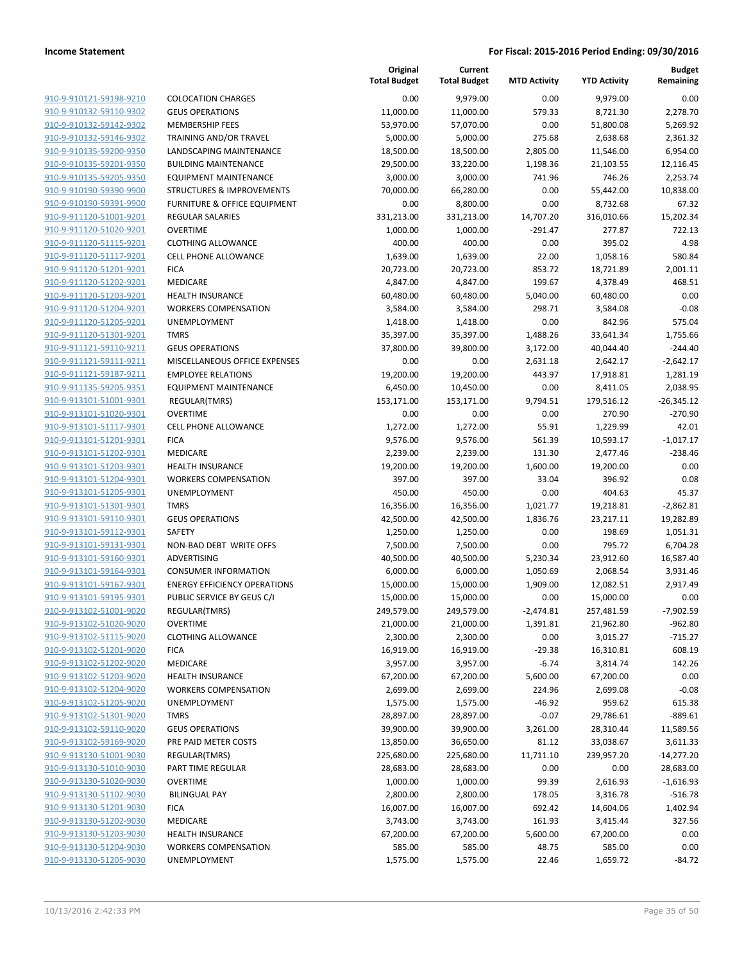|                         |                                     | Original<br><b>Total Budget</b> | Current<br><b>Total Budget</b> | <b>MTD Activity</b> | <b>YTD Activity</b> | <b>Budget</b><br>Remaining |
|-------------------------|-------------------------------------|---------------------------------|--------------------------------|---------------------|---------------------|----------------------------|
| 910-9-910121-59198-9210 | <b>COLOCATION CHARGES</b>           | 0.00                            | 9,979.00                       | 0.00                | 9,979.00            | 0.00                       |
| 910-9-910132-59110-9302 | <b>GEUS OPERATIONS</b>              | 11,000.00                       | 11,000.00                      | 579.33              | 8,721.30            | 2,278.70                   |
| 910-9-910132-59142-9302 | <b>MEMBERSHIP FEES</b>              | 53,970.00                       | 57,070.00                      | 0.00                | 51,800.08           | 5,269.92                   |
| 910-9-910132-59146-9302 | TRAINING AND/OR TRAVEL              | 5,000.00                        | 5,000.00                       | 275.68              | 2,638.68            | 2,361.32                   |
| 910-9-910135-59200-9350 | LANDSCAPING MAINTENANCE             | 18,500.00                       | 18,500.00                      | 2,805.00            | 11,546.00           | 6,954.00                   |
| 910-9-910135-59201-9350 | <b>BUILDING MAINTENANCE</b>         | 29,500.00                       | 33,220.00                      | 1,198.36            | 21,103.55           | 12,116.45                  |
| 910-9-910135-59205-9350 | <b>EQUIPMENT MAINTENANCE</b>        | 3,000.00                        | 3,000.00                       | 741.96              | 746.26              | 2,253.74                   |
| 910-9-910190-59390-9900 | STRUCTURES & IMPROVEMENTS           | 70,000.00                       | 66,280.00                      | 0.00                | 55,442.00           | 10,838.00                  |
| 910-9-910190-59391-9900 | FURNITURE & OFFICE EQUIPMENT        | 0.00                            | 8,800.00                       | 0.00                | 8,732.68            | 67.32                      |
| 910-9-911120-51001-9201 | <b>REGULAR SALARIES</b>             | 331,213.00                      | 331,213.00                     | 14,707.20           | 316,010.66          | 15,202.34                  |
| 910-9-911120-51020-9201 | <b>OVERTIME</b>                     | 1,000.00                        | 1,000.00                       | $-291.47$           | 277.87              | 722.13                     |
| 910-9-911120-51115-9201 | <b>CLOTHING ALLOWANCE</b>           | 400.00                          | 400.00                         | 0.00                | 395.02              | 4.98                       |
| 910-9-911120-51117-9201 | <b>CELL PHONE ALLOWANCE</b>         | 1,639.00                        | 1,639.00                       | 22.00               | 1,058.16            | 580.84                     |
| 910-9-911120-51201-9201 | <b>FICA</b>                         | 20,723.00                       | 20,723.00                      | 853.72              | 18,721.89           | 2,001.11                   |
| 910-9-911120-51202-9201 | MEDICARE                            | 4,847.00                        | 4,847.00                       | 199.67              | 4,378.49            | 468.51                     |
| 910-9-911120-51203-9201 | <b>HEALTH INSURANCE</b>             | 60,480.00                       | 60,480.00                      | 5,040.00            | 60,480.00           | 0.00                       |
| 910-9-911120-51204-9201 | <b>WORKERS COMPENSATION</b>         | 3,584.00                        | 3,584.00                       | 298.71              | 3,584.08            | $-0.08$                    |
| 910-9-911120-51205-9201 | UNEMPLOYMENT                        | 1,418.00                        | 1,418.00                       | 0.00                | 842.96              | 575.04                     |
| 910-9-911120-51301-9201 | <b>TMRS</b>                         | 35,397.00                       | 35,397.00                      | 1,488.26            | 33,641.34           | 1,755.66                   |
| 910-9-911121-59110-9211 | <b>GEUS OPERATIONS</b>              | 37,800.00                       | 39,800.00                      | 3,172.00            | 40,044.40           | $-244.40$                  |
| 910-9-911121-59111-9211 | MISCELLANEOUS OFFICE EXPENSES       | 0.00                            | 0.00                           | 2,631.18            | 2,642.17            | $-2,642.17$                |
| 910-9-911121-59187-9211 | <b>EMPLOYEE RELATIONS</b>           | 19,200.00                       | 19,200.00                      | 443.97              | 17,918.81           | 1,281.19                   |
| 910-9-911135-59205-9351 | <b>EQUIPMENT MAINTENANCE</b>        | 6,450.00                        | 10,450.00                      | 0.00                | 8,411.05            | 2,038.95                   |
| 910-9-913101-51001-9301 | REGULAR(TMRS)                       | 153,171.00                      | 153,171.00                     | 9,794.51            | 179,516.12          | $-26,345.12$               |
| 910-9-913101-51020-9301 | <b>OVERTIME</b>                     | 0.00                            | 0.00                           | 0.00                | 270.90              | $-270.90$                  |
| 910-9-913101-51117-9301 | <b>CELL PHONE ALLOWANCE</b>         | 1,272.00                        | 1,272.00                       | 55.91               | 1,229.99            | 42.01                      |
| 910-9-913101-51201-9301 | <b>FICA</b>                         | 9,576.00                        | 9,576.00                       | 561.39              | 10,593.17           | $-1,017.17$                |
| 910-9-913101-51202-9301 | MEDICARE                            | 2,239.00                        | 2,239.00                       | 131.30              | 2,477.46            | $-238.46$                  |
| 910-9-913101-51203-9301 | <b>HEALTH INSURANCE</b>             | 19,200.00                       | 19,200.00                      | 1,600.00            | 19,200.00           | 0.00                       |
| 910-9-913101-51204-9301 | <b>WORKERS COMPENSATION</b>         | 397.00                          | 397.00                         | 33.04               | 396.92              | 0.08                       |
| 910-9-913101-51205-9301 | UNEMPLOYMENT                        | 450.00                          | 450.00                         | 0.00                | 404.63              | 45.37                      |
| 910-9-913101-51301-9301 | <b>TMRS</b>                         | 16,356.00                       | 16,356.00                      | 1,021.77            | 19,218.81           | $-2,862.81$                |
| 910-9-913101-59110-9301 | <b>GEUS OPERATIONS</b>              | 42,500.00                       | 42,500.00                      | 1,836.76            | 23,217.11           | 19,282.89                  |
| 910-9-913101-59112-9301 | <b>SAFETY</b>                       | 1,250.00                        | 1,250.00                       | 0.00                | 198.69              | 1,051.31                   |
| 910-9-913101-59131-9301 | NON-BAD DEBT WRITE OFFS             | 7,500.00                        | 7,500.00                       | 0.00                | 795.72              | 6,704.28                   |
| 910-9-913101-59160-9301 | ADVERTISING                         | 40,500.00                       | 40,500.00                      | 5,230.34            | 23,912.60           | 16,587.40                  |
| 910-9-913101-59164-9301 | <b>CONSUMER INFORMATION</b>         | 6,000.00                        | 6,000.00                       | 1,050.69            | 2,068.54            | 3,931.46                   |
| 910-9-913101-59167-9301 | <b>ENERGY EFFICIENCY OPERATIONS</b> | 15,000.00                       | 15,000.00                      | 1,909.00            | 12,082.51           | 2,917.49                   |
| 910-9-913101-59195-9301 | PUBLIC SERVICE BY GEUS C/I          | 15,000.00                       | 15,000.00                      | 0.00                | 15,000.00           | 0.00                       |
| 910-9-913102-51001-9020 | REGULAR(TMRS)                       | 249,579.00                      | 249,579.00                     | $-2,474.81$         | 257,481.59          | -7,902.59                  |
| 910-9-913102-51020-9020 | <b>OVERTIME</b>                     | 21,000.00                       | 21,000.00                      | 1,391.81            | 21,962.80           | $-962.80$                  |
| 910-9-913102-51115-9020 | <b>CLOTHING ALLOWANCE</b>           | 2,300.00                        | 2,300.00                       | 0.00                | 3,015.27            | $-715.27$                  |
| 910-9-913102-51201-9020 | <b>FICA</b>                         | 16,919.00                       | 16,919.00                      | $-29.38$            | 16,310.81           | 608.19                     |
| 910-9-913102-51202-9020 | MEDICARE                            | 3,957.00                        | 3,957.00                       | $-6.74$             | 3,814.74            | 142.26                     |
| 910-9-913102-51203-9020 | <b>HEALTH INSURANCE</b>             | 67,200.00                       | 67,200.00                      | 5,600.00            | 67,200.00           | 0.00                       |
| 910-9-913102-51204-9020 | <b>WORKERS COMPENSATION</b>         | 2,699.00                        | 2,699.00                       | 224.96              | 2,699.08            | $-0.08$                    |
| 910-9-913102-51205-9020 | UNEMPLOYMENT                        | 1,575.00                        | 1,575.00                       | $-46.92$            | 959.62              | 615.38                     |
| 910-9-913102-51301-9020 | <b>TMRS</b>                         | 28,897.00                       | 28,897.00                      | $-0.07$             | 29,786.61           | $-889.61$                  |
| 910-9-913102-59110-9020 | <b>GEUS OPERATIONS</b>              | 39,900.00                       | 39,900.00                      | 3,261.00            | 28,310.44           | 11,589.56                  |
| 910-9-913102-59169-9020 | PRE PAID METER COSTS                | 13,850.00                       | 36,650.00                      | 81.12               | 33,038.67           | 3,611.33                   |
| 910-9-913130-51001-9030 | REGULAR(TMRS)                       | 225,680.00                      | 225,680.00                     | 11,711.10           | 239,957.20          | $-14,277.20$               |
| 910-9-913130-51010-9030 | PART TIME REGULAR                   | 28,683.00                       | 28,683.00                      | 0.00                | 0.00                | 28,683.00                  |
| 910-9-913130-51020-9030 | <b>OVERTIME</b>                     | 1,000.00                        | 1,000.00                       | 99.39               | 2,616.93            | $-1,616.93$                |
| 910-9-913130-51102-9030 | <b>BILINGUAL PAY</b>                | 2,800.00                        | 2,800.00                       | 178.05              | 3,316.78            | $-516.78$                  |
| 910-9-913130-51201-9030 | <b>FICA</b>                         | 16,007.00                       | 16,007.00                      | 692.42              | 14,604.06           | 1,402.94                   |
| 910-9-913130-51202-9030 | MEDICARE                            | 3,743.00                        | 3,743.00                       | 161.93              | 3,415.44            | 327.56                     |
| 910-9-913130-51203-9030 | <b>HEALTH INSURANCE</b>             | 67,200.00                       | 67,200.00                      | 5,600.00            | 67,200.00           | 0.00                       |
| 910-9-913130-51204-9030 | <b>WORKERS COMPENSATION</b>         | 585.00                          | 585.00                         | 48.75               | 585.00              | 0.00                       |
| 910-9-913130-51205-9030 | UNEMPLOYMENT                        | 1,575.00                        | 1,575.00                       | 22.46               | 1,659.72            | $-84.72$                   |
|                         |                                     |                                 |                                |                     |                     |                            |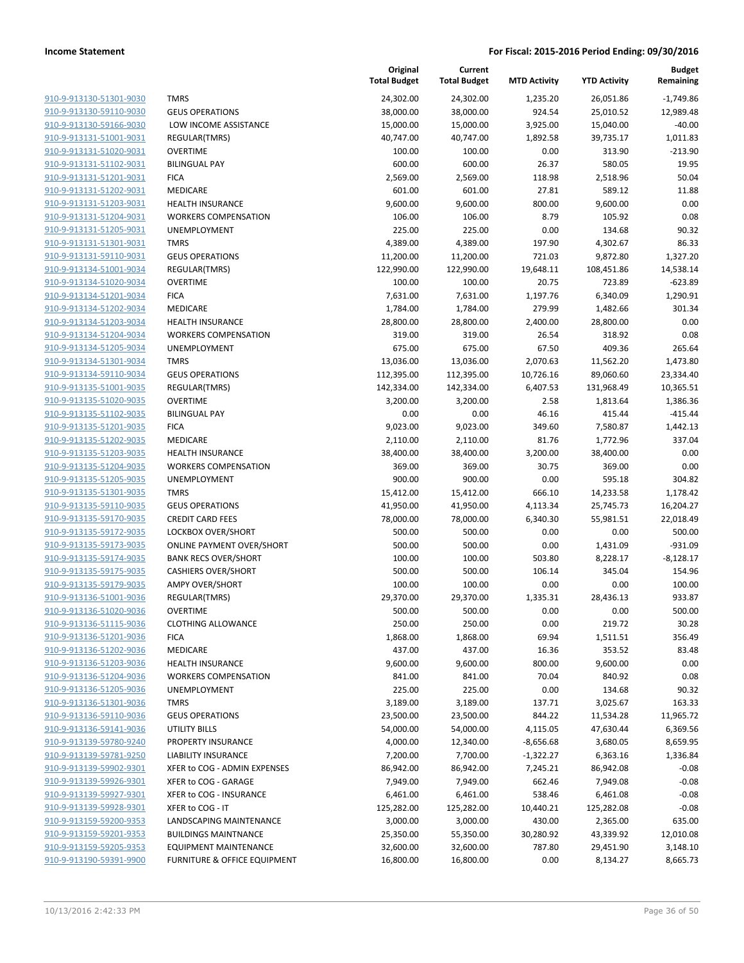| 910-9-913130-51301-9030        |
|--------------------------------|
| 910-9-913130-59110-9030        |
| <u>910-9-913130-59166-9030</u> |
| 910-9-913131-51001-9031        |
| 910-9-913131-51020-9031        |
| <u>910-9-913131-51102-9031</u> |
| <u>910-9-913131-51201-9031</u> |
| 910-9-913131-51202-9031        |
| 910-9-913131-51203-9031        |
| 910-9-913131-51204-9031        |
| 910-9-913131-51205-9031        |
| <u>910-9-913131-51301-9031</u> |
| 910-9-913131-59110-9031        |
| 910-9-913134-51001-9034        |
| 910-9-913134-51020-9034        |
| 910-9-913134-51201-9034        |
| 910-9-913134-51202-9034        |
| 910-9-913134-51203-9034        |
| 910-9-913134-51204-9034        |
| 910-9-913134-51205-9034        |
| 910-9-913134-51301-9034        |
| <u>910-9-913134-59110-9034</u> |
| 910-9-913135-51001-9035        |
| 910-9-913135-51020-9035        |
| 910-9-913135-51102-9035        |
| 910-9-913135-51201-9035        |
| 910-9-913135-51202-9035        |
| 910-9-913135-51203-9035        |
| 910-9-913135-51204-9035        |
| 910-9-913135-51205-9035        |
| 910-9-913135-51301-9035        |
| 910-9-913135-59110-9035        |
| 910-9-913135-59170-9035        |
| 910-9-913135-59172-9035        |
| 910-9-913135-59173-9035        |
| 910-9-913135-59174-9035        |
| 910-9-913135-59175-9035        |
| 910-9-913135-59179-9035        |
| 910-9-913136-51001-9036        |
| 910-9-913136-51020-9036        |
| 910-9-913136-51115-9036        |
| <u>910-9-913136-51201-9036</u> |
| <u>910-9-913136-51202-9036</u> |
| 910-9-913136-51203-9036        |
| 910-9-913136-51204-9036        |
| <u>910-9-913136-51205-9036</u> |
| 910-9-913136-51301-9036        |
| 910-9-913136-59110-9036        |
| <u>910-9-913136-59141-9036</u> |
| 910-9-913139-59780-9240        |
| <u>910-9-913139-59781-9250</u> |
| <u>910-9-913139-59902-9301</u> |
| <u>910-9-913139-59926-9301</u> |
| <u>910-9-913139-59927-9301</u> |
| 910-9-913139-59928-9301        |
| <u>910-9-913159-59200-9353</u> |
| <u>910-9-913159-59201-9353</u> |
| <u>910-9-913159-59205-9353</u> |
| <u>910-9-913190-59391-9900</u> |

|                                                    |                                                 | Original<br><b>Total Budget</b> | Current<br><b>Total Budget</b> | <b>MTD Activity</b> | <b>YTD Activity</b> | <b>Budget</b><br>Remaining |
|----------------------------------------------------|-------------------------------------------------|---------------------------------|--------------------------------|---------------------|---------------------|----------------------------|
| 910-9-913130-51301-9030                            | <b>TMRS</b>                                     | 24,302.00                       | 24,302.00                      | 1,235.20            | 26,051.86           | $-1,749.86$                |
| 910-9-913130-59110-9030                            | <b>GEUS OPERATIONS</b>                          | 38,000.00                       | 38,000.00                      | 924.54              | 25,010.52           | 12,989.48                  |
| 910-9-913130-59166-9030                            | LOW INCOME ASSISTANCE                           | 15,000.00                       | 15,000.00                      | 3,925.00            | 15,040.00           | $-40.00$                   |
| 910-9-913131-51001-9031                            | REGULAR(TMRS)                                   | 40,747.00                       | 40,747.00                      | 1,892.58            | 39,735.17           | 1,011.83                   |
| 910-9-913131-51020-9031                            | <b>OVERTIME</b>                                 | 100.00                          | 100.00                         | 0.00                | 313.90              | $-213.90$                  |
| 910-9-913131-51102-9031                            | <b>BILINGUAL PAY</b>                            | 600.00                          | 600.00                         | 26.37               | 580.05              | 19.95                      |
| 910-9-913131-51201-9031                            | <b>FICA</b>                                     | 2,569.00                        | 2,569.00                       | 118.98              | 2,518.96            | 50.04                      |
| 910-9-913131-51202-9031                            | MEDICARE                                        | 601.00                          | 601.00                         | 27.81               | 589.12              | 11.88                      |
| 910-9-913131-51203-9031                            | <b>HEALTH INSURANCE</b>                         | 9,600.00                        | 9,600.00                       | 800.00              | 9,600.00            | 0.00                       |
| 910-9-913131-51204-9031                            | <b>WORKERS COMPENSATION</b>                     | 106.00                          | 106.00                         | 8.79                | 105.92              | 0.08                       |
| 910-9-913131-51205-9031                            | UNEMPLOYMENT                                    | 225.00                          | 225.00                         | 0.00                | 134.68              | 90.32                      |
| 910-9-913131-51301-9031                            | <b>TMRS</b>                                     | 4,389.00                        | 4,389.00                       | 197.90              | 4,302.67            | 86.33                      |
| 910-9-913131-59110-9031                            | <b>GEUS OPERATIONS</b>                          | 11,200.00                       | 11,200.00                      | 721.03              | 9,872.80            | 1,327.20                   |
| 910-9-913134-51001-9034                            | REGULAR(TMRS)                                   | 122,990.00                      | 122,990.00                     | 19,648.11           | 108,451.86          | 14,538.14                  |
| 910-9-913134-51020-9034                            | <b>OVERTIME</b>                                 | 100.00                          | 100.00                         | 20.75               | 723.89              | $-623.89$                  |
| 910-9-913134-51201-9034                            | <b>FICA</b>                                     | 7,631.00                        | 7,631.00                       | 1,197.76            | 6,340.09            | 1,290.91                   |
| 910-9-913134-51202-9034                            | MEDICARE                                        | 1,784.00                        | 1,784.00                       | 279.99              | 1,482.66            | 301.34                     |
| 910-9-913134-51203-9034                            | <b>HEALTH INSURANCE</b>                         | 28,800.00                       | 28,800.00                      | 2,400.00            | 28,800.00           | 0.00                       |
| 910-9-913134-51204-9034                            | <b>WORKERS COMPENSATION</b>                     | 319.00                          | 319.00                         | 26.54               | 318.92              | 0.08                       |
| 910-9-913134-51205-9034                            | <b>UNEMPLOYMENT</b>                             | 675.00                          | 675.00                         | 67.50               | 409.36              | 265.64                     |
| 910-9-913134-51301-9034                            | <b>TMRS</b>                                     | 13,036.00                       | 13,036.00                      | 2,070.63            | 11,562.20           | 1,473.80                   |
| 910-9-913134-59110-9034                            | <b>GEUS OPERATIONS</b>                          | 112,395.00                      | 112,395.00                     | 10,726.16           | 89,060.60           | 23,334.40                  |
| 910-9-913135-51001-9035                            | REGULAR(TMRS)                                   | 142,334.00                      | 142,334.00                     | 6,407.53            | 131,968.49          | 10,365.51                  |
| 910-9-913135-51020-9035                            | <b>OVERTIME</b>                                 | 3,200.00                        | 3,200.00                       | 2.58                | 1,813.64            | 1.386.36                   |
| 910-9-913135-51102-9035                            | <b>BILINGUAL PAY</b>                            | 0.00                            | 0.00                           | 46.16               | 415.44              | $-415.44$                  |
| 910-9-913135-51201-9035                            | <b>FICA</b>                                     | 9,023.00                        | 9,023.00                       | 349.60              | 7,580.87            | 1,442.13                   |
| 910-9-913135-51202-9035                            | MEDICARE                                        | 2,110.00                        | 2,110.00                       | 81.76               | 1,772.96            | 337.04                     |
| 910-9-913135-51203-9035                            | <b>HEALTH INSURANCE</b>                         | 38,400.00                       | 38,400.00                      | 3,200.00            | 38,400.00           | 0.00                       |
| 910-9-913135-51204-9035                            | <b>WORKERS COMPENSATION</b>                     | 369.00                          | 369.00                         | 30.75               | 369.00              | 0.00                       |
| 910-9-913135-51205-9035                            | <b>UNEMPLOYMENT</b>                             | 900.00                          | 900.00                         | 0.00                | 595.18              | 304.82                     |
| 910-9-913135-51301-9035                            | <b>TMRS</b>                                     | 15,412.00                       | 15,412.00                      | 666.10              | 14,233.58           | 1,178.42                   |
| 910-9-913135-59110-9035                            | <b>GEUS OPERATIONS</b>                          | 41,950.00                       | 41,950.00                      | 4,113.34            | 25,745.73           | 16,204.27                  |
| 910-9-913135-59170-9035                            | <b>CREDIT CARD FEES</b>                         | 78,000.00                       | 78,000.00                      | 6,340.30            | 55,981.51           | 22,018.49                  |
| 910-9-913135-59172-9035                            | LOCKBOX OVER/SHORT                              | 500.00                          | 500.00                         | 0.00                | 0.00                | 500.00                     |
| 910-9-913135-59173-9035                            | <b>ONLINE PAYMENT OVER/SHORT</b>                | 500.00                          | 500.00                         | 0.00                | 1,431.09            | $-931.09$                  |
| 910-9-913135-59174-9035                            | <b>BANK RECS OVER/SHORT</b>                     | 100.00                          | 100.00                         | 503.80              | 8,228.17            | $-8,128.17$                |
| 910-9-913135-59175-9035                            | <b>CASHIERS OVER/SHORT</b>                      | 500.00                          | 500.00                         | 106.14              | 345.04              | 154.96                     |
| 910-9-913135-59179-9035                            | <b>AMPY OVER/SHORT</b>                          | 100.00                          | 100.00                         | 0.00                | 0.00                | 100.00                     |
| 910-9-913136-51001-9036                            | REGULAR(TMRS)                                   | 29,370.00                       | 29,370.00                      | 1,335.31            | 28,436.13           | 933.87                     |
| 910-9-913136-51020-9036                            | <b>OVERTIME</b>                                 | 500.00                          | 500.00                         | 0.00                | 0.00                | 500.00                     |
| 910-9-913136-51115-9036                            | <b>CLOTHING ALLOWANCE</b>                       | 250.00                          | 250.00                         | 0.00                | 219.72              | 30.28                      |
| 910-9-913136-51201-9036                            | <b>FICA</b>                                     | 1,868.00                        | 1,868.00                       | 69.94               | 1,511.51            | 356.49                     |
| 910-9-913136-51202-9036                            | MEDICARE                                        | 437.00                          | 437.00                         | 16.36               | 353.52              | 83.48                      |
| 910-9-913136-51203-9036                            | <b>HEALTH INSURANCE</b>                         | 9,600.00                        | 9,600.00                       | 800.00              | 9,600.00            | 0.00                       |
| 910-9-913136-51204-9036                            | <b>WORKERS COMPENSATION</b>                     | 841.00                          | 841.00                         | 70.04               | 840.92              | 0.08                       |
| 910-9-913136-51205-9036                            | <b>UNEMPLOYMENT</b>                             | 225.00                          | 225.00                         | 0.00                | 134.68              | 90.32                      |
| 910-9-913136-51301-9036                            | <b>TMRS</b>                                     | 3,189.00                        | 3,189.00                       | 137.71              | 3,025.67            | 163.33                     |
| 910-9-913136-59110-9036                            | <b>GEUS OPERATIONS</b>                          | 23,500.00                       | 23,500.00                      | 844.22              | 11,534.28           | 11,965.72                  |
| 910-9-913136-59141-9036                            | UTILITY BILLS                                   | 54,000.00                       | 54,000.00                      | 4,115.05            | 47,630.44           | 6,369.56                   |
| 910-9-913139-59780-9240                            | PROPERTY INSURANCE                              | 4,000.00                        | 12,340.00                      | -8,656.68           | 3,680.05            | 8,659.95                   |
| 910-9-913139-59781-9250                            |                                                 |                                 | 7,700.00                       |                     |                     | 1,336.84                   |
| 910-9-913139-59902-9301                            | LIABILITY INSURANCE                             | 7,200.00                        |                                | $-1,322.27$         | 6,363.16            |                            |
|                                                    | XFER to COG - ADMIN EXPENSES                    | 86,942.00                       | 86,942.00                      | 7,245.21            | 86,942.08           | $-0.08$                    |
| 910-9-913139-59926-9301<br>910-9-913139-59927-9301 | XFER to COG - GARAGE<br>XFER to COG - INSURANCE | 7,949.00                        | 7,949.00                       | 662.46              | 7,949.08            | $-0.08$<br>$-0.08$         |
|                                                    |                                                 | 6,461.00                        | 6,461.00                       | 538.46              | 6,461.08            |                            |
| 910-9-913139-59928-9301                            | XFER to COG - IT                                | 125,282.00                      | 125,282.00                     | 10,440.21           | 125,282.08          | $-0.08$                    |
| 910-9-913159-59200-9353                            | LANDSCAPING MAINTENANCE                         | 3,000.00                        | 3,000.00                       | 430.00              | 2,365.00            | 635.00                     |
| 910-9-913159-59201-9353                            | <b>BUILDINGS MAINTNANCE</b>                     | 25,350.00                       | 55,350.00                      | 30,280.92           | 43,339.92           | 12,010.08                  |
| 910-9-913159-59205-9353                            | <b>EQUIPMENT MAINTENANCE</b>                    | 32,600.00                       | 32,600.00                      | 787.80              | 29,451.90           | 3,148.10                   |
| 910-9-913190-59391-9900                            | FURNITURE & OFFICE EQUIPMENT                    | 16,800.00                       | 16,800.00                      | 0.00                | 8,134.27            | 8,665.73                   |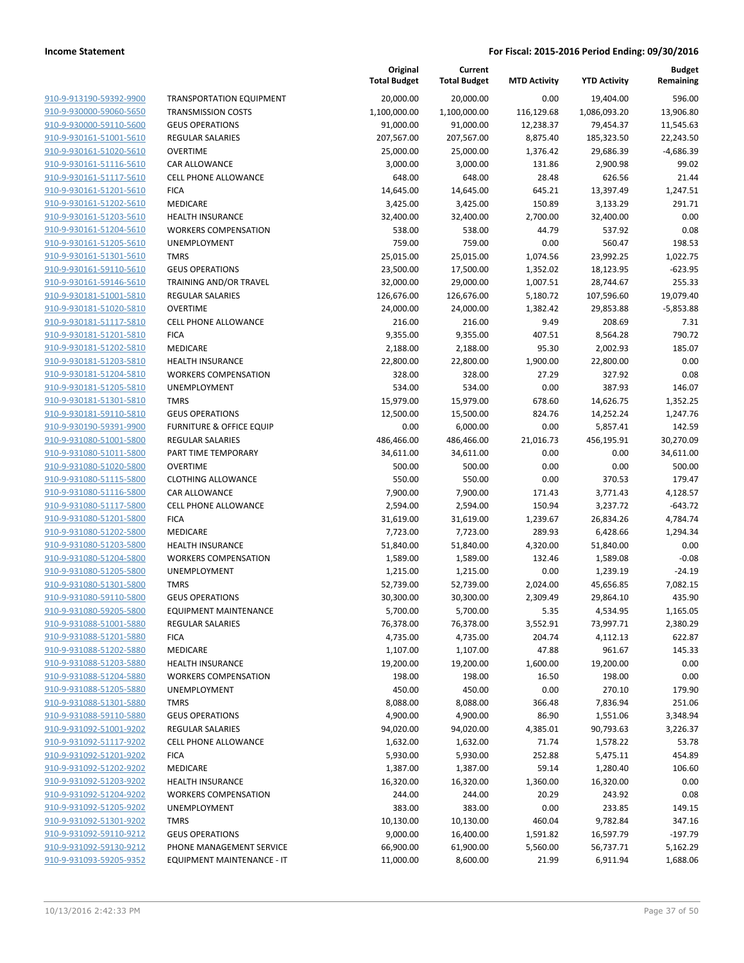|                                                    |                                                        | Original<br><b>Total Budget</b> | Current<br><b>Total Budget</b> | <b>MTD Activity</b> | <b>YTD Activity</b>  | Budget<br>Remaining |
|----------------------------------------------------|--------------------------------------------------------|---------------------------------|--------------------------------|---------------------|----------------------|---------------------|
| 910-9-913190-59392-9900                            | <b>TRANSPORTATION EQUIPMENT</b>                        | 20,000.00                       | 20,000.00                      | 0.00                | 19,404.00            | 596.00              |
| 910-9-930000-59060-5650                            | <b>TRANSMISSION COSTS</b>                              | 1,100,000.00                    | 1,100,000.00                   | 116,129.68          | 1,086,093.20         | 13,906.80           |
| 910-9-930000-59110-5600                            | <b>GEUS OPERATIONS</b>                                 | 91,000.00                       | 91,000.00                      | 12,238.37           | 79,454.37            | 11,545.63           |
| 910-9-930161-51001-5610                            | <b>REGULAR SALARIES</b>                                | 207,567.00                      | 207,567.00                     | 8,875.40            | 185,323.50           | 22,243.50           |
| 910-9-930161-51020-5610                            | <b>OVERTIME</b>                                        | 25,000.00                       | 25,000.00                      | 1,376.42            | 29,686.39            | $-4,686.39$         |
| 910-9-930161-51116-5610                            | CAR ALLOWANCE                                          | 3,000.00                        | 3,000.00                       | 131.86              | 2,900.98             | 99.02               |
| 910-9-930161-51117-5610                            | CELL PHONE ALLOWANCE                                   | 648.00                          | 648.00                         | 28.48               | 626.56               | 21.44               |
| 910-9-930161-51201-5610                            | <b>FICA</b>                                            | 14,645.00                       | 14,645.00                      | 645.21              | 13,397.49            | 1,247.51            |
| 910-9-930161-51202-5610                            | MEDICARE                                               | 3,425.00                        | 3,425.00                       | 150.89              | 3,133.29             | 291.71              |
| 910-9-930161-51203-5610                            | <b>HEALTH INSURANCE</b>                                | 32,400.00                       | 32,400.00                      | 2,700.00            | 32,400.00            | 0.00                |
| 910-9-930161-51204-5610                            | <b>WORKERS COMPENSATION</b>                            | 538.00                          | 538.00                         | 44.79               | 537.92               | 0.08                |
| 910-9-930161-51205-5610                            | UNEMPLOYMENT                                           | 759.00                          | 759.00                         | 0.00                | 560.47               | 198.53              |
| 910-9-930161-51301-5610                            | <b>TMRS</b>                                            | 25,015.00                       | 25,015.00                      | 1,074.56            | 23,992.25            | 1,022.75            |
| 910-9-930161-59110-5610                            | <b>GEUS OPERATIONS</b>                                 | 23,500.00                       | 17,500.00                      | 1,352.02            | 18,123.95            | $-623.95$           |
| 910-9-930161-59146-5610                            | TRAINING AND/OR TRAVEL                                 | 32,000.00                       | 29,000.00                      | 1,007.51            | 28,744.67            | 255.33              |
| 910-9-930181-51001-5810                            | REGULAR SALARIES                                       | 126,676.00                      | 126,676.00                     | 5,180.72            | 107,596.60           | 19,079.40           |
| 910-9-930181-51020-5810                            | <b>OVERTIME</b>                                        | 24,000.00                       | 24,000.00                      | 1,382.42            | 29,853.88            | $-5,853.88$         |
| 910-9-930181-51117-5810                            | <b>CELL PHONE ALLOWANCE</b>                            | 216.00                          | 216.00                         | 9.49                | 208.69               | 7.31                |
| 910-9-930181-51201-5810                            | <b>FICA</b>                                            | 9,355.00                        | 9,355.00                       | 407.51              | 8,564.28             | 790.72              |
| 910-9-930181-51202-5810                            | MEDICARE                                               | 2,188.00                        | 2,188.00                       | 95.30               | 2,002.93             | 185.07              |
| 910-9-930181-51203-5810                            | <b>HEALTH INSURANCE</b>                                | 22,800.00                       | 22,800.00                      | 1,900.00            | 22,800.00            | 0.00                |
| 910-9-930181-51204-5810                            | <b>WORKERS COMPENSATION</b>                            | 328.00                          | 328.00                         | 27.29               | 327.92               | 0.08                |
| 910-9-930181-51205-5810                            | <b>UNEMPLOYMENT</b>                                    | 534.00                          | 534.00                         | 0.00                | 387.93               | 146.07              |
| 910-9-930181-51301-5810                            | <b>TMRS</b>                                            | 15,979.00                       | 15,979.00                      | 678.60              | 14,626.75            | 1,352.25            |
| 910-9-930181-59110-5810                            | <b>GEUS OPERATIONS</b>                                 | 12,500.00                       | 15,500.00                      | 824.76              | 14,252.24            | 1,247.76            |
| 910-9-930190-59391-9900                            | <b>FURNITURE &amp; OFFICE EQUIP</b>                    | 0.00                            | 6,000.00                       | 0.00                | 5,857.41             | 142.59              |
| 910-9-931080-51001-5800                            | <b>REGULAR SALARIES</b>                                | 486,466.00                      | 486,466.00                     | 21,016.73           | 456,195.91           | 30,270.09           |
| 910-9-931080-51011-5800                            | PART TIME TEMPORARY                                    | 34,611.00                       | 34,611.00                      | 0.00                | 0.00                 | 34,611.00           |
| 910-9-931080-51020-5800                            | <b>OVERTIME</b>                                        | 500.00                          | 500.00                         | 0.00                | 0.00                 | 500.00              |
| 910-9-931080-51115-5800                            | <b>CLOTHING ALLOWANCE</b>                              | 550.00                          | 550.00                         | 0.00                | 370.53               | 179.47              |
| 910-9-931080-51116-5800                            | CAR ALLOWANCE                                          | 7,900.00                        | 7,900.00                       | 171.43              | 3,771.43             | 4,128.57            |
| 910-9-931080-51117-5800                            | CELL PHONE ALLOWANCE                                   | 2,594.00                        | 2,594.00                       | 150.94              | 3,237.72             | $-643.72$           |
| 910-9-931080-51201-5800                            | <b>FICA</b>                                            | 31,619.00                       | 31,619.00                      | 1,239.67            | 26,834.26            | 4,784.74            |
| 910-9-931080-51202-5800<br>910-9-931080-51203-5800 | MEDICARE                                               | 7,723.00                        | 7,723.00                       | 289.93              | 6,428.66             | 1,294.34            |
| 910-9-931080-51204-5800                            | <b>HEALTH INSURANCE</b><br><b>WORKERS COMPENSATION</b> | 51,840.00<br>1,589.00           | 51,840.00                      | 4,320.00<br>132.46  | 51,840.00            | 0.00<br>$-0.08$     |
| 910-9-931080-51205-5800                            | UNEMPLOYMENT                                           | 1,215.00                        | 1,589.00<br>1,215.00           | 0.00                | 1,589.08<br>1,239.19 | $-24.19$            |
| 910-9-931080-51301-5800                            | <b>TMRS</b>                                            | 52,739.00                       | 52,739.00                      | 2,024.00            | 45,656.85            | 7,082.15            |
| 910-9-931080-59110-5800                            | <b>GEUS OPERATIONS</b>                                 | 30,300.00                       | 30,300.00                      | 2,309.49            | 29,864.10            | 435.90              |
| 910-9-931080-59205-5800                            | EQUIPMENT MAINTENANCE                                  | 5,700.00                        | 5,700.00                       | 5.35                | 4,534.95             | 1,165.05            |
| 910-9-931088-51001-5880                            | REGULAR SALARIES                                       | 76,378.00                       | 76,378.00                      | 3,552.91            | 73,997.71            | 2,380.29            |
| 910-9-931088-51201-5880                            | <b>FICA</b>                                            | 4,735.00                        | 4,735.00                       | 204.74              | 4,112.13             | 622.87              |
| 910-9-931088-51202-5880                            | MEDICARE                                               | 1,107.00                        | 1,107.00                       | 47.88               | 961.67               | 145.33              |
| 910-9-931088-51203-5880                            | <b>HEALTH INSURANCE</b>                                | 19,200.00                       | 19,200.00                      | 1,600.00            | 19,200.00            | 0.00                |
| 910-9-931088-51204-5880                            | <b>WORKERS COMPENSATION</b>                            | 198.00                          | 198.00                         | 16.50               | 198.00               | 0.00                |
| 910-9-931088-51205-5880                            | <b>UNEMPLOYMENT</b>                                    | 450.00                          | 450.00                         | 0.00                | 270.10               | 179.90              |
| 910-9-931088-51301-5880                            | <b>TMRS</b>                                            | 8,088.00                        | 8,088.00                       | 366.48              | 7,836.94             | 251.06              |
| 910-9-931088-59110-5880                            | <b>GEUS OPERATIONS</b>                                 | 4,900.00                        | 4,900.00                       | 86.90               | 1,551.06             | 3,348.94            |
| 910-9-931092-51001-9202                            | REGULAR SALARIES                                       | 94,020.00                       | 94,020.00                      | 4,385.01            | 90,793.63            | 3,226.37            |
| 910-9-931092-51117-9202                            | CELL PHONE ALLOWANCE                                   | 1,632.00                        | 1,632.00                       | 71.74               | 1,578.22             | 53.78               |
| 910-9-931092-51201-9202                            | <b>FICA</b>                                            | 5,930.00                        | 5,930.00                       | 252.88              | 5,475.11             | 454.89              |
| 910-9-931092-51202-9202                            | MEDICARE                                               | 1,387.00                        | 1,387.00                       | 59.14               | 1,280.40             | 106.60              |
| 910-9-931092-51203-9202                            | <b>HEALTH INSURANCE</b>                                | 16,320.00                       | 16,320.00                      | 1,360.00            | 16,320.00            | 0.00                |
| 910-9-931092-51204-9202                            | <b>WORKERS COMPENSATION</b>                            | 244.00                          | 244.00                         | 20.29               | 243.92               | 0.08                |
| 910-9-931092-51205-9202                            | <b>UNEMPLOYMENT</b>                                    | 383.00                          | 383.00                         | 0.00                | 233.85               | 149.15              |
| 910-9-931092-51301-9202                            | <b>TMRS</b>                                            | 10,130.00                       | 10,130.00                      | 460.04              | 9,782.84             | 347.16              |
| 910-9-931092-59110-9212                            | <b>GEUS OPERATIONS</b>                                 | 9,000.00                        | 16,400.00                      | 1,591.82            | 16,597.79            | $-197.79$           |
| 910-9-931092-59130-9212                            | PHONE MANAGEMENT SERVICE                               | 66,900.00                       | 61,900.00                      | 5,560.00            | 56,737.71            | 5,162.29            |
| 910-9-931093-59205-9352                            | EQUIPMENT MAINTENANCE - IT                             | 11,000.00                       | 8,600.00                       | 21.99               | 6,911.94             | 1,688.06            |
|                                                    |                                                        |                                 |                                |                     |                      |                     |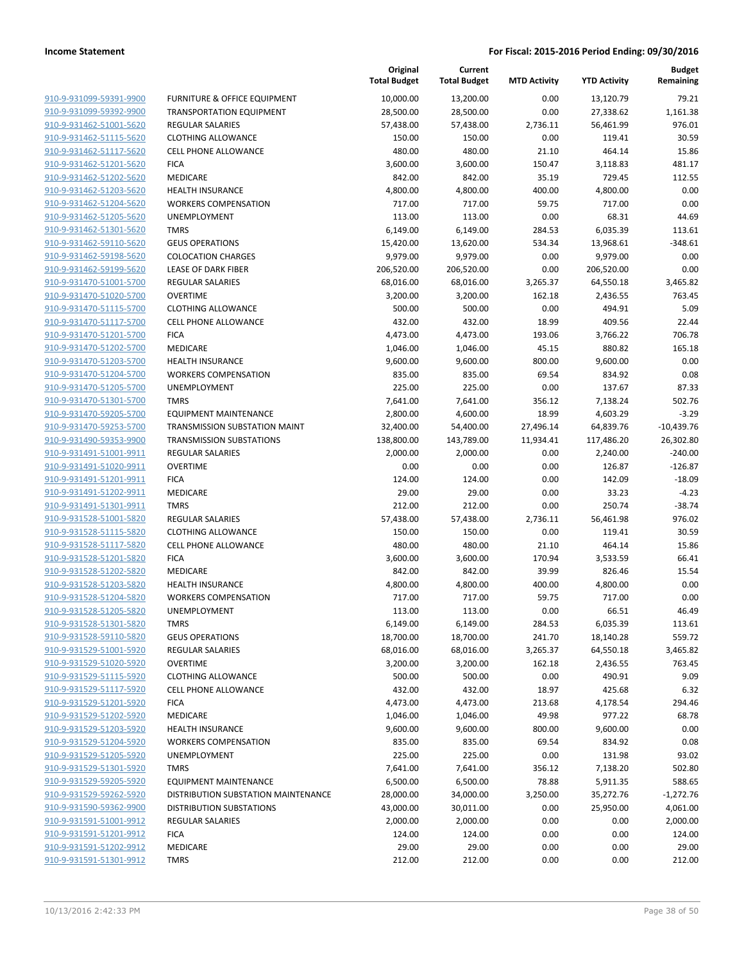| 910-9-931099-59391-9900        |
|--------------------------------|
| 910-9-931099-59392-9900        |
| 910-9-931462-51001-5620        |
| 910-9-931462-51115-5620        |
| 910-9-931462-51117-5620        |
| 910-9-931462-51201-5620        |
| 910-9-931462-51202-5620        |
| 910-9-931462-51203-5620        |
|                                |
| 910-9-931462-51204-5620        |
| <u>910-9-931462-51205-5620</u> |
| 910-9-931462-51301-5620        |
| 910-9-931462-59110-5620        |
| 910-9-931462-59198-5620        |
| <u>910-9-931462-59199-5620</u> |
| <u>910-9-931470-51001-5700</u> |
| 910-9-931470-51020-5700        |
| 910-9-931470-51115-5700        |
| 910-9-931470-51117-5700        |
| 910-9-931470-51201-5700        |
| 910-9-931470-51202-5700        |
| 910-9-931470-51203-5700        |
| 910-9-931470-51204-5700        |
| 910-9-931470-51205-5700        |
|                                |
| 910-9-931470-51301-5700        |
| 910-9-931470-59205-5700        |
| 910-9-931470-59253-5700        |
| 910-9-931490-59353-9900        |
| 910-9-931491-51001-9911        |
| <u>910-9-931491-51020-9911</u> |
| 910-9-931491-51201-9911        |
| 910-9-931491-51202-9911        |
| 910-9-931491-51301-9911        |
| 910-9-931528-51001-5820        |
| 910-9-931528-51115-5820        |
| 910-9-931528-51117-5820        |
| 910-9-931528-51201-5820        |
| 910-9-931528-51202-5820        |
| 910-9-931528-51203-5820        |
| 910-9-931528-51204-5820        |
| 910-9-931528-51205-5820        |
| 910-9-931528-51301-5820        |
|                                |
| 910-9-931528-59110-5820        |
| 910-9-931529-51001-5920        |
| 910-9-931529-51020-5920        |
| <u>910-9-931529-51115-5920</u> |
| <u>910-9-931529-51117-5920</u> |
| 910-9-931529-51201-5920        |
| 910-9-931529-51202-5920        |
| <u>910-9-931529-51203-5920</u> |
| <u>910-9-931529-51204-5920</u> |
| <u>910-9-931529-51205-5920</u> |
| 910-9-931529-51301-5920        |
| 910-9-931529-59205-5920        |
| <u>910-9-931529-59262-5920</u> |
| 910-9-931590-59362-9900        |
| <u>910-9-931591-51001-9912</u> |
| <u>910-9-931591-51201-9912</u> |
| 910-9-931591-51202-9912        |
|                                |
| <u>910-9-931591-51301-9912</u> |

|                         |                                         | Original<br><b>Total Budget</b> | Current<br><b>Total Budget</b> | <b>MTD Activity</b> | <b>YTD Activity</b> | <b>Budget</b><br>Remaining |
|-------------------------|-----------------------------------------|---------------------------------|--------------------------------|---------------------|---------------------|----------------------------|
| 910-9-931099-59391-9900 | <b>FURNITURE &amp; OFFICE EQUIPMENT</b> | 10,000.00                       | 13,200.00                      | 0.00                | 13,120.79           | 79.21                      |
| 910-9-931099-59392-9900 | <b>TRANSPORTATION EQUIPMENT</b>         | 28,500.00                       | 28,500.00                      | 0.00                | 27,338.62           | 1,161.38                   |
| 910-9-931462-51001-5620 | <b>REGULAR SALARIES</b>                 | 57,438.00                       | 57,438.00                      | 2,736.11            | 56,461.99           | 976.01                     |
| 910-9-931462-51115-5620 | <b>CLOTHING ALLOWANCE</b>               | 150.00                          | 150.00                         | 0.00                | 119.41              | 30.59                      |
| 910-9-931462-51117-5620 | <b>CELL PHONE ALLOWANCE</b>             | 480.00                          | 480.00                         | 21.10               | 464.14              | 15.86                      |
| 910-9-931462-51201-5620 | <b>FICA</b>                             | 3,600.00                        | 3,600.00                       | 150.47              | 3,118.83            | 481.17                     |
| 910-9-931462-51202-5620 | MEDICARE                                | 842.00                          | 842.00                         | 35.19               | 729.45              | 112.55                     |
| 910-9-931462-51203-5620 | <b>HEALTH INSURANCE</b>                 | 4,800.00                        | 4,800.00                       | 400.00              | 4,800.00            | 0.00                       |
| 910-9-931462-51204-5620 | <b>WORKERS COMPENSATION</b>             | 717.00                          | 717.00                         | 59.75               | 717.00              | 0.00                       |
| 910-9-931462-51205-5620 | UNEMPLOYMENT                            | 113.00                          | 113.00                         | 0.00                | 68.31               | 44.69                      |
| 910-9-931462-51301-5620 | <b>TMRS</b>                             | 6,149.00                        | 6,149.00                       | 284.53              | 6,035.39            | 113.61                     |
| 910-9-931462-59110-5620 | <b>GEUS OPERATIONS</b>                  | 15,420.00                       | 13,620.00                      | 534.34              | 13,968.61           | $-348.61$                  |
| 910-9-931462-59198-5620 | <b>COLOCATION CHARGES</b>               | 9,979.00                        | 9,979.00                       | 0.00                | 9,979.00            | 0.00                       |
| 910-9-931462-59199-5620 | <b>LEASE OF DARK FIBER</b>              | 206,520.00                      | 206,520.00                     | 0.00                | 206,520.00          | 0.00                       |
| 910-9-931470-51001-5700 | REGULAR SALARIES                        | 68,016.00                       | 68,016.00                      | 3,265.37            | 64,550.18           | 3,465.82                   |
| 910-9-931470-51020-5700 | <b>OVERTIME</b>                         | 3,200.00                        | 3,200.00                       | 162.18              | 2,436.55            | 763.45                     |
| 910-9-931470-51115-5700 | <b>CLOTHING ALLOWANCE</b>               | 500.00                          | 500.00                         | 0.00                | 494.91              | 5.09                       |
| 910-9-931470-51117-5700 | <b>CELL PHONE ALLOWANCE</b>             | 432.00                          | 432.00                         | 18.99               | 409.56              | 22.44                      |
| 910-9-931470-51201-5700 | <b>FICA</b>                             | 4,473.00                        | 4,473.00                       | 193.06              | 3,766.22            | 706.78                     |
| 910-9-931470-51202-5700 | MEDICARE                                | 1,046.00                        | 1,046.00                       | 45.15               | 880.82              | 165.18                     |
| 910-9-931470-51203-5700 | <b>HEALTH INSURANCE</b>                 | 9,600.00                        | 9,600.00                       | 800.00              | 9,600.00            | 0.00                       |
| 910-9-931470-51204-5700 | <b>WORKERS COMPENSATION</b>             | 835.00                          | 835.00                         | 69.54               | 834.92              | 0.08                       |
| 910-9-931470-51205-5700 | UNEMPLOYMENT                            | 225.00                          | 225.00                         | 0.00                | 137.67              | 87.33                      |
| 910-9-931470-51301-5700 | <b>TMRS</b>                             | 7,641.00                        | 7,641.00                       | 356.12              | 7,138.24            | 502.76                     |
| 910-9-931470-59205-5700 | <b>EQUIPMENT MAINTENANCE</b>            | 2,800.00                        | 4,600.00                       | 18.99               | 4,603.29            | $-3.29$                    |
| 910-9-931470-59253-5700 | TRANSMISSION SUBSTATION MAINT           | 32,400.00                       | 54,400.00                      | 27,496.14           | 64,839.76           | $-10,439.76$               |
| 910-9-931490-59353-9900 | <b>TRANSMISSION SUBSTATIONS</b>         | 138,800.00                      | 143,789.00                     | 11,934.41           | 117,486.20          | 26,302.80                  |
| 910-9-931491-51001-9911 | <b>REGULAR SALARIES</b>                 | 2,000.00                        | 2,000.00                       | 0.00                | 2,240.00            | $-240.00$                  |
| 910-9-931491-51020-9911 | <b>OVERTIME</b>                         | 0.00                            | 0.00                           | 0.00                | 126.87              | $-126.87$                  |
| 910-9-931491-51201-9911 | <b>FICA</b>                             | 124.00                          | 124.00                         | 0.00                | 142.09              | $-18.09$                   |
| 910-9-931491-51202-9911 | MEDICARE                                | 29.00                           | 29.00                          | 0.00                | 33.23               | $-4.23$                    |
| 910-9-931491-51301-9911 | <b>TMRS</b>                             | 212.00                          | 212.00                         | 0.00                | 250.74              | $-38.74$                   |
| 910-9-931528-51001-5820 | <b>REGULAR SALARIES</b>                 | 57,438.00                       | 57,438.00                      | 2,736.11            | 56,461.98           | 976.02                     |
| 910-9-931528-51115-5820 | <b>CLOTHING ALLOWANCE</b>               | 150.00                          | 150.00                         | 0.00                | 119.41              | 30.59                      |
| 910-9-931528-51117-5820 | <b>CELL PHONE ALLOWANCE</b>             | 480.00                          | 480.00                         | 21.10               | 464.14              | 15.86                      |
| 910-9-931528-51201-5820 | <b>FICA</b>                             | 3,600.00                        | 3,600.00                       | 170.94              | 3,533.59            | 66.41                      |
| 910-9-931528-51202-5820 | MEDICARE                                | 842.00                          | 842.00                         | 39.99               | 826.46              | 15.54                      |
| 910-9-931528-51203-5820 | <b>HEALTH INSURANCE</b>                 | 4,800.00                        | 4,800.00                       | 400.00              | 4,800.00            | 0.00                       |
| 910-9-931528-51204-5820 | <b>WORKERS COMPENSATION</b>             | 717.00                          | 717.00                         | 59.75               | 717.00              | 0.00                       |
| 910-9-931528-51205-5820 | UNEMPLOYMENT                            | 113.00                          | 113.00                         | 0.00                | 66.51               | 46.49                      |
| 910-9-931528-51301-5820 | <b>TMRS</b>                             | 6,149.00                        | 6,149.00                       | 284.53              | 6,035.39            | 113.61                     |
| 910-9-931528-59110-5820 | <b>GEUS OPERATIONS</b>                  | 18,700.00                       | 18,700.00                      | 241.70              | 18,140.28           | 559.72                     |
| 910-9-931529-51001-5920 | <b>REGULAR SALARIES</b>                 | 68,016.00                       | 68,016.00                      | 3,265.37            | 64,550.18           | 3,465.82                   |
| 910-9-931529-51020-5920 | <b>OVERTIME</b>                         | 3,200.00                        | 3,200.00                       | 162.18              | 2,436.55            | 763.45                     |
| 910-9-931529-51115-5920 | <b>CLOTHING ALLOWANCE</b>               | 500.00                          | 500.00                         | 0.00                | 490.91              | 9.09                       |
| 910-9-931529-51117-5920 | <b>CELL PHONE ALLOWANCE</b>             | 432.00                          | 432.00                         | 18.97               | 425.68              | 6.32                       |
| 910-9-931529-51201-5920 | <b>FICA</b>                             | 4,473.00                        | 4,473.00                       | 213.68              | 4,178.54            | 294.46                     |
| 910-9-931529-51202-5920 | MEDICARE                                | 1,046.00                        | 1,046.00                       | 49.98               | 977.22              | 68.78                      |
| 910-9-931529-51203-5920 | <b>HEALTH INSURANCE</b>                 | 9,600.00                        | 9,600.00                       | 800.00              | 9,600.00            | 0.00                       |
| 910-9-931529-51204-5920 | <b>WORKERS COMPENSATION</b>             | 835.00                          | 835.00                         | 69.54               | 834.92              | 0.08                       |
| 910-9-931529-51205-5920 | UNEMPLOYMENT                            | 225.00                          | 225.00                         | 0.00                | 131.98              | 93.02                      |
| 910-9-931529-51301-5920 | <b>TMRS</b>                             | 7,641.00                        | 7,641.00                       | 356.12              | 7,138.20            | 502.80                     |
| 910-9-931529-59205-5920 | <b>EQUIPMENT MAINTENANCE</b>            | 6,500.00                        | 6,500.00                       | 78.88               | 5,911.35            | 588.65                     |
| 910-9-931529-59262-5920 | DISTRIBUTION SUBSTATION MAINTENANCE     | 28,000.00                       | 34,000.00                      | 3,250.00            | 35,272.76           | $-1,272.76$                |
| 910-9-931590-59362-9900 | <b>DISTRIBUTION SUBSTATIONS</b>         | 43,000.00                       | 30,011.00                      | 0.00                | 25,950.00           | 4,061.00                   |
| 910-9-931591-51001-9912 | <b>REGULAR SALARIES</b>                 | 2,000.00                        | 2,000.00                       | 0.00                | 0.00                | 2,000.00                   |
| 910-9-931591-51201-9912 | <b>FICA</b>                             | 124.00                          | 124.00                         | 0.00                | 0.00                | 124.00                     |
| 910-9-931591-51202-9912 | MEDICARE                                | 29.00                           | 29.00                          | 0.00                | 0.00                | 29.00                      |
| 910-9-931591-51301-9912 | <b>TMRS</b>                             | 212.00                          | 212.00                         | 0.00                | 0.00                | 212.00                     |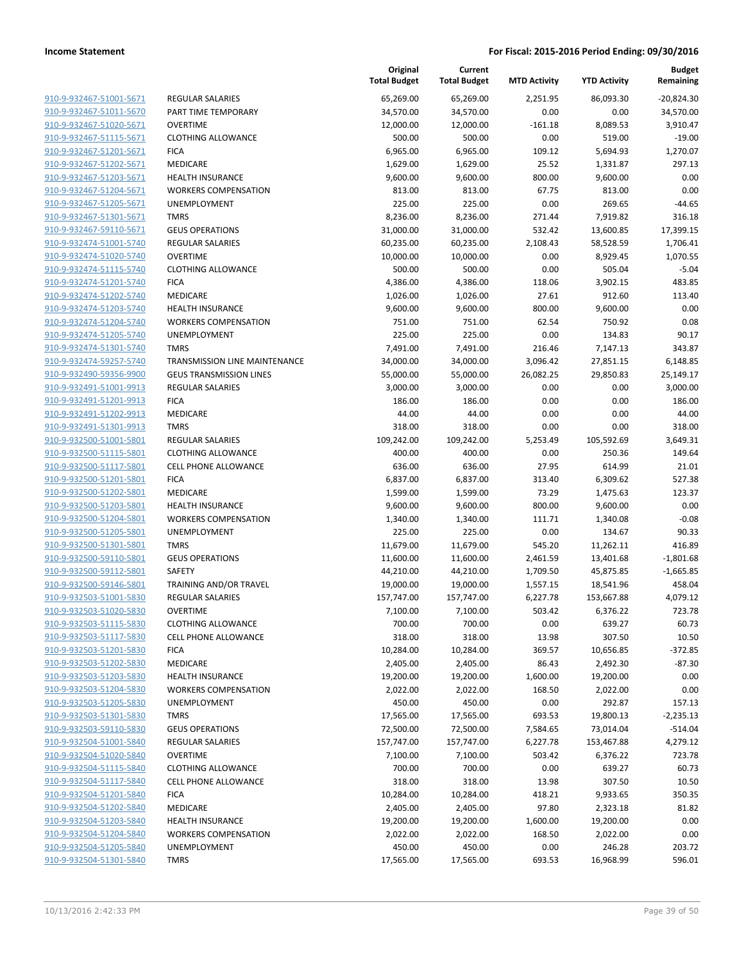| 910-9-932467-51001-5671                            | <b>REGUI</b>        |
|----------------------------------------------------|---------------------|
| 910-9-932467-51011-5670                            | PART <sup>'</sup>   |
| 910-9-932467-51020-5671                            | OVER <sup>-</sup>   |
| 910-9-932467-51115-5671                            | <b>CLOTH</b>        |
| 910-9-932467-51201-5671                            | FICA                |
| 910-9-932467-51202-5671                            | <b>MEDI</b>         |
| 910-9-932467-51203-5671                            | <b>HEALT</b>        |
| 910-9-932467-51204-5671                            | WORK                |
| 910-9-932467-51205-5671                            | <b>UNEM</b>         |
| 910-9-932467-51301-5671                            | TMRS                |
| 910-9-932467-59110-5671                            | GEUS                |
| 910-9-932474-51001-5740                            | <b>REGUI</b>        |
| 910-9-932474-51020-5740                            | OVER <sup>-</sup>   |
| 910-9-932474-51115-5740                            | <b>CLOTH</b>        |
| 910-9-932474-51201-5740                            | FICA                |
| 910-9-932474-51202-5740                            | <b>MEDI</b>         |
| 910-9-932474-51203-5740                            | <b>HEALT</b>        |
| 910-9-932474-51204-5740                            | WORK                |
| 910-9-932474-51205-5740                            | <b>UNEM</b>         |
| 910-9-932474-51301-5740                            | TMRS                |
| 910-9-932474-59257-5740                            | TRAN:               |
| 910-9-932490-59356-9900                            | <b>GEUS</b>         |
| 910-9-932491-51001-9913                            | <b>REGUI</b>        |
| 910-9-932491-51201-9913                            | FICA                |
| 910-9-932491-51202-9913                            | <b>MEDI</b>         |
| 910-9-932491-51301-9913                            | <b>TMRS</b>         |
| 910-9-932500-51001-5801                            | <b>REGUI</b>        |
| 910-9-932500-51115-5801                            | <b>CLOTH</b>        |
| 910-9-932500-51117-5801                            | CELL F              |
| 910-9-932500-51201-5801                            | FICA                |
| 910-9-932500-51202-5801                            | <b>MEDI</b>         |
| 910-9-932500-51203-5801                            | <b>HEALT</b>        |
| 910-9-932500-51204-5801                            | WORK                |
| 910-9-932500-51205-5801<br>910-9-932500-51301-5801 | <b>UNEM</b><br>TMRS |
| 910-9-932500-59110-5801                            | <b>GEUS</b>         |
| 910-9-932500-59112-5801                            | SAFET               |
| 910-9-932500-59146-5801                            | <b>TRAIN</b>        |
| 910-9-932503-51001-5830                            | <b>REGUI</b>        |
| 910-9-932503-51020-5830                            | OVER <sup>-</sup>   |
| 910-9-932503-51115-5830                            | <b>CLOTH</b>        |
| 910-9-932503-51117-5830                            | CELL F              |
| 910-9-932503-51201-5830                            | FICA                |
| 910-9-932503-51202-5830                            | <b>MEDI</b>         |
| 910-9-932503-51203-5830                            | <b>HEAL1</b>        |
| 910-9-932503-51204-5830                            | WORK                |
| 910-9-932503-51205-5830                            | <b>UNEM</b>         |
| 910-9-932503-51301-5830                            | <b>TMRS</b>         |
| 910-9-932503-59110-5830                            | GEUS                |
| 910-9-932504-51001-5840                            | REGUI               |
| 910-9-932504-51020-5840                            | OVER <sup>-</sup>   |
| 910-9-932504-51115-5840                            | <b>CLOTH</b>        |
| 910-9-932504-51117-5840                            | CELL F              |
| 910-9-932504-51201-5840                            | <b>FICA</b>         |
| 910-9-932504-51202-5840                            | MEDI                |
| 910-9-932504-51203-5840                            | <b>HEAL1</b>        |
| 910-9-932504-51204-5840                            | WORK                |
| 910-9-932504-51205-5840<br>910-9-932504-51301-5840 | UNEM                |
|                                                    | <b>TMRS</b>         |
|                                                    |                     |

|                                                    |                                             | Original<br><b>Total Budget</b> | Current<br><b>Total Budget</b> | <b>MTD Activity</b> | <b>YTD Activity</b> | <b>Budget</b><br>Remaining |
|----------------------------------------------------|---------------------------------------------|---------------------------------|--------------------------------|---------------------|---------------------|----------------------------|
| 910-9-932467-51001-5671                            | <b>REGULAR SALARIES</b>                     | 65,269.00                       | 65,269.00                      | 2,251.95            | 86,093.30           | $-20,824.30$               |
| 910-9-932467-51011-5670                            | PART TIME TEMPORARY                         | 34,570.00                       | 34,570.00                      | 0.00                | 0.00                | 34,570.00                  |
| 910-9-932467-51020-5671                            | <b>OVERTIME</b>                             | 12,000.00                       | 12,000.00                      | $-161.18$           | 8,089.53            | 3,910.47                   |
| 910-9-932467-51115-5671                            | <b>CLOTHING ALLOWANCE</b>                   | 500.00                          | 500.00                         | 0.00                | 519.00              | $-19.00$                   |
| 910-9-932467-51201-5671                            | <b>FICA</b>                                 | 6,965.00                        | 6,965.00                       | 109.12              | 5,694.93            | 1,270.07                   |
| 910-9-932467-51202-5671                            | MEDICARE                                    | 1,629.00                        | 1,629.00                       | 25.52               | 1,331.87            | 297.13                     |
| 910-9-932467-51203-5671                            | <b>HEALTH INSURANCE</b>                     | 9,600.00                        | 9,600.00                       | 800.00              | 9,600.00            | 0.00                       |
| 910-9-932467-51204-5671                            | <b>WORKERS COMPENSATION</b>                 | 813.00                          | 813.00                         | 67.75               | 813.00              | 0.00                       |
| 910-9-932467-51205-5671                            | <b>UNEMPLOYMENT</b>                         | 225.00                          | 225.00                         | 0.00                | 269.65              | $-44.65$                   |
| 910-9-932467-51301-5671                            | <b>TMRS</b>                                 | 8,236.00                        | 8,236.00                       | 271.44              | 7,919.82            | 316.18                     |
| 910-9-932467-59110-5671                            | <b>GEUS OPERATIONS</b>                      | 31,000.00                       | 31,000.00                      | 532.42              | 13,600.85           | 17,399.15                  |
| 910-9-932474-51001-5740                            | <b>REGULAR SALARIES</b>                     | 60,235.00                       | 60,235.00                      | 2,108.43            | 58,528.59           | 1,706.41                   |
| 910-9-932474-51020-5740                            | <b>OVERTIME</b>                             | 10,000.00                       | 10,000.00                      | 0.00                | 8,929.45            | 1,070.55                   |
| 910-9-932474-51115-5740                            | <b>CLOTHING ALLOWANCE</b>                   | 500.00                          | 500.00                         | 0.00                | 505.04              | $-5.04$                    |
| 910-9-932474-51201-5740                            | <b>FICA</b>                                 | 4,386.00                        | 4,386.00                       | 118.06              | 3,902.15            | 483.85                     |
| 910-9-932474-51202-5740                            | MEDICARE                                    | 1,026.00                        | 1,026.00                       | 27.61               | 912.60              | 113.40                     |
| 910-9-932474-51203-5740                            | <b>HEALTH INSURANCE</b>                     | 9,600.00                        | 9,600.00                       | 800.00              | 9,600.00            | 0.00                       |
| 910-9-932474-51204-5740                            | <b>WORKERS COMPENSATION</b>                 | 751.00                          | 751.00                         | 62.54               | 750.92              | 0.08                       |
| 910-9-932474-51205-5740                            | <b>UNEMPLOYMENT</b>                         | 225.00                          | 225.00                         | 0.00                | 134.83              | 90.17                      |
| 910-9-932474-51301-5740                            | <b>TMRS</b>                                 | 7,491.00                        | 7,491.00                       | 216.46              | 7,147.13            | 343.87                     |
| 910-9-932474-59257-5740                            | TRANSMISSION LINE MAINTENANCE               | 34,000.00                       | 34,000.00                      | 3,096.42            | 27,851.15           | 6,148.85                   |
| 910-9-932490-59356-9900                            | <b>GEUS TRANSMISSION LINES</b>              | 55,000.00                       | 55,000.00                      | 26,082.25           | 29,850.83           | 25,149.17                  |
| 910-9-932491-51001-9913                            | <b>REGULAR SALARIES</b>                     | 3,000.00                        | 3,000.00                       | 0.00                | 0.00                | 3,000.00                   |
| 910-9-932491-51201-9913                            | <b>FICA</b>                                 | 186.00                          | 186.00                         | 0.00                | 0.00                | 186.00                     |
| 910-9-932491-51202-9913                            | MEDICARE                                    | 44.00                           | 44.00                          | 0.00                | 0.00                | 44.00                      |
| 910-9-932491-51301-9913                            | <b>TMRS</b>                                 | 318.00                          | 318.00                         | 0.00                | 0.00                | 318.00                     |
| 910-9-932500-51001-5801                            | REGULAR SALARIES                            | 109,242.00                      | 109,242.00                     | 5,253.49            | 105,592.69          | 3,649.31                   |
| 910-9-932500-51115-5801                            | <b>CLOTHING ALLOWANCE</b>                   | 400.00                          | 400.00                         | 0.00                | 250.36              | 149.64                     |
| 910-9-932500-51117-5801                            | <b>CELL PHONE ALLOWANCE</b>                 | 636.00                          | 636.00                         | 27.95               | 614.99              | 21.01                      |
| 910-9-932500-51201-5801                            | <b>FICA</b>                                 | 6,837.00                        | 6,837.00                       | 313.40              | 6,309.62            | 527.38                     |
| 910-9-932500-51202-5801                            | MEDICARE                                    | 1,599.00                        | 1,599.00                       | 73.29               | 1,475.63            | 123.37                     |
| 910-9-932500-51203-5801                            | <b>HEALTH INSURANCE</b>                     | 9,600.00                        | 9,600.00                       | 800.00              | 9,600.00            | 0.00                       |
| 910-9-932500-51204-5801<br>910-9-932500-51205-5801 | <b>WORKERS COMPENSATION</b><br>UNEMPLOYMENT | 1,340.00<br>225.00              | 1,340.00<br>225.00             | 111.71<br>0.00      | 1,340.08<br>134.67  | $-0.08$<br>90.33           |
| 910-9-932500-51301-5801                            | <b>TMRS</b>                                 | 11,679.00                       | 11,679.00                      | 545.20              | 11,262.11           | 416.89                     |
| 910-9-932500-59110-5801                            | <b>GEUS OPERATIONS</b>                      | 11,600.00                       | 11,600.00                      | 2,461.59            | 13,401.68           | $-1,801.68$                |
| 910-9-932500-59112-5801                            | <b>SAFETY</b>                               | 44,210.00                       | 44,210.00                      | 1,709.50            | 45,875.85           | $-1,665.85$                |
| 910-9-932500-59146-5801                            | TRAINING AND/OR TRAVEL                      | 19,000.00                       | 19,000.00                      | 1,557.15            | 18,541.96           | 458.04                     |
| 910-9-932503-51001-5830                            | <b>REGULAR SALARIES</b>                     | 157,747.00                      | 157,747.00                     | 6,227.78            | 153,667.88          | 4,079.12                   |
| 910-9-932503-51020-5830                            | <b>OVERTIME</b>                             | 7,100.00                        | 7,100.00                       | 503.42              | 6,376.22            | 723.78                     |
| 910-9-932503-51115-5830                            | <b>CLOTHING ALLOWANCE</b>                   | 700.00                          | 700.00                         | 0.00                | 639.27              | 60.73                      |
| 910-9-932503-51117-5830                            | <b>CELL PHONE ALLOWANCE</b>                 | 318.00                          | 318.00                         | 13.98               | 307.50              | 10.50                      |
| 910-9-932503-51201-5830                            | <b>FICA</b>                                 | 10,284.00                       | 10,284.00                      | 369.57              | 10,656.85           | $-372.85$                  |
| 910-9-932503-51202-5830                            | MEDICARE                                    | 2,405.00                        | 2,405.00                       | 86.43               | 2,492.30            | -87.30                     |
| 910-9-932503-51203-5830                            | <b>HEALTH INSURANCE</b>                     | 19,200.00                       | 19,200.00                      | 1,600.00            | 19,200.00           | 0.00                       |
| 910-9-932503-51204-5830                            | <b>WORKERS COMPENSATION</b>                 | 2,022.00                        | 2,022.00                       | 168.50              | 2,022.00            | 0.00                       |
| 910-9-932503-51205-5830                            | <b>UNEMPLOYMENT</b>                         | 450.00                          | 450.00                         | 0.00                | 292.87              | 157.13                     |
| 910-9-932503-51301-5830                            | <b>TMRS</b>                                 | 17,565.00                       | 17,565.00                      | 693.53              | 19,800.13           | $-2,235.13$                |
| 910-9-932503-59110-5830                            | <b>GEUS OPERATIONS</b>                      | 72,500.00                       | 72,500.00                      | 7,584.65            | 73,014.04           | $-514.04$                  |
| 910-9-932504-51001-5840                            | <b>REGULAR SALARIES</b>                     | 157,747.00                      | 157,747.00                     | 6,227.78            | 153,467.88          | 4,279.12                   |
| 910-9-932504-51020-5840                            | <b>OVERTIME</b>                             | 7,100.00                        | 7,100.00                       | 503.42              | 6,376.22            | 723.78                     |
| 910-9-932504-51115-5840                            | <b>CLOTHING ALLOWANCE</b>                   | 700.00                          | 700.00                         | 0.00                | 639.27              | 60.73                      |
| 910-9-932504-51117-5840                            | <b>CELL PHONE ALLOWANCE</b>                 | 318.00                          | 318.00                         | 13.98               | 307.50              | 10.50                      |
| 910-9-932504-51201-5840                            | <b>FICA</b>                                 | 10,284.00                       | 10,284.00                      | 418.21              | 9,933.65            | 350.35                     |
| 910-9-932504-51202-5840                            | MEDICARE                                    | 2,405.00                        | 2,405.00                       | 97.80               | 2,323.18            | 81.82                      |
| 910-9-932504-51203-5840                            | <b>HEALTH INSURANCE</b>                     | 19,200.00                       | 19,200.00                      | 1,600.00            | 19,200.00           | 0.00                       |
| 910-9-932504-51204-5840                            | <b>WORKERS COMPENSATION</b>                 | 2,022.00                        | 2,022.00                       | 168.50              | 2,022.00            | 0.00                       |
| 910-9-932504-51205-5840                            | UNEMPLOYMENT                                | 450.00                          | 450.00                         | 0.00                | 246.28              | 203.72                     |
| 910-9-932504-51301-5840                            | <b>TMRS</b>                                 | 17,565.00                       | 17,565.00                      | 693.53              | 16,968.99           | 596.01                     |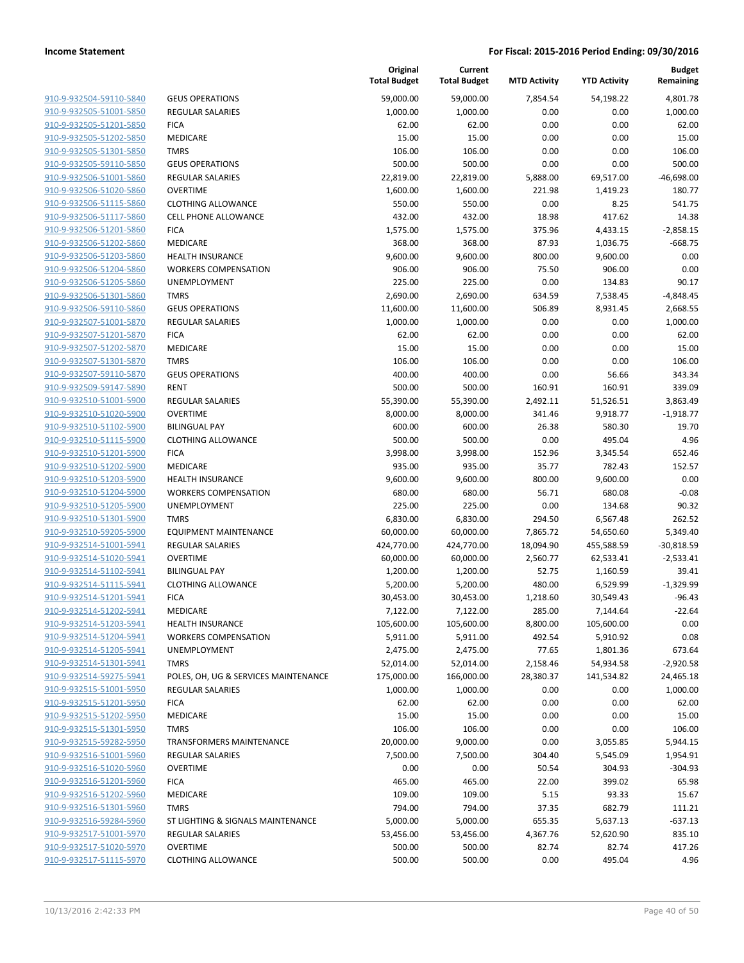| 910-9-932504-59110-5840        |
|--------------------------------|
| 910-9-932505-51001-5850        |
| 910-9-932505-51201-5850        |
| 910-9-932505-51202-5850        |
| 910-9-932505-51301-5850        |
| 910-9-932505-59110-5850        |
| 910-9-932506-51001-5860        |
| 910-9-932506-51020-5860        |
| 910-9-932506-51115-5860        |
| <u>910-9-932506-51117-5860</u> |
| 910-9-932506-51201-5860        |
| 910-9-932506-51202-5860        |
| 910-9-932506-51203-5860        |
| 910-9-932506-51204-5860        |
| <u>910-9-932506-51205-5860</u> |
| 910-9-932506-51301-5860        |
| 910-9-932506-59110-5860        |
| 910-9-932507-51001-5870        |
| 910-9-932507-51201-5870        |
| <u>910-9-932507-51202-5870</u> |
| 910-9-932507-51301-5870        |
| 910-9-932507-59110-5870        |
| 910-9-932509-59147-5890        |
| 910-9-932510-51001-5900        |
| <u>910-9-932510-51020-5900</u> |
| 910-9-932510-51102-5900        |
| 910-9-932510-51115-5900        |
| 910-9-932510-51201-5900        |
|                                |
| 910-9-932510-51202-5900        |
| 910-9-932510-51203-5900        |
| 910-9-932510-51204-5900        |
| 910-9-932510-51205-5900        |
| 910-9-932510-51301-5900        |
| 910-9-932510-59205-5900        |
| <u>910-9-932514-51001-5941</u> |
| 910-9-932514-51020-5941        |
| 910-9-932514-51102-5941        |
| 910-9-932514-51115-5941        |
| 910-9-932514-51201-5941        |
| 910-9-932514-51202-5941        |
| 910-9-932514-51203-5941        |
| 910-9-932514-51204-5941        |
| 910-9-932514-51205-5941        |
| 910-9-932514-51301-5941        |
| <u>910-9-932514-59275-5941</u> |
| 910-9-932515-51001-5950        |
| 910-9-932515-51201-5950        |
| 910-9-932515-51202-5950        |
| 910-9-932515-51301-5950        |
| 910-9-932515-59282-5950        |
| <u>910-9-932516-51001-5960</u> |
| 910-9-932516-51020-5960        |
| 910-9-932516-51201-5960        |
| <u>910-9-932516-51202-5960</u> |
| <u>910-9-932516-51301-5960</u> |
| <u>910-9-932516-59284-5960</u> |
| 910-9-932517-51001-5970        |
| 910-9-932517-51020-5970        |
| 910-9-932517-51115-5970        |
|                                |

|                         |                                      | Original<br><b>Total Budget</b> | Current<br><b>Total Budget</b> | <b>MTD Activity</b> | <b>YTD Activity</b> | <b>Budget</b><br>Remaining |
|-------------------------|--------------------------------------|---------------------------------|--------------------------------|---------------------|---------------------|----------------------------|
| 910-9-932504-59110-5840 | <b>GEUS OPERATIONS</b>               | 59,000.00                       | 59,000.00                      | 7,854.54            | 54,198.22           | 4,801.78                   |
| 910-9-932505-51001-5850 | REGULAR SALARIES                     | 1,000.00                        | 1,000.00                       | 0.00                | 0.00                | 1,000.00                   |
| 910-9-932505-51201-5850 | <b>FICA</b>                          | 62.00                           | 62.00                          | 0.00                | 0.00                | 62.00                      |
| 910-9-932505-51202-5850 | MEDICARE                             | 15.00                           | 15.00                          | 0.00                | 0.00                | 15.00                      |
| 910-9-932505-51301-5850 | <b>TMRS</b>                          | 106.00                          | 106.00                         | 0.00                | 0.00                | 106.00                     |
| 910-9-932505-59110-5850 | <b>GEUS OPERATIONS</b>               | 500.00                          | 500.00                         | 0.00                | 0.00                | 500.00                     |
| 910-9-932506-51001-5860 | <b>REGULAR SALARIES</b>              | 22,819.00                       | 22,819.00                      | 5,888.00            | 69,517.00           | $-46,698.00$               |
| 910-9-932506-51020-5860 | <b>OVERTIME</b>                      | 1,600.00                        | 1,600.00                       | 221.98              | 1,419.23            | 180.77                     |
| 910-9-932506-51115-5860 | <b>CLOTHING ALLOWANCE</b>            | 550.00                          | 550.00                         | 0.00                | 8.25                | 541.75                     |
| 910-9-932506-51117-5860 | <b>CELL PHONE ALLOWANCE</b>          | 432.00                          | 432.00                         | 18.98               | 417.62              | 14.38                      |
| 910-9-932506-51201-5860 | <b>FICA</b>                          | 1,575.00                        | 1,575.00                       | 375.96              | 4,433.15            | $-2,858.15$                |
| 910-9-932506-51202-5860 | MEDICARE                             | 368.00                          | 368.00                         | 87.93               | 1,036.75            | $-668.75$                  |
| 910-9-932506-51203-5860 | <b>HEALTH INSURANCE</b>              | 9,600.00                        | 9,600.00                       | 800.00              | 9,600.00            | 0.00                       |
| 910-9-932506-51204-5860 | <b>WORKERS COMPENSATION</b>          | 906.00                          | 906.00                         | 75.50               | 906.00              | 0.00                       |
| 910-9-932506-51205-5860 | <b>UNEMPLOYMENT</b>                  | 225.00                          | 225.00                         | 0.00                | 134.83              | 90.17                      |
| 910-9-932506-51301-5860 | TMRS                                 | 2,690.00                        | 2,690.00                       | 634.59              | 7,538.45            | $-4,848.45$                |
| 910-9-932506-59110-5860 | <b>GEUS OPERATIONS</b>               | 11,600.00                       | 11,600.00                      | 506.89              | 8,931.45            | 2,668.55                   |
| 910-9-932507-51001-5870 | <b>REGULAR SALARIES</b>              | 1,000.00                        | 1,000.00                       | 0.00                | 0.00                | 1,000.00                   |
| 910-9-932507-51201-5870 | <b>FICA</b>                          | 62.00                           | 62.00                          | 0.00                | 0.00                | 62.00                      |
| 910-9-932507-51202-5870 | MEDICARE                             | 15.00                           | 15.00                          | 0.00                | 0.00                | 15.00                      |
| 910-9-932507-51301-5870 | <b>TMRS</b>                          | 106.00                          | 106.00                         | 0.00                | 0.00                | 106.00                     |
| 910-9-932507-59110-5870 | <b>GEUS OPERATIONS</b>               | 400.00                          | 400.00                         | 0.00                | 56.66               | 343.34                     |
| 910-9-932509-59147-5890 | <b>RENT</b>                          | 500.00                          | 500.00                         | 160.91              | 160.91              | 339.09                     |
| 910-9-932510-51001-5900 | <b>REGULAR SALARIES</b>              | 55,390.00                       | 55,390.00                      | 2,492.11            | 51,526.51           | 3,863.49                   |
| 910-9-932510-51020-5900 | <b>OVERTIME</b>                      | 8,000.00                        | 8,000.00                       | 341.46              | 9,918.77            | $-1,918.77$                |
| 910-9-932510-51102-5900 | <b>BILINGUAL PAY</b>                 | 600.00                          | 600.00                         | 26.38               | 580.30              | 19.70                      |
| 910-9-932510-51115-5900 | <b>CLOTHING ALLOWANCE</b>            | 500.00                          | 500.00                         | 0.00                | 495.04              | 4.96                       |
| 910-9-932510-51201-5900 | <b>FICA</b>                          | 3,998.00                        | 3,998.00                       | 152.96              | 3,345.54            | 652.46                     |
| 910-9-932510-51202-5900 | MEDICARE                             | 935.00                          | 935.00                         | 35.77               | 782.43              | 152.57                     |
| 910-9-932510-51203-5900 | <b>HEALTH INSURANCE</b>              | 9,600.00                        | 9,600.00                       | 800.00              | 9,600.00            | 0.00                       |
| 910-9-932510-51204-5900 | <b>WORKERS COMPENSATION</b>          | 680.00                          | 680.00                         | 56.71               | 680.08              | $-0.08$                    |
| 910-9-932510-51205-5900 | UNEMPLOYMENT                         | 225.00                          | 225.00                         | 0.00                | 134.68              | 90.32                      |
| 910-9-932510-51301-5900 | <b>TMRS</b>                          | 6,830.00                        | 6,830.00                       | 294.50              | 6,567.48            | 262.52                     |
| 910-9-932510-59205-5900 | <b>EQUIPMENT MAINTENANCE</b>         | 60,000.00                       | 60,000.00                      | 7,865.72            | 54,650.60           | 5,349.40                   |
| 910-9-932514-51001-5941 | <b>REGULAR SALARIES</b>              | 424,770.00                      | 424,770.00                     | 18,094.90           | 455,588.59          | $-30,818.59$               |
| 910-9-932514-51020-5941 | <b>OVERTIME</b>                      | 60,000.00                       | 60,000.00                      | 2,560.77            | 62,533.41           | $-2,533.41$                |
| 910-9-932514-51102-5941 | <b>BILINGUAL PAY</b>                 | 1,200.00                        | 1,200.00                       | 52.75               | 1,160.59            | 39.41                      |
| 910-9-932514-51115-5941 | <b>CLOTHING ALLOWANCE</b>            | 5,200.00                        | 5,200.00                       | 480.00              | 6,529.99            | $-1,329.99$                |
| 910-9-932514-51201-5941 | <b>FICA</b>                          | 30,453.00                       | 30,453.00                      | 1,218.60            | 30,549.43           | $-96.43$                   |
| 910-9-932514-51202-5941 | <b>MEDICARE</b>                      | 7,122.00                        | 7,122.00                       | 285.00              | 7,144.64            | $-22.64$                   |
| 910-9-932514-51203-5941 | <b>HEALTH INSURANCE</b>              | 105,600.00                      | 105,600.00                     | 8,800.00            | 105,600.00          | 0.00                       |
| 910-9-932514-51204-5941 | <b>WORKERS COMPENSATION</b>          | 5,911.00                        | 5,911.00                       | 492.54              | 5,910.92            | 0.08                       |
| 910-9-932514-51205-5941 | <b>UNEMPLOYMENT</b>                  | 2,475.00                        | 2,475.00                       | 77.65               | 1,801.36            | 673.64                     |
| 910-9-932514-51301-5941 | <b>TMRS</b>                          | 52,014.00                       | 52,014.00                      | 2,158.46            | 54,934.58           | $-2,920.58$                |
| 910-9-932514-59275-5941 | POLES, OH, UG & SERVICES MAINTENANCE | 175,000.00                      | 166,000.00                     | 28,380.37           | 141,534.82          | 24,465.18                  |
| 910-9-932515-51001-5950 | <b>REGULAR SALARIES</b>              | 1,000.00                        | 1,000.00                       | 0.00                | 0.00                | 1,000.00                   |
| 910-9-932515-51201-5950 | <b>FICA</b>                          | 62.00                           | 62.00                          | 0.00                | 0.00                | 62.00                      |
| 910-9-932515-51202-5950 | MEDICARE                             | 15.00                           | 15.00                          | 0.00                | 0.00                | 15.00                      |
| 910-9-932515-51301-5950 | <b>TMRS</b>                          | 106.00                          | 106.00                         | 0.00                | 0.00                | 106.00                     |
| 910-9-932515-59282-5950 | TRANSFORMERS MAINTENANCE             | 20,000.00                       | 9,000.00                       | 0.00                | 3,055.85            | 5,944.15                   |
| 910-9-932516-51001-5960 | REGULAR SALARIES                     | 7,500.00                        | 7,500.00                       | 304.40              | 5,545.09            | 1,954.91                   |
| 910-9-932516-51020-5960 | <b>OVERTIME</b>                      | 0.00                            | 0.00                           | 50.54               | 304.93              | $-304.93$                  |
| 910-9-932516-51201-5960 | <b>FICA</b>                          | 465.00                          | 465.00                         | 22.00               | 399.02              | 65.98                      |
| 910-9-932516-51202-5960 | MEDICARE                             | 109.00                          | 109.00                         | 5.15                | 93.33               | 15.67                      |
| 910-9-932516-51301-5960 | <b>TMRS</b>                          | 794.00                          | 794.00                         | 37.35               | 682.79              | 111.21                     |
| 910-9-932516-59284-5960 | ST LIGHTING & SIGNALS MAINTENANCE    | 5,000.00                        | 5,000.00                       | 655.35              | 5,637.13            | $-637.13$                  |
| 910-9-932517-51001-5970 | REGULAR SALARIES                     | 53,456.00                       | 53,456.00                      | 4,367.76            | 52,620.90           | 835.10                     |
| 910-9-932517-51020-5970 | OVERTIME                             | 500.00                          | 500.00                         | 82.74               | 82.74               | 417.26                     |
| 910-9-932517-51115-5970 | <b>CLOTHING ALLOWANCE</b>            | 500.00                          | 500.00                         | 0.00                | 495.04              | 4.96                       |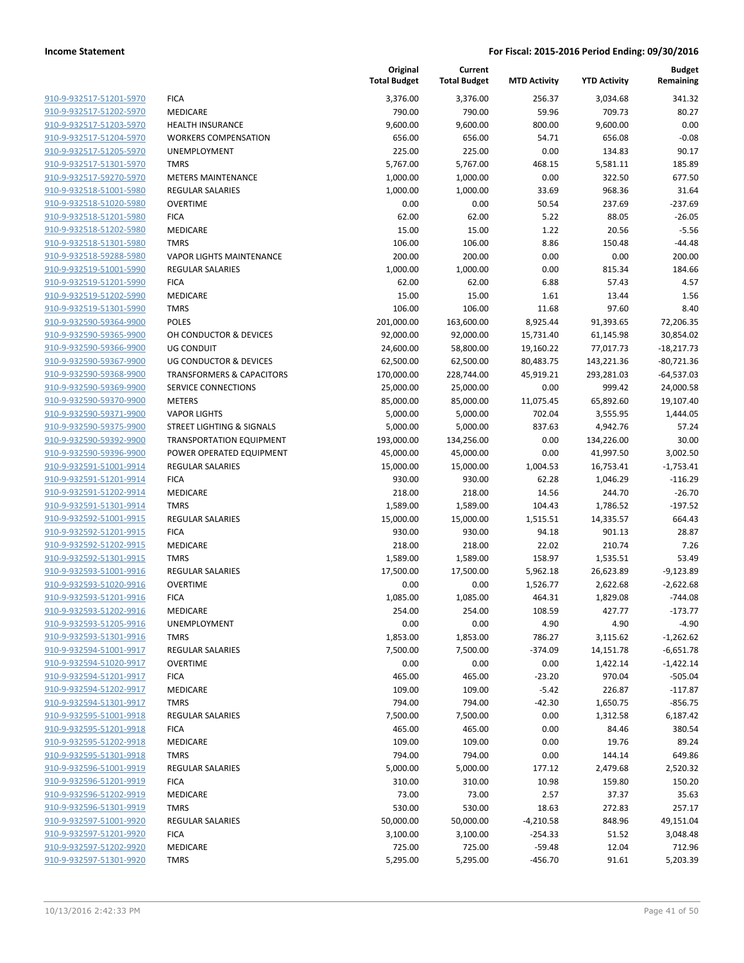|                                                    |                                        | Original<br><b>Total Budget</b> | Current<br><b>Total Budget</b> | <b>MTD Activity</b> | <b>YTD Activity</b> | <b>Budget</b><br>Remaining |
|----------------------------------------------------|----------------------------------------|---------------------------------|--------------------------------|---------------------|---------------------|----------------------------|
| 910-9-932517-51201-5970                            | <b>FICA</b>                            | 3,376.00                        | 3,376.00                       | 256.37              | 3,034.68            | 341.32                     |
| 910-9-932517-51202-5970                            | MEDICARE                               | 790.00                          | 790.00                         | 59.96               | 709.73              | 80.27                      |
| 910-9-932517-51203-5970                            | <b>HEALTH INSURANCE</b>                | 9,600.00                        | 9,600.00                       | 800.00              | 9,600.00            | 0.00                       |
| 910-9-932517-51204-5970                            | <b>WORKERS COMPENSATION</b>            | 656.00                          | 656.00                         | 54.71               | 656.08              | $-0.08$                    |
| 910-9-932517-51205-5970                            | <b>UNEMPLOYMENT</b>                    | 225.00                          | 225.00                         | 0.00                | 134.83              | 90.17                      |
| 910-9-932517-51301-5970                            | <b>TMRS</b>                            | 5,767.00                        | 5,767.00                       | 468.15              | 5,581.11            | 185.89                     |
| 910-9-932517-59270-5970                            | <b>METERS MAINTENANCE</b>              | 1,000.00                        | 1,000.00                       | 0.00                | 322.50              | 677.50                     |
| 910-9-932518-51001-5980                            | REGULAR SALARIES                       | 1,000.00                        | 1,000.00                       | 33.69               | 968.36              | 31.64                      |
| 910-9-932518-51020-5980                            | <b>OVERTIME</b>                        | 0.00                            | 0.00                           | 50.54               | 237.69              | $-237.69$                  |
| 910-9-932518-51201-5980                            | <b>FICA</b>                            | 62.00                           | 62.00                          | 5.22                | 88.05               | $-26.05$                   |
| 910-9-932518-51202-5980                            | <b>MEDICARE</b>                        | 15.00                           | 15.00                          | 1.22                | 20.56               | $-5.56$                    |
| 910-9-932518-51301-5980                            | <b>TMRS</b>                            | 106.00                          | 106.00                         | 8.86                | 150.48              | $-44.48$                   |
| 910-9-932518-59288-5980                            | <b>VAPOR LIGHTS MAINTENANCE</b>        | 200.00                          | 200.00                         | 0.00                | 0.00                | 200.00                     |
| 910-9-932519-51001-5990                            | <b>REGULAR SALARIES</b>                | 1,000.00                        | 1,000.00                       | 0.00                | 815.34              | 184.66                     |
| 910-9-932519-51201-5990                            | <b>FICA</b>                            | 62.00                           | 62.00                          | 6.88                | 57.43               | 4.57                       |
| 910-9-932519-51202-5990                            | <b>MEDICARE</b>                        | 15.00                           | 15.00                          | 1.61                | 13.44               | 1.56                       |
| 910-9-932519-51301-5990                            | <b>TMRS</b>                            | 106.00                          | 106.00                         | 11.68               | 97.60               | 8.40                       |
| 910-9-932590-59364-9900                            | <b>POLES</b>                           | 201,000.00                      | 163,600.00                     | 8,925.44            | 91,393.65           | 72,206.35                  |
| 910-9-932590-59365-9900                            | OH CONDUCTOR & DEVICES                 | 92,000.00                       | 92,000.00                      | 15,731.40           | 61,145.98           | 30,854.02                  |
| 910-9-932590-59366-9900                            | <b>UG CONDUIT</b>                      | 24,600.00                       | 58,800.00                      | 19,160.22           | 77,017.73           | $-18,217.73$               |
| 910-9-932590-59367-9900                            | UG CONDUCTOR & DEVICES                 | 62,500.00                       | 62,500.00                      | 80,483.75           | 143,221.36          | $-80,721.36$               |
| 910-9-932590-59368-9900                            | <b>TRANSFORMERS &amp; CAPACITORS</b>   | 170,000.00                      | 228,744.00                     | 45,919.21           | 293,281.03          | $-64,537.03$               |
| 910-9-932590-59369-9900                            | SERVICE CONNECTIONS                    | 25,000.00                       | 25,000.00                      | 0.00                | 999.42              | 24,000.58                  |
| 910-9-932590-59370-9900                            | <b>METERS</b>                          | 85,000.00                       | 85,000.00                      | 11,075.45           | 65,892.60           | 19,107.40                  |
| 910-9-932590-59371-9900                            | <b>VAPOR LIGHTS</b>                    | 5,000.00                        | 5,000.00                       | 702.04              | 3,555.95            | 1,444.05                   |
| 910-9-932590-59375-9900                            | STREET LIGHTING & SIGNALS              | 5,000.00                        | 5,000.00                       | 837.63              | 4,942.76            | 57.24                      |
| 910-9-932590-59392-9900                            | <b>TRANSPORTATION EQUIPMENT</b>        | 193,000.00                      | 134,256.00                     | 0.00                | 134,226.00          | 30.00                      |
| 910-9-932590-59396-9900                            | POWER OPERATED EQUIPMENT               | 45,000.00                       | 45,000.00                      | 0.00                | 41,997.50           | 3,002.50                   |
| 910-9-932591-51001-9914<br>910-9-932591-51201-9914 | <b>REGULAR SALARIES</b><br><b>FICA</b> | 15,000.00<br>930.00             | 15,000.00<br>930.00            | 1,004.53<br>62.28   | 16,753.41           | $-1,753.41$<br>$-116.29$   |
| 910-9-932591-51202-9914                            | MEDICARE                               | 218.00                          | 218.00                         | 14.56               | 1,046.29<br>244.70  | $-26.70$                   |
| 910-9-932591-51301-9914                            | <b>TMRS</b>                            | 1,589.00                        | 1,589.00                       | 104.43              | 1,786.52            | $-197.52$                  |
| 910-9-932592-51001-9915                            | <b>REGULAR SALARIES</b>                | 15,000.00                       | 15,000.00                      | 1,515.51            | 14,335.57           | 664.43                     |
| 910-9-932592-51201-9915                            | <b>FICA</b>                            | 930.00                          | 930.00                         | 94.18               | 901.13              | 28.87                      |
| 910-9-932592-51202-9915                            | MEDICARE                               | 218.00                          | 218.00                         | 22.02               | 210.74              | 7.26                       |
| 910-9-932592-51301-9915                            | <b>TMRS</b>                            | 1,589.00                        | 1,589.00                       | 158.97              | 1,535.51            | 53.49                      |
| 910-9-932593-51001-9916                            | REGULAR SALARIES                       | 17,500.00                       | 17,500.00                      | 5,962.18            | 26,623.89           | $-9,123.89$                |
| 910-9-932593-51020-9916                            | <b>OVERTIME</b>                        | 0.00                            | 0.00                           | 1,526.77            | 2,622.68            | $-2,622.68$                |
| 910-9-932593-51201-9916                            | <b>FICA</b>                            | 1,085.00                        | 1,085.00                       | 464.31              | 1,829.08            | $-744.08$                  |
| 910-9-932593-51202-9916                            | <b>MEDICARE</b>                        | 254.00                          | 254.00                         | 108.59              | 427.77              | $-173.77$                  |
| 910-9-932593-51205-9916                            | UNEMPLOYMENT                           | 0.00                            | 0.00                           | 4.90                | 4.90                | $-4.90$                    |
| 910-9-932593-51301-9916                            | <b>TMRS</b>                            | 1,853.00                        | 1,853.00                       | 786.27              | 3,115.62            | $-1,262.62$                |
| 910-9-932594-51001-9917                            | REGULAR SALARIES                       | 7,500.00                        | 7,500.00                       | $-374.09$           | 14,151.78           | $-6,651.78$                |
| 910-9-932594-51020-9917                            | <b>OVERTIME</b>                        | 0.00                            | 0.00                           | 0.00                | 1,422.14            | $-1,422.14$                |
| 910-9-932594-51201-9917                            | <b>FICA</b>                            | 465.00                          | 465.00                         | $-23.20$            | 970.04              | $-505.04$                  |
| 910-9-932594-51202-9917                            | MEDICARE                               | 109.00                          | 109.00                         | $-5.42$             | 226.87              | $-117.87$                  |
| 910-9-932594-51301-9917                            | <b>TMRS</b>                            | 794.00                          | 794.00                         | $-42.30$            | 1,650.75            | $-856.75$                  |
| 910-9-932595-51001-9918                            | <b>REGULAR SALARIES</b>                | 7,500.00                        | 7,500.00                       | 0.00                | 1,312.58            | 6,187.42                   |
| 910-9-932595-51201-9918                            | <b>FICA</b>                            | 465.00                          | 465.00                         | 0.00                | 84.46               | 380.54                     |
| 910-9-932595-51202-9918                            | MEDICARE                               | 109.00                          | 109.00                         | 0.00                | 19.76               | 89.24                      |
| 910-9-932595-51301-9918                            | <b>TMRS</b>                            | 794.00                          | 794.00                         | 0.00                | 144.14              | 649.86                     |
| 910-9-932596-51001-9919                            | REGULAR SALARIES                       | 5,000.00                        | 5,000.00                       | 177.12              | 2,479.68            | 2,520.32                   |
| 910-9-932596-51201-9919                            | <b>FICA</b>                            | 310.00                          | 310.00                         | 10.98               | 159.80              | 150.20                     |
| 910-9-932596-51202-9919                            | MEDICARE                               | 73.00                           | 73.00                          | 2.57                | 37.37               | 35.63                      |
| 910-9-932596-51301-9919                            | <b>TMRS</b>                            | 530.00                          | 530.00                         | 18.63               | 272.83              | 257.17                     |
| 910-9-932597-51001-9920                            | <b>REGULAR SALARIES</b>                | 50,000.00                       | 50,000.00                      | $-4,210.58$         | 848.96              | 49,151.04                  |
| 910-9-932597-51201-9920                            | <b>FICA</b>                            | 3,100.00                        | 3,100.00                       | $-254.33$           | 51.52               | 3,048.48                   |
| 910-9-932597-51202-9920                            | MEDICARE                               | 725.00                          | 725.00                         | $-59.48$            | 12.04               | 712.96                     |
| 910-9-932597-51301-9920                            | <b>TMRS</b>                            | 5,295.00                        | 5,295.00                       | $-456.70$           | 91.61               | 5,203.39                   |
|                                                    |                                        |                                 |                                |                     |                     |                            |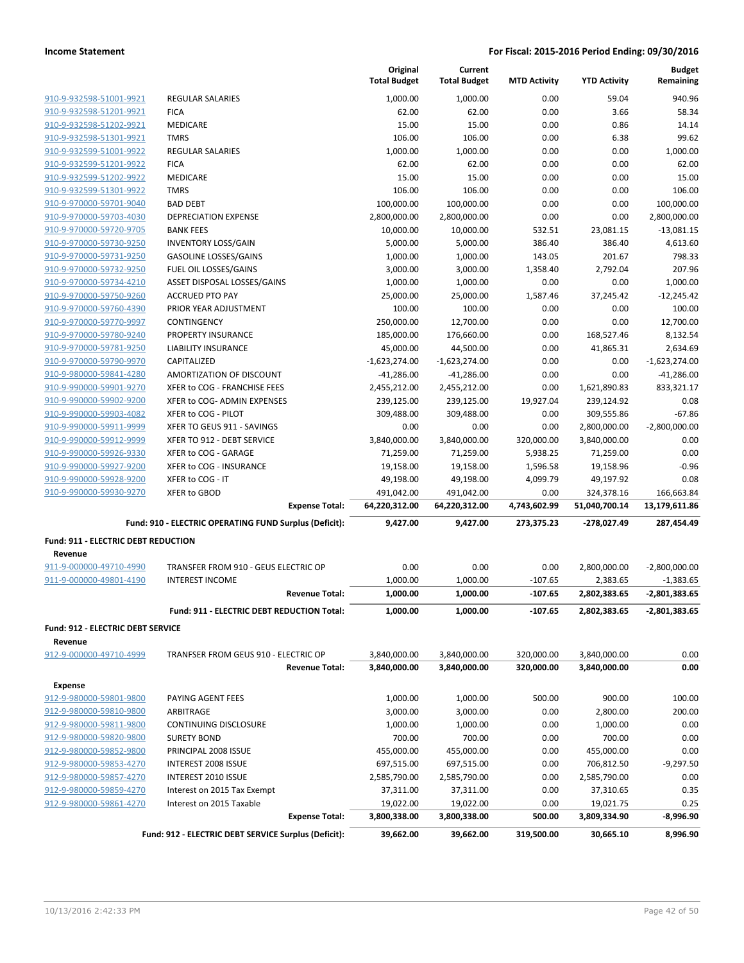|                                                    |                                                         | Original<br><b>Total Budget</b> | Current<br><b>Total Budget</b> | <b>MTD Activity</b>    | <b>YTD Activity</b>      | <b>Budget</b><br>Remaining     |
|----------------------------------------------------|---------------------------------------------------------|---------------------------------|--------------------------------|------------------------|--------------------------|--------------------------------|
| 910-9-932598-51001-9921                            | <b>REGULAR SALARIES</b>                                 | 1,000.00                        | 1,000.00                       | 0.00                   | 59.04                    | 940.96                         |
| 910-9-932598-51201-9921                            | <b>FICA</b>                                             | 62.00                           | 62.00                          | 0.00                   | 3.66                     | 58.34                          |
| 910-9-932598-51202-9921                            | <b>MEDICARE</b>                                         | 15.00                           | 15.00                          | 0.00                   | 0.86                     | 14.14                          |
| 910-9-932598-51301-9921                            | <b>TMRS</b>                                             | 106.00                          | 106.00                         | 0.00                   | 6.38                     | 99.62                          |
| 910-9-932599-51001-9922                            | <b>REGULAR SALARIES</b>                                 | 1,000.00                        | 1,000.00                       | 0.00                   | 0.00                     | 1,000.00                       |
| 910-9-932599-51201-9922                            | <b>FICA</b>                                             | 62.00                           | 62.00                          | 0.00                   | 0.00                     | 62.00                          |
| 910-9-932599-51202-9922                            | <b>MEDICARE</b>                                         | 15.00                           | 15.00                          | 0.00                   | 0.00                     | 15.00                          |
| 910-9-932599-51301-9922                            | <b>TMRS</b>                                             | 106.00                          | 106.00                         | 0.00                   | 0.00                     | 106.00                         |
| 910-9-970000-59701-9040                            | <b>BAD DEBT</b>                                         | 100,000.00                      | 100,000.00                     | 0.00                   | 0.00                     | 100,000.00                     |
| 910-9-970000-59703-4030                            | <b>DEPRECIATION EXPENSE</b>                             | 2,800,000.00                    | 2,800,000.00                   | 0.00                   | 0.00                     | 2,800,000.00                   |
| 910-9-970000-59720-9705                            | <b>BANK FEES</b>                                        | 10,000.00                       | 10,000.00                      | 532.51                 | 23,081.15                | $-13,081.15$                   |
| 910-9-970000-59730-9250                            | <b>INVENTORY LOSS/GAIN</b>                              | 5,000.00                        | 5,000.00                       | 386.40                 | 386.40                   | 4,613.60                       |
| 910-9-970000-59731-9250                            | <b>GASOLINE LOSSES/GAINS</b>                            | 1,000.00                        | 1,000.00                       | 143.05                 | 201.67                   | 798.33                         |
| 910-9-970000-59732-9250                            | FUEL OIL LOSSES/GAINS                                   | 3,000.00                        | 3,000.00                       | 1,358.40               | 2,792.04                 | 207.96                         |
| 910-9-970000-59734-4210                            | ASSET DISPOSAL LOSSES/GAINS                             | 1,000.00                        | 1,000.00                       | 0.00                   | 0.00                     | 1,000.00                       |
| 910-9-970000-59750-9260                            | <b>ACCRUED PTO PAY</b>                                  | 25,000.00                       | 25,000.00                      | 1,587.46               | 37,245.42                | $-12,245.42$                   |
| 910-9-970000-59760-4390                            | PRIOR YEAR ADJUSTMENT                                   | 100.00                          | 100.00                         | 0.00                   | 0.00                     | 100.00                         |
| 910-9-970000-59770-9997                            | CONTINGENCY                                             | 250,000.00                      | 12,700.00                      | 0.00                   | 0.00                     | 12.700.00                      |
| 910-9-970000-59780-9240<br>910-9-970000-59781-9250 | <b>PROPERTY INSURANCE</b><br><b>LIABILITY INSURANCE</b> | 185,000.00<br>45,000.00         | 176,660.00                     | 0.00<br>0.00           | 168,527.46               | 8.132.54<br>2,634.69           |
| 910-9-970000-59790-9970                            | CAPITALIZED                                             | $-1,623,274.00$                 | 44,500.00<br>$-1,623,274.00$   | 0.00                   | 41,865.31<br>0.00        | $-1,623,274.00$                |
| 910-9-980000-59841-4280                            | AMORTIZATION OF DISCOUNT                                | $-41,286.00$                    | $-41,286.00$                   | 0.00                   | 0.00                     | $-41,286.00$                   |
| 910-9-990000-59901-9270                            | XFER to COG - FRANCHISE FEES                            | 2,455,212.00                    | 2,455,212.00                   | 0.00                   | 1,621,890.83             | 833,321.17                     |
| 910-9-990000-59902-9200                            | XFER to COG- ADMIN EXPENSES                             | 239,125.00                      | 239,125.00                     | 19,927.04              | 239,124.92               | 0.08                           |
| 910-9-990000-59903-4082                            | XFER to COG - PILOT                                     | 309,488.00                      | 309,488.00                     | 0.00                   | 309,555.86               | $-67.86$                       |
| 910-9-990000-59911-9999                            | XFER TO GEUS 911 - SAVINGS                              | 0.00                            | 0.00                           | 0.00                   | 2,800,000.00             | $-2,800,000.00$                |
| 910-9-990000-59912-9999                            | XFER TO 912 - DEBT SERVICE                              | 3,840,000.00                    | 3,840,000.00                   | 320,000.00             | 3,840,000.00             | 0.00                           |
| 910-9-990000-59926-9330                            | XFER to COG - GARAGE                                    | 71,259.00                       | 71,259.00                      | 5,938.25               | 71,259.00                | 0.00                           |
| 910-9-990000-59927-9200                            | XFER to COG - INSURANCE                                 | 19,158.00                       | 19,158.00                      | 1,596.58               | 19,158.96                | $-0.96$                        |
| 910-9-990000-59928-9200                            | XFER to COG - IT                                        | 49,198.00                       | 49,198.00                      | 4,099.79               | 49,197.92                | 0.08                           |
| 910-9-990000-59930-9270                            | <b>XFER to GBOD</b>                                     | 491,042.00                      | 491,042.00                     | 0.00                   | 324,378.16               | 166,663.84                     |
|                                                    | <b>Expense Total:</b>                                   | 64,220,312.00                   | 64,220,312.00                  | 4,743,602.99           | 51,040,700.14            | 13,179,611.86                  |
|                                                    | Fund: 910 - ELECTRIC OPERATING FUND Surplus (Deficit):  | 9,427.00                        | 9,427.00                       | 273,375.23             | -278,027.49              | 287,454.49                     |
| <b>Fund: 911 - ELECTRIC DEBT REDUCTION</b>         |                                                         |                                 |                                |                        |                          |                                |
| Revenue                                            |                                                         |                                 |                                |                        |                          |                                |
| 911-9-000000-49710-4990                            | TRANSFER FROM 910 - GEUS ELECTRIC OP                    | 0.00                            | 0.00                           | 0.00                   | 2,800,000.00             | $-2,800,000.00$                |
| 911-9-000000-49801-4190                            | <b>INTEREST INCOME</b><br><b>Revenue Total:</b>         | 1,000.00<br>1,000.00            | 1,000.00<br>1,000.00           | $-107.65$<br>$-107.65$ | 2,383.65<br>2,802,383.65 | $-1,383.65$<br>$-2,801,383.65$ |
|                                                    |                                                         |                                 |                                |                        |                          |                                |
|                                                    | Fund: 911 - ELECTRIC DEBT REDUCTION Total:              | 1,000.00                        | 1,000.00                       | -107.65                | 2,802,383.65             | -2,801,383.65                  |
| Fund: 912 - ELECTRIC DEBT SERVICE<br>Revenue       |                                                         |                                 |                                |                        |                          |                                |
| 912-9-000000-49710-4999                            | TRANFSER FROM GEUS 910 - ELECTRIC OP                    | 3,840,000.00                    | 3,840,000.00                   | 320,000.00             | 3,840,000.00             | 0.00                           |
|                                                    | <b>Revenue Total:</b>                                   | 3,840,000.00                    | 3,840,000.00                   | 320,000.00             | 3,840,000.00             | 0.00                           |
| <b>Expense</b>                                     |                                                         |                                 |                                |                        |                          |                                |
| 912-9-980000-59801-9800                            | PAYING AGENT FEES                                       | 1,000.00                        | 1,000.00                       | 500.00                 | 900.00                   | 100.00                         |
| 912-9-980000-59810-9800                            | ARBITRAGE                                               | 3,000.00                        | 3,000.00                       | 0.00                   | 2,800.00                 | 200.00                         |
| 912-9-980000-59811-9800                            | CONTINUING DISCLOSURE                                   | 1,000.00                        | 1,000.00                       | 0.00                   | 1,000.00                 | 0.00                           |
| 912-9-980000-59820-9800                            | <b>SURETY BOND</b>                                      | 700.00                          | 700.00                         | 0.00                   | 700.00                   | 0.00                           |
| 912-9-980000-59852-9800                            | PRINCIPAL 2008 ISSUE                                    | 455,000.00                      | 455,000.00                     | 0.00                   | 455,000.00               | 0.00                           |
| 912-9-980000-59853-4270                            | INTEREST 2008 ISSUE                                     | 697,515.00                      | 697,515.00                     | 0.00                   | 706,812.50               | $-9,297.50$                    |
| 912-9-980000-59857-4270                            | INTEREST 2010 ISSUE                                     | 2,585,790.00                    | 2,585,790.00                   | 0.00                   | 2,585,790.00             | 0.00                           |
| 912-9-980000-59859-4270                            | Interest on 2015 Tax Exempt                             | 37,311.00                       | 37,311.00                      | 0.00                   | 37,310.65                | 0.35                           |
| 912-9-980000-59861-4270                            | Interest on 2015 Taxable                                | 19,022.00                       | 19,022.00                      | 0.00                   | 19,021.75                | 0.25                           |
|                                                    | <b>Expense Total:</b>                                   | 3,800,338.00                    | 3,800,338.00                   | 500.00                 | 3,809,334.90             | -8,996.90                      |
|                                                    | Fund: 912 - ELECTRIC DEBT SERVICE Surplus (Deficit):    | 39,662.00                       | 39,662.00                      | 319,500.00             | 30,665.10                | 8,996.90                       |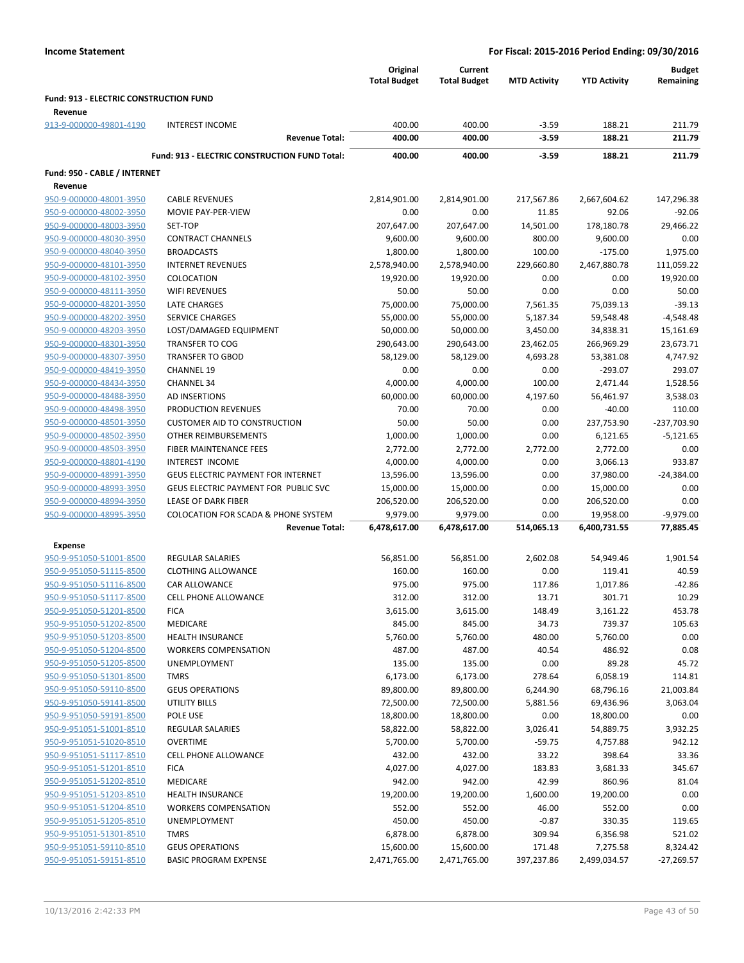|                                                    |                                                      | Original<br><b>Total Budget</b> | Current<br><b>Total Budget</b> | <b>MTD Activity</b> | <b>YTD Activity</b>  | <b>Budget</b><br>Remaining |
|----------------------------------------------------|------------------------------------------------------|---------------------------------|--------------------------------|---------------------|----------------------|----------------------------|
| Fund: 913 - ELECTRIC CONSTRUCTION FUND             |                                                      |                                 |                                |                     |                      |                            |
| Revenue                                            |                                                      |                                 |                                |                     |                      |                            |
| 913-9-000000-49801-4190                            | <b>INTEREST INCOME</b>                               | 400.00                          | 400.00                         | $-3.59$             | 188.21               | 211.79                     |
|                                                    | <b>Revenue Total:</b>                                | 400.00                          | 400.00                         | $-3.59$             | 188.21               | 211.79                     |
|                                                    | <b>Fund: 913 - ELECTRIC CONSTRUCTION FUND Total:</b> | 400.00                          | 400.00                         | $-3.59$             | 188.21               | 211.79                     |
| Fund: 950 - CABLE / INTERNET                       |                                                      |                                 |                                |                     |                      |                            |
| Revenue                                            |                                                      |                                 |                                |                     |                      |                            |
| 950-9-000000-48001-3950                            | <b>CABLE REVENUES</b>                                | 2,814,901.00                    | 2,814,901.00                   | 217,567.86          | 2,667,604.62         | 147,296.38                 |
| 950-9-000000-48002-3950                            | MOVIE PAY-PER-VIEW                                   | 0.00                            | 0.00                           | 11.85               | 92.06                | $-92.06$                   |
| 950-9-000000-48003-3950                            | SET-TOP                                              | 207,647.00                      | 207,647.00                     | 14,501.00           | 178,180.78           | 29,466.22                  |
| 950-9-000000-48030-3950                            | <b>CONTRACT CHANNELS</b>                             | 9,600.00                        | 9,600.00                       | 800.00              | 9,600.00             | 0.00                       |
| 950-9-000000-48040-3950                            | <b>BROADCASTS</b>                                    | 1,800.00                        | 1,800.00                       | 100.00              | $-175.00$            | 1,975.00                   |
| 950-9-000000-48101-3950                            | <b>INTERNET REVENUES</b>                             | 2,578,940.00                    | 2,578,940.00                   | 229,660.80          | 2,467,880.78         | 111,059.22                 |
| 950-9-000000-48102-3950                            | COLOCATION                                           | 19,920.00                       | 19,920.00                      | 0.00                | 0.00                 | 19,920.00                  |
| 950-9-000000-48111-3950                            | <b>WIFI REVENUES</b>                                 | 50.00                           | 50.00                          | 0.00                | 0.00                 | 50.00                      |
| 950-9-000000-48201-3950                            | <b>LATE CHARGES</b>                                  | 75,000.00                       | 75,000.00                      | 7,561.35            | 75,039.13            | $-39.13$                   |
| 950-9-000000-48202-3950                            | <b>SERVICE CHARGES</b>                               | 55,000.00                       | 55,000.00                      | 5,187.34            | 59,548.48            | $-4,548.48$                |
| 950-9-000000-48203-3950                            | LOST/DAMAGED EQUIPMENT                               | 50,000.00                       | 50,000.00                      | 3,450.00            | 34,838.31            | 15,161.69                  |
| 950-9-000000-48301-3950                            | <b>TRANSFER TO COG</b>                               | 290,643.00                      | 290,643.00                     | 23,462.05           | 266,969.29           | 23,673.71                  |
| 950-9-000000-48307-3950                            | <b>TRANSFER TO GBOD</b>                              | 58,129.00                       | 58,129.00                      | 4,693.28            | 53,381.08            | 4,747.92                   |
| 950-9-000000-48419-3950                            | <b>CHANNEL 19</b>                                    | 0.00                            | 0.00                           | 0.00                | $-293.07$            | 293.07                     |
| 950-9-000000-48434-3950                            | <b>CHANNEL 34</b>                                    | 4,000.00                        | 4,000.00                       | 100.00              | 2,471.44             | 1,528.56                   |
| 950-9-000000-48488-3950                            | AD INSERTIONS                                        | 60,000.00                       | 60,000.00                      | 4,197.60            | 56,461.97            | 3,538.03                   |
| 950-9-000000-48498-3950                            | PRODUCTION REVENUES                                  | 70.00                           | 70.00                          | 0.00                | $-40.00$             | 110.00                     |
| 950-9-000000-48501-3950                            | <b>CUSTOMER AID TO CONSTRUCTION</b>                  | 50.00                           | 50.00                          | 0.00                | 237,753.90           | -237,703.90                |
| 950-9-000000-48502-3950<br>950-9-000000-48503-3950 | OTHER REIMBURSEMENTS<br>FIBER MAINTENANCE FEES       | 1,000.00                        | 1,000.00                       | 0.00                | 6,121.65             | $-5,121.65$<br>0.00        |
| 950-9-000000-48801-4190                            | INTEREST INCOME                                      | 2,772.00<br>4,000.00            | 2,772.00<br>4,000.00           | 2,772.00<br>0.00    | 2,772.00<br>3,066.13 | 933.87                     |
| 950-9-000000-48991-3950                            | <b>GEUS ELECTRIC PAYMENT FOR INTERNET</b>            | 13,596.00                       | 13,596.00                      | 0.00                | 37,980.00            | $-24,384.00$               |
| 950-9-000000-48993-3950                            | GEUS ELECTRIC PAYMENT FOR PUBLIC SVC                 | 15,000.00                       | 15,000.00                      | 0.00                | 15,000.00            | 0.00                       |
| 950-9-000000-48994-3950                            | LEASE OF DARK FIBER                                  | 206,520.00                      | 206,520.00                     | 0.00                | 206,520.00           | 0.00                       |
| 950-9-000000-48995-3950                            | <b>COLOCATION FOR SCADA &amp; PHONE SYSTEM</b>       | 9,979.00                        | 9,979.00                       | 0.00                | 19,958.00            | $-9,979.00$                |
|                                                    | <b>Revenue Total:</b>                                | 6,478,617.00                    | 6,478,617.00                   | 514,065.13          | 6,400,731.55         | 77,885.45                  |
| Expense                                            |                                                      |                                 |                                |                     |                      |                            |
| 950-9-951050-51001-8500                            | <b>REGULAR SALARIES</b>                              | 56,851.00                       | 56,851.00                      | 2,602.08            | 54,949.46            | 1,901.54                   |
| 950-9-951050-51115-8500                            | <b>CLOTHING ALLOWANCE</b>                            | 160.00                          | 160.00                         | 0.00                | 119.41               | 40.59                      |
| 950-9-951050-51116-8500                            | CAR ALLOWANCE                                        | 975.00                          | 975.00                         | 117.86              | 1,017.86             | $-42.86$                   |
| 950-9-951050-51117-8500                            | <b>CELL PHONE ALLOWANCE</b>                          | 312.00                          | 312.00                         | 13.71               | 301.71               | 10.29                      |
| 950-9-951050-51201-8500                            | <b>FICA</b>                                          | 3,615.00                        | 3,615.00                       | 148.49              | 3,161.22             | 453.78                     |
| 950-9-951050-51202-8500                            | MEDICARE                                             | 845.00                          | 845.00                         | 34.73               | 739.37               | 105.63                     |
| 950-9-951050-51203-8500                            | <b>HEALTH INSURANCE</b>                              | 5,760.00                        | 5,760.00                       | 480.00              | 5,760.00             | 0.00                       |
| 950-9-951050-51204-8500                            | <b>WORKERS COMPENSATION</b>                          | 487.00                          | 487.00                         | 40.54               | 486.92               | 0.08                       |
| 950-9-951050-51205-8500                            | UNEMPLOYMENT                                         | 135.00                          | 135.00                         | 0.00                | 89.28                | 45.72                      |
| 950-9-951050-51301-8500                            | <b>TMRS</b>                                          | 6,173.00                        | 6,173.00                       | 278.64              | 6,058.19             | 114.81                     |
| 950-9-951050-59110-8500                            | <b>GEUS OPERATIONS</b>                               | 89,800.00                       | 89,800.00                      | 6,244.90            | 68,796.16            | 21,003.84                  |
| 950-9-951050-59141-8500                            | UTILITY BILLS                                        | 72,500.00                       | 72,500.00                      | 5,881.56            | 69,436.96            | 3,063.04                   |
| 950-9-951050-59191-8500                            | POLE USE                                             | 18,800.00                       | 18,800.00                      | 0.00                | 18,800.00            | 0.00                       |
| 950-9-951051-51001-8510                            | <b>REGULAR SALARIES</b>                              | 58,822.00                       | 58,822.00                      | 3,026.41            | 54,889.75            | 3,932.25                   |
| 950-9-951051-51020-8510                            | <b>OVERTIME</b>                                      | 5,700.00                        | 5,700.00                       | $-59.75$            | 4,757.88             | 942.12                     |
| 950-9-951051-51117-8510                            | <b>CELL PHONE ALLOWANCE</b>                          | 432.00                          | 432.00                         | 33.22               | 398.64               | 33.36                      |
| 950-9-951051-51201-8510                            | <b>FICA</b>                                          | 4,027.00                        | 4,027.00                       | 183.83              | 3,681.33             | 345.67                     |
| 950-9-951051-51202-8510                            | MEDICARE                                             | 942.00                          | 942.00                         | 42.99               | 860.96               | 81.04                      |
| 950-9-951051-51203-8510                            | <b>HEALTH INSURANCE</b>                              | 19,200.00                       | 19,200.00                      | 1,600.00            | 19,200.00            | 0.00                       |
| 950-9-951051-51204-8510                            | <b>WORKERS COMPENSATION</b><br><b>UNEMPLOYMENT</b>   | 552.00<br>450.00                | 552.00<br>450.00               | 46.00<br>$-0.87$    | 552.00               | 0.00<br>119.65             |
| 950-9-951051-51205-8510<br>950-9-951051-51301-8510 | <b>TMRS</b>                                          | 6,878.00                        | 6,878.00                       | 309.94              | 330.35<br>6,356.98   | 521.02                     |
| 950-9-951051-59110-8510                            | <b>GEUS OPERATIONS</b>                               | 15,600.00                       | 15,600.00                      | 171.48              | 7,275.58             | 8,324.42                   |
| 950-9-951051-59151-8510                            | <b>BASIC PROGRAM EXPENSE</b>                         | 2,471,765.00                    | 2,471,765.00                   | 397,237.86          | 2,499,034.57         | $-27,269.57$               |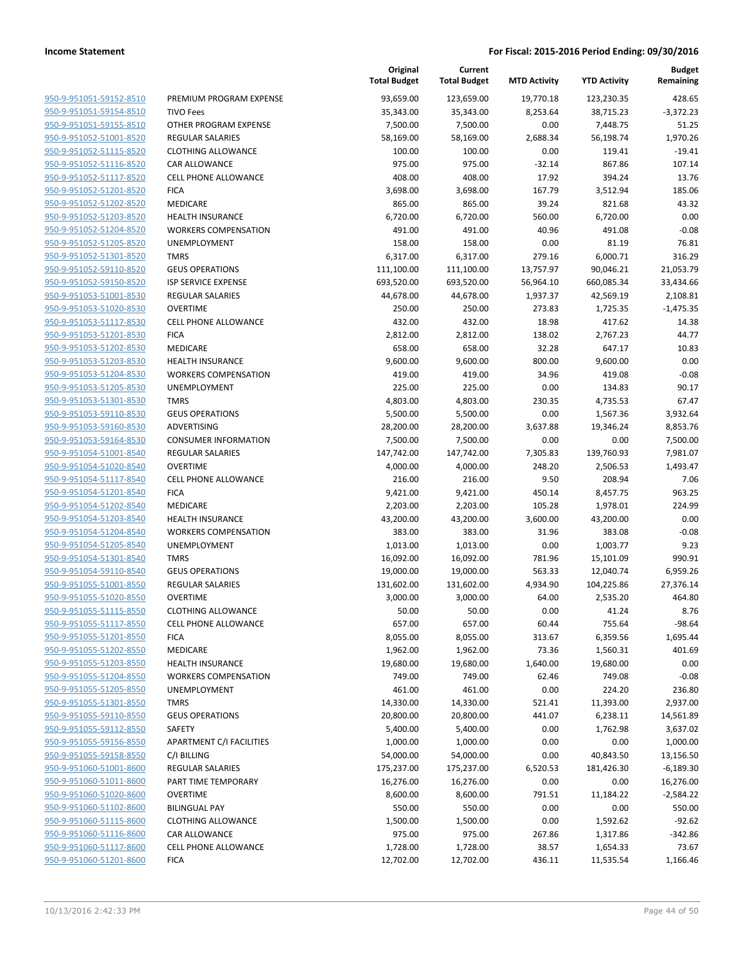| <u>950-9-951051-59152-8510</u> |
|--------------------------------|
| 950-9-951051-59154-8510        |
| 950-9-951051-59155-8510        |
| 950-9-951052-51001-8520        |
| 950-9-951052-51115-8520        |
| <u>950-9-951052-51116-8520</u> |
| 950-9-951052-51117-8520        |
| 950-9-951052-51201-8520        |
| 950-9-951052-51202-8520        |
| 950-9-951052-51203-8520        |
| 950-9-951052-51204-8520        |
| 950-9-951052-51205-8520        |
| 950-9-951052-51301-8520        |
| 950-9-951052-59110-8520        |
|                                |
| 950-9-951052-59150-8520        |
| <u>950-9-951053-51001-8530</u> |
| 950-9-951053-51020-8530        |
| 950-9-951053-51117-8530        |
| 950-9-951053-51201-8530        |
| 950-9-951053-51202-8530        |
| <u>950-9-951053-51203-8530</u> |
| 950-9-951053-51204-8530        |
| 950-9-951053-51205-8530        |
| 950-9-951053-51301-8530        |
| 950-9-951053-59110-8530        |
| <u>950-9-951053-59160-8530</u> |
| 950-9-951053-59164-8530        |
| 950-9-951054-51001-8540        |
| 950-9-951054-51020-8540        |
| 950-9-951054-51117-8540        |
| 950-9-951054-51201-8540        |
| 950-9-951054-51202-8540        |
| 950-9-951054-51203-8540        |
|                                |
| 950-9-951054-51204-8540        |
| 950-9-951054-51205-8540        |
| <u>950-9-951054-51301-8540</u> |
| 950-9-951054-59110-8540        |
| 950-9-951055-51001-8550        |
| 950-9-951055-51020-8550        |
| 950-9-951055-51115-8550        |
| 950-9-951055-51117-8550        |
| 950-9-951055-51201-8550        |
| 950-9-951055-51202-8550        |
| 950-9-951055-51203-8550        |
| 950-9-951055-51204-8550        |
| 950-9-951055-51205-8550        |
| 950-9-951055-51301-8550        |
| 950-9-951055-59110-8550        |
| 950-9-951055-59112-8550        |
|                                |
| 950-9-951055-59156-8550        |
| <u>950-9-951055-59158-8550</u> |
| 950-9-951060-51001-8600        |
| 950-9-951060-51011-8600        |
| 950-9-951060-51020-8600        |
| 950-9-951060-51102-8600        |
| <u>950-9-951060-51115-8600</u> |
| 950-9-951060-51116-8600        |
| 950-9-951060-51117-8600        |
| 950-9-951060-51201-8600        |
|                                |

|                         |                                 | Original<br><b>Total Budget</b> | Current<br><b>Total Budget</b> | <b>MTD Activity</b> | <b>YTD Activity</b> | <b>Budget</b><br>Remaining |
|-------------------------|---------------------------------|---------------------------------|--------------------------------|---------------------|---------------------|----------------------------|
| 950-9-951051-59152-8510 | PREMIUM PROGRAM EXPENSE         | 93,659.00                       | 123,659.00                     | 19,770.18           | 123,230.35          | 428.65                     |
| 950-9-951051-59154-8510 | <b>TIVO Fees</b>                | 35,343.00                       | 35,343.00                      | 8,253.64            | 38,715.23           | $-3,372.23$                |
| 950-9-951051-59155-8510 | OTHER PROGRAM EXPENSE           | 7,500.00                        | 7,500.00                       | 0.00                | 7,448.75            | 51.25                      |
| 950-9-951052-51001-8520 | <b>REGULAR SALARIES</b>         | 58,169.00                       | 58,169.00                      | 2,688.34            | 56,198.74           | 1,970.26                   |
| 950-9-951052-51115-8520 | <b>CLOTHING ALLOWANCE</b>       | 100.00                          | 100.00                         | 0.00                | 119.41              | $-19.41$                   |
| 950-9-951052-51116-8520 | <b>CAR ALLOWANCE</b>            | 975.00                          | 975.00                         | $-32.14$            | 867.86              | 107.14                     |
| 950-9-951052-51117-8520 | CELL PHONE ALLOWANCE            | 408.00                          | 408.00                         | 17.92               | 394.24              | 13.76                      |
| 950-9-951052-51201-8520 | <b>FICA</b>                     | 3,698.00                        | 3,698.00                       | 167.79              | 3,512.94            | 185.06                     |
| 950-9-951052-51202-8520 | <b>MEDICARE</b>                 | 865.00                          | 865.00                         | 39.24               | 821.68              | 43.32                      |
| 950-9-951052-51203-8520 | <b>HEALTH INSURANCE</b>         | 6,720.00                        | 6,720.00                       | 560.00              | 6,720.00            | 0.00                       |
| 950-9-951052-51204-8520 | <b>WORKERS COMPENSATION</b>     | 491.00                          | 491.00                         | 40.96               | 491.08              | $-0.08$                    |
| 950-9-951052-51205-8520 | UNEMPLOYMENT                    | 158.00                          | 158.00                         | 0.00                | 81.19               | 76.81                      |
| 950-9-951052-51301-8520 | <b>TMRS</b>                     | 6,317.00                        | 6,317.00                       | 279.16              | 6,000.71            | 316.29                     |
| 950-9-951052-59110-8520 | <b>GEUS OPERATIONS</b>          | 111,100.00                      | 111,100.00                     | 13,757.97           | 90,046.21           | 21,053.79                  |
| 950-9-951052-59150-8520 | ISP SERVICE EXPENSE             | 693,520.00                      | 693,520.00                     | 56,964.10           | 660,085.34          | 33,434.66                  |
| 950-9-951053-51001-8530 | <b>REGULAR SALARIES</b>         | 44,678.00                       | 44,678.00                      | 1,937.37            | 42,569.19           | 2,108.81                   |
| 950-9-951053-51020-8530 | <b>OVERTIME</b>                 | 250.00                          | 250.00                         | 273.83              | 1,725.35            | $-1,475.35$                |
| 950-9-951053-51117-8530 | CELL PHONE ALLOWANCE            | 432.00                          | 432.00                         | 18.98               | 417.62              | 14.38                      |
| 950-9-951053-51201-8530 | <b>FICA</b>                     | 2,812.00                        | 2,812.00                       | 138.02              | 2,767.23            | 44.77                      |
| 950-9-951053-51202-8530 | MEDICARE                        | 658.00                          | 658.00                         | 32.28               | 647.17              | 10.83                      |
| 950-9-951053-51203-8530 | <b>HEALTH INSURANCE</b>         | 9,600.00                        | 9,600.00                       | 800.00              | 9,600.00            | 0.00                       |
| 950-9-951053-51204-8530 | <b>WORKERS COMPENSATION</b>     | 419.00                          | 419.00                         | 34.96               | 419.08              | $-0.08$                    |
| 950-9-951053-51205-8530 | <b>UNEMPLOYMENT</b>             | 225.00                          | 225.00                         | 0.00                | 134.83              | 90.17                      |
| 950-9-951053-51301-8530 | <b>TMRS</b>                     | 4,803.00                        | 4,803.00                       | 230.35              | 4,735.53            | 67.47                      |
| 950-9-951053-59110-8530 | <b>GEUS OPERATIONS</b>          | 5,500.00                        | 5,500.00                       | 0.00                | 1,567.36            | 3,932.64                   |
| 950-9-951053-59160-8530 | ADVERTISING                     | 28,200.00                       | 28,200.00                      | 3,637.88            | 19,346.24           | 8,853.76                   |
| 950-9-951053-59164-8530 | <b>CONSUMER INFORMATION</b>     | 7,500.00                        | 7,500.00                       | 0.00                | 0.00                | 7,500.00                   |
| 950-9-951054-51001-8540 | <b>REGULAR SALARIES</b>         | 147,742.00                      | 147,742.00                     | 7,305.83            | 139,760.93          | 7,981.07                   |
| 950-9-951054-51020-8540 | <b>OVERTIME</b>                 | 4,000.00                        | 4,000.00                       | 248.20              | 2,506.53            | 1,493.47                   |
| 950-9-951054-51117-8540 | CELL PHONE ALLOWANCE            | 216.00                          | 216.00                         | 9.50                | 208.94              | 7.06                       |
| 950-9-951054-51201-8540 | <b>FICA</b>                     | 9,421.00                        | 9,421.00                       | 450.14              | 8,457.75            | 963.25                     |
| 950-9-951054-51202-8540 | <b>MEDICARE</b>                 | 2,203.00                        | 2,203.00                       | 105.28              | 1,978.01            | 224.99                     |
| 950-9-951054-51203-8540 | <b>HEALTH INSURANCE</b>         | 43,200.00                       | 43,200.00                      | 3,600.00            | 43,200.00           | 0.00                       |
| 950-9-951054-51204-8540 | <b>WORKERS COMPENSATION</b>     | 383.00                          | 383.00                         | 31.96               | 383.08              | $-0.08$                    |
| 950-9-951054-51205-8540 | UNEMPLOYMENT                    | 1,013.00                        | 1,013.00                       | 0.00                | 1,003.77            | 9.23                       |
| 950-9-951054-51301-8540 | <b>TMRS</b>                     | 16,092.00                       | 16,092.00                      | 781.96              | 15,101.09           | 990.91                     |
| 950-9-951054-59110-8540 | <b>GEUS OPERATIONS</b>          | 19,000.00                       | 19,000.00                      | 563.33              | 12,040.74           | 6,959.26                   |
| 950-9-951055-51001-8550 | <b>REGULAR SALARIES</b>         | 131,602.00                      | 131,602.00                     | 4,934.90            | 104,225.86          | 27,376.14                  |
| 950-9-951055-51020-8550 | <b>OVERTIME</b>                 | 3,000.00                        | 3,000.00                       | 64.00               | 2,535.20            | 464.80                     |
| 950-9-951055-51115-8550 | <b>CLOTHING ALLOWANCE</b>       | 50.00                           | 50.00                          | 0.00                | 41.24               | 8.76                       |
| 950-9-951055-51117-8550 | <b>CELL PHONE ALLOWANCE</b>     | 657.00                          | 657.00                         | 60.44               | 755.64              | $-98.64$                   |
| 950-9-951055-51201-8550 | <b>FICA</b>                     | 8,055.00                        | 8,055.00                       | 313.67              | 6,359.56            | 1,695.44                   |
| 950-9-951055-51202-8550 | MEDICARE                        | 1,962.00                        | 1,962.00                       | 73.36               | 1,560.31            | 401.69                     |
| 950-9-951055-51203-8550 | HEALTH INSURANCE                | 19,680.00                       | 19,680.00                      | 1,640.00            | 19,680.00           | 0.00                       |
| 950-9-951055-51204-8550 | <b>WORKERS COMPENSATION</b>     | 749.00                          | 749.00                         | 62.46               | 749.08              | $-0.08$                    |
| 950-9-951055-51205-8550 | UNEMPLOYMENT                    | 461.00                          | 461.00                         | 0.00                | 224.20              | 236.80                     |
| 950-9-951055-51301-8550 | <b>TMRS</b>                     | 14,330.00                       | 14,330.00                      | 521.41              | 11,393.00           | 2,937.00                   |
| 950-9-951055-59110-8550 | <b>GEUS OPERATIONS</b>          | 20,800.00                       | 20,800.00                      | 441.07              | 6,238.11            | 14,561.89                  |
| 950-9-951055-59112-8550 | SAFETY                          | 5,400.00                        | 5,400.00                       | 0.00                | 1,762.98            | 3,637.02                   |
| 950-9-951055-59156-8550 | <b>APARTMENT C/I FACILITIES</b> | 1,000.00                        | 1,000.00                       | 0.00                | 0.00                | 1,000.00                   |
| 950-9-951055-59158-8550 | C/I BILLING                     | 54,000.00                       | 54,000.00                      | 0.00                | 40,843.50           | 13,156.50                  |
| 950-9-951060-51001-8600 | <b>REGULAR SALARIES</b>         | 175,237.00                      | 175,237.00                     | 6,520.53            | 181,426.30          | $-6,189.30$                |
| 950-9-951060-51011-8600 | PART TIME TEMPORARY             | 16,276.00                       | 16,276.00                      | 0.00                | 0.00                | 16,276.00                  |
| 950-9-951060-51020-8600 | <b>OVERTIME</b>                 | 8,600.00                        | 8,600.00                       | 791.51              | 11,184.22           | $-2,584.22$                |
| 950-9-951060-51102-8600 | <b>BILINGUAL PAY</b>            | 550.00                          | 550.00                         | 0.00                | 0.00                | 550.00                     |
| 950-9-951060-51115-8600 | <b>CLOTHING ALLOWANCE</b>       | 1,500.00                        | 1,500.00                       | 0.00                | 1,592.62            | $-92.62$                   |
| 950-9-951060-51116-8600 | CAR ALLOWANCE                   | 975.00                          | 975.00                         | 267.86              | 1,317.86            | $-342.86$                  |
| 950-9-951060-51117-8600 | <b>CELL PHONE ALLOWANCE</b>     | 1,728.00                        | 1,728.00                       | 38.57               | 1,654.33            | 73.67                      |
| 950-9-951060-51201-8600 | <b>FICA</b>                     | 12,702.00                       | 12,702.00                      | 436.11              | 11,535.54           | 1,166.46                   |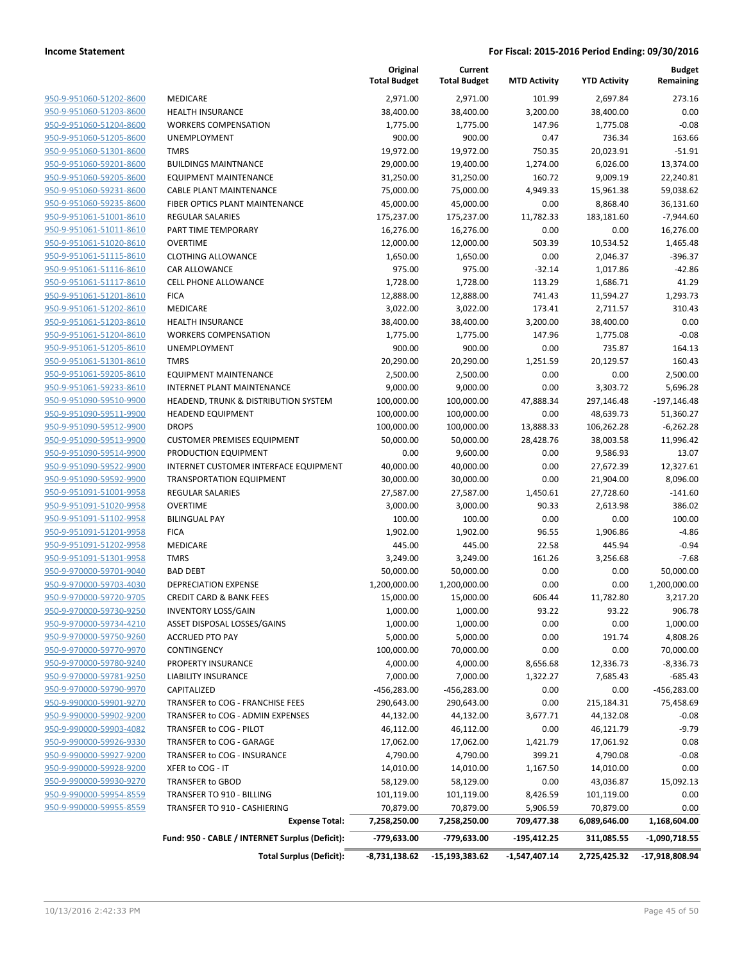|                                                    |                                                      | Original<br><b>Total Budget</b> | Current<br><b>Total Budget</b> | <b>MTD Activity</b> | <b>YTD Activity</b>     | <b>Budget</b><br>Remaining |
|----------------------------------------------------|------------------------------------------------------|---------------------------------|--------------------------------|---------------------|-------------------------|----------------------------|
| 950-9-951060-51202-8600                            | MEDICARE                                             | 2,971.00                        | 2,971.00                       | 101.99              | 2,697.84                | 273.16                     |
| 950-9-951060-51203-8600                            | <b>HEALTH INSURANCE</b>                              | 38,400.00                       | 38,400.00                      | 3,200.00            | 38,400.00               | 0.00                       |
| 950-9-951060-51204-8600                            | <b>WORKERS COMPENSATION</b>                          | 1,775.00                        | 1,775.00                       | 147.96              | 1,775.08                | $-0.08$                    |
| 950-9-951060-51205-8600                            | <b>UNEMPLOYMENT</b>                                  | 900.00                          | 900.00                         | 0.47                | 736.34                  | 163.66                     |
| 950-9-951060-51301-8600                            | <b>TMRS</b>                                          | 19,972.00                       | 19,972.00                      | 750.35              | 20,023.91               | $-51.91$                   |
| 950-9-951060-59201-8600                            | <b>BUILDINGS MAINTNANCE</b>                          | 29,000.00                       | 19,400.00                      | 1,274.00            | 6,026.00                | 13,374.00                  |
| 950-9-951060-59205-8600                            | <b>EQUIPMENT MAINTENANCE</b>                         | 31,250.00                       | 31,250.00                      | 160.72              | 9,009.19                | 22,240.81                  |
| 950-9-951060-59231-8600                            | <b>CABLE PLANT MAINTENANCE</b>                       | 75,000.00                       | 75,000.00                      | 4,949.33            | 15,961.38               | 59,038.62                  |
| 950-9-951060-59235-8600                            | FIBER OPTICS PLANT MAINTENANCE                       | 45,000.00                       | 45,000.00                      | 0.00                | 8,868.40                | 36,131.60                  |
| 950-9-951061-51001-8610                            | REGULAR SALARIES                                     | 175,237.00                      | 175,237.00                     | 11,782.33           | 183,181.60              | $-7,944.60$                |
| 950-9-951061-51011-8610                            | PART TIME TEMPORARY                                  | 16,276.00                       | 16,276.00                      | 0.00                | 0.00                    | 16,276.00                  |
| 950-9-951061-51020-8610                            | <b>OVERTIME</b>                                      | 12,000.00                       | 12,000.00                      | 503.39              | 10,534.52               | 1,465.48                   |
| 950-9-951061-51115-8610                            | <b>CLOTHING ALLOWANCE</b>                            | 1,650.00                        | 1,650.00                       | 0.00                | 2,046.37                | -396.37                    |
| 950-9-951061-51116-8610                            | CAR ALLOWANCE                                        | 975.00                          | 975.00                         | $-32.14$            | 1,017.86                | $-42.86$                   |
| 950-9-951061-51117-8610                            | CELL PHONE ALLOWANCE                                 | 1,728.00                        | 1,728.00                       | 113.29              | 1,686.71                | 41.29                      |
| 950-9-951061-51201-8610                            | <b>FICA</b>                                          | 12,888.00                       | 12,888.00                      | 741.43              | 11,594.27               | 1,293.73                   |
| 950-9-951061-51202-8610                            | MEDICARE                                             | 3,022.00                        | 3,022.00                       | 173.41              | 2,711.57                | 310.43                     |
| 950-9-951061-51203-8610                            | <b>HEALTH INSURANCE</b>                              | 38,400.00                       | 38,400.00                      | 3,200.00            | 38,400.00               | 0.00                       |
| 950-9-951061-51204-8610                            | <b>WORKERS COMPENSATION</b>                          | 1,775.00                        | 1,775.00                       | 147.96              | 1,775.08                | $-0.08$                    |
| 950-9-951061-51205-8610<br>950-9-951061-51301-8610 | UNEMPLOYMENT<br><b>TMRS</b>                          | 900.00<br>20,290.00             | 900.00                         | 0.00                | 735.87<br>20,129.57     | 164.13                     |
| 950-9-951061-59205-8610                            | <b>EQUIPMENT MAINTENANCE</b>                         | 2,500.00                        | 20,290.00<br>2,500.00          | 1,251.59<br>0.00    | 0.00                    | 160.43<br>2,500.00         |
| 950-9-951061-59233-8610                            | <b>INTERNET PLANT MAINTENANCE</b>                    | 9,000.00                        | 9,000.00                       | 0.00                | 3,303.72                | 5,696.28                   |
| 950-9-951090-59510-9900                            | HEADEND, TRUNK & DISTRIBUTION SYSTEM                 | 100,000.00                      | 100,000.00                     | 47,888.34           | 297,146.48              | $-197,146.48$              |
| 950-9-951090-59511-9900                            | <b>HEADEND EQUIPMENT</b>                             | 100,000.00                      | 100,000.00                     | 0.00                | 48,639.73               | 51,360.27                  |
| 950-9-951090-59512-9900                            | <b>DROPS</b>                                         | 100,000.00                      | 100,000.00                     | 13,888.33           | 106,262.28              | $-6,262.28$                |
| 950-9-951090-59513-9900                            | <b>CUSTOMER PREMISES EQUIPMENT</b>                   | 50,000.00                       | 50,000.00                      | 28,428.76           | 38,003.58               | 11,996.42                  |
| 950-9-951090-59514-9900                            | PRODUCTION EQUIPMENT                                 | 0.00                            | 9,600.00                       | 0.00                | 9,586.93                | 13.07                      |
| 950-9-951090-59522-9900                            | INTERNET CUSTOMER INTERFACE EQUIPMENT                | 40,000.00                       | 40,000.00                      | 0.00                | 27,672.39               | 12,327.61                  |
| 950-9-951090-59592-9900                            | <b>TRANSPORTATION EQUIPMENT</b>                      | 30,000.00                       | 30,000.00                      | 0.00                | 21,904.00               | 8,096.00                   |
| 950-9-951091-51001-9958                            | REGULAR SALARIES                                     | 27,587.00                       | 27,587.00                      | 1,450.61            | 27,728.60               | $-141.60$                  |
| 950-9-951091-51020-9958                            | <b>OVERTIME</b>                                      | 3,000.00                        | 3,000.00                       | 90.33               | 2,613.98                | 386.02                     |
| 950-9-951091-51102-9958                            | <b>BILINGUAL PAY</b>                                 | 100.00                          | 100.00                         | 0.00                | 0.00                    | 100.00                     |
| 950-9-951091-51201-9958                            | <b>FICA</b>                                          | 1,902.00                        | 1,902.00                       | 96.55               | 1,906.86                | $-4.86$                    |
| 950-9-951091-51202-9958                            | MEDICARE                                             | 445.00                          | 445.00                         | 22.58               | 445.94                  | $-0.94$                    |
| 950-9-951091-51301-9958                            | <b>TMRS</b>                                          | 3,249.00                        | 3,249.00                       | 161.26              | 3,256.68                | $-7.68$                    |
| 950-9-970000-59701-9040                            | <b>BAD DEBT</b>                                      | 50,000.00                       | 50,000.00                      | 0.00                | 0.00                    | 50,000.00                  |
| 950-9-970000-59703-4030                            | <b>DEPRECIATION EXPENSE</b>                          | 1,200,000.00                    | 1,200,000.00                   | 0.00                | 0.00                    | 1,200,000.00               |
| 950-9-970000-59720-9705                            | <b>CREDIT CARD &amp; BANK FEES</b>                   | 15,000.00                       | 15,000.00                      | 606.44              | 11,782.80               | 3,217.20                   |
| <u>950-9-970000-59730-9250</u>                     | <b>INVENTORY LOSS/GAIN</b>                           | 1,000.00                        | 1,000.00                       | 93.22               | 93.22                   | 906.78                     |
| 950-9-970000-59734-4210                            | ASSET DISPOSAL LOSSES/GAINS                          | 1,000.00                        | 1,000.00                       | 0.00                | 0.00                    | 1,000.00                   |
| 950-9-970000-59750-9260                            | <b>ACCRUED PTO PAY</b>                               | 5,000.00                        | 5,000.00                       | 0.00                | 191.74                  | 4,808.26                   |
| 950-9-970000-59770-9970                            | CONTINGENCY                                          | 100,000.00                      | 70,000.00                      | 0.00                | 0.00                    | 70,000.00                  |
| 950-9-970000-59780-9240                            | PROPERTY INSURANCE                                   | 4,000.00                        | 4,000.00                       | 8,656.68            | 12,336.73               | $-8,336.73$                |
| 950-9-970000-59781-9250                            | <b>LIABILITY INSURANCE</b>                           | 7,000.00                        | 7,000.00                       | 1,322.27            | 7,685.43                | $-685.43$                  |
| 950-9-970000-59790-9970                            | CAPITALIZED                                          | -456,283.00                     | -456,283.00                    | 0.00                | 0.00                    | -456,283.00                |
| 950-9-990000-59901-9270                            | TRANSFER to COG - FRANCHISE FEES                     | 290,643.00                      | 290,643.00                     | 0.00                | 215,184.31              | 75,458.69                  |
| 950-9-990000-59902-9200                            | TRANSFER to COG - ADMIN EXPENSES                     | 44,132.00                       | 44,132.00                      | 3,677.71            | 44,132.08               | $-0.08$                    |
| 950-9-990000-59903-4082                            | TRANSFER to COG - PILOT<br>TRANSFER to COG - GARAGE  | 46,112.00                       | 46,112.00                      | 0.00                | 46,121.79               | $-9.79$                    |
| 950-9-990000-59926-9330<br>950-9-990000-59927-9200 |                                                      | 17,062.00                       | 17,062.00                      | 1,421.79            | 17,061.92               | 0.08                       |
| 950-9-990000-59928-9200                            | TRANSFER to COG - INSURANCE                          | 4,790.00                        | 4,790.00                       | 399.21              | 4,790.08                | $-0.08$                    |
| 950-9-990000-59930-9270                            | XFER to COG - IT                                     | 14,010.00                       | 14,010.00                      | 1,167.50            | 14,010.00               | 0.00                       |
| 950-9-990000-59954-8559                            | <b>TRANSFER to GBOD</b><br>TRANSFER TO 910 - BILLING | 58,129.00<br>101,119.00         | 58,129.00<br>101,119.00        | 0.00<br>8,426.59    | 43,036.87<br>101,119.00 | 15,092.13<br>0.00          |
| 950-9-990000-59955-8559                            | TRANSFER TO 910 - CASHIERING                         | 70,879.00                       | 70,879.00                      | 5,906.59            | 70,879.00               | 0.00                       |
|                                                    | <b>Expense Total:</b>                                | 7,258,250.00                    | 7,258,250.00                   | 709,477.38          | 6,089,646.00            | 1,168,604.00               |
|                                                    |                                                      |                                 |                                |                     |                         |                            |
|                                                    | Fund: 950 - CABLE / INTERNET Surplus (Deficit):      | -779,633.00                     | -779,633.00                    | $-195,412.25$       | 311,085.55              | $-1,090,718.55$            |
|                                                    | <b>Total Surplus (Deficit):</b>                      | -8,731,138.62                   | -15,193,383.62                 | -1,547,407.14       | 2,725,425.32            | -17,918,808.94             |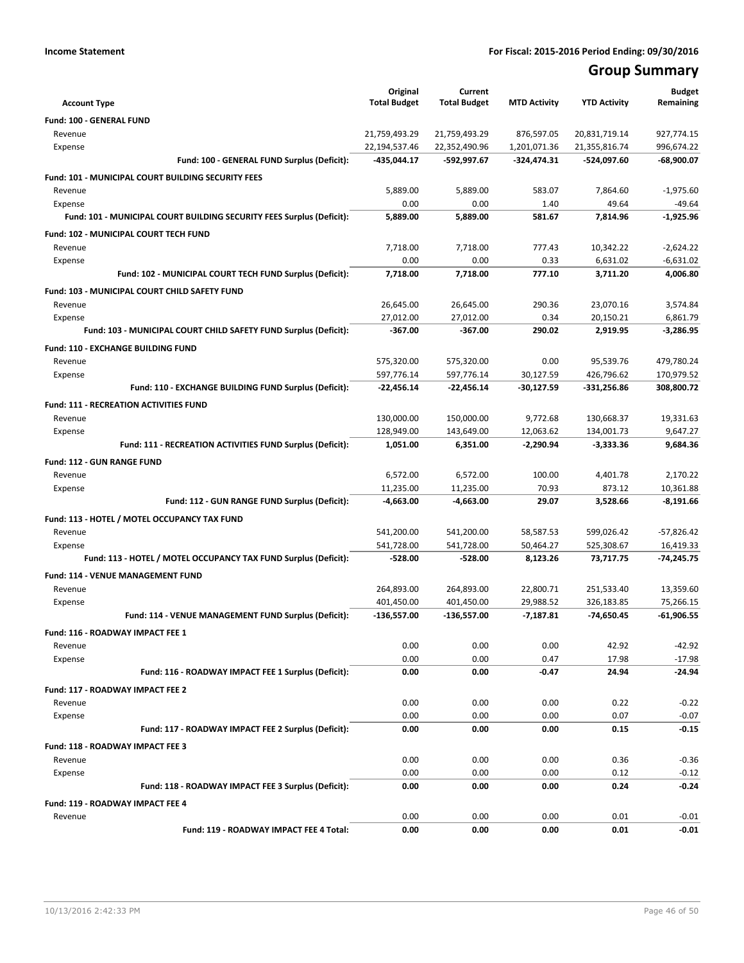## **Group Summary**

| <b>Account Type</b>                                                              | Original<br><b>Total Budget</b> | Current<br><b>Total Budget</b> | <b>MTD Activity</b> | <b>YTD Activity</b>   | <b>Budget</b><br>Remaining |
|----------------------------------------------------------------------------------|---------------------------------|--------------------------------|---------------------|-----------------------|----------------------------|
|                                                                                  |                                 |                                |                     |                       |                            |
| Fund: 100 - GENERAL FUND<br>Revenue                                              | 21,759,493.29                   | 21,759,493.29                  | 876,597.05          | 20,831,719.14         | 927,774.15                 |
| Expense                                                                          | 22,194,537.46                   | 22,352,490.96                  | 1,201,071.36        | 21,355,816.74         | 996,674.22                 |
| Fund: 100 - GENERAL FUND Surplus (Deficit):                                      | -435,044.17                     | -592,997.67                    | -324,474.31         | -524,097.60           | $-68,900.07$               |
|                                                                                  |                                 |                                |                     |                       |                            |
| <b>Fund: 101 - MUNICIPAL COURT BUILDING SECURITY FEES</b>                        |                                 |                                |                     |                       |                            |
| Revenue                                                                          | 5,889.00<br>0.00                | 5,889.00<br>0.00               | 583.07<br>1.40      | 7,864.60<br>49.64     | $-1,975.60$<br>$-49.64$    |
| Expense<br>Fund: 101 - MUNICIPAL COURT BUILDING SECURITY FEES Surplus (Deficit): | 5,889.00                        | 5,889.00                       | 581.67              | 7,814.96              | $-1,925.96$                |
|                                                                                  |                                 |                                |                     |                       |                            |
| <b>Fund: 102 - MUNICIPAL COURT TECH FUND</b>                                     |                                 |                                |                     |                       |                            |
| Revenue                                                                          | 7,718.00<br>0.00                | 7,718.00<br>0.00               | 777.43<br>0.33      | 10,342.22<br>6,631.02 | $-2,624.22$<br>$-6,631.02$ |
| Expense<br>Fund: 102 - MUNICIPAL COURT TECH FUND Surplus (Deficit):              | 7,718.00                        | 7,718.00                       | 777.10              | 3,711.20              | 4,006.80                   |
|                                                                                  |                                 |                                |                     |                       |                            |
| Fund: 103 - MUNICIPAL COURT CHILD SAFETY FUND                                    |                                 |                                |                     |                       |                            |
| Revenue                                                                          | 26,645.00                       | 26,645.00                      | 290.36              | 23,070.16             | 3,574.84                   |
| Expense<br>Fund: 103 - MUNICIPAL COURT CHILD SAFETY FUND Surplus (Deficit):      | 27,012.00<br>$-367.00$          | 27,012.00<br>$-367.00$         | 0.34<br>290.02      | 20,150.21<br>2.919.95 | 6,861.79<br>$-3,286.95$    |
|                                                                                  |                                 |                                |                     |                       |                            |
| Fund: 110 - EXCHANGE BUILDING FUND                                               |                                 |                                |                     |                       |                            |
| Revenue                                                                          | 575,320.00                      | 575,320.00                     | 0.00                | 95,539.76             | 479,780.24                 |
| Expense                                                                          | 597,776.14                      | 597.776.14                     | 30.127.59           | 426,796.62            | 170,979.52                 |
| Fund: 110 - EXCHANGE BUILDING FUND Surplus (Deficit):                            | $-22,456.14$                    | $-22,456.14$                   | $-30,127.59$        | -331,256.86           | 308,800.72                 |
| <b>Fund: 111 - RECREATION ACTIVITIES FUND</b>                                    |                                 |                                |                     |                       |                            |
| Revenue                                                                          | 130,000.00                      | 150,000.00                     | 9,772.68            | 130,668.37            | 19,331.63                  |
| Expense                                                                          | 128,949.00                      | 143,649.00                     | 12,063.62           | 134,001.73            | 9,647.27                   |
| Fund: 111 - RECREATION ACTIVITIES FUND Surplus (Deficit):                        | 1,051.00                        | 6,351.00                       | $-2,290.94$         | $-3,333.36$           | 9,684.36                   |
| <b>Fund: 112 - GUN RANGE FUND</b>                                                |                                 |                                |                     |                       |                            |
| Revenue                                                                          | 6,572.00                        | 6,572.00                       | 100.00              | 4,401.78              | 2,170.22                   |
| Expense                                                                          | 11,235.00                       | 11,235.00                      | 70.93               | 873.12                | 10,361.88                  |
| Fund: 112 - GUN RANGE FUND Surplus (Deficit):                                    | -4,663.00                       | $-4,663.00$                    | 29.07               | 3,528.66              | $-8,191.66$                |
| Fund: 113 - HOTEL / MOTEL OCCUPANCY TAX FUND                                     |                                 |                                |                     |                       |                            |
| Revenue                                                                          | 541,200.00                      | 541,200.00                     | 58,587.53           | 599,026.42            | $-57,826.42$               |
| Expense                                                                          | 541,728.00                      | 541,728.00                     | 50,464.27           | 525,308.67            | 16,419.33                  |
| Fund: 113 - HOTEL / MOTEL OCCUPANCY TAX FUND Surplus (Deficit):                  | -528.00                         | $-528.00$                      | 8,123.26            | 73,717.75             | $-74,245.75$               |
| <b>Fund: 114 - VENUE MANAGEMENT FUND</b>                                         |                                 |                                |                     |                       |                            |
| Revenue                                                                          | 264,893.00                      | 264,893.00                     | 22,800.71           | 251.533.40            | 13,359.60                  |
| Expense                                                                          | 401,450.00                      | 401,450.00                     | 29,988.52           | 326,183.85            | 75,266.15                  |
| Fund: 114 - VENUE MANAGEMENT FUND Surplus (Deficit):                             | $-136,557.00$                   | -136,557.00                    | $-7,187.81$         | -74,650.45            | $-61,906.55$               |
| Fund: 116 - ROADWAY IMPACT FEE 1                                                 |                                 |                                |                     |                       |                            |
| Revenue                                                                          | 0.00                            | 0.00                           | 0.00                | 42.92                 | $-42.92$                   |
| Expense                                                                          | 0.00                            | 0.00                           | 0.47                | 17.98                 | $-17.98$                   |
| Fund: 116 - ROADWAY IMPACT FEE 1 Surplus (Deficit):                              | 0.00                            | 0.00                           | -0.47               | 24.94                 | $-24.94$                   |
| Fund: 117 - ROADWAY IMPACT FEE 2                                                 |                                 |                                |                     |                       |                            |
| Revenue                                                                          | 0.00                            | 0.00                           | 0.00                | 0.22                  | $-0.22$                    |
| Expense                                                                          | 0.00                            | 0.00                           | 0.00                | 0.07                  | $-0.07$                    |
| Fund: 117 - ROADWAY IMPACT FEE 2 Surplus (Deficit):                              | 0.00                            | 0.00                           | 0.00                | 0.15                  | $-0.15$                    |
| Fund: 118 - ROADWAY IMPACT FEE 3                                                 |                                 |                                |                     |                       |                            |
| Revenue                                                                          | 0.00                            | 0.00                           | 0.00                | 0.36                  | $-0.36$                    |
| Expense                                                                          | 0.00                            | 0.00                           | 0.00                | 0.12                  | $-0.12$                    |
| Fund: 118 - ROADWAY IMPACT FEE 3 Surplus (Deficit):                              | 0.00                            | 0.00                           | 0.00                | 0.24                  | $-0.24$                    |
| Fund: 119 - ROADWAY IMPACT FEE 4                                                 |                                 |                                |                     |                       |                            |
| Revenue                                                                          | 0.00                            | 0.00                           | 0.00                | 0.01                  | $-0.01$                    |
| Fund: 119 - ROADWAY IMPACT FEE 4 Total:                                          | 0.00                            | 0.00                           | 0.00                | 0.01                  | $-0.01$                    |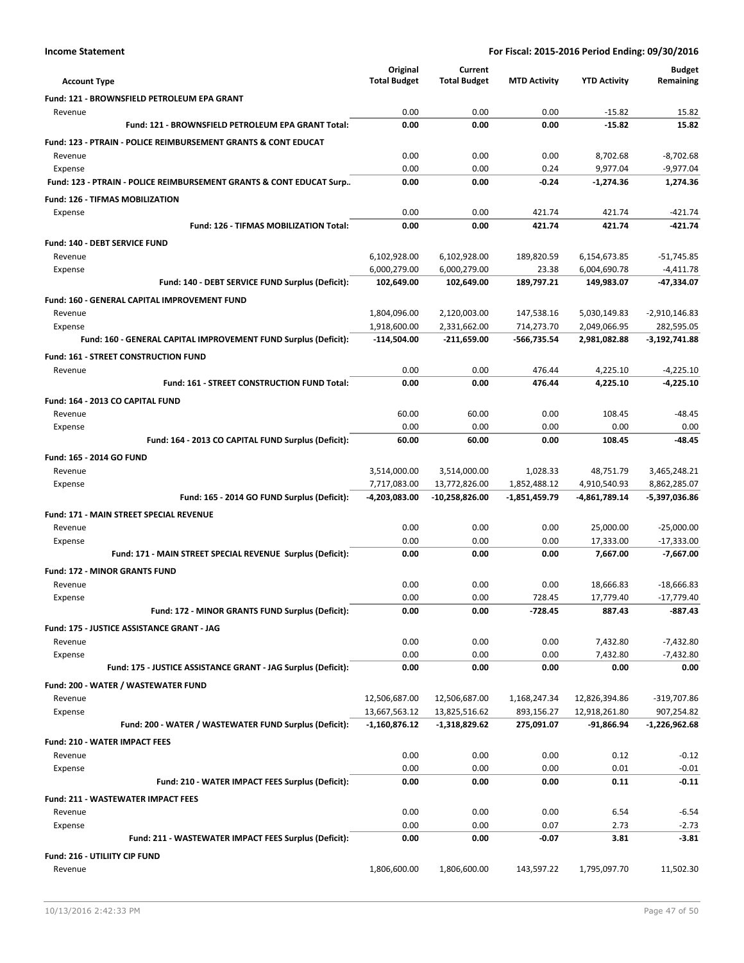|                                                                           | Original            | Current             |                     |                       | <b>Budget</b>               |
|---------------------------------------------------------------------------|---------------------|---------------------|---------------------|-----------------------|-----------------------------|
| <b>Account Type</b>                                                       | <b>Total Budget</b> | <b>Total Budget</b> | <b>MTD Activity</b> | <b>YTD Activity</b>   | Remaining                   |
| Fund: 121 - BROWNSFIELD PETROLEUM EPA GRANT                               |                     |                     |                     |                       |                             |
| Revenue                                                                   | 0.00                | 0.00                | 0.00                | $-15.82$              | 15.82                       |
| Fund: 121 - BROWNSFIELD PETROLEUM EPA GRANT Total:                        | 0.00                | 0.00                | 0.00                | $-15.82$              | 15.82                       |
| <b>Fund: 123 - PTRAIN - POLICE REIMBURSEMENT GRANTS &amp; CONT EDUCAT</b> |                     |                     |                     |                       |                             |
| Revenue                                                                   | 0.00                | 0.00                | 0.00                | 8,702.68              | $-8,702.68$                 |
| Expense                                                                   | 0.00                | 0.00                | 0.24                | 9,977.04              | $-9,977.04$                 |
| Fund: 123 - PTRAIN - POLICE REIMBURSEMENT GRANTS & CONT EDUCAT Surp       | 0.00                | 0.00                | $-0.24$             | $-1,274.36$           | 1.274.36                    |
| <b>Fund: 126 - TIFMAS MOBILIZATION</b>                                    |                     |                     |                     |                       |                             |
| Expense                                                                   | 0.00                | 0.00                | 421.74              | 421.74                | $-421.74$                   |
| Fund: 126 - TIFMAS MOBILIZATION Total:                                    | 0.00                | 0.00                | 421.74              | 421.74                | $-421.74$                   |
| <b>Fund: 140 - DEBT SERVICE FUND</b>                                      |                     |                     |                     |                       |                             |
| Revenue                                                                   | 6,102,928.00        | 6,102,928.00        | 189,820.59          | 6,154,673.85          | $-51,745.85$                |
| Expense                                                                   | 6,000,279.00        | 6,000,279.00        | 23.38               | 6,004,690.78          | $-4,411.78$                 |
| Fund: 140 - DEBT SERVICE FUND Surplus (Deficit):                          | 102,649.00          | 102,649.00          | 189,797.21          | 149,983.07            | -47,334.07                  |
| Fund: 160 - GENERAL CAPITAL IMPROVEMENT FUND                              |                     |                     |                     |                       |                             |
| Revenue                                                                   | 1,804,096.00        | 2,120,003.00        | 147,538.16          | 5,030,149.83          | $-2,910,146.83$             |
| Expense                                                                   | 1,918,600.00        | 2,331,662.00        | 714,273.70          | 2,049,066.95          | 282,595.05                  |
| Fund: 160 - GENERAL CAPITAL IMPROVEMENT FUND Surplus (Deficit):           | -114,504.00         | $-211,659.00$       | -566,735.54         | 2,981,082.88          | $-3,192,741.88$             |
| Fund: 161 - STREET CONSTRUCTION FUND                                      |                     |                     |                     |                       |                             |
| Revenue                                                                   | 0.00                | 0.00                | 476.44<br>476.44    | 4,225.10              | $-4,225.10$                 |
| <b>Fund: 161 - STREET CONSTRUCTION FUND Total:</b>                        | 0.00                | 0.00                |                     | 4,225.10              | $-4,225.10$                 |
| Fund: 164 - 2013 CO CAPITAL FUND                                          |                     |                     |                     |                       |                             |
| Revenue                                                                   | 60.00               | 60.00               | 0.00                | 108.45                | $-48.45$                    |
| Expense                                                                   | 0.00                | 0.00                | 0.00                | 0.00                  | 0.00                        |
| Fund: 164 - 2013 CO CAPITAL FUND Surplus (Deficit):                       | 60.00               | 60.00               | 0.00                | 108.45                | $-48.45$                    |
| Fund: 165 - 2014 GO FUND                                                  |                     |                     |                     |                       |                             |
| Revenue                                                                   | 3,514,000.00        | 3,514,000.00        | 1,028.33            | 48,751.79             | 3,465,248.21                |
| Expense                                                                   | 7,717,083.00        | 13,772,826.00       | 1,852,488.12        | 4,910,540.93          | 8,862,285.07                |
| Fund: 165 - 2014 GO FUND Surplus (Deficit):                               | -4,203,083.00       | -10,258,826.00      | -1,851,459.79       | -4,861,789.14         | -5,397,036.86               |
| <b>Fund: 171 - MAIN STREET SPECIAL REVENUE</b>                            |                     |                     |                     |                       |                             |
| Revenue                                                                   | 0.00                | 0.00                | 0.00                | 25,000.00             | $-25,000.00$                |
| Expense<br>Fund: 171 - MAIN STREET SPECIAL REVENUE Surplus (Deficit):     | 0.00<br>0.00        | 0.00<br>0.00        | 0.00<br>0.00        | 17,333.00<br>7,667.00 | $-17,333.00$<br>$-7,667.00$ |
|                                                                           |                     |                     |                     |                       |                             |
| <b>Fund: 172 - MINOR GRANTS FUND</b>                                      |                     |                     |                     |                       |                             |
| Revenue                                                                   | 0.00                | 0.00                | 0.00                | 18,666.83             | $-18,666.83$                |
| Expense<br>Fund: 172 - MINOR GRANTS FUND Surplus (Deficit):               | 0.00<br>0.00        | 0.00<br>0.00        | 728.45<br>$-728.45$ | 17,779.40<br>887.43   | $-17,779.40$<br>$-887.43$   |
|                                                                           |                     |                     |                     |                       |                             |
| Fund: 175 - JUSTICE ASSISTANCE GRANT - JAG                                |                     |                     |                     |                       |                             |
| Revenue<br>Expense                                                        | 0.00<br>0.00        | 0.00<br>0.00        | 0.00<br>0.00        | 7,432.80<br>7,432.80  | $-7,432.80$<br>$-7,432.80$  |
| Fund: 175 - JUSTICE ASSISTANCE GRANT - JAG Surplus (Deficit):             | 0.00                | 0.00                | 0.00                | 0.00                  | 0.00                        |
|                                                                           |                     |                     |                     |                       |                             |
| Fund: 200 - WATER / WASTEWATER FUND<br>Revenue                            | 12,506,687.00       | 12,506,687.00       | 1,168,247.34        | 12,826,394.86         | -319,707.86                 |
| Expense                                                                   | 13,667,563.12       | 13,825,516.62       | 893,156.27          | 12,918,261.80         | 907,254.82                  |
| Fund: 200 - WATER / WASTEWATER FUND Surplus (Deficit):                    | $-1,160,876.12$     | -1,318,829.62       | 275,091.07          | -91,866.94            | -1,226,962.68               |
| <b>Fund: 210 - WATER IMPACT FEES</b>                                      |                     |                     |                     |                       |                             |
| Revenue                                                                   | 0.00                | 0.00                | 0.00                | 0.12                  | $-0.12$                     |
| Expense                                                                   | 0.00                | 0.00                | 0.00                | 0.01                  | $-0.01$                     |
| Fund: 210 - WATER IMPACT FEES Surplus (Deficit):                          | 0.00                | 0.00                | 0.00                | 0.11                  | $-0.11$                     |
|                                                                           |                     |                     |                     |                       |                             |
| <b>Fund: 211 - WASTEWATER IMPACT FEES</b><br>Revenue                      | 0.00                | 0.00                | 0.00                | 6.54                  | $-6.54$                     |
| Expense                                                                   | 0.00                | 0.00                | 0.07                | 2.73                  | $-2.73$                     |
| Fund: 211 - WASTEWATER IMPACT FEES Surplus (Deficit):                     | 0.00                | 0.00                | $-0.07$             | 3.81                  | $-3.81$                     |
| Fund: 216 - UTILIITY CIP FUND                                             |                     |                     |                     |                       |                             |
| Revenue                                                                   | 1,806,600.00        | 1,806,600.00        | 143,597.22          | 1,795,097.70          | 11,502.30                   |
|                                                                           |                     |                     |                     |                       |                             |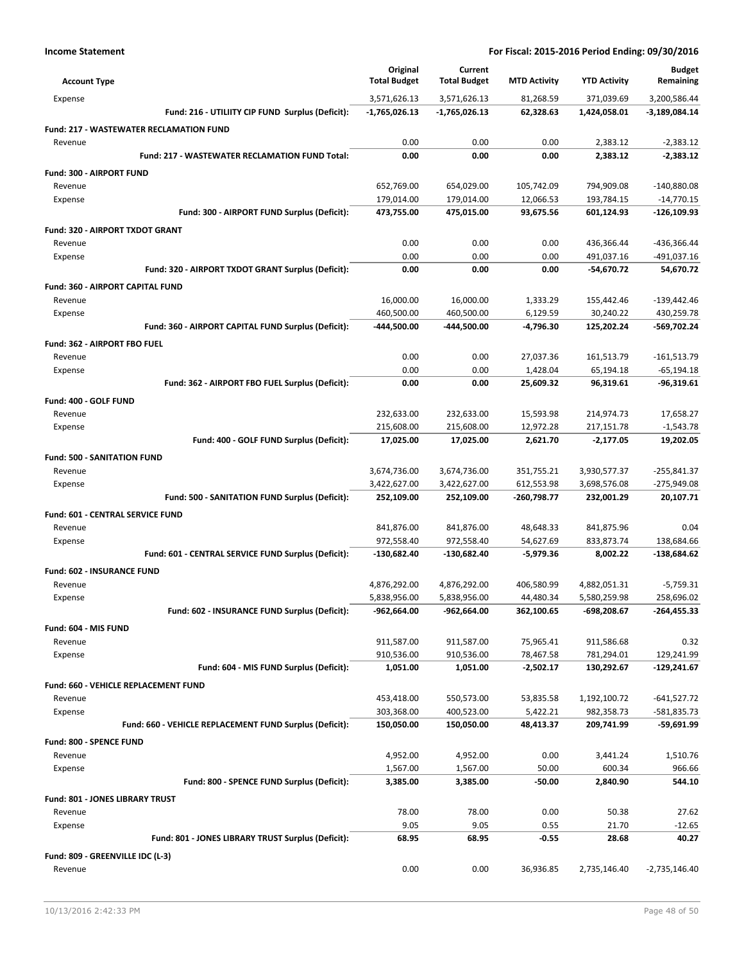| <b>Account Type</b>                            |                                                         | Original<br><b>Total Budget</b> | Current<br><b>Total Budget</b> | <b>MTD Activity</b> | <b>YTD Activity</b> | <b>Budget</b><br>Remaining |
|------------------------------------------------|---------------------------------------------------------|---------------------------------|--------------------------------|---------------------|---------------------|----------------------------|
| Expense                                        |                                                         | 3,571,626.13                    | 3,571,626.13                   | 81,268.59           | 371,039.69          | 3,200,586.44               |
|                                                | Fund: 216 - UTILIITY CIP FUND Surplus (Deficit):        | $-1,765,026.13$                 | -1,765,026.13                  | 62,328.63           | 1,424,058.01        | -3,189,084.14              |
| <b>Fund: 217 - WASTEWATER RECLAMATION FUND</b> |                                                         |                                 |                                |                     |                     |                            |
| Revenue                                        |                                                         | 0.00                            | 0.00                           | 0.00                | 2,383.12            | $-2,383.12$                |
|                                                | <b>Fund: 217 - WASTEWATER RECLAMATION FUND Total:</b>   | 0.00                            | 0.00                           | 0.00                | 2,383.12            | $-2,383.12$                |
| <b>Fund: 300 - AIRPORT FUND</b>                |                                                         |                                 |                                |                     |                     |                            |
| Revenue                                        |                                                         | 652,769.00                      | 654,029.00                     | 105,742.09          | 794,909.08          | $-140,880.08$              |
| Expense                                        |                                                         | 179,014.00                      | 179,014.00                     | 12,066.53           | 193,784.15          | $-14,770.15$               |
|                                                | Fund: 300 - AIRPORT FUND Surplus (Deficit):             | 473,755.00                      | 475,015.00                     | 93,675.56           | 601,124.93          | $-126,109.93$              |
|                                                |                                                         |                                 |                                |                     |                     |                            |
| <b>Fund: 320 - AIRPORT TXDOT GRANT</b>         |                                                         |                                 |                                |                     |                     |                            |
| Revenue                                        |                                                         | 0.00                            | 0.00                           | 0.00                | 436,366.44          | -436,366.44                |
| Expense                                        |                                                         | 0.00                            | 0.00                           | 0.00                | 491,037.16          | $-491,037.16$              |
|                                                | Fund: 320 - AIRPORT TXDOT GRANT Surplus (Deficit):      | 0.00                            | 0.00                           | 0.00                | -54,670.72          | 54,670.72                  |
| Fund: 360 - AIRPORT CAPITAL FUND               |                                                         |                                 |                                |                     |                     |                            |
| Revenue                                        |                                                         | 16,000.00                       | 16,000.00                      | 1,333.29            | 155,442.46          | $-139,442.46$              |
| Expense                                        |                                                         | 460,500.00                      | 460,500.00                     | 6,129.59            | 30,240.22           | 430,259.78                 |
|                                                | Fund: 360 - AIRPORT CAPITAL FUND Surplus (Deficit):     | -444,500.00                     | -444,500.00                    | -4,796.30           | 125,202.24          | -569,702.24                |
| Fund: 362 - AIRPORT FBO FUEL                   |                                                         |                                 |                                |                     |                     |                            |
| Revenue                                        |                                                         | 0.00                            | 0.00                           | 27.037.36           | 161,513.79          | $-161,513.79$              |
| Expense                                        |                                                         | 0.00                            | 0.00                           | 1,428.04            | 65,194.18           | $-65, 194.18$              |
|                                                | Fund: 362 - AIRPORT FBO FUEL Surplus (Deficit):         | 0.00                            | 0.00                           | 25,609.32           | 96,319.61           | -96,319.61                 |
|                                                |                                                         |                                 |                                |                     |                     |                            |
| Fund: 400 - GOLF FUND                          |                                                         |                                 |                                |                     |                     |                            |
| Revenue                                        |                                                         | 232,633.00                      | 232,633.00                     | 15,593.98           | 214,974.73          | 17,658.27                  |
| Expense                                        |                                                         | 215,608.00                      | 215,608.00                     | 12,972.28           | 217,151.78          | $-1,543.78$                |
|                                                | Fund: 400 - GOLF FUND Surplus (Deficit):                | 17,025.00                       | 17,025.00                      | 2,621.70            | $-2,177.05$         | 19,202.05                  |
| <b>Fund: 500 - SANITATION FUND</b>             |                                                         |                                 |                                |                     |                     |                            |
| Revenue                                        |                                                         | 3,674,736.00                    | 3,674,736.00                   | 351,755.21          | 3,930,577.37        | -255,841.37                |
| Expense                                        |                                                         | 3,422,627.00                    | 3,422,627.00                   | 612,553.98          | 3,698,576.08        | $-275,949.08$              |
|                                                | Fund: 500 - SANITATION FUND Surplus (Deficit):          | 252,109.00                      | 252,109.00                     | -260,798.77         | 232,001.29          | 20,107.71                  |
| <b>Fund: 601 - CENTRAL SERVICE FUND</b>        |                                                         |                                 |                                |                     |                     |                            |
| Revenue                                        |                                                         | 841,876.00                      | 841,876.00                     | 48,648.33           | 841,875.96          | 0.04                       |
| Expense                                        |                                                         | 972,558.40                      | 972,558.40                     | 54,627.69           | 833,873.74          | 138,684.66                 |
|                                                | Fund: 601 - CENTRAL SERVICE FUND Surplus (Deficit):     | $-130,682.40$                   | $-130,682.40$                  | $-5,979.36$         | 8,002.22            | $-138,684.62$              |
|                                                |                                                         |                                 |                                |                     |                     |                            |
| Fund: 602 - INSURANCE FUND                     |                                                         |                                 |                                |                     |                     |                            |
| Revenue                                        |                                                         | 4,876,292.00                    | 4,876,292.00                   | 406,580.99          | 4,882,051.31        | $-5,759.31$                |
| Expense                                        |                                                         | 5,838,956.00                    | 5,838,956.00                   | 44.480.34           | 5,580,259.98        | 258,696.02                 |
|                                                | Fund: 602 - INSURANCE FUND Surplus (Deficit):           | -962,664.00                     | -962,664.00                    | 362,100.65          | -698,208.67         | $-264,455.33$              |
| Fund: 604 - MIS FUND                           |                                                         |                                 |                                |                     |                     |                            |
| Revenue                                        |                                                         | 911,587.00                      | 911,587.00                     | 75,965.41           | 911,586.68          | 0.32                       |
| Expense                                        |                                                         | 910,536.00                      | 910,536.00                     | 78,467.58           | 781,294.01          | 129,241.99                 |
|                                                | Fund: 604 - MIS FUND Surplus (Deficit):                 | 1,051.00                        | 1,051.00                       | $-2,502.17$         | 130,292.67          | $-129,241.67$              |
| Fund: 660 - VEHICLE REPLACEMENT FUND           |                                                         |                                 |                                |                     |                     |                            |
| Revenue                                        |                                                         | 453,418.00                      | 550,573.00                     | 53,835.58           | 1,192,100.72        | $-641,527.72$              |
| Expense                                        |                                                         | 303,368.00                      | 400,523.00                     | 5,422.21            | 982,358.73          | -581,835.73                |
|                                                | Fund: 660 - VEHICLE REPLACEMENT FUND Surplus (Deficit): | 150,050.00                      | 150,050.00                     | 48,413.37           | 209,741.99          | -59,691.99                 |
|                                                |                                                         |                                 |                                |                     |                     |                            |
| Fund: 800 - SPENCE FUND                        |                                                         |                                 |                                |                     |                     |                            |
| Revenue                                        |                                                         | 4,952.00                        | 4,952.00                       | 0.00                | 3,441.24            | 1,510.76                   |
| Expense                                        |                                                         | 1,567.00                        | 1,567.00                       | 50.00               | 600.34              | 966.66                     |
|                                                | Fund: 800 - SPENCE FUND Surplus (Deficit):              | 3,385.00                        | 3,385.00                       | -50.00              | 2,840.90            | 544.10                     |
| Fund: 801 - JONES LIBRARY TRUST                |                                                         |                                 |                                |                     |                     |                            |
| Revenue                                        |                                                         | 78.00                           | 78.00                          | 0.00                | 50.38               | 27.62                      |
| Expense                                        |                                                         | 9.05                            | 9.05                           | 0.55                | 21.70               | $-12.65$                   |
|                                                | Fund: 801 - JONES LIBRARY TRUST Surplus (Deficit):      | 68.95                           | 68.95                          | $-0.55$             | 28.68               | 40.27                      |
| Fund: 809 - GREENVILLE IDC (L-3)               |                                                         |                                 |                                |                     |                     |                            |
| Revenue                                        |                                                         | 0.00                            | 0.00                           | 36,936.85           | 2,735,146.40        | $-2,735,146.40$            |
|                                                |                                                         |                                 |                                |                     |                     |                            |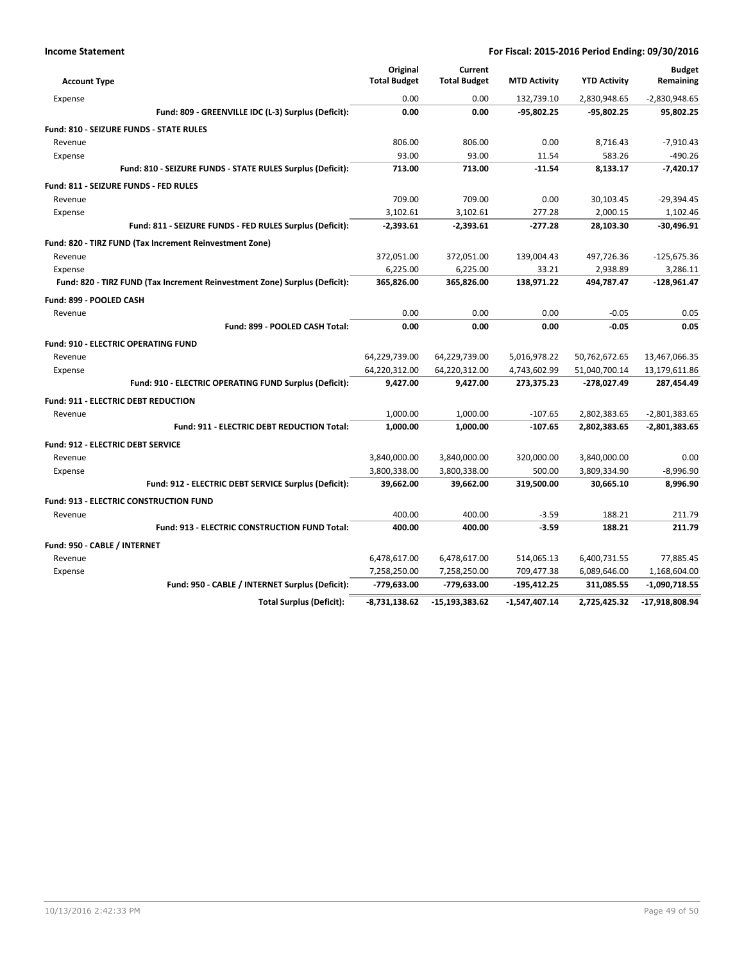| <b>Account Type</b>                                                        | Original<br><b>Total Budget</b> | Current<br><b>Total Budget</b> | <b>MTD Activity</b> | <b>YTD Activity</b>   | <b>Budget</b><br>Remaining |
|----------------------------------------------------------------------------|---------------------------------|--------------------------------|---------------------|-----------------------|----------------------------|
| Expense                                                                    | 0.00                            | 0.00                           | 132,739.10          | 2,830,948.65          | $-2,830,948.65$            |
| Fund: 809 - GREENVILLE IDC (L-3) Surplus (Deficit):                        | 0.00                            | 0.00                           | $-95,802.25$        | -95,802.25            | 95.802.25                  |
|                                                                            |                                 |                                |                     |                       |                            |
| <b>Fund: 810 - SEIZURE FUNDS - STATE RULES</b>                             | 806.00                          | 806.00                         | 0.00                | 8,716.43              | $-7,910.43$                |
| Revenue                                                                    | 93.00                           | 93.00                          | 11.54               | 583.26                | $-490.26$                  |
| Expense<br>Fund: 810 - SEIZURE FUNDS - STATE RULES Surplus (Deficit):      | 713.00                          | 713.00                         | $-11.54$            | 8.133.17              | $-7.420.17$                |
|                                                                            |                                 |                                |                     |                       |                            |
| Fund: 811 - SEIZURE FUNDS - FED RULES                                      |                                 |                                |                     |                       |                            |
| Revenue                                                                    | 709.00                          | 709.00                         | 0.00                | 30,103.45             | $-29,394.45$               |
| Expense                                                                    | 3,102.61<br>$-2.393.61$         | 3,102.61<br>$-2.393.61$        | 277.28<br>$-277.28$ | 2,000.15<br>28,103.30 | 1,102.46<br>$-30,496.91$   |
| Fund: 811 - SEIZURE FUNDS - FED RULES Surplus (Deficit):                   |                                 |                                |                     |                       |                            |
| Fund: 820 - TIRZ FUND (Tax Increment Reinvestment Zone)                    |                                 |                                |                     |                       |                            |
| Revenue                                                                    | 372,051.00                      | 372,051.00                     | 139,004.43          | 497,726.36            | $-125,675.36$              |
| Expense                                                                    | 6,225.00                        | 6,225.00                       | 33.21               | 2,938.89              | 3,286.11                   |
| Fund: 820 - TIRZ FUND (Tax Increment Reinvestment Zone) Surplus (Deficit): | 365,826.00                      | 365,826.00                     | 138,971.22          | 494,787.47            | $-128,961.47$              |
| Fund: 899 - POOLED CASH                                                    |                                 |                                |                     |                       |                            |
| Revenue                                                                    | 0.00                            | 0.00                           | 0.00                | $-0.05$               | 0.05                       |
| Fund: 899 - POOLED CASH Total:                                             | 0.00                            | 0.00                           | 0.00                | $-0.05$               | 0.05                       |
| <b>Fund: 910 - ELECTRIC OPERATING FUND</b>                                 |                                 |                                |                     |                       |                            |
| Revenue                                                                    | 64,229,739.00                   | 64,229,739.00                  | 5,016,978.22        | 50,762,672.65         | 13,467,066.35              |
| Expense                                                                    | 64,220,312.00                   | 64,220,312.00                  | 4,743,602.99        | 51,040,700.14         | 13,179,611.86              |
| Fund: 910 - ELECTRIC OPERATING FUND Surplus (Deficit):                     | 9,427.00                        | 9,427.00                       | 273,375.23          | -278,027.49           | 287,454.49                 |
| <b>Fund: 911 - ELECTRIC DEBT REDUCTION</b>                                 |                                 |                                |                     |                       |                            |
| Revenue                                                                    | 1,000.00                        | 1,000.00                       | $-107.65$           | 2,802,383.65          | $-2,801,383.65$            |
| Fund: 911 - ELECTRIC DEBT REDUCTION Total:                                 | 1,000.00                        | 1,000.00                       | $-107.65$           | 2,802,383.65          | $-2,801,383.65$            |
| <b>Fund: 912 - ELECTRIC DEBT SERVICE</b>                                   |                                 |                                |                     |                       |                            |
| Revenue                                                                    | 3,840,000.00                    | 3,840,000.00                   | 320,000.00          | 3,840,000.00          | 0.00                       |
| Expense                                                                    | 3,800,338.00                    | 3,800,338.00                   | 500.00              | 3,809,334.90          | $-8,996.90$                |
| Fund: 912 - ELECTRIC DEBT SERVICE Surplus (Deficit):                       | 39,662.00                       | 39,662.00                      | 319,500.00          | 30,665.10             | 8.996.90                   |
| <b>Fund: 913 - ELECTRIC CONSTRUCTION FUND</b>                              |                                 |                                |                     |                       |                            |
| Revenue                                                                    | 400.00                          | 400.00                         | $-3.59$             | 188.21                | 211.79                     |
| Fund: 913 - ELECTRIC CONSTRUCTION FUND Total:                              | 400.00                          | 400.00                         | $-3.59$             | 188.21                | 211.79                     |
| Fund: 950 - CABLE / INTERNET                                               |                                 |                                |                     |                       |                            |
| Revenue                                                                    | 6,478,617.00                    | 6,478,617.00                   | 514,065.13          | 6,400,731.55          | 77,885.45                  |
| Expense                                                                    | 7,258,250.00                    | 7,258,250.00                   | 709,477.38          | 6,089,646.00          | 1,168,604.00               |
| Fund: 950 - CABLE / INTERNET Surplus (Deficit):                            | -779,633.00                     | -779,633.00                    | -195,412.25         | 311,085.55            | $-1,090,718.55$            |
| <b>Total Surplus (Deficit):</b>                                            | $-8,731,138.62$                 | $-15, 193, 383.62$             | $-1,547,407.14$     | 2,725,425.32          | -17,918,808.94             |